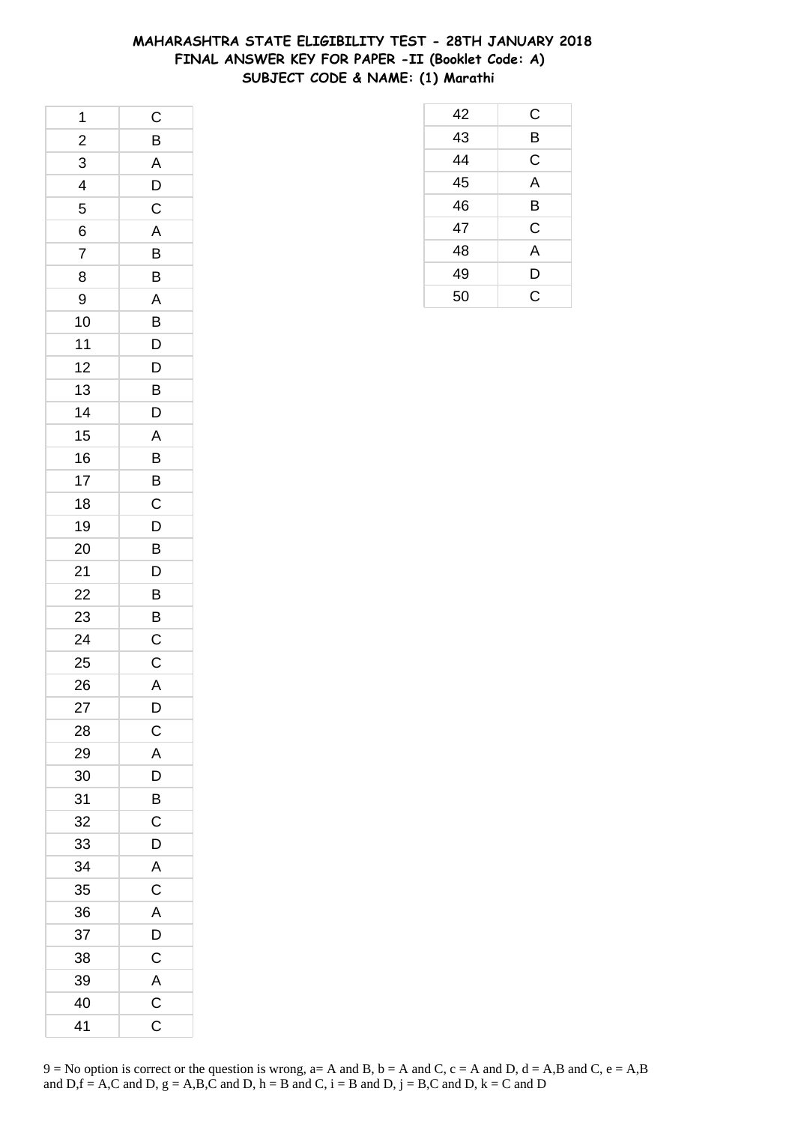## **MAHARASHTRA STATE ELIGIBILITY TEST - 28TH JANUARY 2018 FINAL ANSWER KEY FOR PAPER -II (Booklet Code: A) SUBJECT CODE & NAME: (1) Marathi**

| 1                       | $\mathsf{C}$            |
|-------------------------|-------------------------|
| $\overline{\mathbf{c}}$ | B                       |
| 3                       | A                       |
| 4                       | $\overline{D}$          |
| 5                       | $\overline{C}$          |
| 6                       | $\overline{\mathsf{A}}$ |
| $\overline{7}$          | B                       |
| 8                       | B                       |
| 9                       | A                       |
| 10                      | $\overline{B}$          |
| 11                      | $\overline{D}$          |
| 12                      | D                       |
| 13                      | B                       |
| 14                      | D                       |
| 15                      | A                       |
| 16                      | $\overline{B}$          |
| 17                      | $\overline{B}$          |
| 18                      | C                       |
| 19                      | D                       |
| 20                      | B                       |
| 21                      | D                       |
| 22                      |                         |
| 23                      | $\frac{B}{B}$           |
| 24                      | C                       |
| 25                      | $\mathsf C$             |
| 26                      | A                       |
| 27                      | D                       |
| 28                      | $\mathsf{C}$            |
| 29                      | A                       |
| 30                      | $\mathsf{D}$            |
| 31                      | B                       |
| 32                      | C                       |
| 33                      | D                       |
| 34                      | A                       |
| 35                      | C                       |
| 36                      | A                       |
| 37                      | D                       |
| 38                      | $\mathsf{C}$            |
| 39                      | $\overline{A}$          |
| 40                      | $\overline{\text{c}}$   |
| 41                      | C                       |

| 42 | C |
|----|---|
| 43 | B |
| 44 | C |
| 45 | A |
| 46 | B |
| 47 | C |
| 48 | A |
| 49 | D |
| 50 | Ć |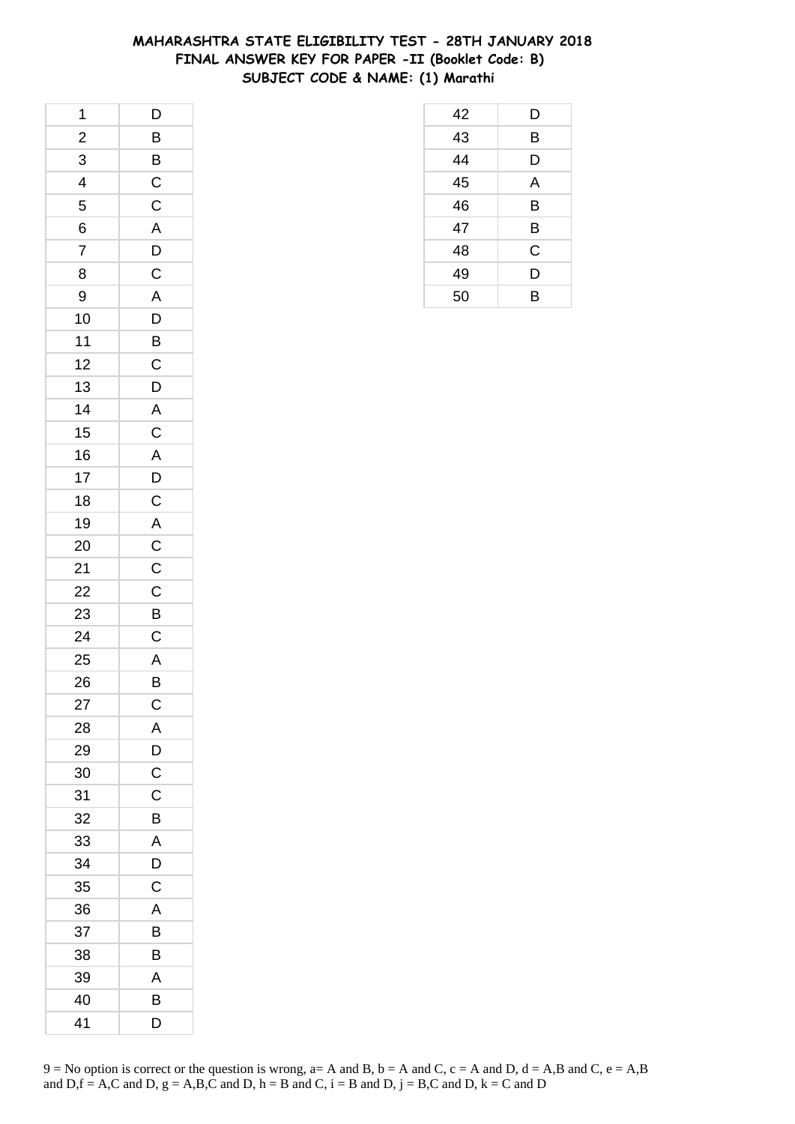## **MAHARASHTRA STATE ELIGIBILITY TEST - 28TH JANUARY 2018 FINAL ANSWER KEY FOR PAPER -II (Booklet Code: B) SUBJECT CODE & NAME: (1) Marathi**

| 1                       | $\overline{D}$                    |
|-------------------------|-----------------------------------|
| $\overline{\mathbf{c}}$ |                                   |
| 3                       |                                   |
| $\overline{4}$          |                                   |
| 5                       |                                   |
| 6                       | BBCCADC                           |
| $\overline{7}$          |                                   |
| 8                       |                                   |
| 9                       |                                   |
| 10                      | $rac{A}{D}$                       |
| 11                      |                                   |
| 12                      | $rac{B}{C}$                       |
| 13                      | $\overline{D}$                    |
| 14                      |                                   |
| 15                      |                                   |
| 16                      |                                   |
| 17                      | $A$ $C$ $A$ $D$ $C$               |
| 18                      |                                   |
| 19                      |                                   |
| 20                      | $\overline{AC}$<br>$\overline{C}$ |
| 21                      |                                   |
| 22                      | $\overline{C}$                    |
| 23                      | $\overline{B}$                    |
| 24                      | $\mathsf C$                       |
| 25                      |                                   |
| 26                      | $rac{A}{B}$                       |
| 27                      | $\mathsf{C}$                      |
| 28                      | A                                 |
| 29                      | $\mathsf{D}$                      |
| 30                      | $\mathsf C$                       |
| 31                      | C                                 |
| 32                      | B                                 |
| 33                      | $\overline{\mathsf{A}}$           |
| 34                      | D                                 |
| 35                      | C                                 |
| 36                      | Α                                 |
| 37                      | В                                 |
| 38                      | В                                 |
| 39                      | A                                 |
| 40                      | B                                 |
| 41                      | D                                 |

| 42 | D |
|----|---|
| 43 | B |
| 44 | D |
| 45 | A |
| 46 | B |
| 47 | B |
| 48 | C |
| 49 | D |
| 50 | B |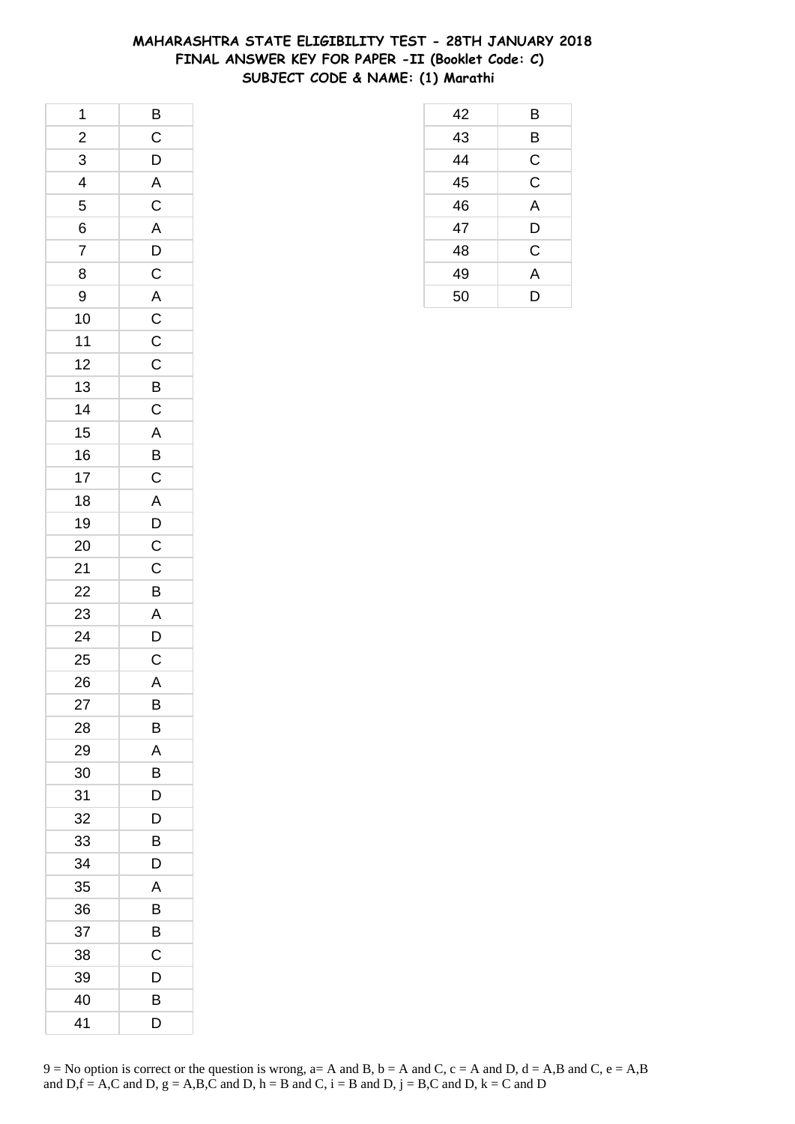## **MAHARASHTRA STATE ELIGIBILITY TEST - 28TH JANUARY 2018 FINAL ANSWER KEY FOR PAPER -II (Booklet Code: C) SUBJECT CODE & NAME: (1) Marathi**

| $\overline{1}$          | $\overline{B}$                                        |
|-------------------------|-------------------------------------------------------|
| $\overline{\mathbf{c}}$ | $\mathsf{C}$                                          |
|                         | $\overline{D}$                                        |
| $\frac{3}{4}$           |                                                       |
| 5                       |                                                       |
| 6                       |                                                       |
| $\overline{7}$          | $\overline{AC}$<br>$\overline{AC}$<br>$\overline{AD}$ |
| 8                       | $\mathsf{C}$                                          |
| 9                       |                                                       |
| 10                      | A<br>C<br>C<br>C                                      |
| 11                      |                                                       |
| 12                      |                                                       |
| 13                      | $\overline{B}$                                        |
| 14                      | $\overline{C}$                                        |
| 15                      |                                                       |
| 16                      |                                                       |
| 17                      |                                                       |
| 18                      | A<br>B<br>C<br>A                                      |
| 19                      | $\overline{D}$                                        |
| 20                      |                                                       |
| 21                      | $\frac{C}{C}$                                         |
| 22                      | $\overline{B}$                                        |
| 23                      | $\frac{A}{D}$                                         |
| 24                      |                                                       |
| 25                      | $\mathsf{C}$                                          |
| 26                      | A                                                     |
| 27                      | B                                                     |
| 28                      | В                                                     |
| 29                      | A                                                     |
| 30                      | B                                                     |
| 31                      | D                                                     |
| 32                      | D                                                     |
| 33                      | В                                                     |
| 34                      | D                                                     |
| 35                      | Α                                                     |
| 36                      | В                                                     |
| 37                      | В                                                     |
| 38                      | С                                                     |
| 39                      | D                                                     |
| 40                      | B                                                     |
| 41                      | D                                                     |

| 42 | Β |
|----|---|
| 43 | B |
| 44 | C |
| 45 | C |
| 46 | A |
| 47 | D |
| 48 | Ć |
| 49 | A |
| 50 | D |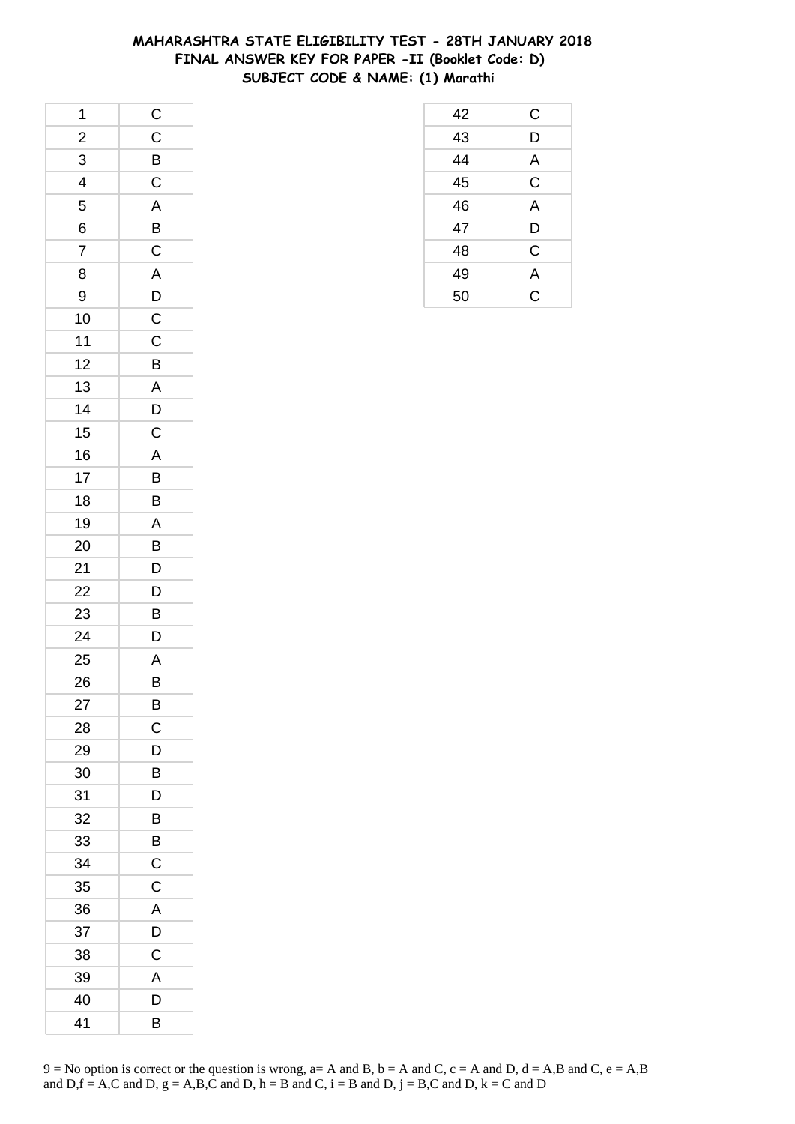## **MAHARASHTRA STATE ELIGIBILITY TEST - 28TH JANUARY 2018 FINAL ANSWER KEY FOR PAPER -II (Booklet Code: D) SUBJECT CODE & NAME: (1) Marathi**

| 1                        | $\mathsf{C}$            |
|--------------------------|-------------------------|
| $\frac{2}{1}$            | $\overline{C}$          |
| 3                        | $\overline{B}$          |
| $\overline{\mathcal{A}}$ | $\mathsf C$             |
| 5                        | A                       |
| 6                        | $\overline{B}$          |
| $\overline{7}$           | $\mathsf C$             |
| 8                        | $\overline{A}$          |
| 9                        | $\overline{D}$          |
| 10                       | $\overline{C}$          |
| $11$                     | $\mathsf C$             |
| 12                       | B                       |
| 13                       | $\overline{A}$          |
| 14                       | $\overline{D}$          |
| 15                       | $\mathsf{C}$            |
| 16                       | $\overline{\mathsf{A}}$ |
| 17                       | B                       |
| 18                       | B                       |
| 19                       | A                       |
| 20                       | $\overline{B}$          |
| 21                       | $\overline{D}$          |
| 22                       | $\overline{D}$          |
| 23                       | B                       |
| 24                       | D                       |
| 25                       | A                       |
| 26                       | $\bar{B}$               |
| 27                       | B                       |
| 28                       | C                       |
| 29                       | D                       |
| 30                       | B                       |
| 31                       | D                       |
| 32                       | B                       |
| 33                       | B                       |
| 34                       | $\mathsf C$             |
| 35                       | C                       |
| 36                       | A                       |
| 37                       | D                       |
| 38                       | $\mathsf C$             |
| 39                       | A                       |
| 40                       | D                       |
| 41                       | В                       |

| 42 | С           |
|----|-------------|
| 43 | D           |
| 44 | A           |
| 45 | $\mathsf C$ |
| 46 | A           |
| 47 | D           |
| 48 | C           |
| 49 | A           |
| 50 | Ć           |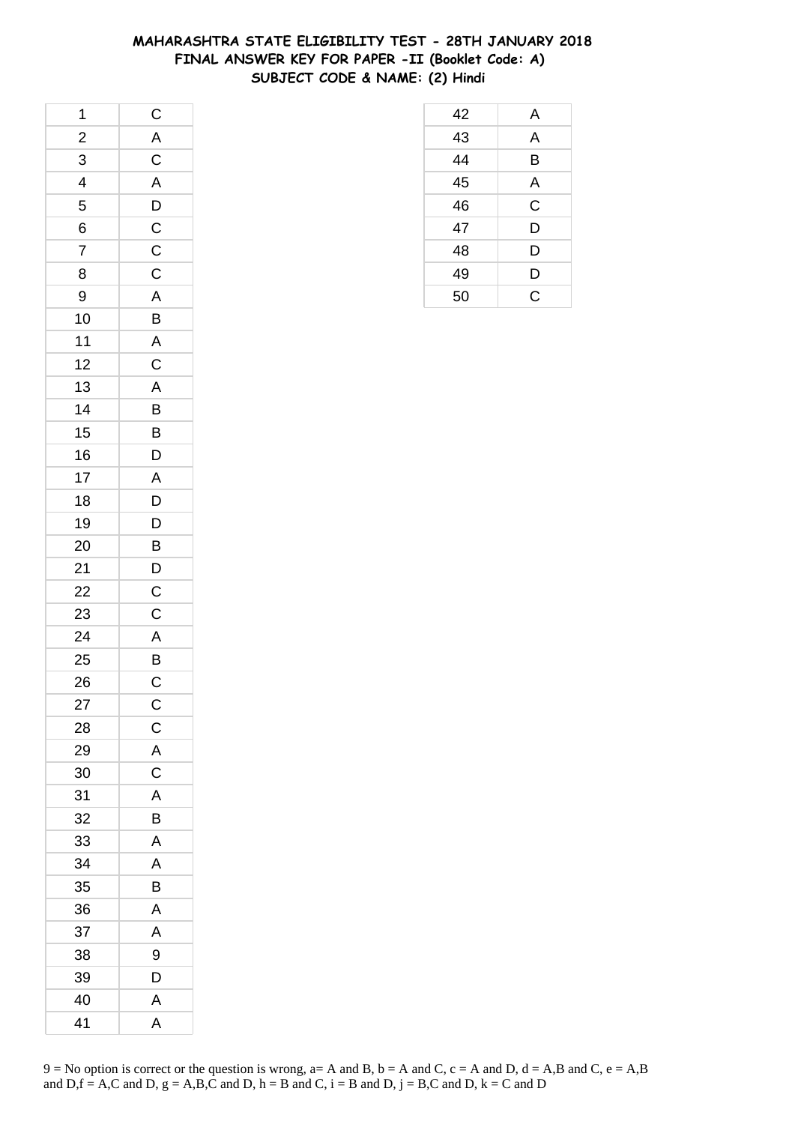## **MAHARASHTRA STATE ELIGIBILITY TEST - 28TH JANUARY 2018 FINAL ANSWER KEY FOR PAPER -II (Booklet Code: A) SUBJECT CODE & NAME: (2) Hindi**

| 1                        | $\mathsf{C}$   |
|--------------------------|----------------|
| $\frac{1}{2}$            | $\overline{A}$ |
| 3                        | $\frac{C}{A}$  |
| $\overline{\mathcal{L}}$ |                |
| 5                        | $\overline{D}$ |
| 6                        |                |
| $\overline{7}$           | $\frac{C}{C}$  |
| 8                        | $\overline{C}$ |
| 9                        | $\mathsf{A}$   |
| 10                       | B              |
| 11                       | $\mathsf{A}$   |
| 12                       | $\overline{C}$ |
| 13                       |                |
| 14                       | $rac{A}{B}$    |
| 15                       | $\overline{B}$ |
| 16                       | D              |
| 17                       | $\overline{A}$ |
| 18                       | D              |
| 19                       | D              |
| 20                       | $\overline{B}$ |
| 21                       | $\overline{D}$ |
| 22                       | $\mathsf C$    |
| 23                       | $\mathsf C$    |
| 24                       | A              |
| 25                       | $\overline{B}$ |
| 26                       | $\overline{C}$ |
| 27                       | $\mathsf{C}$   |
| 28                       | C              |
| 29                       | A              |
| 30                       | $\mathsf C$    |
| 31                       | A              |
| 32                       | B              |
| 33                       | A              |
| 34                       | A              |
| 35                       | B              |
| 36                       | Α              |
| 37                       | A              |
| 38                       | 9              |
| 39                       | D              |
| 40                       | Α              |
| 41                       | A              |

| 42 | A           |
|----|-------------|
| 43 | A           |
| 44 | B           |
| 45 | A           |
| 46 | $\mathsf C$ |
| 47 | D           |
| 48 | D           |
| 49 | D           |
| 50 | Ć           |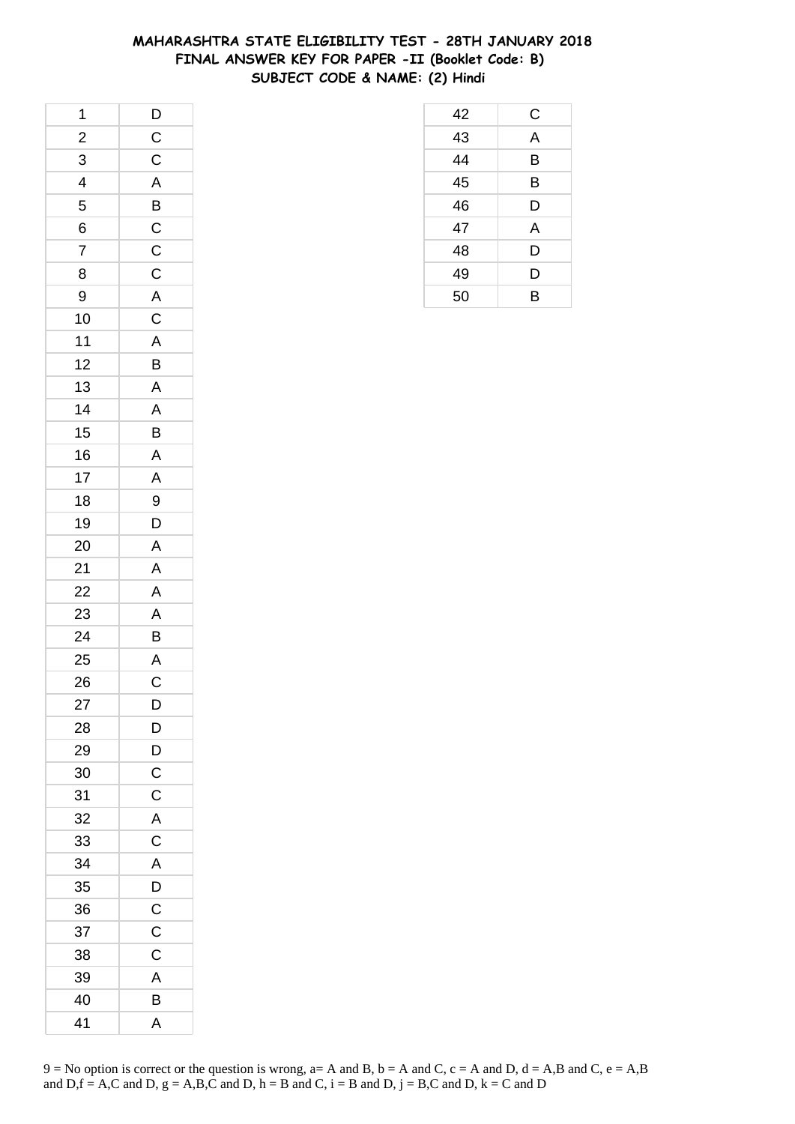## **MAHARASHTRA STATE ELIGIBILITY TEST - 28TH JANUARY 2018 FINAL ANSWER KEY FOR PAPER -II (Booklet Code: B) SUBJECT CODE & NAME: (2) Hindi**

 C A B B D A D D B

| 1              |                |
|----------------|----------------|
| $\frac{1}{2}$  |                |
| $\overline{3}$ | $\frac{D}{C}$  |
| $\overline{4}$ |                |
| 5              | $\frac{A}{B}$  |
| 6              |                |
| $\overline{7}$ |                |
| 8              | $\frac{C}{C}$  |
| 9              |                |
| 10             | $rac{A}{C}$    |
| $11$           |                |
| 12             | B              |
| 13             |                |
| 14             | $\frac{A}{A}$  |
| 15             | $\overline{B}$ |
| 16             | $\overline{A}$ |
| 17             | $\overline{A}$ |
| 18             | 9              |
| 19             | $\overline{D}$ |
| 20             |                |
| 21             | $\frac{A}{A}$  |
| 22             |                |
| 23             | $\frac{A}{A}$  |
| 24             |                |
| 25             | $rac{A}{C}$    |
| 26             |                |
| 27             | D              |
| 28             | D              |
| 29             | D              |
| 30             | C              |
| 31             | $\mathsf{C}$   |
| 32             | $\overline{A}$ |
| 33             | C              |
| 34             | A              |
| 35             | D              |
| 36             | $\mathsf C$    |
| 37             | C              |
| 38             | C              |
| 39             | A              |
| 40             | B              |
| 41             | A              |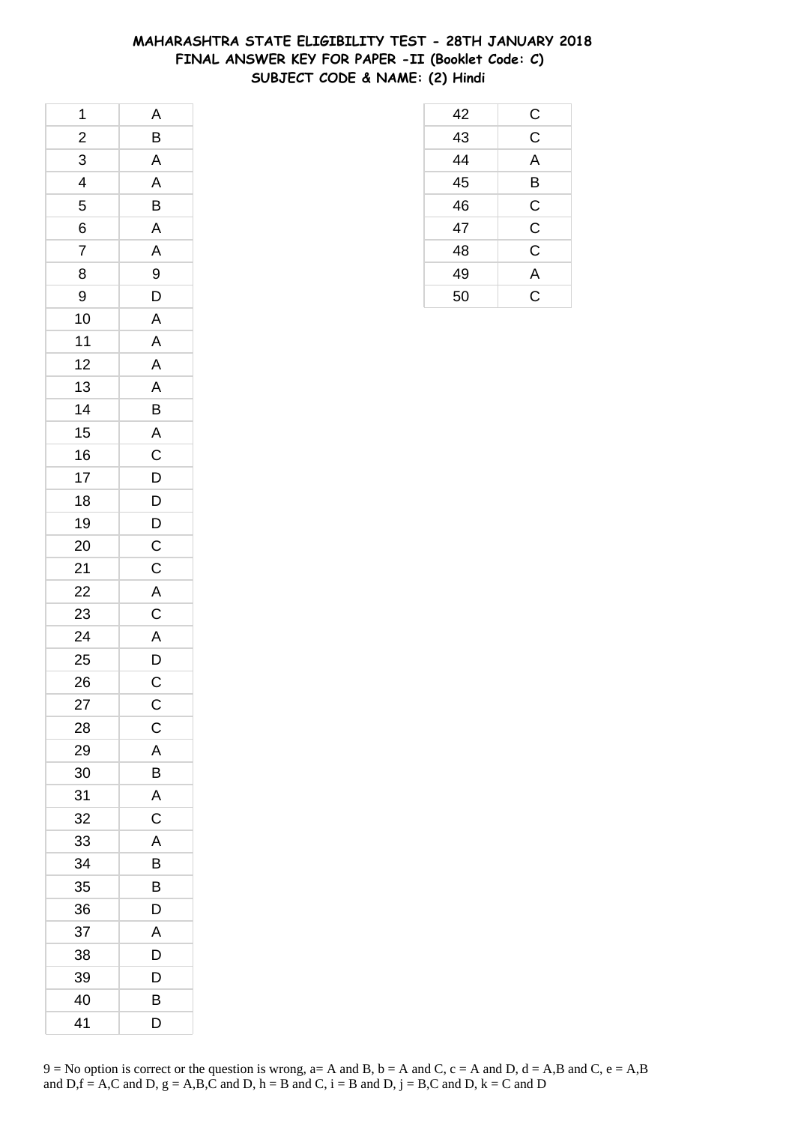## **MAHARASHTRA STATE ELIGIBILITY TEST - 28TH JANUARY 2018 FINAL ANSWER KEY FOR PAPER -II (Booklet Code: C) SUBJECT CODE & NAME: (2) Hindi**

| 1                        | $\overline{A}$          |
|--------------------------|-------------------------|
| $\frac{1}{2}$            | $\overline{B}$          |
| 3                        | $\overline{\mathsf{A}}$ |
| $\overline{\mathcal{L}}$ | $\overline{A}$          |
| 5                        | B                       |
| 6                        |                         |
| $\overline{7}$           | $\frac{A}{A}$           |
| 8                        | 9                       |
| 9                        | D                       |
| 10                       | A                       |
| $11$                     | $\mathsf{A}$            |
| 12                       | $\overline{A}$          |
| 13                       |                         |
| 14                       | $\frac{A}{B}$           |
| 15                       |                         |
| 16                       | $rac{A}{C}$             |
| 17                       | D                       |
| 18                       |                         |
| 19                       | $\frac{D}{D}$           |
| 20                       | $\overline{C}$          |
| 21                       | $\frac{1}{C}$           |
| 22                       |                         |
| 23                       | $rac{A}{C}$             |
| 24                       | $\overline{A}$          |
| 25                       |                         |
| 26                       | $\frac{D}{C}$           |
| 27                       | $\mathsf{C}$            |
| 28                       | $\mathsf C$             |
| 29                       | A                       |
| 30                       | B                       |
| 31                       | A                       |
| 32                       | $\mathsf C$             |
| 33                       | A                       |
| 34                       | В                       |
| 35                       | B                       |
| 36                       | D                       |
| 37                       | A                       |
| 38                       | D                       |
| 39                       | D                       |
| 40                       | В                       |
| 41                       | D                       |

| 42 | $\frac{C}{C}$ |
|----|---------------|
| 43 |               |
| 44 | A             |
| 45 | B             |
| 46 | $\mathsf C$   |
| 47 | $\mathsf C$   |
| 48 | $\mathsf C$   |
| 49 | A             |
| 50 | Ć             |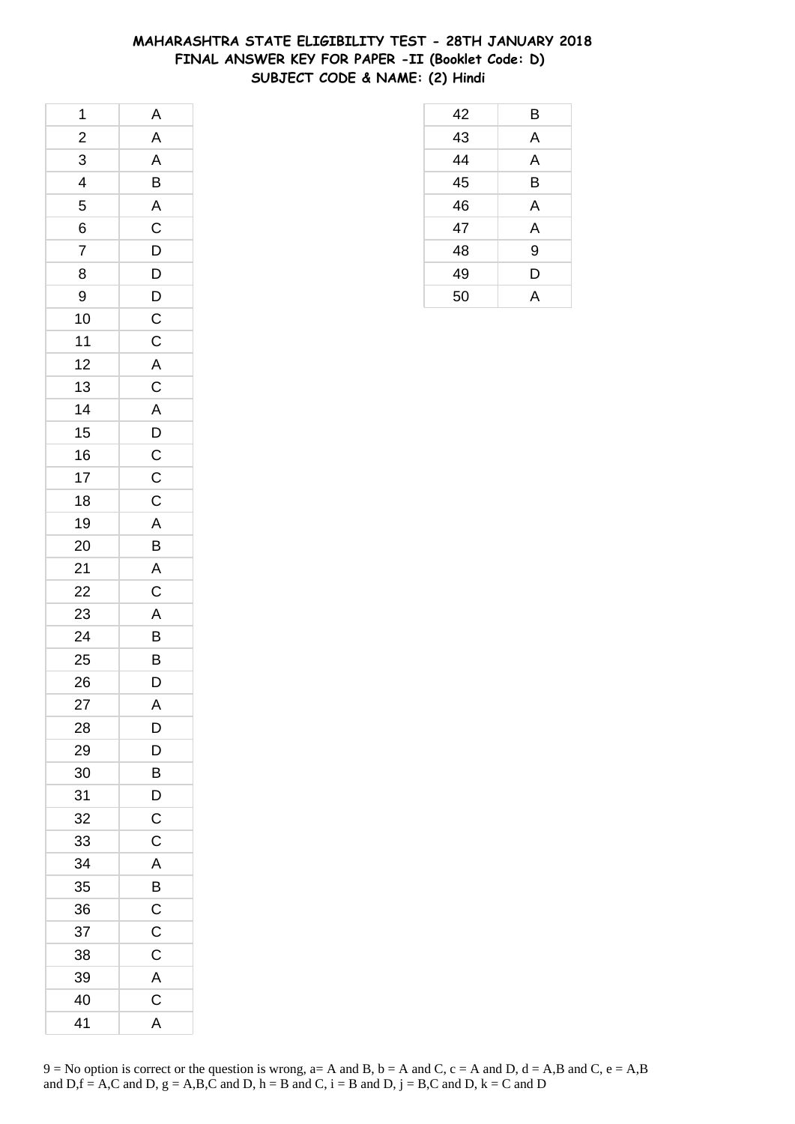## **MAHARASHTRA STATE ELIGIBILITY TEST - 28TH JANUARY 2018 FINAL ANSWER KEY FOR PAPER -II (Booklet Code: D) SUBJECT CODE & NAME: (2) Hindi**

| 1                        | A                                            |
|--------------------------|----------------------------------------------|
| $\frac{1}{2}$            | $\overline{A}$                               |
| 3                        | $\mathsf{A}$                                 |
| $\overline{\mathcal{A}}$ | B                                            |
| 5                        | $\mathsf{A}$                                 |
| 6                        |                                              |
| $\overline{7}$           |                                              |
| 8                        | $\begin{array}{c}\nC \\ D \\ D\n\end{array}$ |
| 9                        |                                              |
| 10                       | $\frac{D}{C}$                                |
| 11                       | $\mathsf C$                                  |
| 12                       |                                              |
| 13                       |                                              |
| 14                       |                                              |
| 15                       | $A$ $C$ $A$ $D$ $C$ $C$                      |
| 16                       |                                              |
| 17                       |                                              |
| 18                       | $\mathsf C$                                  |
| 19                       | $\overline{A}$                               |
| 20                       | $\overline{B}$                               |
| 21                       |                                              |
| 22                       | $rac{A}{C}$                                  |
| 23                       | $\mathsf{A}$                                 |
| 24                       | $\overline{B}$                               |
| 25                       | B<br>D                                       |
| 26                       |                                              |
| 27                       | A                                            |
| 28                       | D                                            |
| 29                       | D                                            |
| 30                       | B                                            |
| 31                       | D                                            |
| 32                       | $\overline{\mathrm{C}}$                      |
| 33                       | $\mathsf C$                                  |
| 34                       | A                                            |
| 35                       | B                                            |
| 36                       | $\mathsf{C}$                                 |
| 37                       | $\mathsf C$                                  |
| 38                       | C                                            |
| 39                       | A                                            |
| 40                       | $\mathsf C$                                  |
| 41                       | A                                            |

| 42 | B |
|----|---|
| 43 | A |
| 44 | A |
| 45 | B |
| 46 | A |
| 47 | A |
| 48 | 9 |
| 49 | D |
| 50 | А |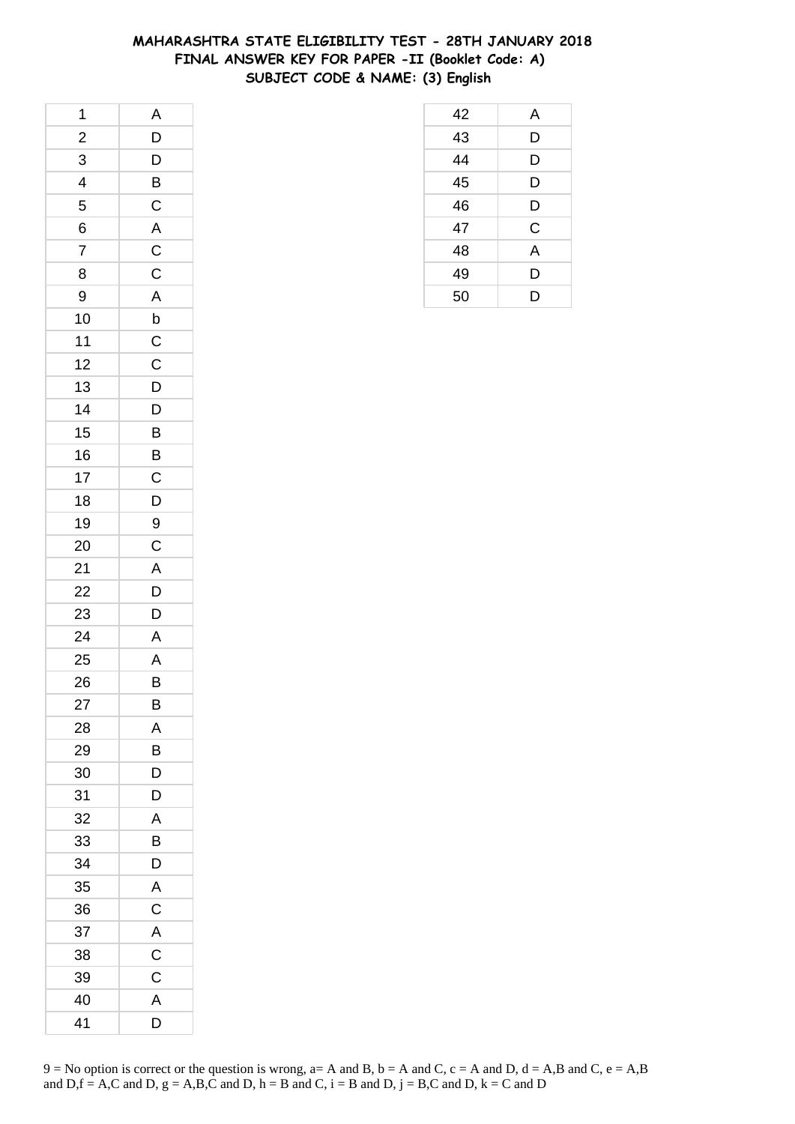## **MAHARASHTRA STATE ELIGIBILITY TEST - 28TH JANUARY 2018 FINAL ANSWER KEY FOR PAPER -II (Booklet Code: A) SUBJECT CODE & NAME: (3) English**

| 1                       | A                       |
|-------------------------|-------------------------|
| $\overline{\mathbf{c}}$ | D                       |
| $\overline{3}$          | D                       |
| 4                       | $\overline{B}$          |
| 5                       | $\overline{C}$          |
| 6                       | $\overline{\mathsf{A}}$ |
| $\overline{7}$          | $\overline{C}$          |
| 8                       | $\mathsf{C}$            |
| 9                       | A                       |
| 10                      | $\mathsf{b}$            |
| 11                      | $\mathsf C$             |
| 12                      | $\mathsf C$             |
| 13                      | D                       |
| 14                      | D                       |
| 15                      | $\overline{B}$          |
| 16                      | $\overline{B}$          |
| 17                      | $\mathsf C$             |
| 18                      | D                       |
| 19                      | 9                       |
| 20                      | $\mathsf C$             |
| 21                      | A                       |
| 22                      | D                       |
| 23                      | D                       |
| 24                      | $\overline{\mathsf{A}}$ |
| 25                      | A                       |
| 26                      | B                       |
| 27                      | B                       |
| 28                      | Α                       |
| 29                      | B                       |
| 30                      | D                       |
| 31                      | D                       |
| 32                      | Α                       |
| 33                      | В                       |
| 34                      | D                       |
| 35                      | A                       |
| 36                      | C                       |
| 37                      | A                       |
| 38                      | С                       |
| 39                      | C                       |
| 40                      | A                       |
| 41                      | D                       |

| 42 | A           |
|----|-------------|
| 43 | D           |
| 44 | D           |
| 45 | D           |
| 46 | D           |
| 47 | $\mathsf C$ |
| 48 | A           |
| 49 | D           |
| 50 | D           |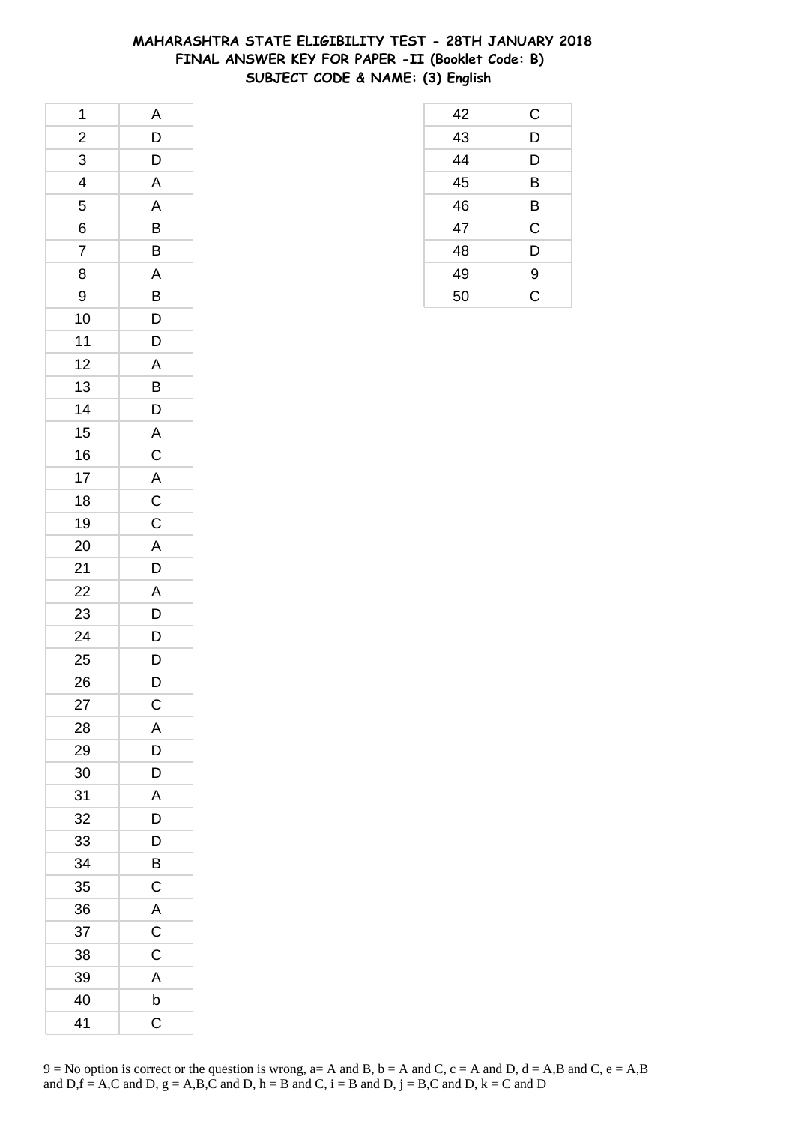# **MAHARASHTRA STATE ELIGIBILITY TEST - 28TH JANUARY 2018 FINAL ANSWER KEY FOR PAPER -II (Booklet Code: B) SUBJECT CODE & NAME: (3) English**

 C D D B B C D 49 9 C

| 1              | A               |
|----------------|-----------------|
| $\overline{c}$ | D               |
| 3              | D               |
| 4              | $\overline{A}$  |
| 5              | A               |
| 6              | B               |
| $\overline{7}$ | B               |
| 8              | A               |
| 9              | $\overline{B}$  |
| 10             | $\overline{D}$  |
| 11             | D               |
| 12             | $\overline{A}$  |
| 13             | B               |
| 14             | D               |
| 15             | $\overline{A}$  |
| 16             |                 |
| 17             | $C$ $A$ $C$ $C$ |
| 18             |                 |
| 19             |                 |
| 20             | A               |
| 21             | $\overline{D}$  |
| 22             | A               |
| 23             | D               |
| 24             | D               |
| 25             | $\mathsf{D}$    |
| 26             | D               |
| 27             | $\mathsf{C}$    |
| 28             | Α               |
| 29             | D               |
| 30             | D               |
| 31             | A               |
| 32             | D               |
| 33             | D               |
| 34             | B               |
| 35             | C               |
| 36             | A               |
| 37             | C               |
| 38             | C               |
| 39             | A               |
| 40             | b               |
| 41             | $\mathsf C$     |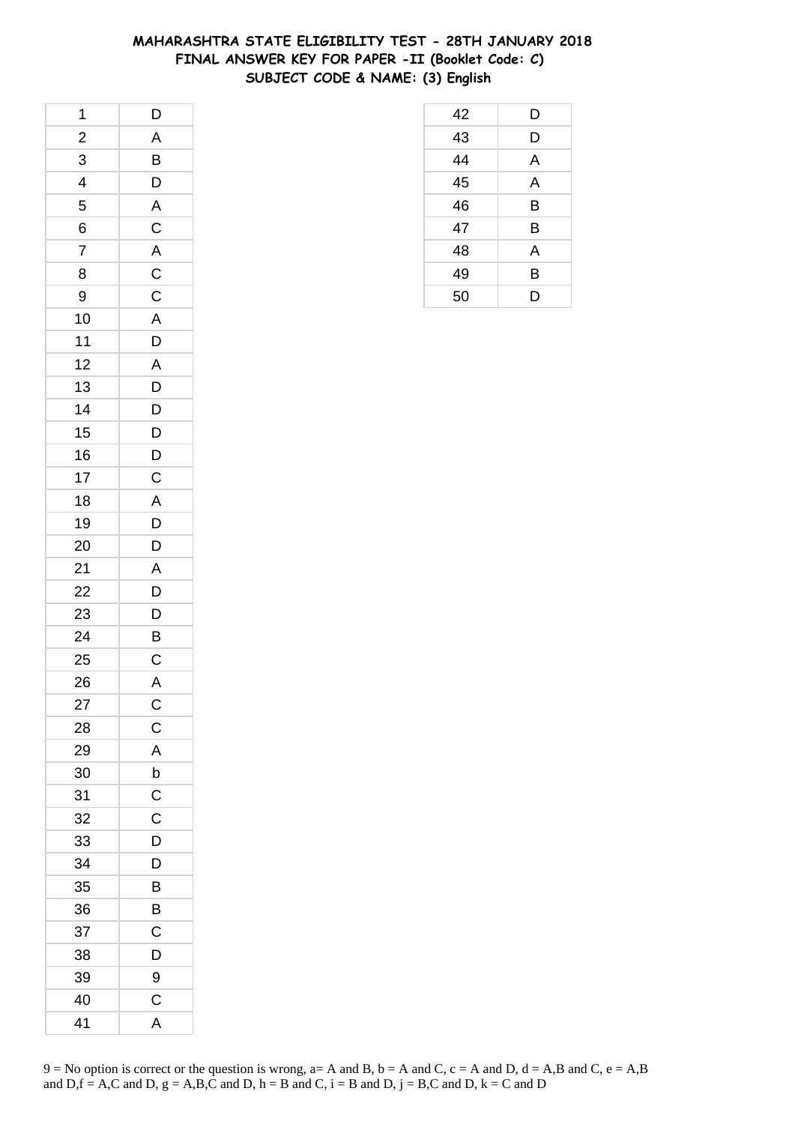## **MAHARASHTRA STATE ELIGIBILITY TEST - 28TH JANUARY 2018 FINAL ANSWER KEY FOR PAPER -II (Booklet Code: C) SUBJECT CODE & NAME: (3) English**

| 1                       | D                       |
|-------------------------|-------------------------|
| $\overline{\mathbf{c}}$ | A                       |
| $\overline{3}$          | $\overline{B}$          |
| 4                       | $\overline{D}$          |
| 5                       | $\overline{\mathsf{A}}$ |
| 6                       | $\mathsf C$             |
| $\overline{7}$          | $\mathsf{A}$            |
| 8                       | $\mathsf{C}$            |
| 9                       | $\overline{C}$          |
| 10                      | $\overline{A}$          |
| 11                      | D                       |
| 12                      | $\mathsf{A}$            |
| 13                      | D                       |
| 14                      | D                       |
| 15                      | $\overline{D}$          |
| 16                      | $\overline{D}$          |
| 17                      | $\mathsf C$             |
| 18                      | $\overline{\mathsf{A}}$ |
| 19                      | D                       |
| 20                      | $\mathsf{D}$            |
| 21                      | $\mathsf{A}$            |
| 22                      | $\overline{D}$          |
| 23                      | $\overline{D}$          |
| 24                      | $\overline{B}$          |
| 25                      | $\mathsf{C}$            |
| 26                      | $\overline{A}$          |
| 27                      | $\mathsf{C}$            |
| 28                      | $\mathsf C$             |
| 29                      | A                       |
| 30                      | $\mathsf b$             |
| 31                      | C                       |
| 32                      | C                       |
| 33                      | D                       |
| 34                      | D                       |
| 35                      | B                       |
| 36                      | B                       |
| 37                      | C                       |
| 38                      | D                       |
| 39                      | 9                       |
| 40                      | C                       |
| 41                      | A                       |

| 42 | D |
|----|---|
| 43 | D |
| 44 | A |
| 45 | A |
| 46 | B |
| 47 | B |
| 48 | A |
| 49 | B |
| 50 | D |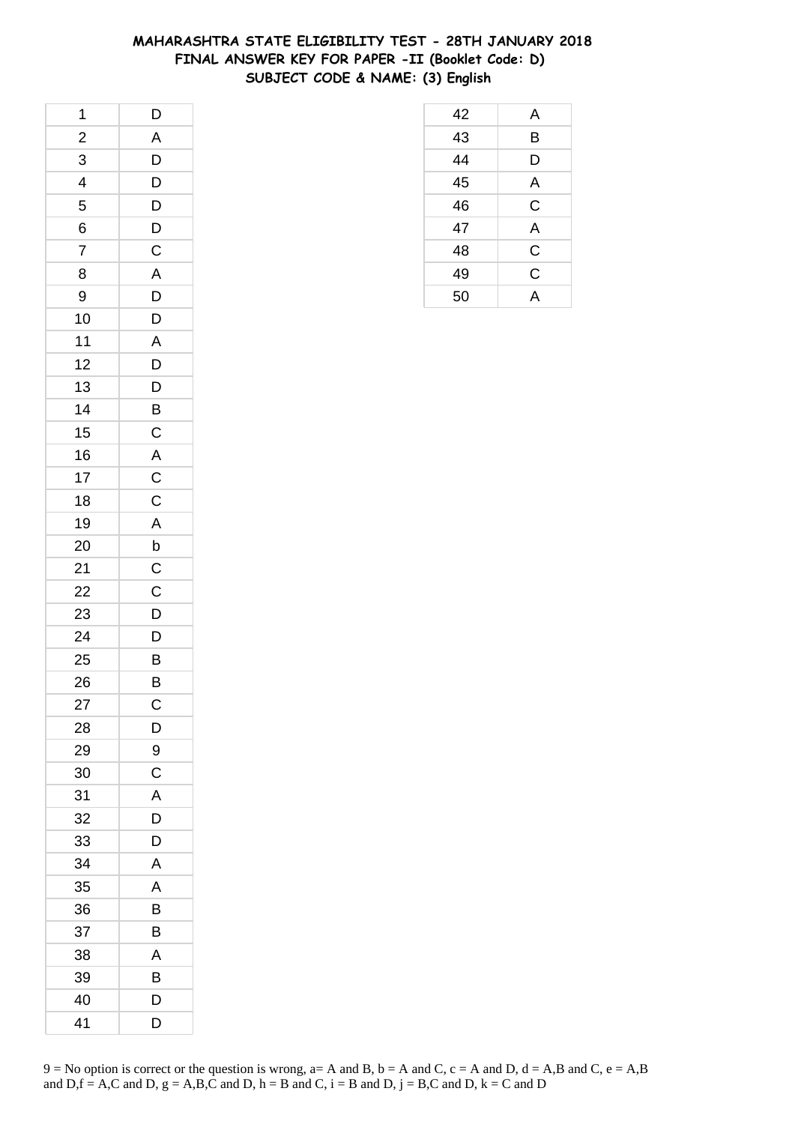## **MAHARASHTRA STATE ELIGIBILITY TEST - 28TH JANUARY 2018 FINAL ANSWER KEY FOR PAPER -II (Booklet Code: D) SUBJECT CODE & NAME: (3) English**

| 1                       | $\mathsf{D}$            |
|-------------------------|-------------------------|
| $\overline{\mathbf{c}}$ | $\overline{A}$          |
| $\overline{3}$          | $\overline{D}$          |
| $\overline{4}$          | $\overline{D}$          |
| 5                       | D                       |
| 6                       | $\mathsf{D}$            |
| $\overline{7}$          | $\overline{\mathsf{C}}$ |
| 8                       | $\overline{A}$          |
| 9                       | $\overline{D}$          |
| 10                      | $\overline{D}$          |
| 11                      | $\mathsf{A}$            |
| 12                      | D                       |
| 13                      | $\mathsf{D}$            |
| 14                      | B                       |
| 15                      | $\mathsf{C}$            |
| 16                      |                         |
| 17                      | $rac{A}{C}$             |
| 18                      |                         |
| 19                      | $\mathsf{A}$            |
| 20                      | $\mathsf b$             |
| 21                      | $\overline{C}$          |
| 22                      | $\frac{1}{C}$           |
| 23                      | $\overline{D}$          |
| 24                      | D                       |
| 25                      | $\overline{B}$          |
| 26                      | $\overline{B}$          |
| 27                      | $\mathsf{C}$            |
| 28                      | D                       |
| 29                      | 9                       |
| 30                      | $\mathsf C$             |
| 31                      | A                       |
| 32                      | D                       |
| 33                      | D                       |
| 34                      | A                       |
| 35                      | A                       |
| 36                      | B                       |
| 37                      | B                       |
| 38                      | A                       |
| 39                      | B                       |
| 40                      | D                       |
| 41                      | D                       |

| 42 | A           |
|----|-------------|
| 43 | B           |
| 44 | D           |
| 45 | A           |
| 46 | $\mathsf C$ |
| 47 | A           |
| 48 | $\mathsf C$ |
| 49 | C           |
| 50 | A           |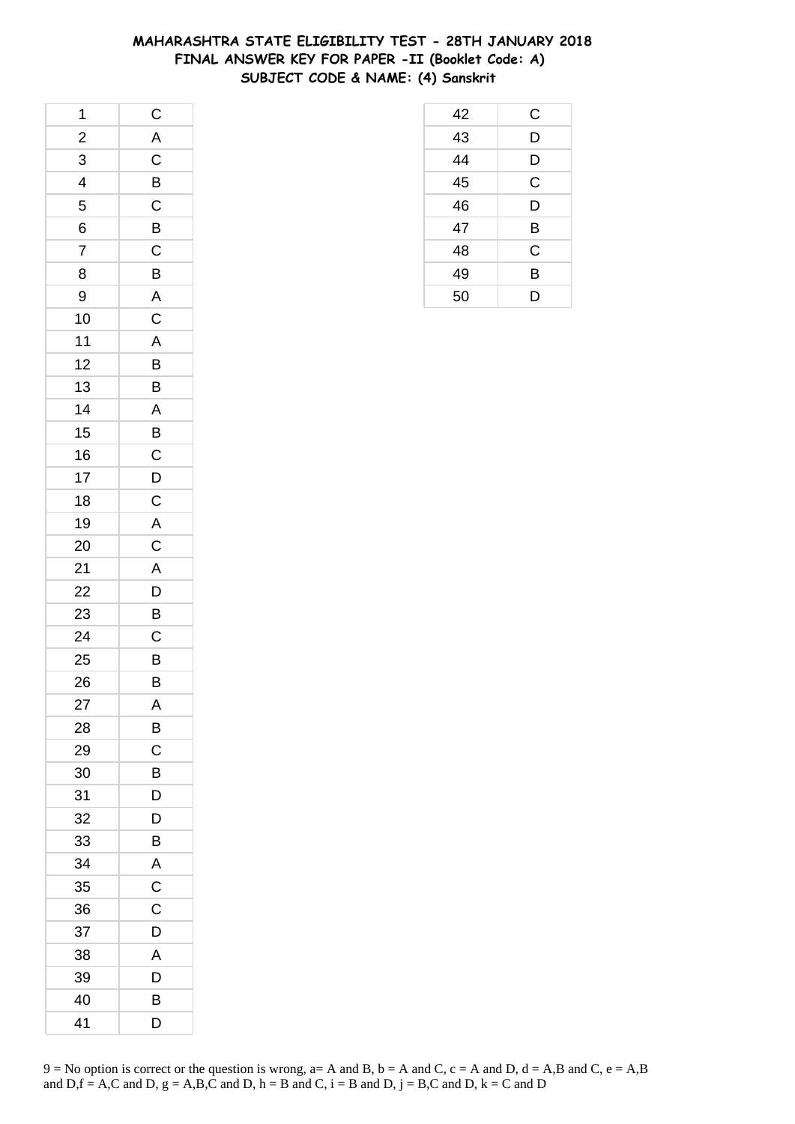## **MAHARASHTRA STATE ELIGIBILITY TEST - 28TH JANUARY 2018 FINAL ANSWER KEY FOR PAPER -II (Booklet Code: A) SUBJECT CODE & NAME: (4) Sanskrit**

| 1              | $\mathsf{C}$            |
|----------------|-------------------------|
| $\overline{a}$ | $\overline{\mathsf{A}}$ |
| $\overline{3}$ |                         |
| $\frac{1}{4}$  | $rac{C}{C}$             |
| 5              |                         |
| 6              |                         |
| $\overline{7}$ | $rac{B}{C}$             |
| 8              | B                       |
| 9              | $\overline{\mathsf{A}}$ |
| 10             | $\overline{C}$          |
| 11             | $\overline{A}$          |
| 12             | B                       |
| 13             | B                       |
| 14             | A                       |
| 15             |                         |
| 16             | $\overline{B}$ C        |
| 17             | $\overline{D}$          |
| 18             | $\mathsf C$             |
| 19             | $\overline{A}$          |
| 20             | $\mathsf C$             |
| 21             | $\overline{A}$          |
| 22             | $\frac{1}{D}$           |
| 23             | $\overline{B}$          |
| 24             | $\overline{C}$          |
| 25             | B                       |
| 26             | B                       |
| 27             | A                       |
| 28             | B                       |
| 29             | C                       |
| 30             | B                       |
| 31             | D                       |
| 32             | D                       |
| 33             | B                       |
| 34             | $\overline{\mathsf{A}}$ |
| 35             | $\overline{C}$          |
| 36             | $\mathsf C$             |
| 37             | D                       |
| 38             | A                       |
| 39             | D                       |
| 40             | B                       |
| 41             | D                       |

| 42 | C           |
|----|-------------|
| 43 | D           |
| 44 | D           |
| 45 | $\mathsf C$ |
| 46 | D           |
| 47 | B           |
| 48 | $\mathsf C$ |
| 49 | B           |
| 50 | D           |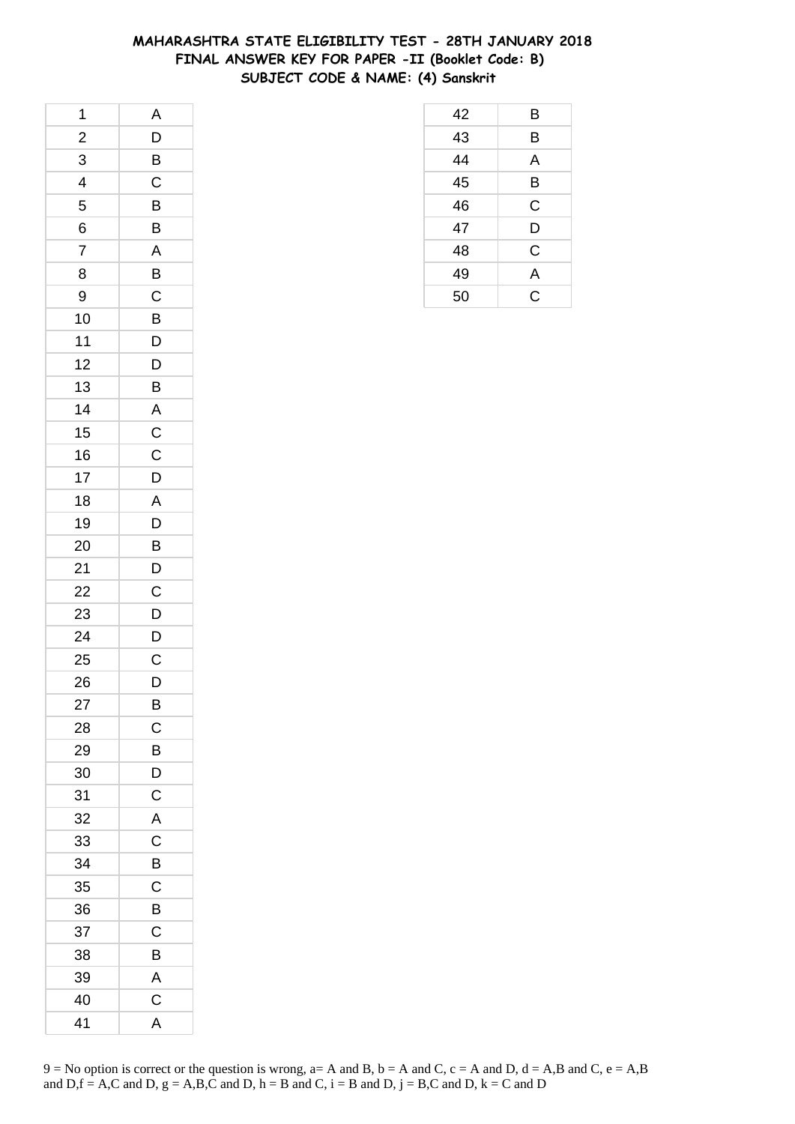## **MAHARASHTRA STATE ELIGIBILITY TEST - 28TH JANUARY 2018 FINAL ANSWER KEY FOR PAPER -II (Booklet Code: B) SUBJECT CODE & NAME: (4) Sanskrit**

| 1                       | A                       |
|-------------------------|-------------------------|
| $\overline{\mathbf{c}}$ | $\overline{D}$          |
| $\overline{3}$          | $\overline{B}$          |
| $\overline{\mathbf{r}}$ | $\overline{\mathrm{C}}$ |
| 5                       | B                       |
| 6                       | B                       |
| $\overline{7}$          | A                       |
| 8                       | B                       |
| 9                       | $\overline{C}$          |
| 10                      | $\overline{B}$          |
| 11                      | $\overline{D}$          |
| 12                      | D                       |
| 13                      | B                       |
| 14                      | $\overline{\mathsf{A}}$ |
| 15                      | $\overline{C}$          |
| 16                      | $\overline{c}$          |
| 17                      | $\mathsf{D}$            |
| 18                      | A                       |
| 19                      | D                       |
| 20                      | $\overline{B}$          |
| 21                      | $\overline{D}$          |
| 22                      | $\overline{C}$          |
| 23                      | $\overline{D}$          |
| 24                      | D                       |
| 25                      | $\mathsf{C}$            |
| 26                      | D                       |
| 27                      | B                       |
| 28                      | $\mathsf C$             |
| 29                      | B                       |
| 30                      | D                       |
| 31                      | C                       |
| 32                      | A                       |
| 33                      | $\mathsf C$             |
| 34                      | B                       |
| 35                      | $\mathsf C$             |
| 36                      | B                       |
| 37                      | C                       |
| 38                      | B                       |
| 39                      | A                       |
| 40                      | C                       |
| 41                      | A                       |

| 42 | B           |
|----|-------------|
| 43 | B           |
| 44 | Α           |
| 45 | B           |
| 46 | $\mathsf C$ |
| 47 | D           |
| 48 | $\mathsf C$ |
| 49 | A           |
| 50 | Ć           |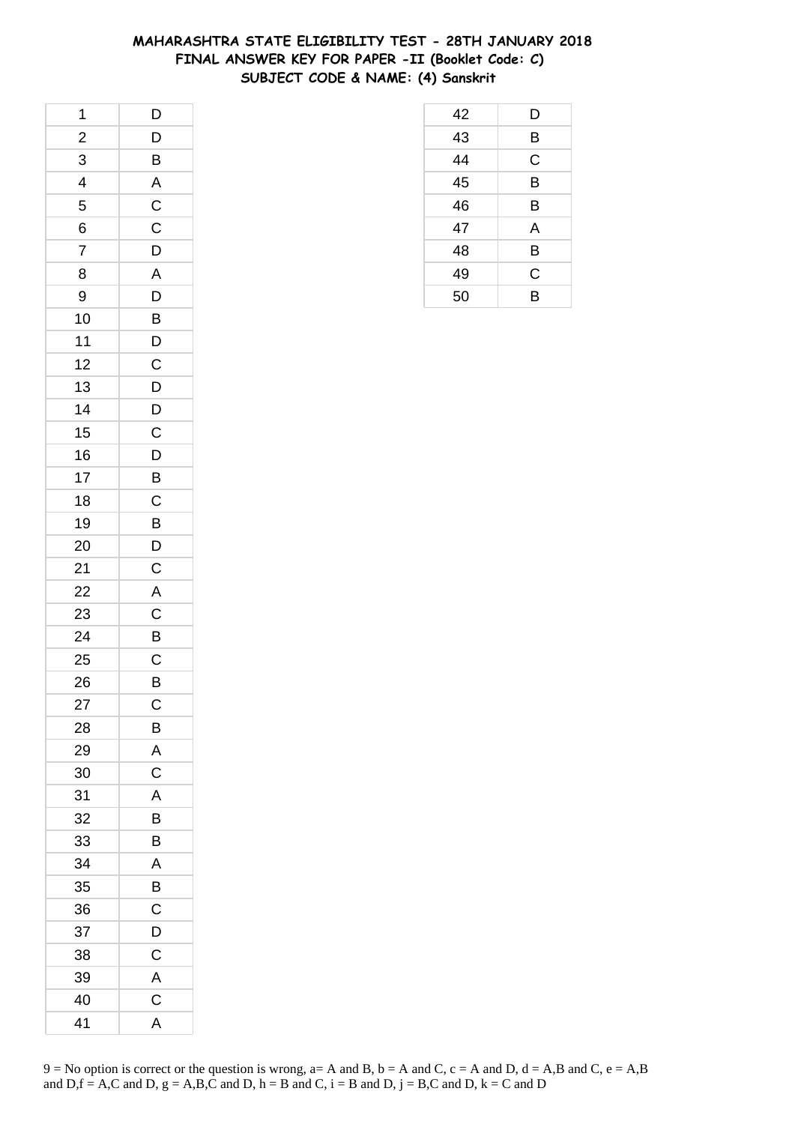## **MAHARASHTRA STATE ELIGIBILITY TEST - 28TH JANUARY 2018 FINAL ANSWER KEY FOR PAPER -II (Booklet Code: C) SUBJECT CODE & NAME: (4) Sanskrit**

| 1                       | $\mathsf{D}$                                 |
|-------------------------|----------------------------------------------|
| $\overline{\mathbf{c}}$ | $\mathsf{D}$                                 |
| $\overline{3}$          | $\overline{B}$                               |
| $\overline{4}$          | $\overline{\mathsf{A}}$                      |
| 5                       | $rac{1}{2}$                                  |
| 6                       | $\mathsf C$                                  |
| $\overline{7}$          | $\overline{D}$                               |
| 8                       | $\overline{A}$                               |
| 9                       | $\overline{D}$                               |
| 10                      | $\frac{1}{B}$                                |
| 11                      |                                              |
| 12                      | $\frac{D}{C}$                                |
| 13                      |                                              |
| 14                      | $\frac{D}{D}$                                |
| 15                      | $\overline{C}$                               |
| 16                      | $\frac{1}{D}$                                |
| 17                      | $\overline{B}$                               |
| 18                      | $\mathsf C$                                  |
| 19                      | $\overline{B}$                               |
| 20                      |                                              |
| 21                      | $\frac{D}{C}$                                |
| 22                      | $\overline{A}$ $\overline{C}$ $\overline{B}$ |
| 23                      |                                              |
| 24                      |                                              |
| 25                      | $\mathsf{C}$                                 |
| 26                      | B                                            |
| 27                      | $\mathsf{C}$                                 |
| 28                      | B                                            |
| 29                      | A                                            |
| 30                      | $\mathsf C$                                  |
| 31                      | A                                            |
| 32                      | B                                            |
| 33                      | B                                            |
| 34                      | A                                            |
| 35                      | B                                            |
| 36                      | C                                            |
| 37                      | D                                            |
| 38                      | C                                            |
| 39                      | A                                            |
| 40                      | C                                            |
| 41                      | A                                            |

| 42 | D |
|----|---|
| 43 | B |
| 44 | C |
| 45 | B |
| 46 | B |
| 47 | Α |
| 48 | B |
| 49 | C |
| 50 | B |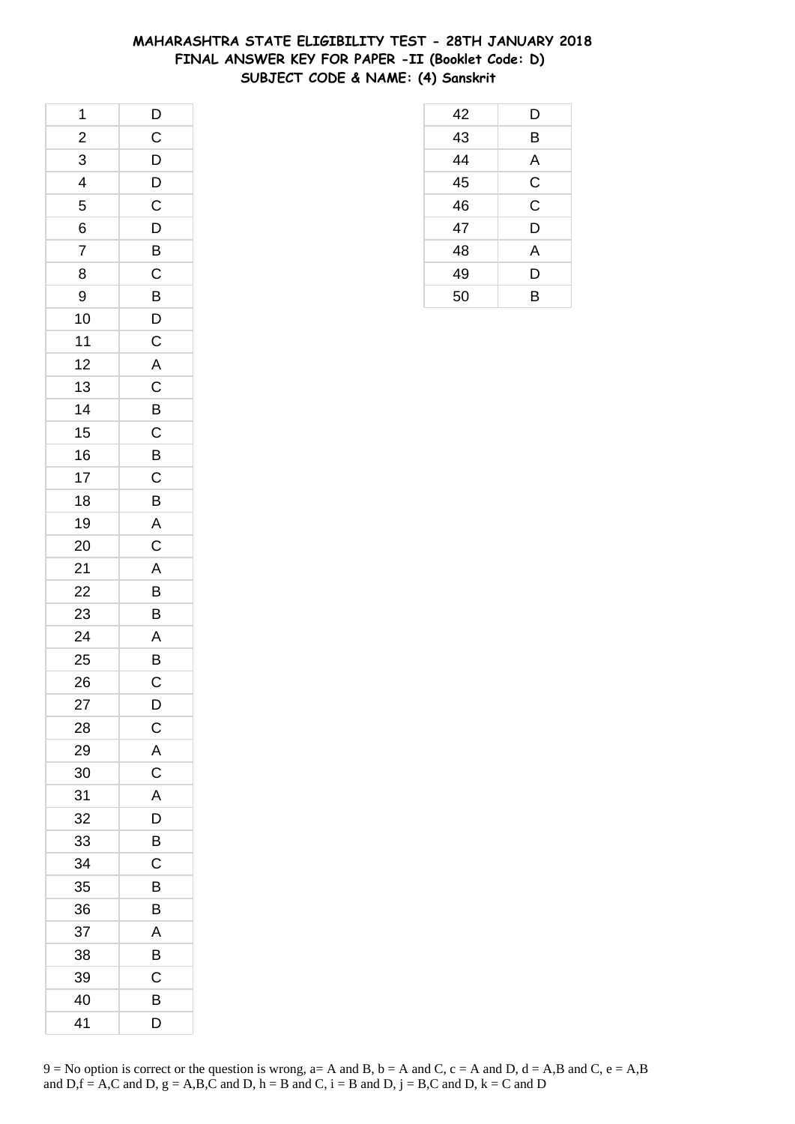## **MAHARASHTRA STATE ELIGIBILITY TEST - 28TH JANUARY 2018 FINAL ANSWER KEY FOR PAPER -II (Booklet Code: D) SUBJECT CODE & NAME: (4) Sanskrit**

| $\mathbf{1}$   | $\mathsf{D}$                                       |
|----------------|----------------------------------------------------|
| $\overline{a}$ | $\mathsf C$                                        |
| $\overline{3}$ |                                                    |
| $\overline{4}$ | $\overline{D}$<br>$\overline{D}$<br>$\overline{C}$ |
| 5              |                                                    |
| 6              | D                                                  |
| $\overline{7}$ | B                                                  |
| 8              | $\overline{C}$                                     |
| 9              |                                                    |
| 10             | $\overline{B}$<br>$D$                              |
| 11             | $\mathsf{C}$                                       |
| 12             | $\overline{\mathsf{A}}$                            |
| 13             | $\mathsf C$                                        |
| 14             | B                                                  |
| 15             |                                                    |
| 16             | $rac{C}{B}$                                        |
| 17             | $\overline{C}$                                     |
| 18             | B                                                  |
| 19             | A                                                  |
| 20             | $\mathsf C$                                        |
| 21             | $\overline{A}$                                     |
| 22             | $\overline{B}$                                     |
| 23             | B                                                  |
| 24             | A                                                  |
| 25             | B                                                  |
| 26             | C                                                  |
| 27             | D                                                  |
| 28             | $\mathsf{C}$                                       |
| 29             | $\mathsf{A}$                                       |
| 30             | $\overline{C}$                                     |
| 31             | A                                                  |
| 32             | D                                                  |
| 33             | B                                                  |
| 34             | $\mathsf C$                                        |
| 35             | B                                                  |
| 36             | В                                                  |
| 37             | A                                                  |
| 38             | B                                                  |
| 39             | $\mathsf C$                                        |
| 40             | B                                                  |
| 41             | D                                                  |

| 42 | D           |
|----|-------------|
| 43 | B           |
| 44 | A           |
| 45 | $\mathsf C$ |
| 46 | $\mathsf C$ |
| 47 | D           |
| 48 | A           |
| 49 | D           |
| 50 | B           |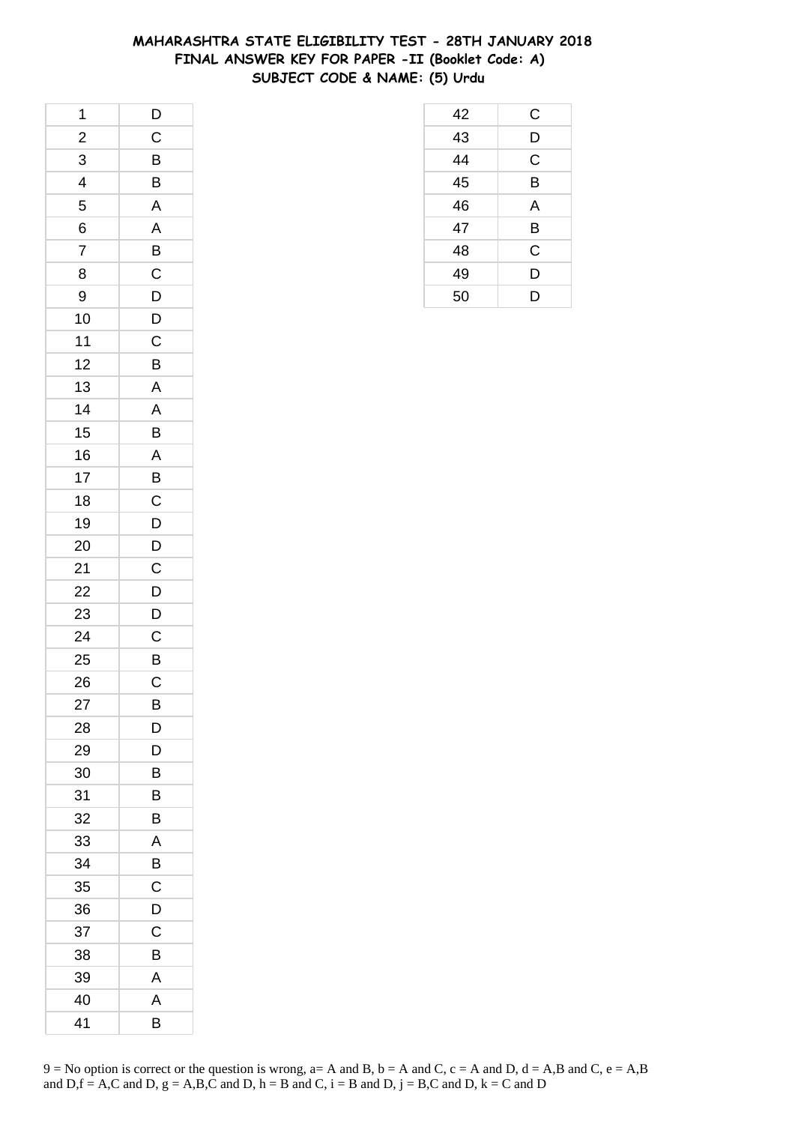## **MAHARASHTRA STATE ELIGIBILITY TEST - 28TH JANUARY 2018 FINAL ANSWER KEY FOR PAPER -II (Booklet Code: A) SUBJECT CODE & NAME: (5) Urdu**

| 1                       | $\mathsf{D}$            |
|-------------------------|-------------------------|
| $\frac{1}{2}$           | $\overline{C}$          |
| 3                       | $\overline{B}$          |
| $\overline{\mathbf{4}}$ | B                       |
| 5                       | $\overline{\mathsf{A}}$ |
| 6                       | A                       |
| $\overline{7}$          | $\overline{B}$          |
| 8                       |                         |
| 9                       | $\frac{C}{D}$           |
| 10                      | $\overline{D}$          |
| $11$                    | $\mathsf{C}$            |
| 12                      | B                       |
| 13                      | $\mathsf{A}$            |
| 14                      | $\overline{A}$          |
| 15                      | B                       |
| 16                      | $\overline{A}$          |
| 17                      | B                       |
| 18                      | $\mathsf C$             |
| 19                      | D                       |
| 20                      | $\overline{D}$          |
| 21                      | $\overline{c}$          |
| 22                      | $\overline{D}$          |
| 23                      | D                       |
| 24                      | $\mathsf C$             |
| 25                      | $\overline{B}$          |
| 26                      | $\mathsf C$             |
| 27                      | В                       |
| 28                      | D                       |
| 29                      | D                       |
| 30                      | В                       |
| 31                      | B                       |
| 32                      | B                       |
| 33                      | A                       |
| 34                      | B                       |
| 35                      | C                       |
| 36                      | D                       |
| 37                      | C                       |
| 38                      | В                       |
| 39                      | A                       |
| 40                      | A                       |
| 41                      | В                       |

| 42 | С |
|----|---|
| 43 | D |
| 44 | C |
| 45 | B |
| 46 | A |
| 47 | B |
| 48 | C |
| 49 | D |
| 50 | D |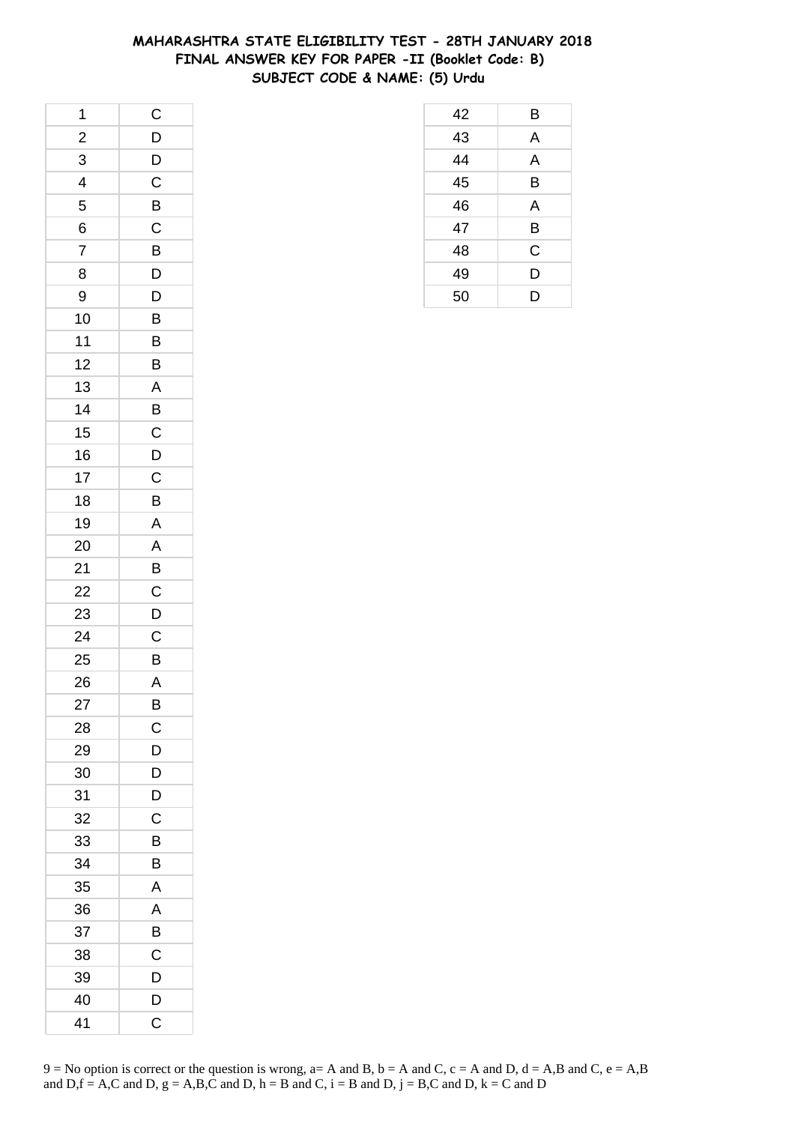## **MAHARASHTRA STATE ELIGIBILITY TEST - 28TH JANUARY 2018 FINAL ANSWER KEY FOR PAPER -II (Booklet Code: B) SUBJECT CODE & NAME: (5) Urdu**

 B A A B A B C D D

| 1                        | $\mathsf{C}$   |
|--------------------------|----------------|
| $\frac{2}{1}$            | D              |
| 3                        | $\frac{1}{2}$  |
| $\overline{\mathcal{A}}$ | $\mathsf C$    |
| 5                        | $\overline{B}$ |
| 6                        | $\mathsf{C}$   |
| $\overline{7}$           | B              |
| 8                        | D              |
| 9                        | $\overline{D}$ |
| 10                       | B              |
| 11                       | B              |
| 12                       | B              |
| 13                       | $\overline{A}$ |
| 14                       | $\overline{B}$ |
| 15                       | $\overline{C}$ |
| 16                       | $\overline{D}$ |
| 17                       | $\overline{C}$ |
| 18                       | B              |
| 19                       | $\overline{A}$ |
| 20                       | $\overline{A}$ |
| 21                       | $\overline{B}$ |
| 22                       | $\mathsf{C}$   |
| 23                       | D              |
| 24                       | $\mathsf C$    |
| 25                       | B              |
| 26                       | $\mathsf{A}$   |
| 27                       | B              |
| 28                       | C              |
| 29                       | D              |
| 30                       | D              |
| 31                       | D              |
| 32                       | C              |
| 33                       | B              |
| 34                       | B              |
| 35                       | A              |
| 36                       | A              |
| 37                       | B              |
| 38                       | $\mathsf C$    |
| 39                       | D              |
| 40                       | $\overline{D}$ |
| 41                       | C              |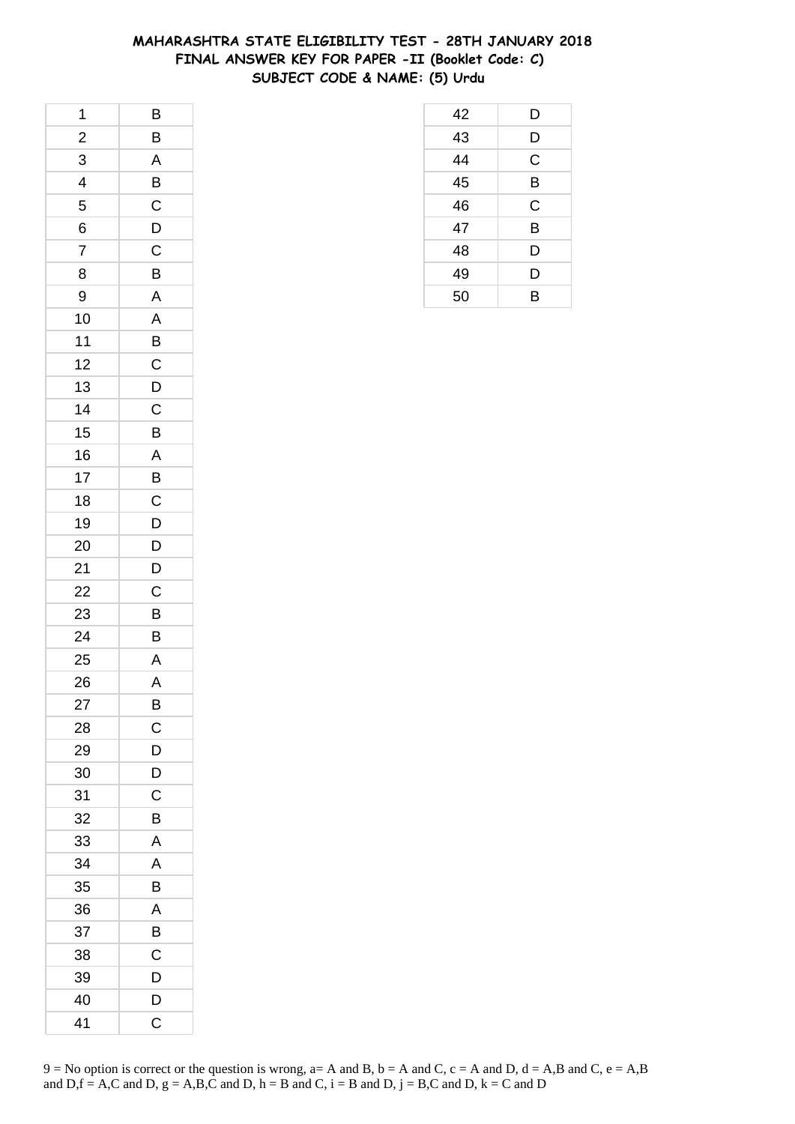## **MAHARASHTRA STATE ELIGIBILITY TEST - 28TH JANUARY 2018 FINAL ANSWER KEY FOR PAPER -II (Booklet Code: C) SUBJECT CODE & NAME: (5) Urdu**

 D D C B C B D D B

| 1                       | B                       |
|-------------------------|-------------------------|
| $\frac{2}{1}$           | B                       |
| 3                       | A                       |
| $\overline{\mathbf{r}}$ | $\overline{B}$          |
| 5                       | $\overline{c}$          |
| 6                       | $\mathsf{D}$            |
| $\overline{7}$          | C                       |
| 8                       | B                       |
| 9                       | A                       |
| 10                      | A                       |
| $11$                    | B                       |
| 12                      | $\mathsf C$             |
| 13                      | $\mathsf{D}$            |
| 14                      | $\overline{C}$          |
| 15                      | B                       |
| 16                      | $\overline{\mathsf{A}}$ |
| 17                      | B                       |
| 18                      | $\mathsf C$             |
| 19                      | D                       |
| 20                      | $\overline{D}$          |
| 21                      | $\overline{D}$          |
| 22                      | $\overline{C}$          |
| 23                      | B                       |
| 24                      | B                       |
| 25                      | A                       |
| 26                      | $\overline{A}$          |
| 27                      | B                       |
| 28                      | C                       |
| 29                      | D                       |
| 30                      | D                       |
| 31                      | C                       |
| 32                      | B                       |
| 33                      | Α                       |
| 34                      | A                       |
| 35                      | B                       |
| 36                      | Α                       |
| 37                      | B                       |
| 38                      | C                       |
| 39                      | D                       |
| 40                      | D                       |
| 41                      | C                       |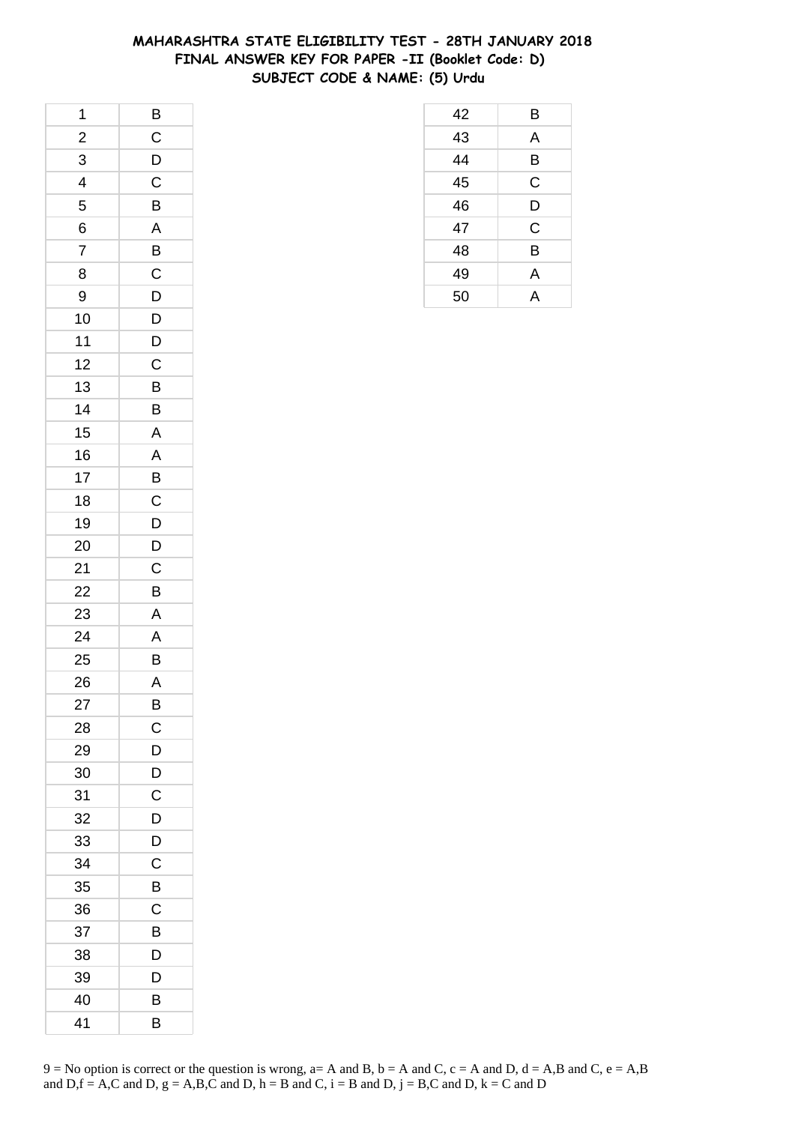## **MAHARASHTRA STATE ELIGIBILITY TEST - 28TH JANUARY 2018 FINAL ANSWER KEY FOR PAPER -II (Booklet Code: D) SUBJECT CODE & NAME: (5) Urdu**

| 1                       | $\overline{B}$ |
|-------------------------|----------------|
| $\frac{1}{2}$           | $\overline{C}$ |
| 3                       | $\overline{D}$ |
| $\overline{\mathbf{4}}$ | $\overline{C}$ |
| 5                       | B              |
| 6                       | A              |
| $\overline{7}$          | $\overline{B}$ |
| 8                       |                |
| 9                       | $\frac{C}{D}$  |
| 10                      | $\overline{D}$ |
| $11$                    | $\overline{D}$ |
| 12                      | C              |
| 13                      | $\overline{B}$ |
| 14                      | B              |
| 15                      | $\overline{A}$ |
| 16                      | $\overline{A}$ |
| 17                      | $\overline{B}$ |
| 18                      | $\mathsf C$    |
| 19                      | D              |
| 20                      | $\overline{D}$ |
| 21                      | $\overline{C}$ |
| 22                      | B              |
| 23                      | A              |
| 24                      | A              |
| 25                      | $\mathsf{B}$   |
| 26                      | $\overline{A}$ |
| 27                      | B              |
| 28                      | C              |
| 29                      | D              |
| 30                      | D              |
| 31                      | $\mathsf{C}$   |
| 32                      | D              |
| 33                      | D              |
| 34                      | C              |
| 35                      | B              |
| 36                      | С              |
| 37                      | B              |
| 38                      | D              |
| 39                      | D              |
| 40                      | B              |
| 41                      | B              |

| 42 | В           |
|----|-------------|
| 43 | A           |
| 44 | B           |
| 45 | C           |
| 46 | D           |
| 47 | $\mathsf C$ |
| 48 | B           |
| 49 | A           |
| 50 | А           |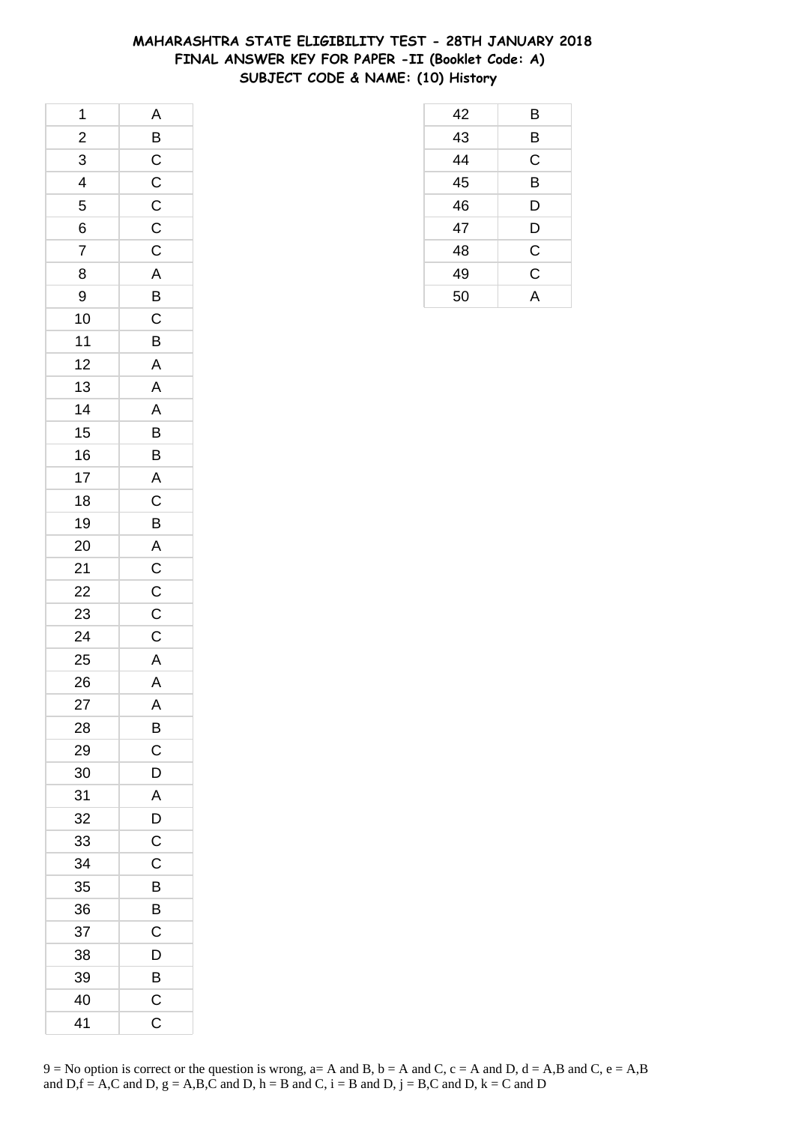## **MAHARASHTRA STATE ELIGIBILITY TEST - 28TH JANUARY 2018 FINAL ANSWER KEY FOR PAPER -II (Booklet Code: A) SUBJECT CODE & NAME: (10) History**

| 1              |                         |
|----------------|-------------------------|
| $\frac{1}{2}$  |                         |
| $\overline{3}$ |                         |
| 4              | $A$ $B$ $C$ $C$ $C$     |
| 5              |                         |
| 6              |                         |
| $\overline{7}$ | $\frac{C}{C}$           |
| 8              | $\overline{A}$          |
| 9              |                         |
| 10             | $\frac{B}{C}$           |
| 11             | B                       |
| 12             | $\mathsf{A}$            |
| 13             |                         |
| 14             | $\frac{A}{A}$           |
| 15             | $\overline{B}$          |
| 16             | B                       |
| 17             | $\overline{A}$          |
| 18             |                         |
| 19             | $rac{C}{B}$             |
| 20             |                         |
| 21             | $A$ $C$ $C$ $C$ $C$     |
| 22             |                         |
| 23             |                         |
| 24             |                         |
| 25             | $\overline{A}$          |
| 26             | $\overline{\mathsf{A}}$ |
| 27             | A                       |
| 28             | В                       |
| 29             | С                       |
| 30             | D                       |
| 31             | A                       |
| 32             | D                       |
| 33             | $\overline{C}$          |
| 34             | C                       |
| 35             | B                       |
| 36             | B                       |
| 37             | C                       |
| 38             | D                       |
| 39             | B                       |
| 40             | C                       |
| 41             | C                       |

| 42 | Β              |
|----|----------------|
| 43 | B              |
| 44 | C              |
| 45 | B              |
| 46 | D              |
| 47 | D              |
| 48 | $\mathsf C$    |
| 49 | $\overline{C}$ |
| 50 |                |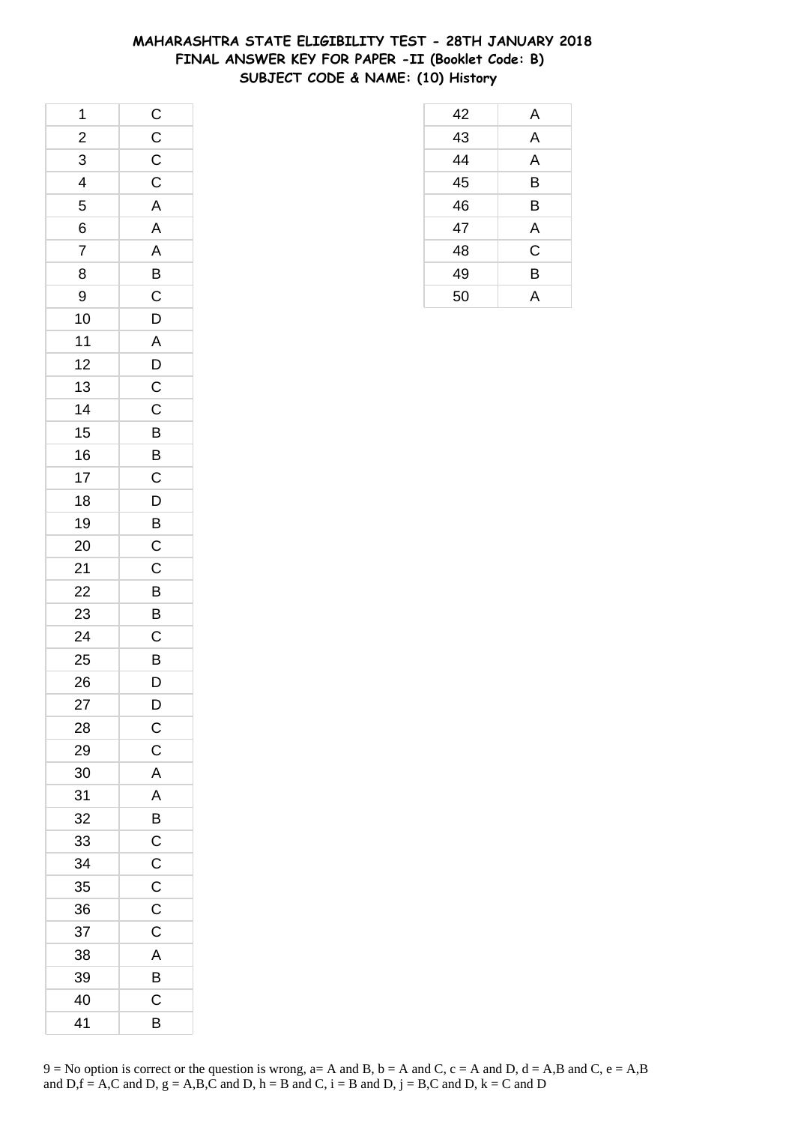## **MAHARASHTRA STATE ELIGIBILITY TEST - 28TH JANUARY 2018 FINAL ANSWER KEY FOR PAPER -II (Booklet Code: B) SUBJECT CODE & NAME: (10) History**

| 1                        |                         |
|--------------------------|-------------------------|
| $\frac{2}{1}$            | $C$<br>$C$<br>$C$       |
| 3                        |                         |
| $\overline{\mathcal{L}}$ |                         |
| 5                        | $\overline{\mathsf{A}}$ |
| 6                        | A                       |
| $\overline{7}$           |                         |
| 8                        |                         |
| 9                        | $\frac{A}{B}$           |
| 10                       | $\overline{D}$          |
| $11$                     |                         |
| 12                       |                         |
| 13                       |                         |
| 14                       |                         |
| 15                       |                         |
| 16                       |                         |
| 17                       | ADCCBBC                 |
| 18                       | D                       |
| 19                       |                         |
| 20                       | $\overline{B}$ C        |
| 21                       | $\overline{C}$          |
| 22                       | $\overline{B}$          |
| 23                       | $rac{B}{C}$             |
| 24                       |                         |
| 25                       | B<br>D                  |
| 26                       |                         |
| 27                       | D                       |
| 28                       | $\mathsf{C}$            |
| 29                       | $\mathsf C$             |
| 30                       | A                       |
| 31                       |                         |
| 32                       |                         |
| 33                       | $\frac{A}{B}$           |
| 34                       | $\overline{C}$          |
| 35                       | $\overline{C}$          |
| 36                       | $\mathsf C$             |
| 37                       | $\overline{C}$          |
| 38                       | A                       |
| 39                       | $\overline{B}$          |
| 40                       | $\overline{C}$          |
| 41                       | B                       |

| 42 | A |
|----|---|
| 43 | A |
| 44 | A |
| 45 | B |
| 46 | B |
| 47 | A |
| 48 | C |
| 49 | B |
| 50 | А |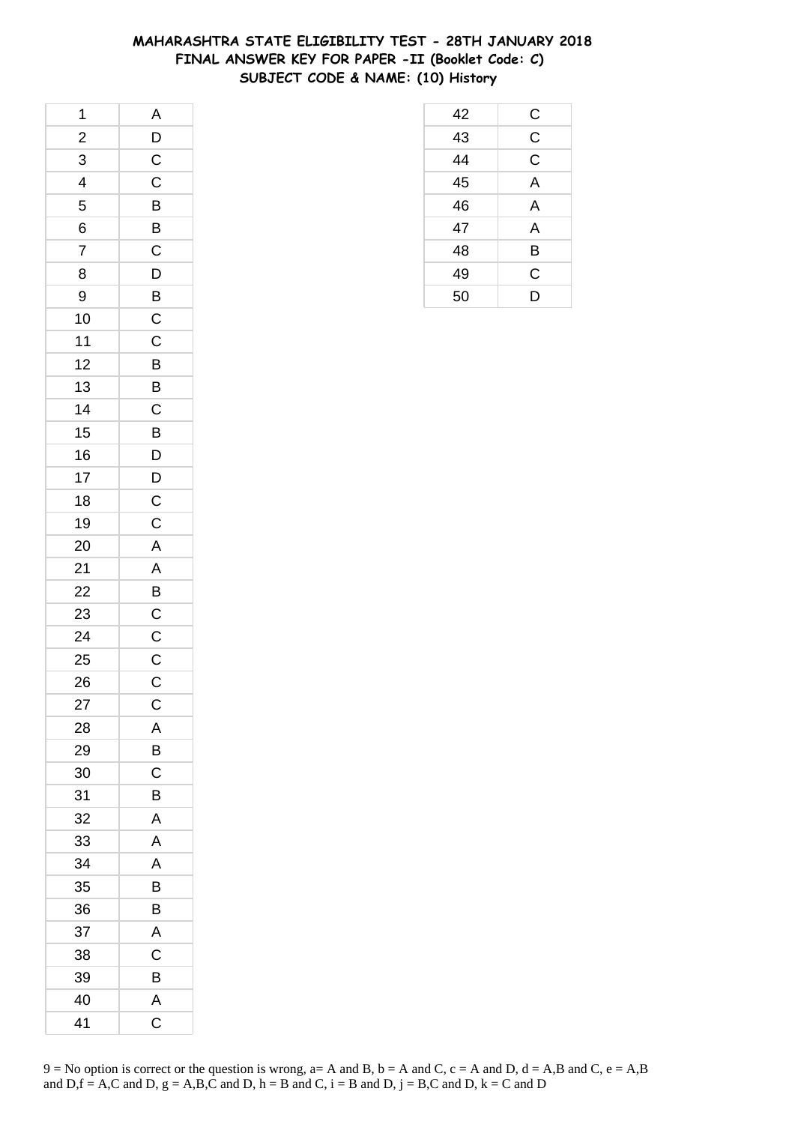# **MAHARASHTRA STATE ELIGIBILITY TEST - 28TH JANUARY 2018 FINAL ANSWER KEY FOR PAPER -II (Booklet Code: C) SUBJECT CODE & NAME: (10) History**

 C C C A A A B C D

| 1              | $\mathsf{A}$                                                         |
|----------------|----------------------------------------------------------------------|
| $\frac{1}{2}$  |                                                                      |
| $\overline{3}$ | $\frac{D}{C}$                                                        |
| $\frac{1}{4}$  | $\overline{C}$                                                       |
| 5              | $\overline{B}$                                                       |
| 6              | $\overline{B}$                                                       |
| $\overline{7}$ | $\overline{\mathrm{c}}$                                              |
| 8              |                                                                      |
| 9              |                                                                      |
| 10             | $\overline{D}$<br>$\overline{B}$<br>$\overline{C}$<br>$\overline{C}$ |
| $11$           |                                                                      |
| 12             | B                                                                    |
| 13             |                                                                      |
| 14             | $rac{B}{C}$                                                          |
| 15             | $\overline{B}$                                                       |
| 16             |                                                                      |
| 17             | $\frac{D}{D}$                                                        |
| 18             | $\overline{C}$                                                       |
| 19             | $\overline{C}$                                                       |
| 20             |                                                                      |
| 21             | $\overline{A}$ $\overline{A}$ $\overline{B}$ $\overline{C}$          |
| 22             |                                                                      |
| 23             |                                                                      |
| 24             | $\overline{C}$                                                       |
| 25             |                                                                      |
| 26             | $\frac{C}{C}$                                                        |
| 27             | $\mathsf C$                                                          |
| 28             | Α                                                                    |
| 29             | B                                                                    |
| 30             | C                                                                    |
| 31             | B                                                                    |
| 32             | A                                                                    |
| 33             | Α                                                                    |
| 34             | A                                                                    |
| 35             | B                                                                    |
| 36             | B                                                                    |
| 37             | A                                                                    |
| 38             | $\mathsf C$                                                          |
| 39             | B                                                                    |
| 40             | A                                                                    |
| 41             | C                                                                    |

| $9 =$ No option is correct or the question is wrong, a= A and B, b = A and C, c = A and D, d = A,B and C, e = A,B |  |
|-------------------------------------------------------------------------------------------------------------------|--|
| and D, f = A,C and D, g = A,B,C and D, h = B and C, i = B and D, j = B,C and D, k = C and D                       |  |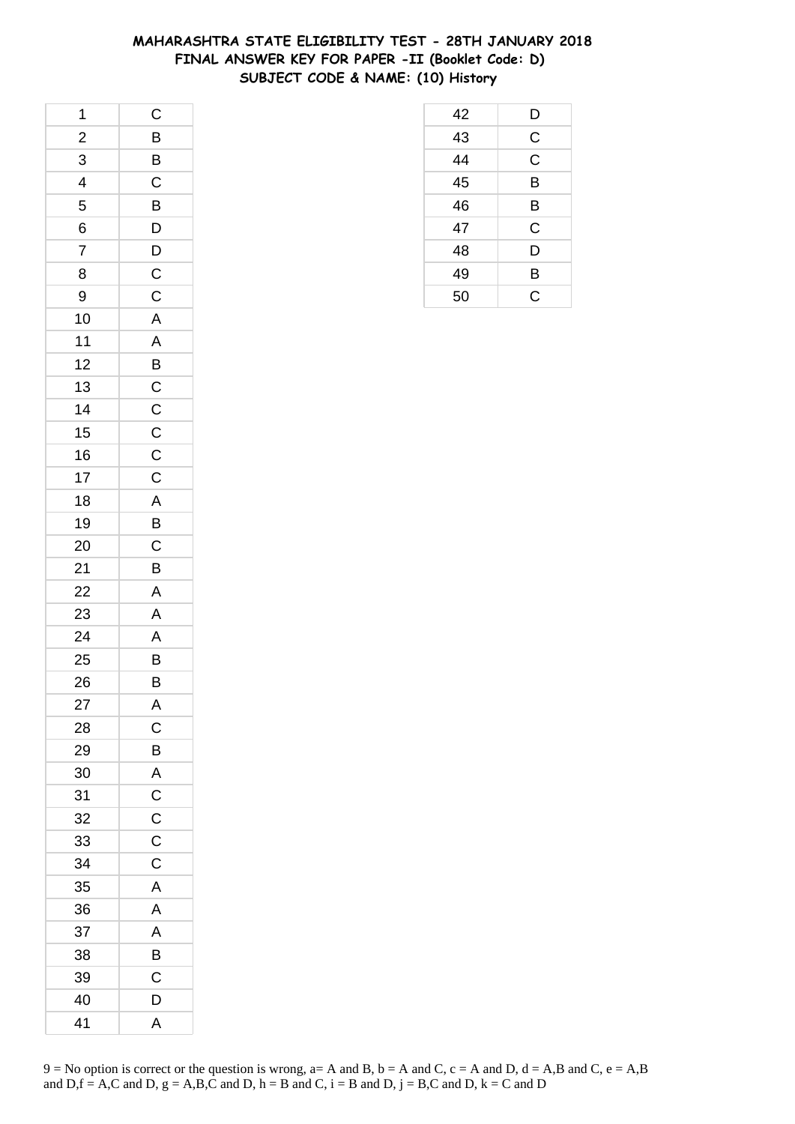## **MAHARASHTRA STATE ELIGIBILITY TEST - 28TH JANUARY 2018 FINAL ANSWER KEY FOR PAPER -II (Booklet Code: D) SUBJECT CODE & NAME: (10) History**

| 1              | $\mathsf{C}$            |
|----------------|-------------------------|
| $\frac{2}{3}$  |                         |
| $\overline{3}$ | $\frac{B}{B}$           |
| $\overline{4}$ | $\overline{C}$          |
| 5              | $\overline{B}$          |
| 6              | $\mathsf{D}$            |
| $\overline{7}$ |                         |
| 8              | $\frac{D}{C}$           |
| 9              |                         |
| 10             |                         |
| 11             |                         |
| 12             | $\frac{A}{A}$           |
| 13             |                         |
| 14             | $\frac{C}{C}$           |
| 15             |                         |
| 16             |                         |
| 17             |                         |
| 18             |                         |
| 19             |                         |
| 20             |                         |
| 21             | C C A B C B             |
| 22             |                         |
| 23             | $\frac{A}{A}$           |
| 24             | $\overline{\mathsf{A}}$ |
| 25             | $\overline{B}$          |
| 26             | $\overline{B}$          |
| 27             | A                       |
| 28             | $\mathsf C$             |
| 29             | B                       |
| 30             | A                       |
| 31             | $\mathsf C$             |
| 32             | $\mathsf C$             |
| 33             | $\mathsf{C}$            |
| 34             | $\mathsf C$             |
| 35             | A                       |
| 36             | Α                       |
| 37             | A                       |
| 38             | В                       |
| 39             | $\mathsf C$             |
| 40             | D                       |
| 41             | A                       |

 D C C B B C D B C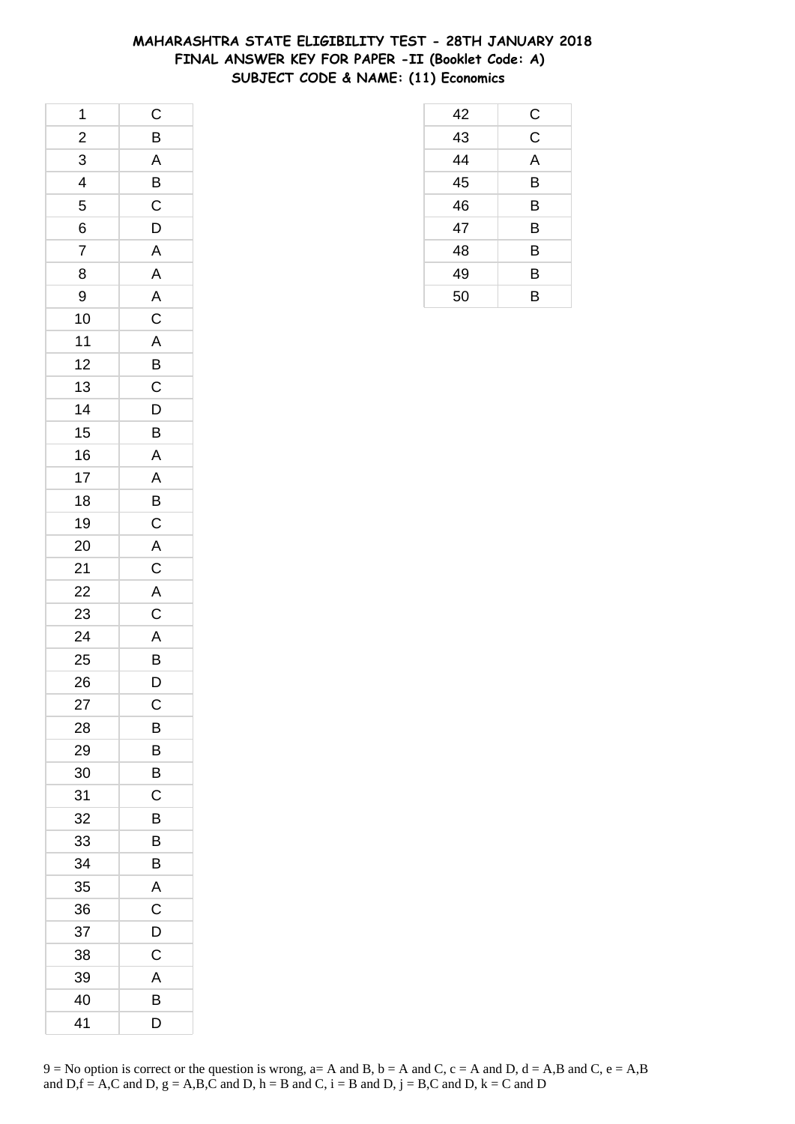# **MAHARASHTRA STATE ELIGIBILITY TEST - 28TH JANUARY 2018 FINAL ANSWER KEY FOR PAPER -II (Booklet Code: A) SUBJECT CODE & NAME: (11) Economics**

| 1                       | $\mathsf C$                                           |
|-------------------------|-------------------------------------------------------|
| $\frac{2}{1}$           | B                                                     |
| 3                       | $\overline{A}$                                        |
| $\overline{\mathbf{4}}$ | $\bar{B}$                                             |
| 5                       | $\overline{C}$                                        |
| 6                       | D                                                     |
| $\overline{7}$          | $\overline{A}$                                        |
| 8                       |                                                       |
| 9                       | $\frac{A}{A}$                                         |
| 10                      | $\frac{1}{C}$                                         |
| 11                      | $\overline{\mathsf{A}}$                               |
| 12                      | B                                                     |
| 13                      | $\mathsf{C}$                                          |
| 14                      | $\frac{1}{D}$                                         |
| 15                      | $\overline{B}$                                        |
| 16                      | $\overline{\mathsf{A}}$                               |
| 17                      | A                                                     |
| 18                      | B                                                     |
| 19                      | $\overline{C}$                                        |
| 20                      | $\overline{AC}$<br>$\overline{AC}$<br>$\overline{AC}$ |
| 21                      |                                                       |
| 22                      |                                                       |
| 23                      |                                                       |
| 24                      | $\overline{A}$                                        |
| 25                      | $\frac{B}{D}$                                         |
| 26                      |                                                       |
| 27                      | C                                                     |
| 28                      | В                                                     |
| 29                      | В                                                     |
| 30                      | В                                                     |
| 31                      | С                                                     |
| 32                      | B                                                     |
| 33                      | В                                                     |
| 34                      | B                                                     |
| 35                      | A                                                     |
| 36                      | C                                                     |
| 37                      | D                                                     |
| 38                      | C                                                     |
| 39                      | A                                                     |
| 40                      | B                                                     |
| 41                      | D                                                     |

 C C A B B B B B B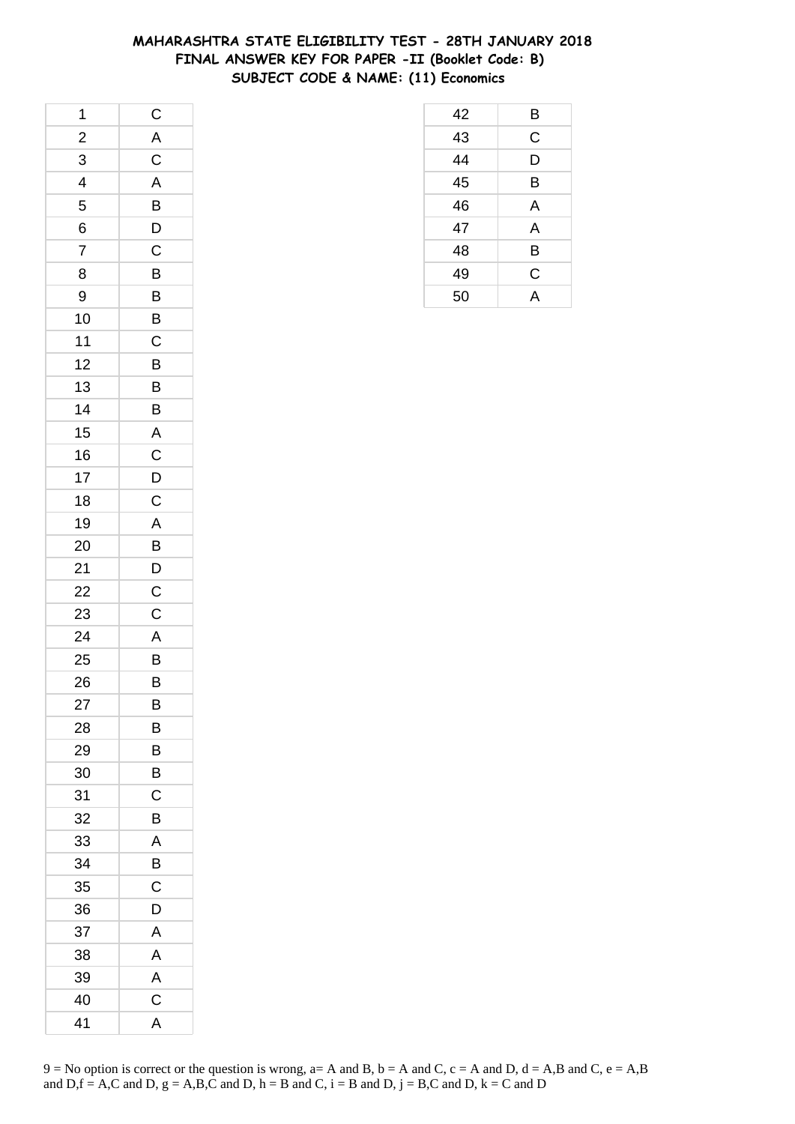# **MAHARASHTRA STATE ELIGIBILITY TEST - 28TH JANUARY 2018 FINAL ANSWER KEY FOR PAPER -II (Booklet Code: B) SUBJECT CODE & NAME: (11) Economics**

| 1                       | $\mathsf{C}$   |
|-------------------------|----------------|
| $\overline{\mathbf{c}}$ |                |
| $\overline{3}$          | $rac{A}{C}$    |
| $\overline{\mathbf{4}}$ | A              |
| 5                       | B              |
| 6                       | $\overline{D}$ |
| $\overline{7}$          | $\overline{C}$ |
| 8                       | $\overline{B}$ |
| 9                       | $\overline{B}$ |
| 10                      | $\overline{B}$ |
| 11                      | C              |
| 12                      | B              |
| 13                      | $\overline{B}$ |
| 14                      | B              |
| 15                      | $\overline{A}$ |
| 16                      | $\overline{C}$ |
| 17                      | $\mathsf{D}$   |
| 18                      | $\mathsf{C}$   |
| 19                      | $\overline{A}$ |
| 20                      | $\overline{B}$ |
| 21                      | $\overline{D}$ |
| 22                      | $\overline{C}$ |
| 23                      | $\mathsf C$    |
| 24                      | $\overline{A}$ |
| 25                      | B              |
| 26                      | B              |
| 27                      | B              |
| 28                      | В              |
| 29                      | В              |
| 30                      | B              |
| 31                      | С              |
| 32                      | В              |
| 33                      | A              |
| 34                      | B              |
| 35                      | C              |
| 36                      | D              |
| 37                      | A              |
| 38                      | Α              |
| 39                      | A              |
| 40                      | C              |
| 41                      | A              |

|                                    | $\mathsf C$ |  |
|------------------------------------|-------------|--|
| $\frac{43}{44}$<br>$\frac{45}{46}$ | D           |  |
|                                    | В           |  |
|                                    | A           |  |
| 47                                 | A           |  |
| 48                                 | B           |  |
| 49                                 | $\mathsf C$ |  |
| $\overline{50}$                    | A           |  |
|                                    |             |  |
|                                    |             |  |
|                                    |             |  |
|                                    |             |  |

B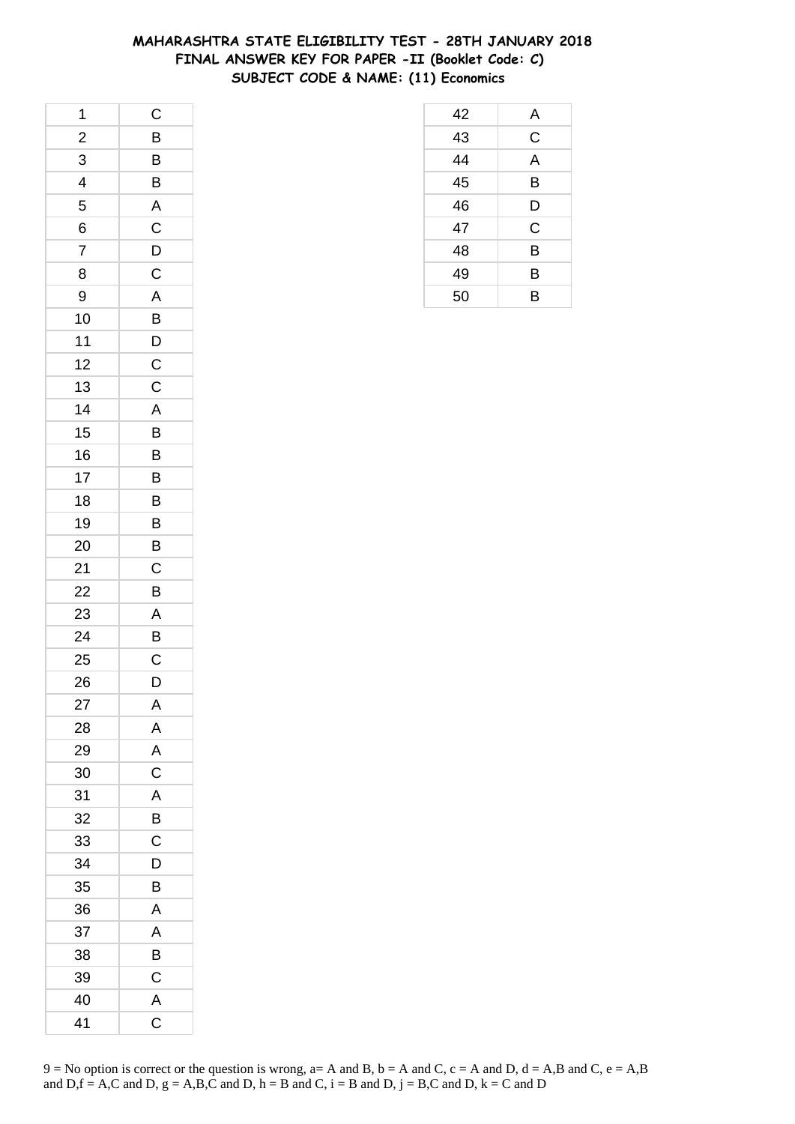## **MAHARASHTRA STATE ELIGIBILITY TEST - 28TH JANUARY 2018 FINAL ANSWER KEY FOR PAPER -II (Booklet Code: C) SUBJECT CODE & NAME: (11) Economics**

| 1                       | $\mathsf C$             |
|-------------------------|-------------------------|
| $\overline{\mathbf{c}}$ | B                       |
| $\overline{3}$          | $\overline{B}$          |
| 4                       | $\overline{\mathsf{B}}$ |
| 5                       | A                       |
| 6                       | $\mathsf C$             |
| 7                       | D                       |
| 8                       | $\mathsf C$             |
| 9                       | $\overline{A}$          |
| 10                      | $\overline{B}$          |
| 11                      | $\overline{D}$          |
| 12                      | $\mathsf{C}$            |
| 13                      | $\mathsf C$             |
| 14                      | A                       |
| 15                      | $\overline{B}$          |
| 16                      | B                       |
| 17                      | B                       |
| 18                      | B                       |
| 19                      | B                       |
| 20                      | B                       |
| 21                      | $\overline{C}$          |
| 22                      | B                       |
| 23                      | A                       |
| 24                      | B                       |
| 25                      | $\mathsf C$             |
| 26                      | D                       |
| 27                      | A                       |
| 28                      | A                       |
| 29                      | A                       |
| 30                      | $\mathsf C$             |
| 31                      | A                       |
| 32                      | B                       |
| 33                      | $\mathsf C$             |
| 34                      | D                       |
| 35                      | B                       |
| 36                      | A                       |
| 37                      | A                       |
| 38                      | B                       |
| 39                      | C                       |
| 40                      | A                       |
| 41                      | C                       |

| 42              | A              |
|-----------------|----------------|
| $\overline{43}$ | $\mathsf C$    |
| $\overline{44}$ | $\overline{A}$ |
| 45              | B              |
| 46              | D              |
| 47              | C              |
| 48              | B              |
| 49              | B              |
| 50              | B              |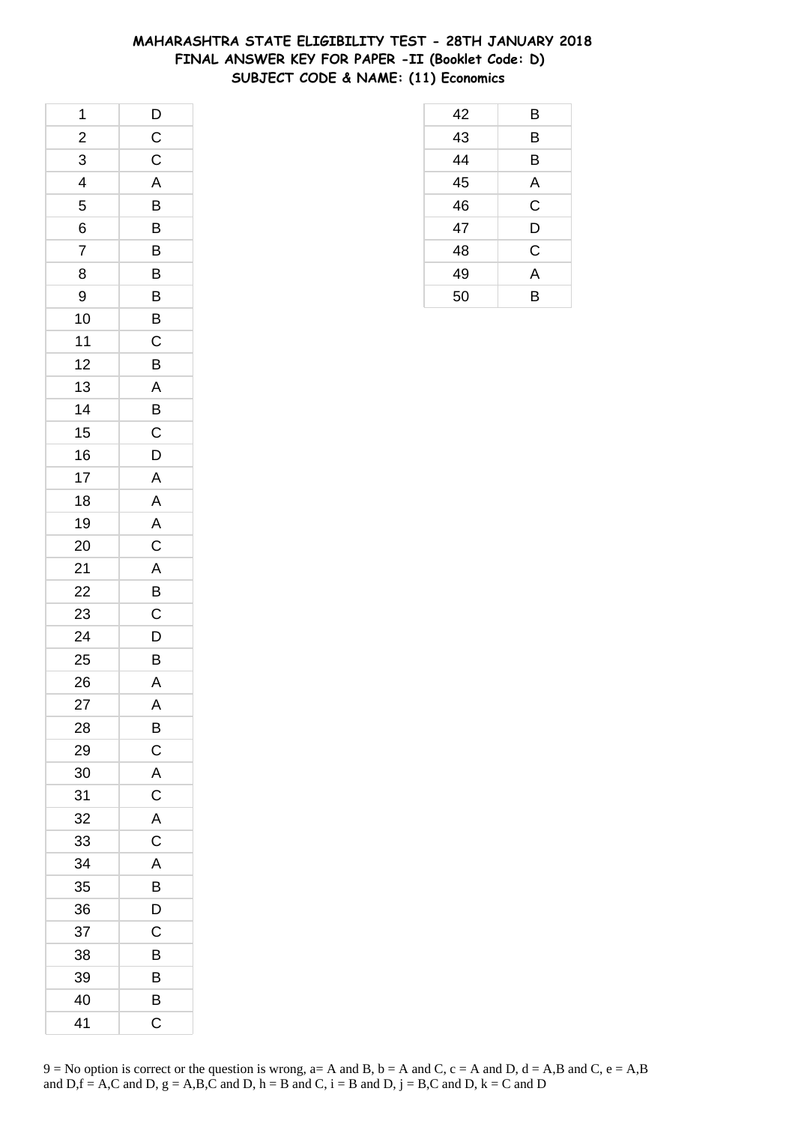## **MAHARASHTRA STATE ELIGIBILITY TEST - 28TH JANUARY 2018 FINAL ANSWER KEY FOR PAPER -II (Booklet Code: D) SUBJECT CODE & NAME: (11) Economics**

| 1                       | $\mathsf{D}$   |
|-------------------------|----------------|
| $\overline{\mathbf{c}}$ | $\mathsf{C}$   |
| $\overline{3}$          | $\overline{C}$ |
| $\overline{4}$          | A              |
| 5                       | B              |
| 6                       | B              |
| $\overline{7}$          | B              |
| 8                       | B              |
| 9                       | B              |
| 10                      | B              |
| 11                      | $\mathsf C$    |
| 12                      | B              |
| 13                      | $\mathsf{A}$   |
| 14                      | B              |
| 15                      | $\mathsf{C}$   |
| 16                      | D              |
| 17                      | A              |
| 18                      | A              |
| 19                      | $\overline{A}$ |
| 20                      | $\mathsf C$    |
| 21                      | $\overline{A}$ |
| 22                      | B              |
| 23                      | C              |
| 24                      | D              |
| 25                      | B              |
| 26                      | $\overline{A}$ |
| 27                      | A              |
| 28                      | B              |
| 29                      | C              |
| 30                      | A              |
| 31                      | C              |
| 32                      | A              |
| 33                      | C              |
| 34                      | A              |
| 35                      | B              |
| 36                      | D              |
| 37                      | C              |
| 38                      | B              |
| 39                      | B              |
| 40                      | B              |
| 41                      | C              |

| 42 | B           |
|----|-------------|
| 43 | B           |
| 44 | B           |
| 45 | A           |
| 46 | $\mathsf C$ |
| 47 | D           |
| 48 | $\mathsf C$ |
| 49 | A           |
| 50 | B           |
|    |             |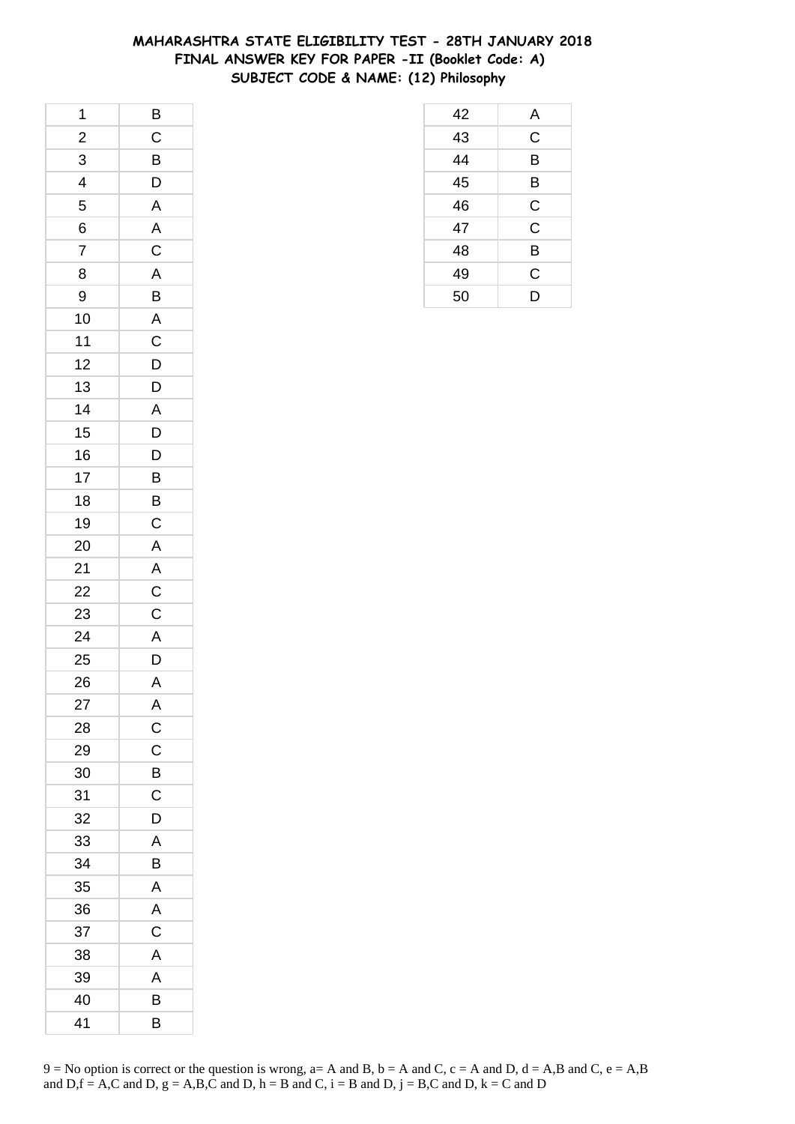# **MAHARASHTRA STATE ELIGIBILITY TEST - 28TH JANUARY 2018 FINAL ANSWER KEY FOR PAPER -II (Booklet Code: A) SUBJECT CODE & NAME: (12) Philosophy**

| 1                       | $\overline{B}$          |
|-------------------------|-------------------------|
| $\overline{\mathbf{c}}$ | $\mathsf C$             |
| $\overline{3}$          | $\overline{B}$          |
| 4                       | $\overline{D}$          |
| 5                       | $\overline{A}$          |
| 6                       | $\mathsf{A}$            |
| $\overline{7}$          | $\overline{C}$          |
| 8                       |                         |
| 9                       | $\frac{A}{B}$           |
| 10                      |                         |
| 11                      | $rac{A}{C}$             |
| 12                      | D                       |
| 13                      | $\mathsf{D}$            |
| 14                      | $\mathsf{A}$            |
| 15                      | $\overline{D}$          |
| 16                      | $\overline{D}$          |
| 17                      | B                       |
| 18                      | $\overline{B}$          |
| 19                      | $\overline{\mathsf{C}}$ |
| 20                      | $\mathsf{A}$            |
| 21                      |                         |
| 22                      | $rac{A}{C}$             |
| 23                      | $\mathsf C$             |
| 24                      | $\overline{A}$          |
| 25                      | $\mathsf{D}$            |
| 26                      | $\overline{A}$          |
| 27                      | A                       |
| 28                      | $\mathsf{C}$            |
| 29                      | C                       |
| 30                      | B                       |
| 31                      | C                       |
| 32                      | D                       |
| 33                      | A                       |
| 34                      | B                       |
| 35                      | A                       |
| 36                      | A                       |
| 37                      | C                       |
| 38                      | Α                       |
| 39                      | A                       |
| 40                      | B                       |
| 41                      | B                       |

| $\frac{44}{45}$ | Β           |  |
|-----------------|-------------|--|
|                 | B           |  |
| 46              | $\mathsf C$ |  |
| 47              | $\mathsf C$ |  |
| 48              | B           |  |
| 49              | C           |  |
| 50              | D           |  |
|                 |             |  |
|                 |             |  |
|                 |             |  |
|                 |             |  |
|                 |             |  |

 A C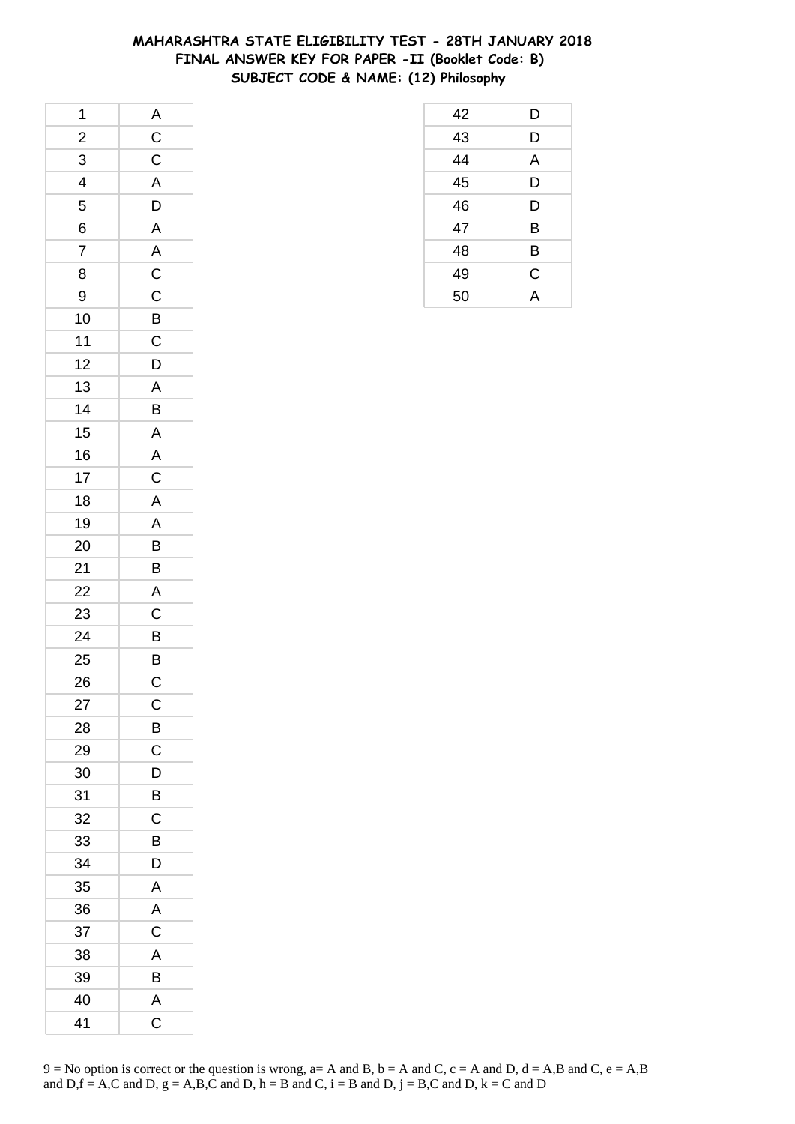# **MAHARASHTRA STATE ELIGIBILITY TEST - 28TH JANUARY 2018 FINAL ANSWER KEY FOR PAPER -II (Booklet Code: B) SUBJECT CODE & NAME: (12) Philosophy**

| 1              |                                                    |
|----------------|----------------------------------------------------|
| $\frac{2}{1}$  |                                                    |
| $\overline{3}$ | $rac{A}{C}$                                        |
| $\overline{4}$ | $\overline{A}$                                     |
| 5              | $\overline{D}$                                     |
| 6              | $\overline{A}$                                     |
| $\overline{7}$ |                                                    |
| 8              | $\frac{A}{C}$                                      |
| 9              |                                                    |
| 10             |                                                    |
| $11$           | $rac{B}{C}$                                        |
| 12             | D                                                  |
| 13             |                                                    |
| 14             | $rac{A}{B}$                                        |
| 15             | $\overline{A}$                                     |
| 16             |                                                    |
| 17             | $\overline{A}$<br>$\overline{C}$<br>$\overline{A}$ |
| 18             |                                                    |
| 19             | A                                                  |
| 20             |                                                    |
| 21             | $\overline{B}$                                     |
| 22             |                                                    |
| 23             | $rac{A}{C}$                                        |
| 24             | $\overline{B}$                                     |
| 25             | $\frac{B}{C}$                                      |
| 26             |                                                    |
| 27             | $\mathsf{C}$                                       |
| 28             | B                                                  |
| 29             | C                                                  |
| 30             | D                                                  |
| 31             | B                                                  |
| 32             | C                                                  |
| 33             | В                                                  |
| 34             | D                                                  |
| 35             | A                                                  |
| 36             | Α                                                  |
| 37             | C                                                  |
| 38             | A                                                  |
| 39             | B                                                  |
| 40             | A                                                  |
| 41             | C                                                  |

| $\frac{49}{50}$ | $\frac{C}{A}$ |  |
|-----------------|---------------|--|
|                 |               |  |
|                 |               |  |
|                 |               |  |
|                 |               |  |
|                 |               |  |
|                 |               |  |
|                 |               |  |
|                 |               |  |
|                 |               |  |
|                 |               |  |
|                 |               |  |
|                 |               |  |

 D D A D D B B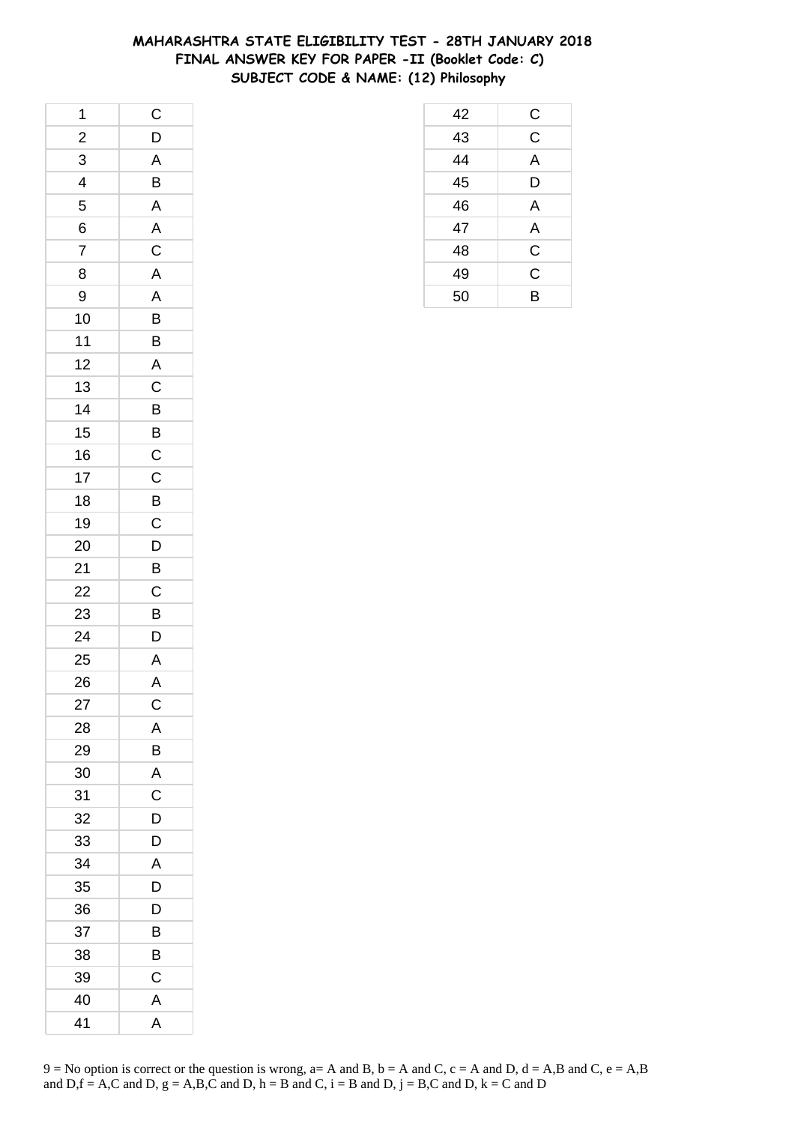## **MAHARASHTRA STATE ELIGIBILITY TEST - 28TH JANUARY 2018 FINAL ANSWER KEY FOR PAPER -II (Booklet Code: C) SUBJECT CODE & NAME: (12) Philosophy**

| 1                       | $\mathsf{C}$            |
|-------------------------|-------------------------|
| $\overline{\mathbf{c}}$ | $\mathsf{D}$            |
| $\overline{3}$          | $\overline{A}$          |
| $\overline{\mathbf{r}}$ | B                       |
| 5                       | $\overline{\mathsf{A}}$ |
| 6                       | $\mathsf{A}$            |
| $\overline{7}$          | $\overline{\mathbf{C}}$ |
| 8                       | A                       |
| 9                       | $\mathsf{A}$            |
| 10                      | $\overline{B}$          |
| 11                      | B                       |
| 12                      | $\overline{\mathsf{A}}$ |
| 13                      | $\mathsf{C}$            |
| 14                      | $\overline{B}$          |
| 15                      |                         |
| 16                      | $\frac{B}{C}$           |
| 17                      | $\overline{C}$          |
| 18                      |                         |
| 19                      | $rac{B}{C}$             |
| 20                      | $\mathsf{D}$            |
| 21                      | $\overline{B}$          |
| 22                      | $\overline{C}$          |
| 23                      | B                       |
| 24                      | D                       |
| 25                      | A                       |
| 26                      | $\mathsf{A}$            |
| 27                      | $\mathsf{C}$            |
| 28                      | Α                       |
| 29                      | B                       |
| 30                      | A                       |
| 31                      | C                       |
| 32                      | D                       |
| 33                      | D                       |
| 34                      | A                       |
| 35                      | D                       |
| 36                      | D                       |
| 37                      | B                       |
| 38                      | В                       |
| 39                      | $\mathsf{C}$            |
| 40                      | Α                       |
| 41                      | A                       |

| 42 | C              |
|----|----------------|
| 43 | $\overline{C}$ |
| 44 | A              |
| 45 | D              |
| 46 | A              |
| 47 | A              |
| 48 | C              |
| 49 | C              |
| 50 | B              |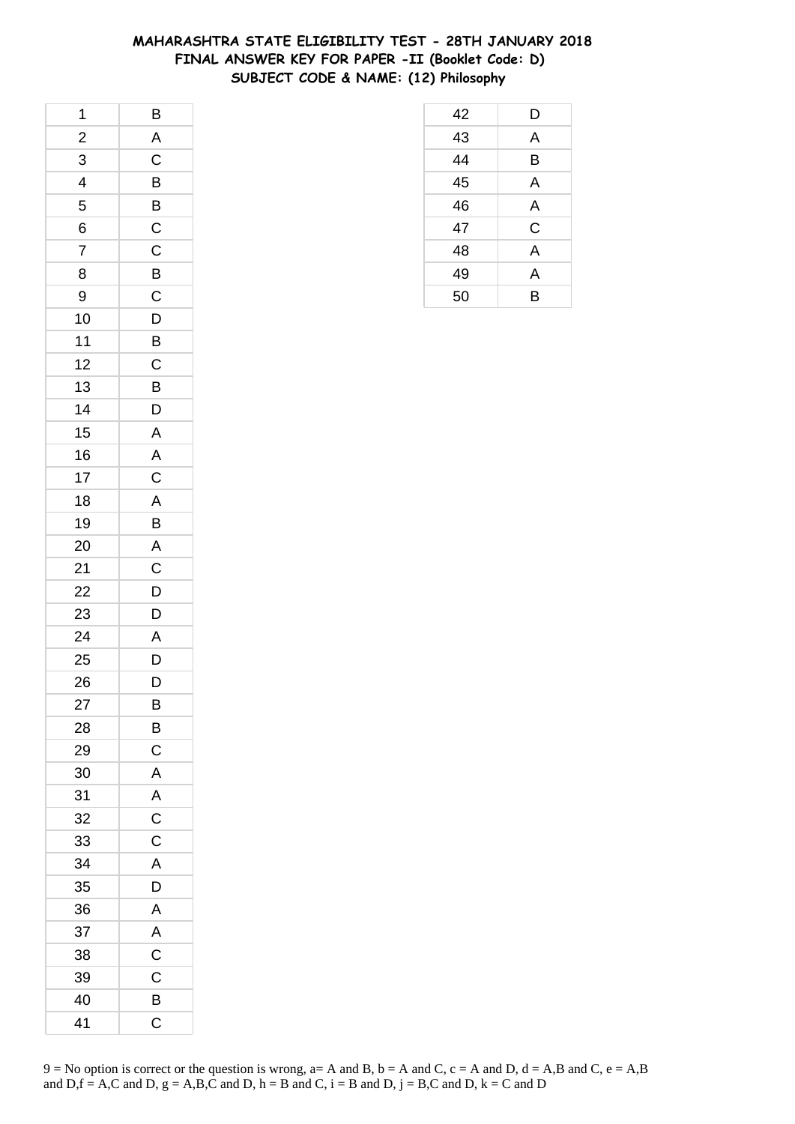## **MAHARASHTRA STATE ELIGIBILITY TEST - 28TH JANUARY 2018 FINAL ANSWER KEY FOR PAPER -II (Booklet Code: D) SUBJECT CODE & NAME: (12) Philosophy**

| 1                       | $\overline{B}$            |
|-------------------------|---------------------------|
| $\overline{\mathbf{c}}$ | $\overline{A}$            |
| $\overline{3}$          | $\overline{\overline{C}}$ |
| $\overline{\mathbf{r}}$ | B                         |
| 5                       | B                         |
| 6                       | $\mathsf{C}$              |
| $\overline{7}$          | $\mathsf C$               |
| 8                       | $\overline{B}$            |
| 9                       | $\overline{C}$            |
| 10                      | $\mathsf{D}$              |
| 11                      | B                         |
| 12                      | $\mathsf C$               |
| 13                      | B                         |
| 14                      | D                         |
| 15                      | $\overline{A}$            |
| 16                      | $\overline{\mathsf{A}}$   |
| 17                      | $\mathsf C$               |
| 18                      | $\overline{A}$            |
| 19                      | B                         |
| 20                      | $\overline{A}$            |
| 21                      | $\overline{C}$            |
| 22                      | $\overline{D}$            |
| 23                      | D                         |
| 24                      | $\overline{A}$            |
| 25                      | D                         |
| 26                      | D                         |
| 27                      | B                         |
| 28                      | B                         |
| 29                      | $\mathsf C$               |
| 30                      | $\overline{\mathsf{A}}$   |
| 31                      | A                         |
| 32                      | $\mathsf C$               |
| 33                      | $\mathsf C$               |
| 34                      | A                         |
| 35                      | D                         |
| 36                      | A                         |
| 37                      | A                         |
| 38                      | $\mathsf C$               |
| 39                      | $\mathsf{C}$              |
| 40                      | B                         |
| 41                      | C                         |

| 42 | D              |
|----|----------------|
| 43 | A              |
| 44 | B              |
| 45 | A              |
| 46 | A              |
| 47 | C              |
| 48 | $\overline{A}$ |
| 49 | A              |
| 50 | B              |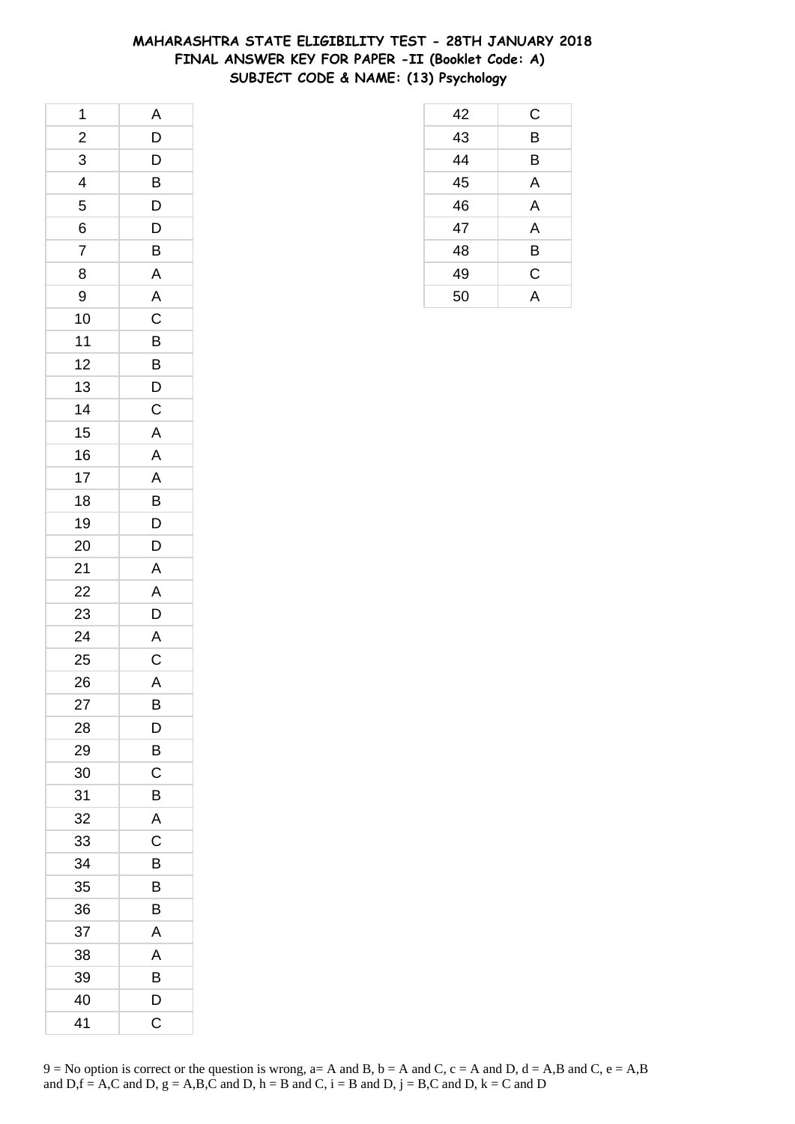# **MAHARASHTRA STATE ELIGIBILITY TEST - 28TH JANUARY 2018 FINAL ANSWER KEY FOR PAPER -II (Booklet Code: A) SUBJECT CODE & NAME: (13) Psychology**

| 1                       | A              |
|-------------------------|----------------|
| $\overline{\mathbf{c}}$ | D              |
| 3                       | $\overline{D}$ |
| 4                       | $\overline{B}$ |
| 5                       | D              |
| 6                       | $\mathsf{D}$   |
| $\overline{7}$          | B              |
| 8                       | $\overline{A}$ |
| 9                       | $\overline{A}$ |
| 10                      | $\overline{C}$ |
| 11                      | B              |
| 12                      | B              |
| 13                      | $\overline{D}$ |
| 14                      | $\mathsf{C}$   |
| 15                      | $\mathsf{A}$   |
| 16                      | $\overline{A}$ |
| 17                      | $\overline{A}$ |
| 18                      | B              |
| 19                      | D              |
| 20                      | D              |
| 21                      | A              |
| 22                      | A              |
| 23                      | D              |
| 24                      | $\overline{A}$ |
| 25                      | $\mathsf C$    |
| 26                      | $\overline{A}$ |
| 27                      | B              |
| 28                      | D              |
| 29                      | B              |
| 30                      | C              |
| 31                      | B              |
| 32                      | A              |
| 33                      | C              |
| 34                      | B              |
| 35                      | B              |
| 36                      | В              |
| 37                      | A              |
| 38                      | A              |
| 39                      | B              |
| 40                      | D              |
| 41                      | C              |

| $\frac{43}{44}$ | Β           |  |
|-----------------|-------------|--|
|                 | B           |  |
| $\overline{45}$ | A           |  |
| 46              | A           |  |
| 47              | A           |  |
| 48              | B           |  |
| 49              | $\mathsf C$ |  |
| 50              | A           |  |
|                 |             |  |
|                 |             |  |
|                 |             |  |
|                 |             |  |

C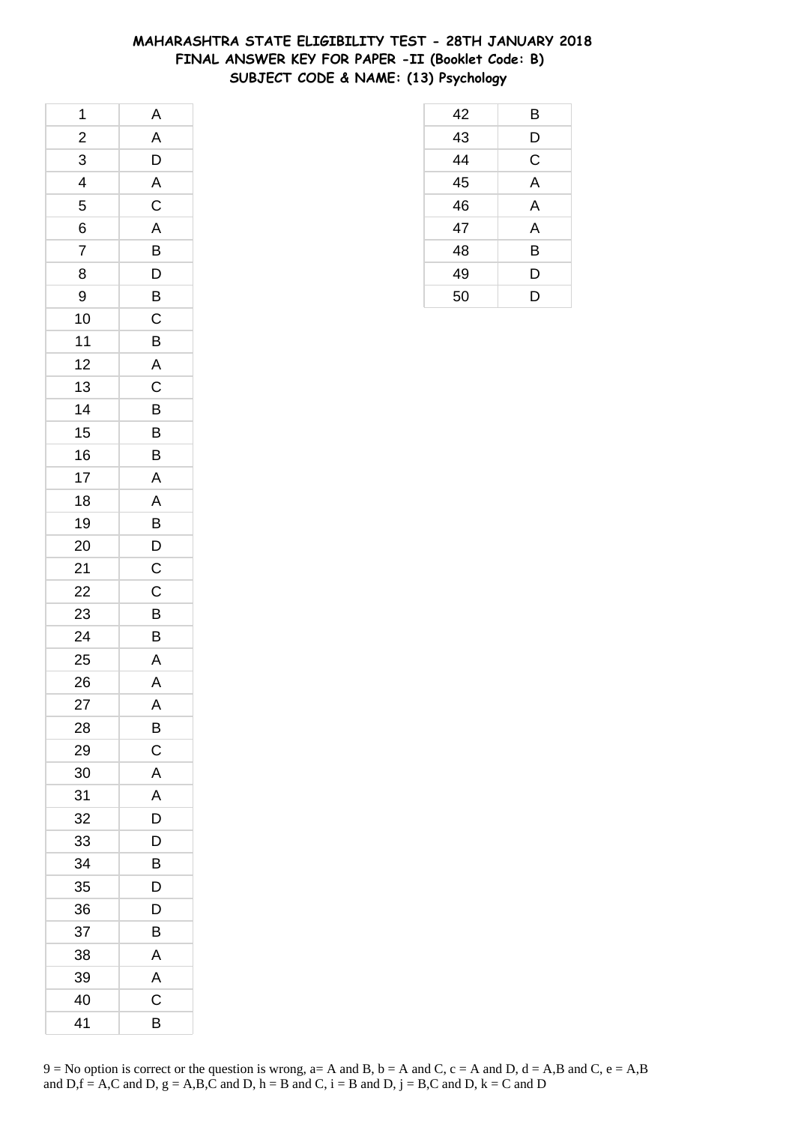## **MAHARASHTRA STATE ELIGIBILITY TEST - 28TH JANUARY 2018 FINAL ANSWER KEY FOR PAPER -II (Booklet Code: B) SUBJECT CODE & NAME: (13) Psychology**

| 1                       | A                         |
|-------------------------|---------------------------|
| $\overline{\mathbf{c}}$ | A                         |
| $\overline{3}$          | $\overline{D}$            |
| $\overline{\mathbf{4}}$ | $\overline{A}$            |
| 5                       | $\overline{\mathrm{c}}$   |
| 6                       | $\overline{A}$            |
| $\overline{7}$          | B                         |
| 8                       | $\mathsf{D}$              |
| 9                       | $\frac{1}{\sqrt{2}}$      |
| 10                      | $\overline{\overline{C}}$ |
| 11                      | B                         |
| 12                      | $\overline{A}$            |
| 13                      | $\mathsf C$               |
| 14                      | B                         |
| 15                      | $\overline{B}$            |
| 16                      | $\overline{\mathsf{B}}$   |
| 17                      | A                         |
| 18                      | A                         |
| 19                      | B                         |
| 20                      |                           |
| 21                      | $\frac{D}{C}$             |
| 22                      | $\overline{\overline{C}}$ |
| 23                      | B                         |
| 24                      | $\overline{B}$            |
| 25                      | $\mathsf{A}$              |
| 26                      | $\mathsf{A}$              |
| 27                      | A                         |
| 28                      | B                         |
| 29                      | C                         |
| 30                      | A                         |
| 31                      | A                         |
| 32                      | D                         |
| 33                      | D                         |
| 34                      | B                         |
| 35                      | D                         |
| 36                      | D                         |
| 37                      | B                         |
| 38                      | Α                         |
| 39                      | A                         |
| 40                      | C                         |
| 41                      | B                         |

|                 | Β                       |
|-----------------|-------------------------|
| $\frac{42}{43}$ | D                       |
| $\overline{44}$ | C                       |
| $\overline{45}$ | $\overline{\mathsf{A}}$ |
| 46              | A                       |
| 47              | A                       |
| 48              | B                       |
| 49              | D                       |
| 50              | D                       |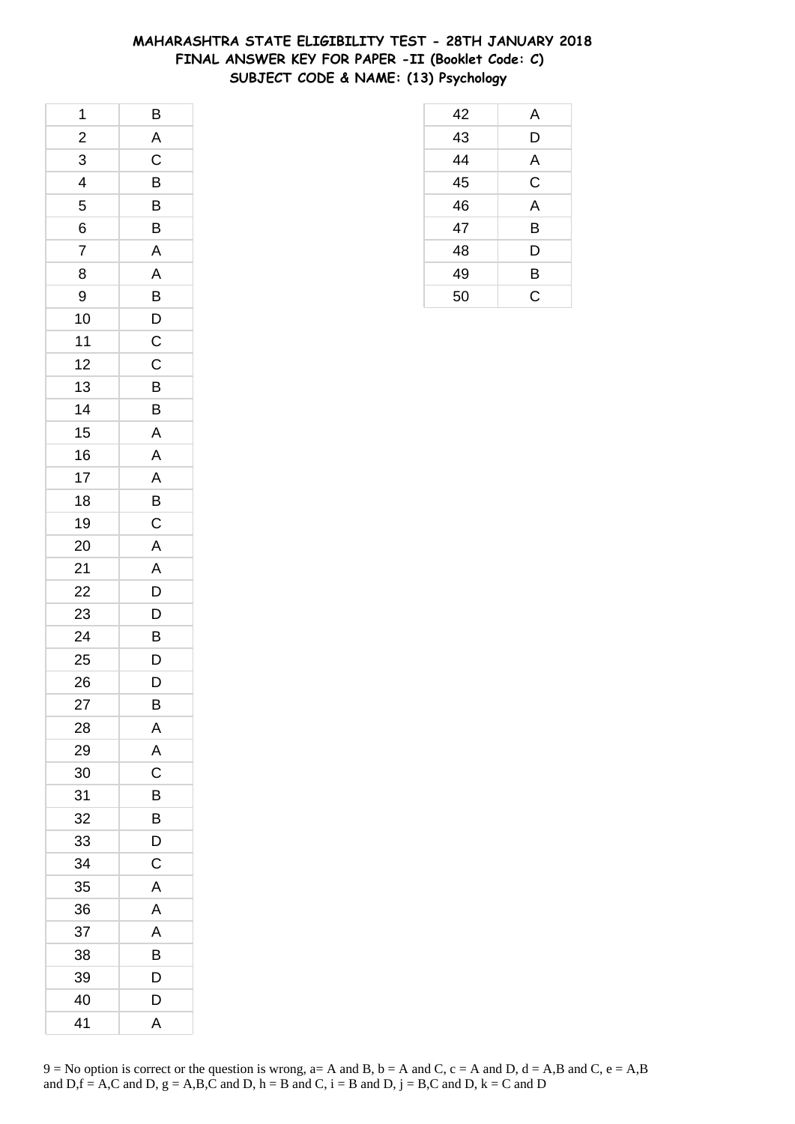## **MAHARASHTRA STATE ELIGIBILITY TEST - 28TH JANUARY 2018 FINAL ANSWER KEY FOR PAPER -II (Booklet Code: C) SUBJECT CODE & NAME: (13) Psychology**

| 1                       | B              |
|-------------------------|----------------|
| $\overline{\mathbf{c}}$ | A              |
| $\overline{3}$          | $\overline{C}$ |
| 4                       | B              |
| 5                       | B              |
| 6                       | B              |
| $\overline{7}$          | $\overline{A}$ |
| 8                       | A              |
| 9                       | B              |
| 10                      | $\overline{D}$ |
| 11                      | $\mathsf C$    |
| 12                      | C              |
| 13                      | B              |
| 14                      | B              |
| 15                      | A              |
| 16                      | $\mathsf{A}$   |
| 17                      | A              |
| 18                      | B              |
| 19                      | $\mathsf C$    |
| 20                      | A              |
| 21                      | A              |
| 22                      | $\overline{D}$ |
| 23                      | $\overline{D}$ |
| 24                      | B              |
| 25                      | $\mathsf{D}$   |
| 26                      | D              |
| 27                      | B              |
| 28                      | A              |
| 29                      | A              |
| 30                      | C              |
| 31                      | B              |
| 32                      | B              |
| 33                      | D              |
| 34                      | C              |
| 35                      | A              |
| 36                      | A              |
| 37                      | A              |
| 38                      | B              |
| 39                      | D              |
| 40                      | D              |
| 41                      | A              |

| 42 | A              |
|----|----------------|
| 43 | D              |
| 44 | A              |
| 45 | C              |
| 46 | $\overline{A}$ |
| 47 | B              |
| 48 | D              |
| 49 | B              |
| 50 | Ć              |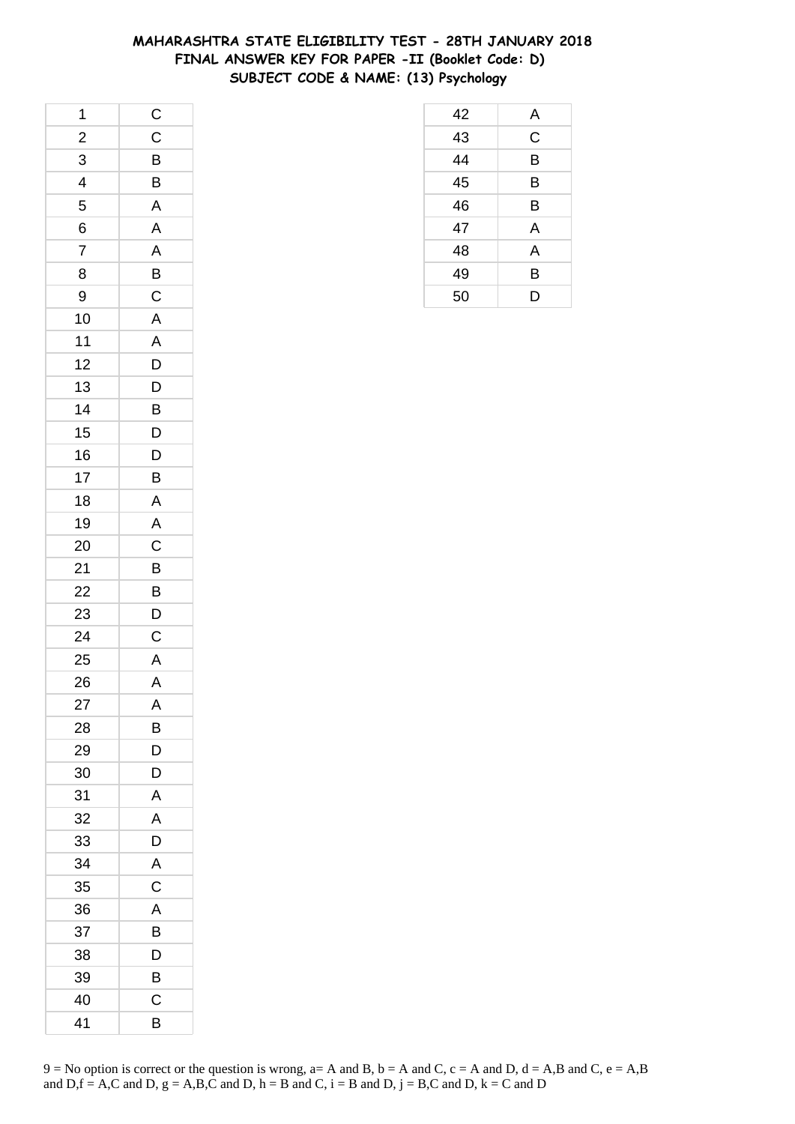## **MAHARASHTRA STATE ELIGIBILITY TEST - 28TH JANUARY 2018 FINAL ANSWER KEY FOR PAPER -II (Booklet Code: D) SUBJECT CODE & NAME: (13) Psychology**

| 1                       | $\mathsf{C}$            |
|-------------------------|-------------------------|
| $\overline{\mathbf{c}}$ | $\mathsf C$             |
| $\overline{3}$          | $\overline{B}$          |
| $\overline{4}$          | $\overline{\mathsf{B}}$ |
| 5                       | A                       |
| 6                       | A                       |
| $\overline{7}$          | A                       |
| 8                       | $\overline{B}$          |
| 9                       | $\overline{\mathbf{C}}$ |
| 10                      | $\overline{A}$          |
| 11                      | A                       |
| 12                      | $\overline{D}$          |
| 13                      | $\mathsf{D}$            |
| 14                      | B                       |
| 15                      | $\overline{D}$          |
| 16                      | D                       |
| 17                      | B                       |
| 18                      | A                       |
| 19                      | $\overline{A}$          |
| 20                      | $\mathsf{C}$            |
| 21                      | $\overline{B}$          |
| 22                      | $\overline{B}$          |
| 23                      | D                       |
| 24                      | $\mathsf C$             |
| 25                      | $\overline{A}$          |
| 26                      | $\overline{A}$          |
| 27                      | A                       |
| 28                      | В                       |
| 29                      | D                       |
| 30                      | D                       |
| 31                      | Α                       |
| 32                      | A                       |
| 33                      | D                       |
| 34                      | A                       |
| 35                      | C                       |
| 36                      | A                       |
| 37                      | B                       |
| 38                      | D                       |
| 39                      | B                       |
| 40                      | C                       |
| 41                      | B                       |

| 42 | A           |
|----|-------------|
| 43 | $\mathsf C$ |
| 44 | B           |
| 45 | B           |
| 46 | B           |
| 47 | A           |
| 48 | A           |
| 49 | B           |
| 50 | D           |
|    |             |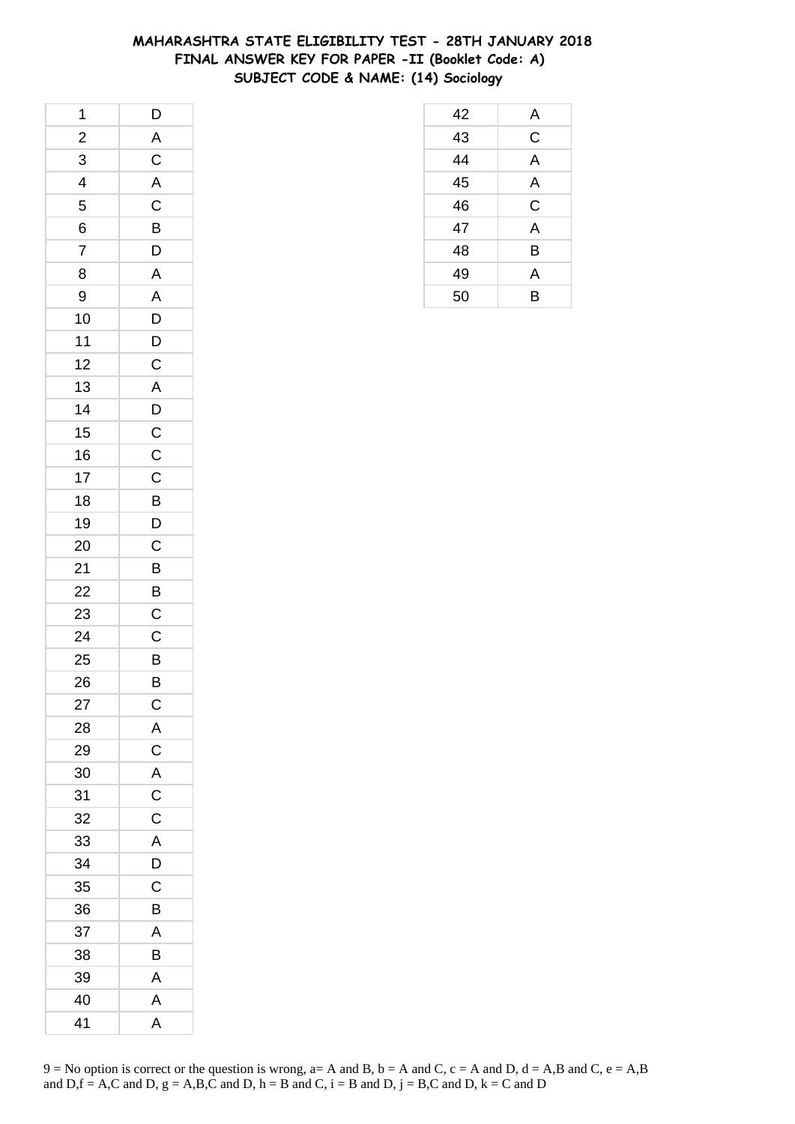### **MAHARASHTRA STATE ELIGIBILITY TEST - 28TH JANUARY 2018 FINAL ANSWER KEY FOR PAPER -II (Booklet Code: A) SUBJECT CODE & NAME: (14) Sociology**

| 1              | $\mathsf{D}$                                 |
|----------------|----------------------------------------------|
| $\frac{1}{2}$  | $\overline{A}$                               |
| 3              | $\overline{C}$                               |
| 4              | $\overline{\mathsf{A}}$                      |
| 5              | $\mathsf C$                                  |
| 6              | $\overline{B}$                               |
| $\overline{7}$ | $\overline{D}$                               |
| 8              | A                                            |
| 9              | $\mathsf{A}$                                 |
| 10             | D                                            |
| 11             | $\overline{D}$                               |
| 12             | $\overline{C}$                               |
| 13             |                                              |
| 14             |                                              |
| 15             | $\begin{array}{c}\nA \\ D \\ C\n\end{array}$ |
| 16             |                                              |
| 17             | $\mathsf C$                                  |
| 18             | $\overline{B}$                               |
| 19             | $\overline{D}$                               |
| 20             | $\overline{C}$                               |
| 21             | $\overline{B}$                               |
| 22             | B                                            |
| 23             | $\mathsf C$                                  |
| 24             | $\mathsf C$                                  |
| 25             |                                              |
| 26             | B<br>B                                       |
| 27             | $\mathsf{C}$                                 |
| 28             | Α                                            |
| 29             | $\mathsf C$                                  |
| 30             | $\mathsf{A}$                                 |
| 31             | $\mathsf C$                                  |
| 32             | $\mathsf{C}$                                 |
| 33             | A                                            |
| 34             | D                                            |
| 35             | C                                            |
| 36             | B                                            |
| 37             | A                                            |
| 38             | В                                            |
| 39             | A                                            |
| 40             | A                                            |
| 41             | Α                                            |

| 42 | A |
|----|---|
| 43 | C |
| 44 | A |
| 45 | A |
| 46 | C |
| 47 | A |
| 48 | B |
| 49 | A |
| 50 | B |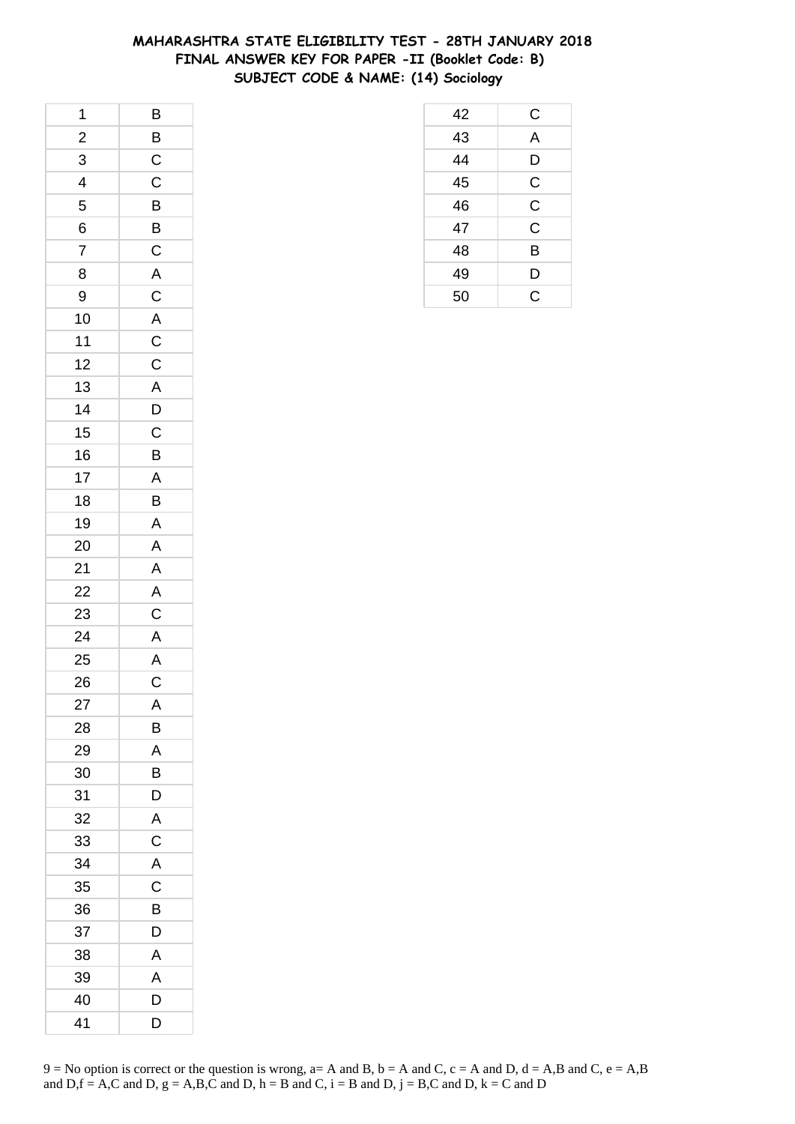### **MAHARASHTRA STATE ELIGIBILITY TEST - 28TH JANUARY 2018 FINAL ANSWER KEY FOR PAPER -II (Booklet Code: B) SUBJECT CODE & NAME: (14) Sociology**

| $\overline{\phantom{a}}$ | B                        |
|--------------------------|--------------------------|
| $\overline{a}$           | $\overline{B}$           |
| $\overline{3}$           |                          |
| $\frac{1}{4}$            | $\frac{C}{C}$            |
| 5                        | $\overline{B}$           |
| 6                        |                          |
| $\overline{7}$           | $rac{B}{C}$              |
| 8                        |                          |
| 9                        |                          |
| 10                       |                          |
| 11                       | A C A C C A D            |
| 12                       |                          |
| 13                       |                          |
| 14                       |                          |
| 15                       |                          |
| 16                       | $\frac{\overline{C}}{B}$ |
| 17                       | A                        |
| 18                       | B                        |
| 19                       | $\mathsf{A}$             |
| 20                       |                          |
| 21                       | $\frac{A}{A}$            |
| 22                       | $\overline{A}$           |
| 23                       | $\frac{C}{A}$            |
| 24                       |                          |
| 25                       | $\overline{A}$           |
| 26                       | $\overline{C}$           |
| 27                       | A                        |
| 28                       | В                        |
| 29                       | A                        |
| 30                       | B                        |
| 31                       | D                        |
| 32                       | A                        |
| 33                       | $\mathsf C$              |
| 34                       | A                        |
| 35                       | C                        |
| 36                       | B                        |
| 37                       | D                        |
| 38                       | Α                        |
| 39                       | A                        |
| 40                       | D                        |
| 41                       | D                        |

| 42 | С              |
|----|----------------|
| 43 | A              |
| 44 | D              |
| 45 | $\mathsf{C}$   |
| 46 | $\mathsf{C}$   |
| 47 | $\overline{C}$ |
| 48 | B              |
| 49 | D              |
| 50 | Ć              |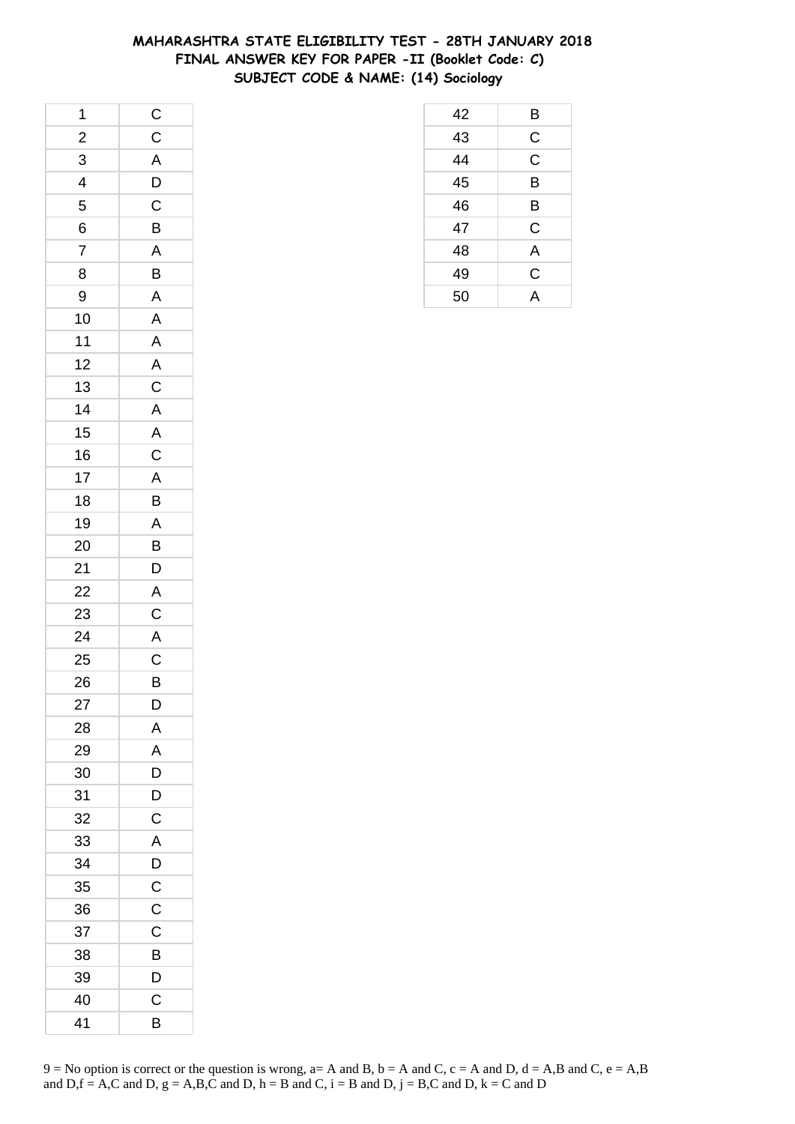### **MAHARASHTRA STATE ELIGIBILITY TEST - 28TH JANUARY 2018 FINAL ANSWER KEY FOR PAPER -II (Booklet Code: C) SUBJECT CODE & NAME: (14) Sociology**

| 1                        |                                              |
|--------------------------|----------------------------------------------|
| $\frac{1}{2}$            |                                              |
| $\overline{3}$           | $C$<br>$A$<br>$D$<br>$C$                     |
| $\overline{\mathcal{L}}$ |                                              |
| 5                        |                                              |
| 6                        | $\overline{B}$                               |
| $\overline{7}$           | $\overline{\mathsf{A}}$                      |
| 8                        | $\overline{B}$                               |
| 9                        | $\overline{\mathsf{A}}$                      |
| 10                       | $\overline{A}$                               |
| 11                       | $\mathsf{A}$                                 |
| 12                       |                                              |
| 13                       |                                              |
| 14                       | A C A A C A                                  |
| 15                       |                                              |
| 16                       |                                              |
| 17                       |                                              |
| 18                       | $\overline{B}$                               |
| 19                       |                                              |
| 20                       | $\begin{array}{c}\nA \\ B \\ D\n\end{array}$ |
| 21                       |                                              |
| 22                       | $rac{A}{C}$                                  |
| 23                       |                                              |
| 24                       | $\overline{A}$                               |
| 25                       |                                              |
| 26                       | $\frac{C}{B}$                                |
| 27                       | D                                            |
| 28                       | Α                                            |
| 29                       | A                                            |
| 30                       | D                                            |
| 31                       | D                                            |
| 32                       | $\overline{C}$                               |
| 33                       | A                                            |
| 34                       | $\overline{D}$                               |
| 35                       | $\overline{C}$                               |
| 36                       | C                                            |
| 37                       | $\mathsf C$                                  |
| 38                       | B                                            |
| 39                       | D                                            |
| 40                       | C                                            |
| 41                       | В                                            |

| 42 | B                       |
|----|-------------------------|
| 43 | $\mathsf{C}$            |
| 44 | $\overline{\mathrm{c}}$ |
| 45 | B                       |
| 46 | B                       |
| 47 | $\mathsf C$             |
| 48 | A                       |
| 49 | C                       |
| 50 | A                       |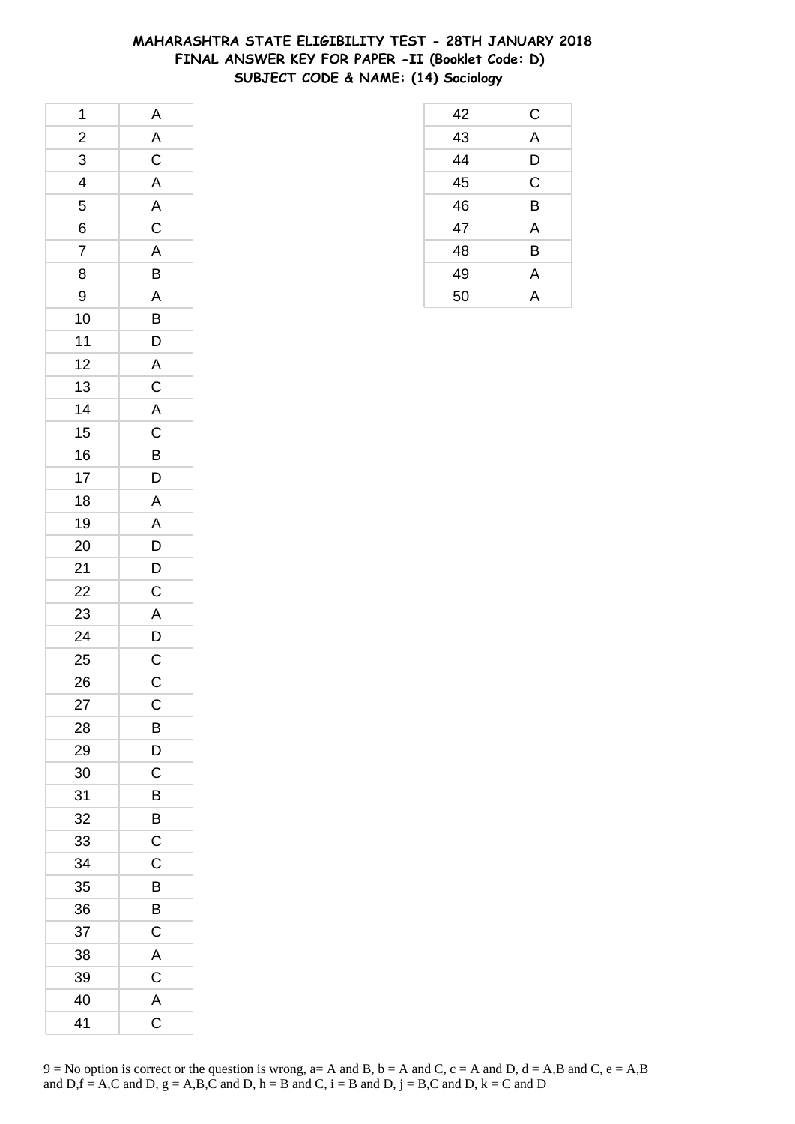# **MAHARASHTRA STATE ELIGIBILITY TEST - 28TH JANUARY 2018 FINAL ANSWER KEY FOR PAPER -II (Booklet Code: D) SUBJECT CODE & NAME: (14) Sociology**

| 1                        | $\overline{A}$          |
|--------------------------|-------------------------|
| $\frac{2}{1}$            |                         |
| 3                        | A<br>C<br>A<br>A        |
| $\overline{\mathcal{L}}$ |                         |
| 5                        |                         |
| 6                        | $\overline{C}$          |
| $\overline{7}$           | A                       |
| 8                        | $\overline{B}$          |
| 9                        | $\overline{A}$          |
| 10                       | $\overline{B}$          |
| $11$                     | $\mathsf{D}$            |
| 12                       | $\overline{\mathsf{A}}$ |
| 13                       | $\overline{C}$          |
| 14                       | $\overline{A}$          |
| 15                       | $\overline{C}$          |
| 16                       | $\overline{B}$          |
| 17                       | D                       |
| 18                       | $\mathsf{A}$            |
| 19                       | $\mathsf{A}$            |
| 20                       |                         |
| 21                       | $\overline{D}$<br>$D$   |
| 22                       | $\overline{C}$          |
| 23                       | $\overline{\mathsf{A}}$ |
| 24                       | $\overline{D}$          |
| 25                       |                         |
| 26                       | $\frac{C}{C}$           |
| 27                       | C                       |
| 28                       | В                       |
| 29                       | D                       |
| 30                       | C                       |
| 31                       | B                       |
| 32                       | B                       |
| 33                       | $\mathsf C$             |
| 34                       | C                       |
| 35                       | B                       |
| 36                       | B                       |
| 37                       | $\overline{C}$          |
| 38                       | A                       |
| 39                       | $\mathsf C$             |
| 40                       | $\overline{\mathsf{A}}$ |
| 41                       | $\overline{\mathsf{C}}$ |

| 50 | A |  |
|----|---|--|
|    |   |  |
|    |   |  |
|    |   |  |
|    |   |  |
|    |   |  |
|    |   |  |
|    |   |  |
|    |   |  |
|    |   |  |
|    |   |  |
|    |   |  |
|    |   |  |

 C A D C B A B A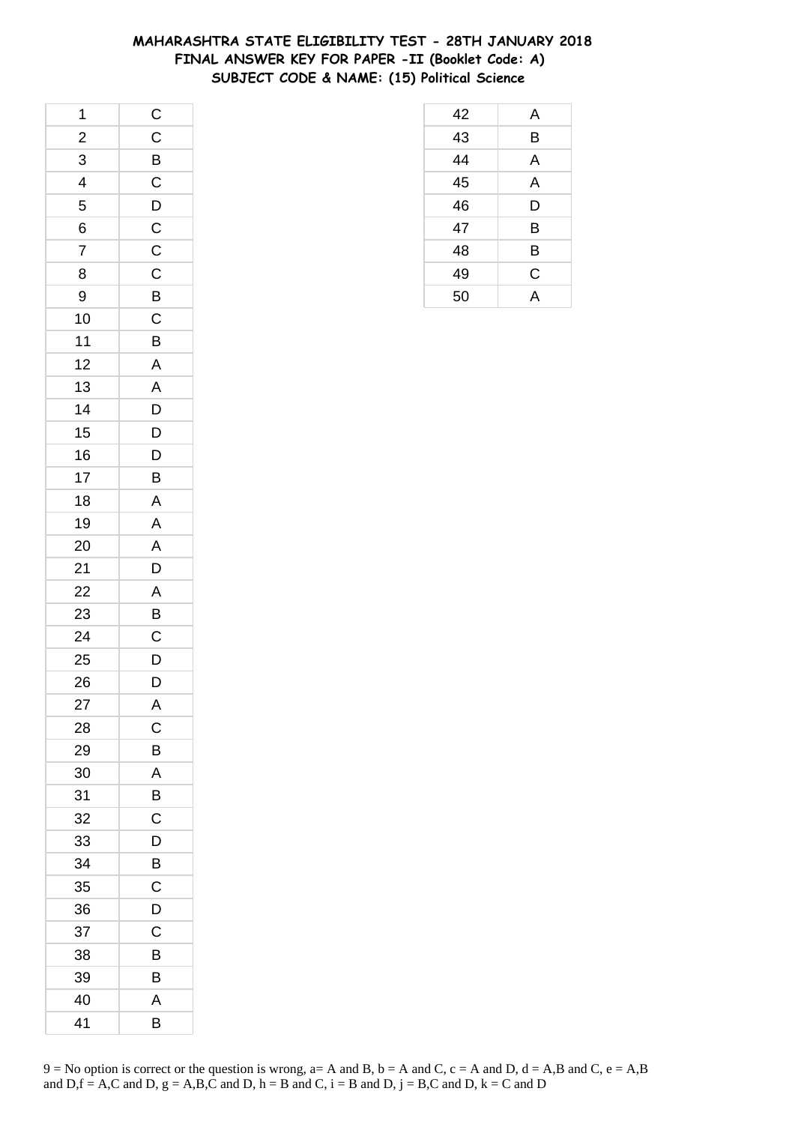### **MAHARASHTRA STATE ELIGIBILITY TEST - 28TH JANUARY 2018 FINAL ANSWER KEY FOR PAPER -II (Booklet Code: A) SUBJECT CODE & NAME: (15) Political Science**

| 1                       | $\mathsf{C}$   |
|-------------------------|----------------|
| $\overline{\mathbf{c}}$ | $\mathsf C$    |
| $\overline{3}$          | $\overline{B}$ |
| $\overline{\mathbf{r}}$ | $\frac{1}{C}$  |
| 5                       | $\overline{D}$ |
| 6                       | $\mathsf{C}$   |
| $\overline{7}$          | $\overline{C}$ |
| 8                       | $\overline{C}$ |
| 9                       | $\frac{1}{B}$  |
| 10                      | $\overline{C}$ |
| 11                      | B              |
| 12                      | A              |
| 13                      | $\mathsf{A}$   |
| 14                      | $\mathsf{D}$   |
| 15                      | $\overline{D}$ |
| 16                      | $\overline{D}$ |
| 17                      | B              |
| 18                      | A              |
| 19                      | A              |
| 20                      | $\mathsf{A}$   |
| 21                      | $\overline{D}$ |
| 22                      | A              |
| 23                      | B              |
| 24                      | $\mathsf C$    |
| 25                      | $\mathsf{D}$   |
| 26                      | $\bar{D}$      |
| 27                      | A              |
| 28                      | C              |
| 29                      | B              |
| 30                      | A              |
| 31                      | B              |
| 32                      | C              |
| 33                      | D              |
| 34                      | B              |
| 35                      | C              |
| 36                      | D              |
| 37                      | C              |
| 38                      | В              |
| 39                      | B              |
| 40                      | A              |
| 41                      | B              |

| 42 | A |
|----|---|
| 43 | B |
| 44 | A |
| 45 | A |
| 46 | D |
| 47 | B |
| 48 | B |
| 49 | C |
| 50 | Д |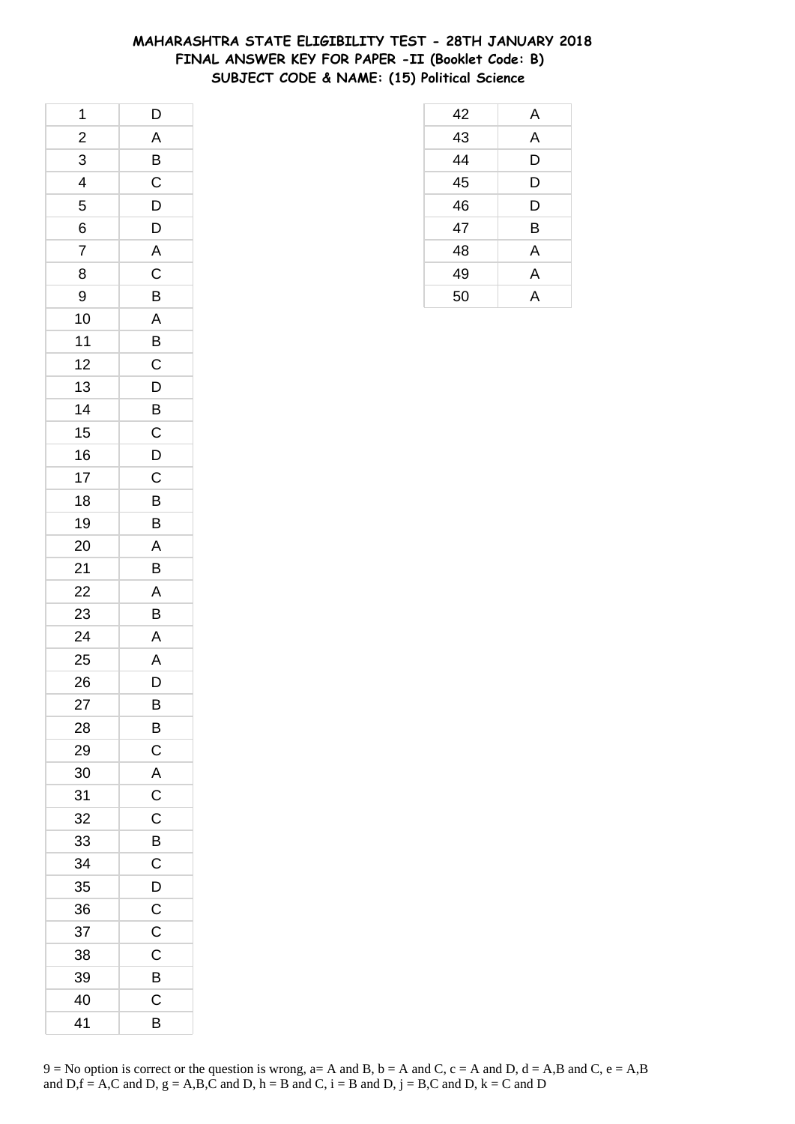### **MAHARASHTRA STATE ELIGIBILITY TEST - 28TH JANUARY 2018 FINAL ANSWER KEY FOR PAPER -II (Booklet Code: B) SUBJECT CODE & NAME: (15) Political Science**

| 1                       | D              |
|-------------------------|----------------|
| $\overline{\mathbf{c}}$ | A              |
| $\overline{3}$          | $\overline{B}$ |
| 4                       | $\overline{C}$ |
| 5                       | D              |
| 6                       | D              |
| $\overline{7}$          | A              |
| 8                       | $\mathsf C$    |
| 9                       | $\overline{B}$ |
| 10                      | A              |
| 11                      | B              |
| 12                      | $\overline{c}$ |
| 13                      | $\mathsf{D}$   |
| 14                      | B              |
| 15                      | $\overline{C}$ |
| 16                      | $\overline{D}$ |
| 17                      | $\mathsf{C}$   |
| 18                      | B              |
| 19                      | B              |
| 20                      | A              |
| 21                      | $\bar{B}$      |
| 22                      | A              |
| 23                      | B              |
| 24                      | A              |
| 25                      | A              |
| 26                      | D              |
| 27                      | B              |
| 28                      | B              |
| 29                      | C              |
| 30                      | A              |
| 31                      | $\mathsf C$    |
| 32                      | C              |
| 33                      | B              |
| 34                      | $\overline{C}$ |
| 35                      | D              |
| 36                      | $\mathsf C$    |
| 37                      | C              |
| 38                      | C              |
| 39                      | B              |
| 40                      | Ċ              |
| 41                      | B              |

| 42 | A |
|----|---|
| 43 | A |
| 44 | D |
| 45 | D |
| 46 | D |
| 47 | B |
| 48 | A |
| 49 | A |
| 50 | А |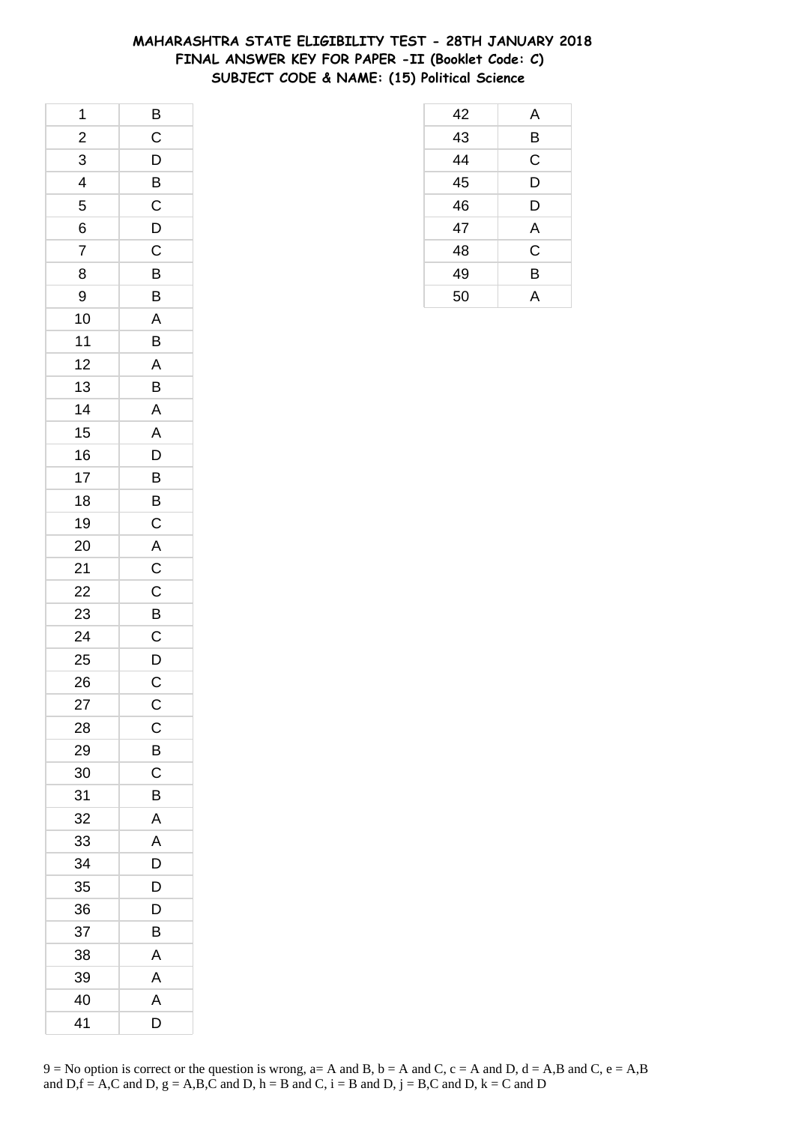### **MAHARASHTRA STATE ELIGIBILITY TEST - 28TH JANUARY 2018 FINAL ANSWER KEY FOR PAPER -II (Booklet Code: C) SUBJECT CODE & NAME: (15) Political Science**

| 1                       | $\overline{B}$ |
|-------------------------|----------------|
| $\frac{2}{1}$           | $\overline{C}$ |
| $\overline{3}$          | $\mathsf{D}$   |
| $\overline{\mathbf{r}}$ | $\overline{B}$ |
| 5                       | $\mathsf C$    |
| 6                       | $\mathsf{D}$   |
| $\overline{7}$          | C              |
| 8                       | $\overline{B}$ |
| 9                       | B              |
| 10                      | A              |
| 11                      | B              |
| 12                      | $\mathsf{A}$   |
| 13                      | B              |
| 14                      | A              |
| 15                      | $\mathsf{A}$   |
| 16                      | D              |
| 17                      | B              |
| 18                      | B              |
| 19                      | $\overline{C}$ |
| 20                      | $rac{A}{C}$    |
| 21                      |                |
| 22                      | $\frac{C}{B}$  |
| 23                      |                |
| 24                      | $\mathsf C$    |
| 25                      |                |
| 26                      | $\frac{D}{C}$  |
| 27                      | $\mathsf{C}$   |
| 28                      | C              |
| 29                      | B              |
| 30                      | C              |
| 31                      | B              |
| 32                      | Α              |
| 33                      | A              |
| 34                      | D              |
| 35                      | D              |
| 36                      | D              |
| 37                      | B              |
| 38                      | Α              |
| 39                      | A              |
| 40                      | A              |
| 41                      | D              |

| 42 | Α           |
|----|-------------|
| 43 | B           |
| 44 | C           |
| 45 | D           |
| 46 | D           |
| 47 | A           |
| 48 | $\mathsf C$ |
| 49 | B           |
| 50 | А           |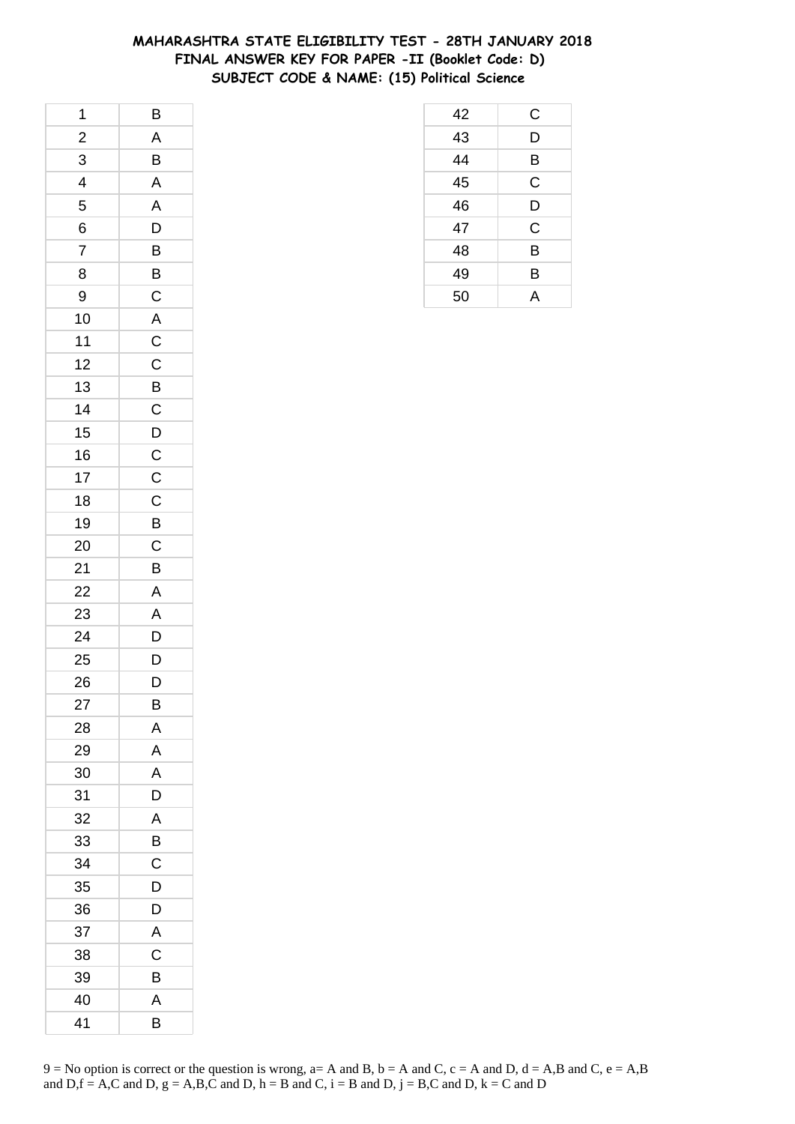### **MAHARASHTRA STATE ELIGIBILITY TEST - 28TH JANUARY 2018 FINAL ANSWER KEY FOR PAPER -II (Booklet Code: D) SUBJECT CODE & NAME: (15) Political Science**

| 1                       | B              |
|-------------------------|----------------|
| $\overline{\mathbf{c}}$ | $\overline{A}$ |
| $\overline{3}$          | B              |
| $\overline{4}$          | A              |
| 5                       | A              |
| 6                       | D              |
| $\overline{7}$          | B              |
| 8                       | $\overline{B}$ |
| 9                       | $\overline{C}$ |
| 10                      |                |
| 11                      | $rac{A}{C}$    |
| 12                      | $\mathsf{C}$   |
| 13                      | $\overline{B}$ |
| 14                      | $\mathsf{C}$   |
| 15                      |                |
| 16                      | $\frac{D}{C}$  |
| 17                      | $\mathsf{C}$   |
| 18                      | $\mathsf C$    |
| 19                      | B              |
| 20                      | $\mathsf{C}$   |
| 21                      | B              |
| 22                      | $\overline{A}$ |
| 23                      | A              |
| 24                      | D              |
| 25                      | $\mathsf{D}$   |
| 26                      | D              |
| 27                      | B              |
| 28                      | Α              |
| 29                      | A              |
| 30                      | A              |
| 31                      | D              |
| 32                      | A              |
| 33                      | B              |
| 34                      | C              |
| 35                      | D              |
| 36                      | D              |
| 37                      | Α              |
| 38                      | С              |
| 39                      | B              |
| 40                      | A              |
| 41                      | B              |

| 42 | C           |
|----|-------------|
| 43 | D           |
| 44 | B           |
| 45 | $\mathsf C$ |
| 46 | D           |
| 47 | C           |
| 48 | B           |
| 49 | B           |
| 50 | А           |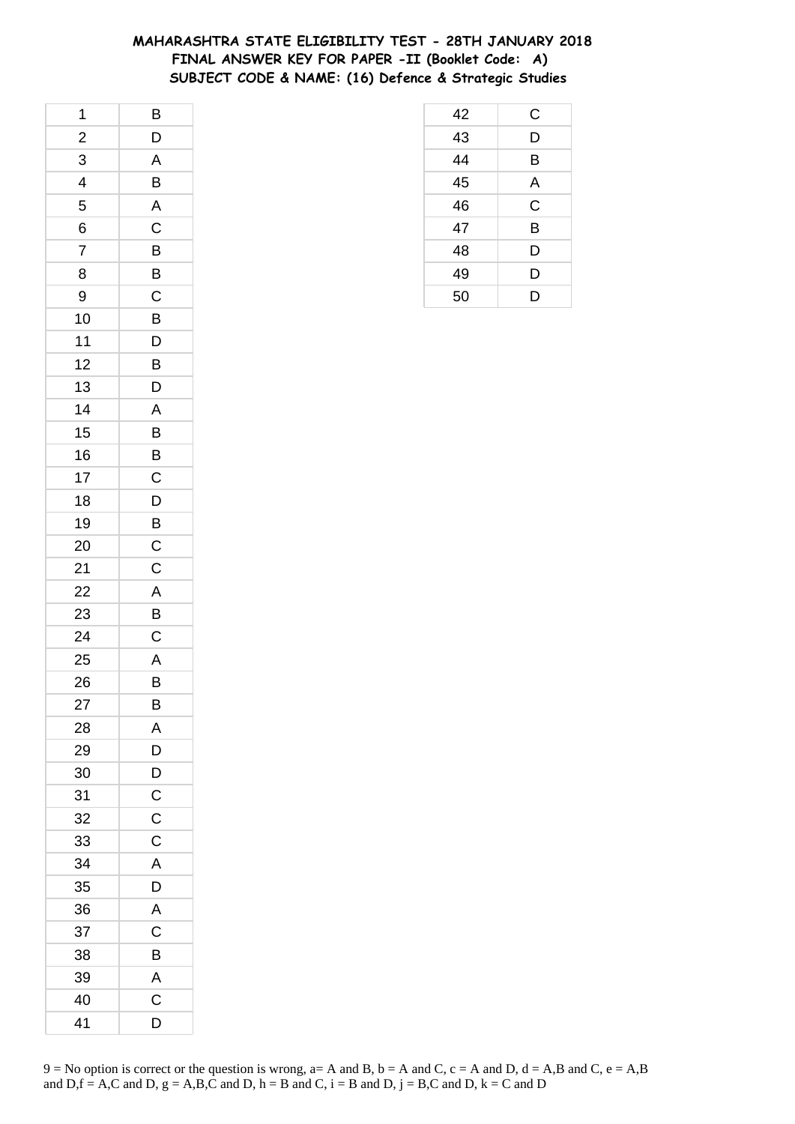### **MAHARASHTRA STATE ELIGIBILITY TEST - 28TH JANUARY 2018 FINAL ANSWER KEY FOR PAPER -II (Booklet Code: A) SUBJECT CODE & NAME: (16) Defence & Strategic Studies**

| 1                       | B              |
|-------------------------|----------------|
| $\overline{\mathbf{c}}$ | D              |
| 3                       | A              |
| 4                       | B              |
| 5                       | $\overline{A}$ |
| 6                       | $\mathsf C$    |
| $\overline{7}$          | B              |
| 8                       | $\overline{B}$ |
| 9                       | $\overline{C}$ |
| 10                      | $\overline{B}$ |
| 11                      | $\overline{D}$ |
| 12                      | B              |
| 13                      | D              |
| 14                      | A              |
| 15                      | $\overline{B}$ |
| 16                      | B              |
| 17                      | C              |
| 18                      | D              |
| 19                      | B              |
| 20                      | $\mathsf{C}$   |
| 21                      | $\mathsf{C}$   |
| 22                      | A              |
| 23                      | B              |
| 24                      | C              |
| 25                      | A              |
| 26                      | B              |
| 27                      | B              |
| 28                      | Α              |
| 29                      | D              |
| 30                      | D              |
| 31                      | $\mathsf C$    |
| 32                      | $\mathsf C$    |
| 33                      | $\mathsf{C}$   |
| 34                      | A              |
| 35                      | D              |
| 36                      | A              |
| 37                      | C              |
| 38                      | B              |
| 39                      | A              |
| 40                      | C              |
| 41                      | D              |

| 42              | C              |
|-----------------|----------------|
| 43              | D              |
| $\overline{44}$ | B              |
| 45              | A              |
| 46              | $\overline{C}$ |
| 47              | B              |
| 48              | D              |
| 49              | D              |
| 50              | D              |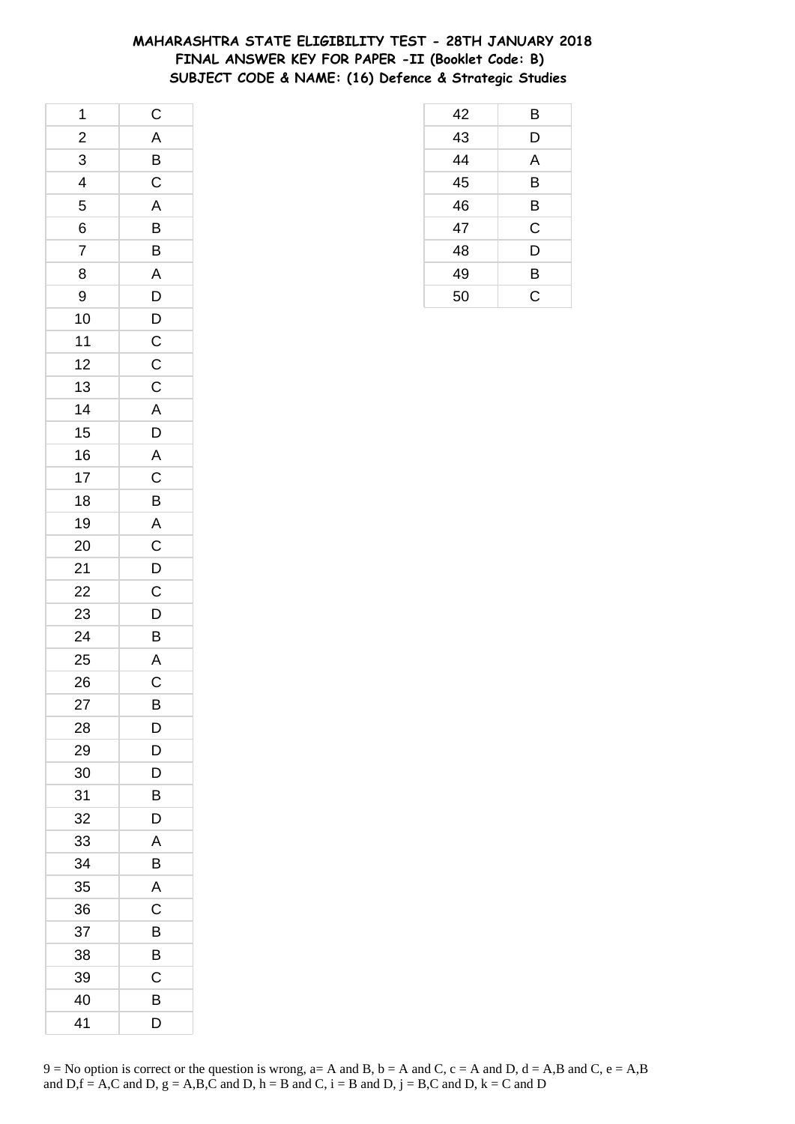### **MAHARASHTRA STATE ELIGIBILITY TEST - 28TH JANUARY 2018 FINAL ANSWER KEY FOR PAPER -II (Booklet Code: B) SUBJECT CODE & NAME: (16) Defence & Strategic Studies**

| 1                       | $\mathsf{C}$            |
|-------------------------|-------------------------|
| $\frac{2}{1}$           | $\overline{A}$          |
| 3                       | $\overline{B}$          |
| $\overline{\mathbf{r}}$ | $\mathsf{C}$            |
| 5                       | $\overline{A}$          |
| 6                       | $\overline{B}$          |
| $\overline{7}$          | B                       |
| 8                       | $\overline{A}$          |
| 9                       | $\overline{D}$          |
| 10                      | $\overline{D}$          |
| 11                      |                         |
| 12                      | $\frac{C}{C}$           |
| 13                      | $\mathsf{C}$            |
| 14                      | $\overline{A}$          |
| 15                      | $\overline{D}$          |
| 16                      |                         |
| 17                      | $rac{A}{C}$             |
| 18                      | B                       |
| 19                      | $A$ <sup>-</sup>        |
| 20                      |                         |
| 21                      | $\frac{C}{D}$           |
| 22                      | $\overline{C}$          |
| 23                      | D                       |
| 24                      | B                       |
| 25                      | $\overline{A}$          |
| 26                      | $\overline{\mathsf{C}}$ |
| 27                      | B                       |
| 28                      | D                       |
| 29                      | D                       |
| 30                      | D                       |
| 31                      | B                       |
| 32                      | D                       |
| 33                      | A                       |
| 34                      | B                       |
| 35                      | A                       |
| 36                      | С                       |
| 37                      | В                       |
| 38                      | В                       |
| 39                      | Ċ                       |
| 40                      | В                       |
| 41                      | D                       |

| 42 | B |
|----|---|
| 43 | D |
| 44 | A |
| 45 | B |
| 46 | B |
| 47 | C |
| 48 | D |
| 49 | B |
| 50 | Ć |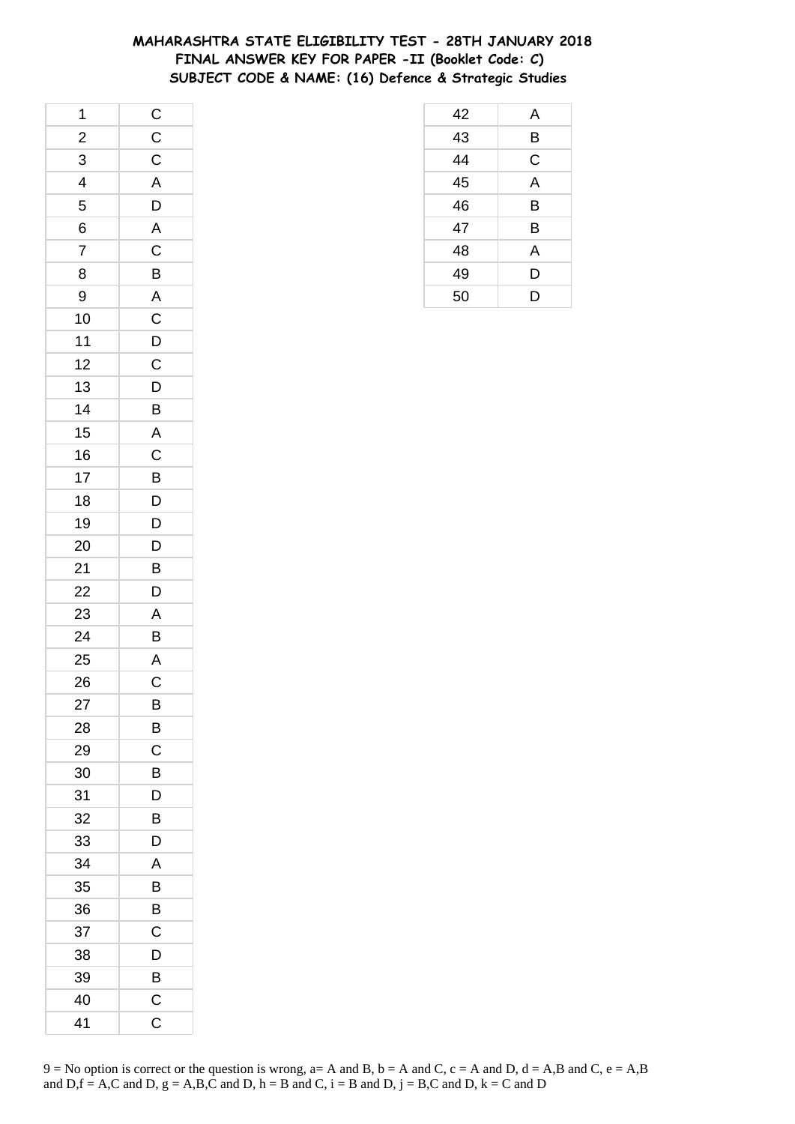### **MAHARASHTRA STATE ELIGIBILITY TEST - 28TH JANUARY 2018 FINAL ANSWER KEY FOR PAPER -II (Booklet Code: C) SUBJECT CODE & NAME: (16) Defence & Strategic Studies**

| 1                       | $\overline{C}$ |
|-------------------------|----------------|
| $\frac{2}{1}$           | $\overline{C}$ |
| 3                       | $\overline{C}$ |
| $\overline{\mathbf{r}}$ | $\overline{A}$ |
| 5                       | $\overline{D}$ |
| 6                       | $\mathsf{A}$   |
| $\overline{7}$          | $\mathsf C$    |
| 8                       | $\overline{B}$ |
| 9                       | $\overline{A}$ |
| 10                      | $\overline{C}$ |
| $11$                    | $\overline{D}$ |
| 12                      | $\mathsf C$    |
| 13                      | $\overline{D}$ |
| 14                      | $\overline{B}$ |
| 15                      | $\overline{A}$ |
| 16                      | $\overline{C}$ |
| 17                      | B              |
| 18                      | D              |
| 19                      | D              |
| 20                      | $\overline{D}$ |
| 21                      | $\overline{B}$ |
| 22                      | $\overline{D}$ |
| 23                      | A              |
| 24                      | B              |
| 25                      | $rac{A}{C}$    |
| 26                      |                |
| 27                      | B              |
| 28                      | B              |
| 29                      | C              |
| 30                      | B              |
| 31                      | D              |
| 32                      | B              |
| 33                      | D              |
| 34                      | A              |
| 35                      | B              |
| 36                      | B              |
| 37                      | C              |
| 38                      | D              |
| 39                      | B              |
| 40                      | $\mathsf C$    |
| 41                      | C              |

| 42 | A |
|----|---|
| 43 | B |
| 44 | C |
| 45 | A |
| 46 | B |
| 47 | B |
| 48 | A |
| 49 | D |
| 50 | D |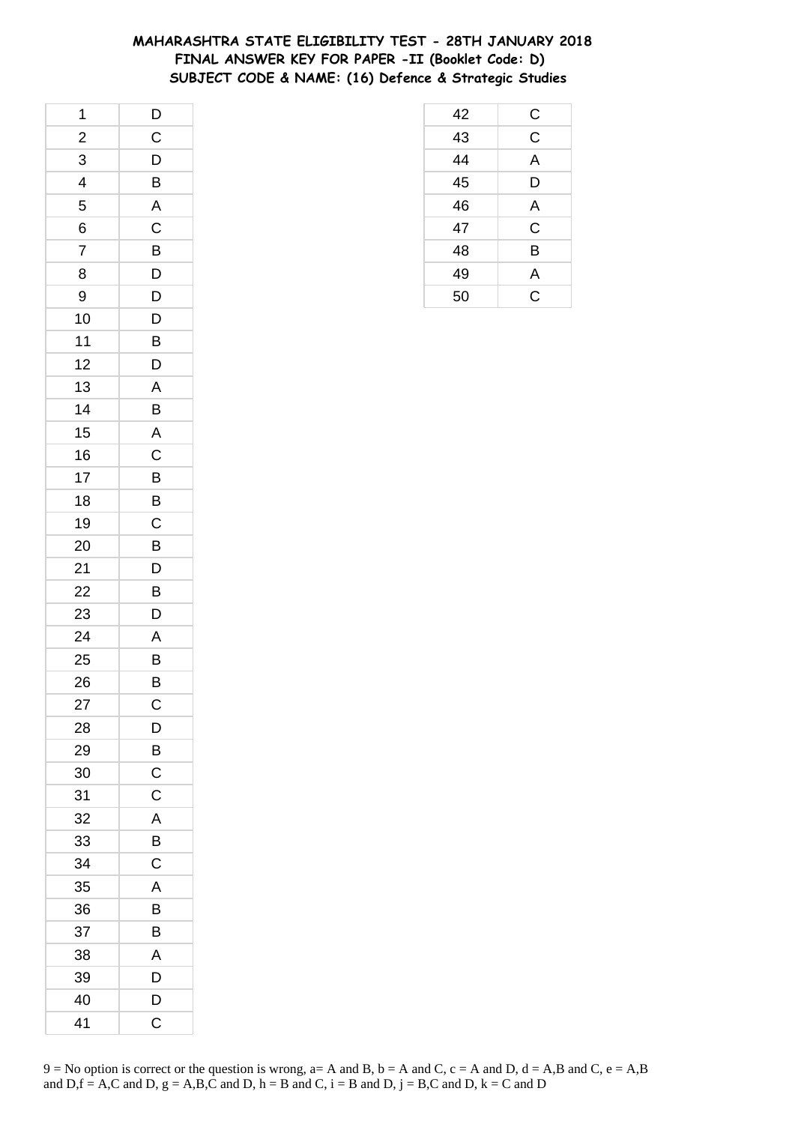### **MAHARASHTRA STATE ELIGIBILITY TEST - 28TH JANUARY 2018 FINAL ANSWER KEY FOR PAPER -II (Booklet Code: D) SUBJECT CODE & NAME: (16) Defence & Strategic Studies**

| 1                       | $\overline{D}$          |
|-------------------------|-------------------------|
| $\overline{\mathbf{c}}$ | $\mathsf C$             |
| 3                       | $\mathsf{D}$            |
| 4                       | B                       |
| 5                       | $\overline{\mathsf{A}}$ |
| 6                       | $\mathsf C$             |
| $\overline{7}$          | B                       |
| 8                       | D                       |
| 9                       | D                       |
| 10                      | D                       |
| 11                      | B                       |
| 12                      | D                       |
| 13                      | A                       |
| 14                      | B                       |
| 15                      | $\overline{\mathsf{A}}$ |
| 16                      | $\overline{C}$          |
| 17                      | B                       |
| 18                      | B                       |
| 19                      | C                       |
| 20                      | B                       |
| 21                      | D                       |
| 22                      | B                       |
| 23                      | D                       |
| 24                      | A                       |
| 25                      | B                       |
| 26                      | B                       |
| 27                      | $\mathsf{C}$            |
| 28                      | D                       |
| 29                      | B                       |
| 30                      | $\mathsf C$             |
| 31                      | C                       |
| 32                      | A                       |
| 33                      | B                       |
| 34                      | $\mathsf C$             |
| 35                      | A                       |
| 36                      | В                       |
| 37                      | B                       |
| 38                      | Α                       |
| 39                      | D                       |
| 40                      | D                       |
| 41                      | C                       |

| 42 | C              |
|----|----------------|
| 43 | $\overline{C}$ |
| 44 | A              |
| 45 | D              |
| 46 | A              |
| 47 | $\mathsf C$    |
| 48 | B              |
| 49 | A              |
| 50 | Ć              |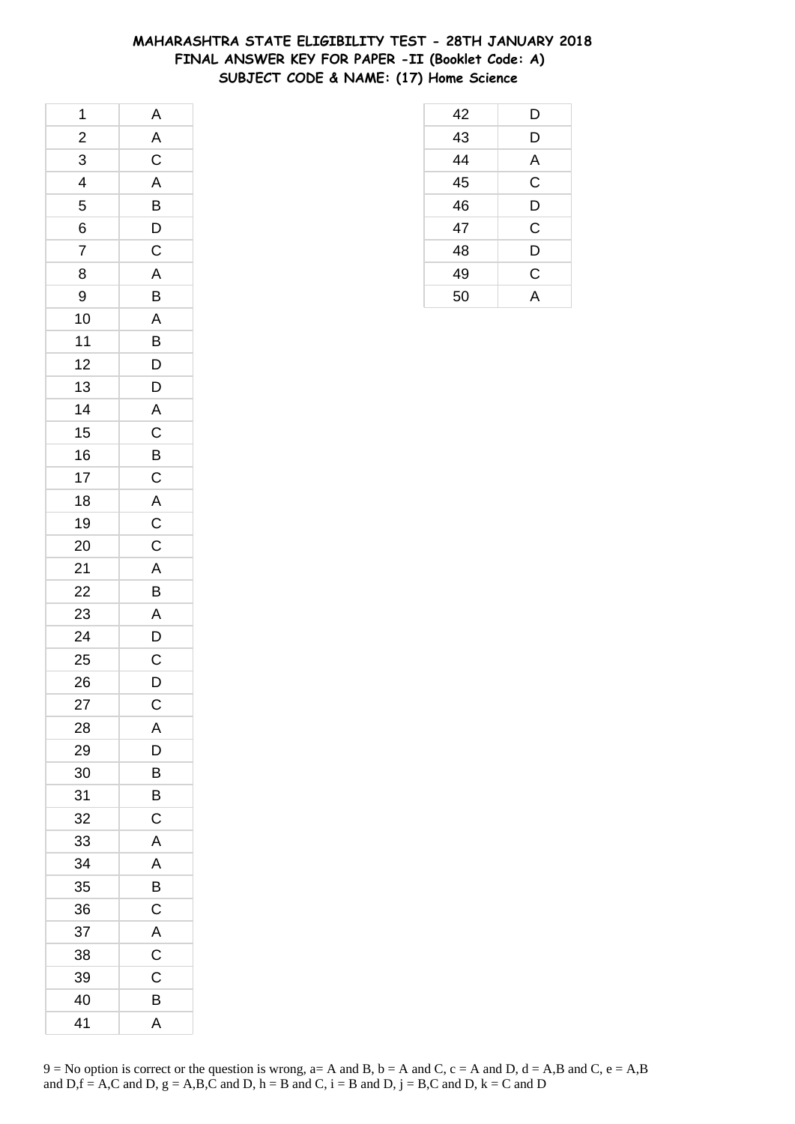### **MAHARASHTRA STATE ELIGIBILITY TEST - 28TH JANUARY 2018 FINAL ANSWER KEY FOR PAPER -II (Booklet Code: A) SUBJECT CODE & NAME: (17) Home Science**

| 1                        | A                       |
|--------------------------|-------------------------|
| $\overline{c}$           | $\overline{A}$          |
| 3                        | $\overline{C}$          |
| $\overline{\mathcal{A}}$ | $\overline{\mathsf{A}}$ |
| 5                        | B                       |
| 6                        |                         |
| 7                        | $\frac{D}{C}$           |
| 8                        | $\overline{A}$          |
| 9                        | B                       |
| 10                       | $\mathsf{A}$            |
| 11                       | B                       |
| 12                       | D                       |
| 13                       | $\overline{D}$          |
| 14                       | A                       |
| 15                       | $\overline{C}$          |
| 16                       | $\overline{B}$          |
| 17                       | $\mathsf C$             |
| 18                       |                         |
| 19                       |                         |
| 20                       | $rac{A}{C}$             |
| 21                       | $\overline{A}$          |
| 22                       | B                       |
| 23                       | $\mathsf{A}$            |
| 24                       | D                       |
| 25                       |                         |
| 26                       | $\frac{C}{D}$           |
| 27                       | $\mathsf{C}$            |
| 28                       | Α                       |
| 29                       | D                       |
| 30                       | B                       |
| 31                       | B                       |
| 32                       | C                       |
| 33                       | A                       |
| 34                       | A                       |
| 35                       | B                       |
| 36                       | $\mathsf{C}$            |
| 37                       | $\overline{A}$          |
| 38                       | C                       |
| 39                       | C                       |
| 40                       | В                       |
| 41                       | Α                       |

| 42 | D           |
|----|-------------|
| 43 | D           |
| 44 | A           |
| 45 | $\mathsf C$ |
| 46 | D           |
| 47 | C           |
| 48 | D           |
| 49 | C           |
| 50 | A           |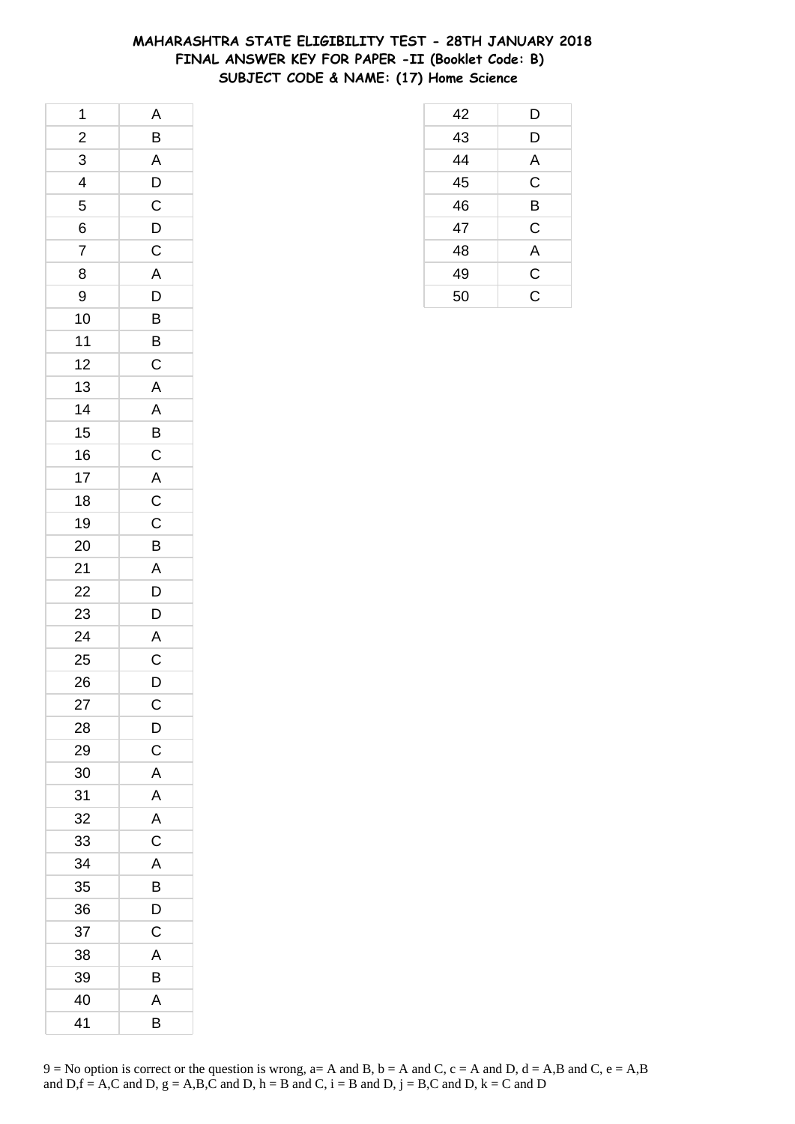### **MAHARASHTRA STATE ELIGIBILITY TEST - 28TH JANUARY 2018 FINAL ANSWER KEY FOR PAPER -II (Booklet Code: B) SUBJECT CODE & NAME: (17) Home Science**

| 1                       | A              |
|-------------------------|----------------|
| $\overline{\mathbf{c}}$ | B              |
| $\overline{3}$          | $\overline{A}$ |
| $\overline{4}$          | $\overline{D}$ |
| 5                       | $\mathsf C$    |
| 6                       |                |
| $\overline{7}$          | $\frac{D}{C}$  |
| 8                       | A              |
| 9                       | $\overline{D}$ |
| 10                      | $\overline{B}$ |
| 11                      | $\overline{B}$ |
| 12                      | $\overline{C}$ |
| 13                      | $\mathsf{A}$   |
| 14                      | $\overline{A}$ |
| 15                      |                |
| 16                      |                |
| 17                      |                |
| 18                      |                |
| 19                      | B C A C C      |
| 20                      | B              |
| 21                      | $\overline{A}$ |
| 22                      | $\overline{D}$ |
| 23                      | D              |
| 24                      | $\mathsf{A}$   |
| 25                      | $\mathsf{C}$   |
| 26                      | D              |
| 27                      | $\mathsf{C}$   |
| 28                      | D              |
| 29                      | $\mathsf{C}$   |
| 30                      | A              |
| 31                      | A              |
| 32                      | A              |
| 33                      | $\mathsf C$    |
| 34                      | A              |
| 35                      | B              |
| 36                      | D              |
| 37                      | C              |
| 38                      | A              |
| 39                      | B              |
| 40                      | A              |
| 41                      | B              |

| 42 | D           |
|----|-------------|
| 43 | D           |
| 44 | A           |
| 45 | $\mathsf C$ |
| 46 | B           |
| 47 | C           |
| 48 | A           |
| 49 | C           |
| 50 | Ć           |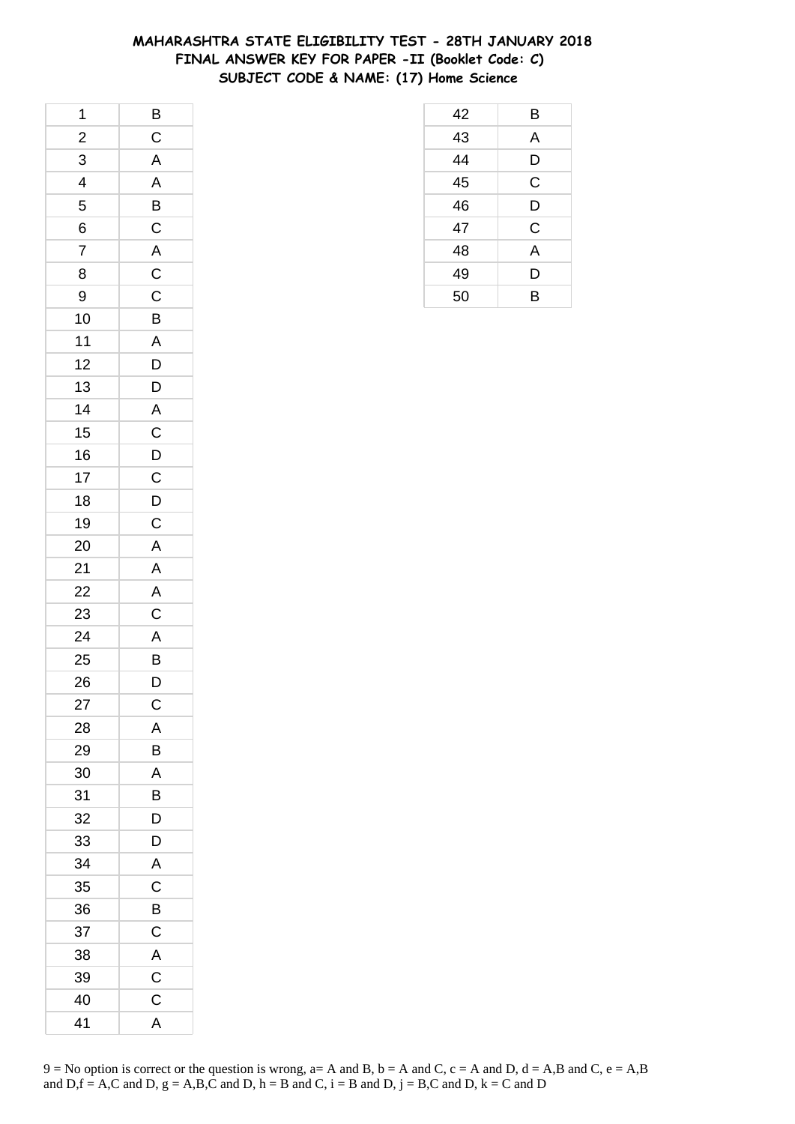### **MAHARASHTRA STATE ELIGIBILITY TEST - 28TH JANUARY 2018 FINAL ANSWER KEY FOR PAPER -II (Booklet Code: C) SUBJECT CODE & NAME: (17) Home Science**

| 1              |                            |
|----------------|----------------------------|
| $\frac{2}{3}$  | $rac{B}{C}$                |
| $\overline{3}$ | $\overline{A}$             |
| $\overline{4}$ | $\overline{A}$             |
| 5              | $\overline{B}$             |
| 6              | $\mathsf{C}$               |
| $\overline{7}$ |                            |
| 8              |                            |
| 9              | $\frac{A}{C}$              |
| 10             | $\overline{B}$             |
| $11$           | A                          |
| 12             | $\overline{D}$             |
| 13             | $\overline{D}$             |
| 14             | $\frac{A}{C}$              |
| 15             |                            |
| 16             |                            |
| 17             | $\frac{D}{C}$              |
| 18             |                            |
| 19             | $\frac{D}{C}$              |
| 20             |                            |
| 21             | A<br>A<br>A<br>A<br>C<br>A |
| 22             |                            |
| 23             |                            |
| 24             |                            |
| 25             | $\overline{B}$<br>D        |
| 26             |                            |
| 27             | $\mathsf C$                |
| 28             | Α                          |
| 29             | В                          |
| 30             | Α                          |
| 31             | B                          |
| 32             | D                          |
| 33             | D                          |
| 34             | A                          |
| 35             | C                          |
| 36             | B                          |
| 37             | C                          |
| 38             | A                          |
| 39             | $\mathsf{C}$               |
| 40             | C                          |
| 41             | A                          |

| 42 | Β           |
|----|-------------|
| 43 | A           |
| 44 | D           |
| 45 | $\mathsf C$ |
| 46 | D           |
| 47 | $\mathsf C$ |
| 48 | A           |
| 49 | D           |
| 50 | B           |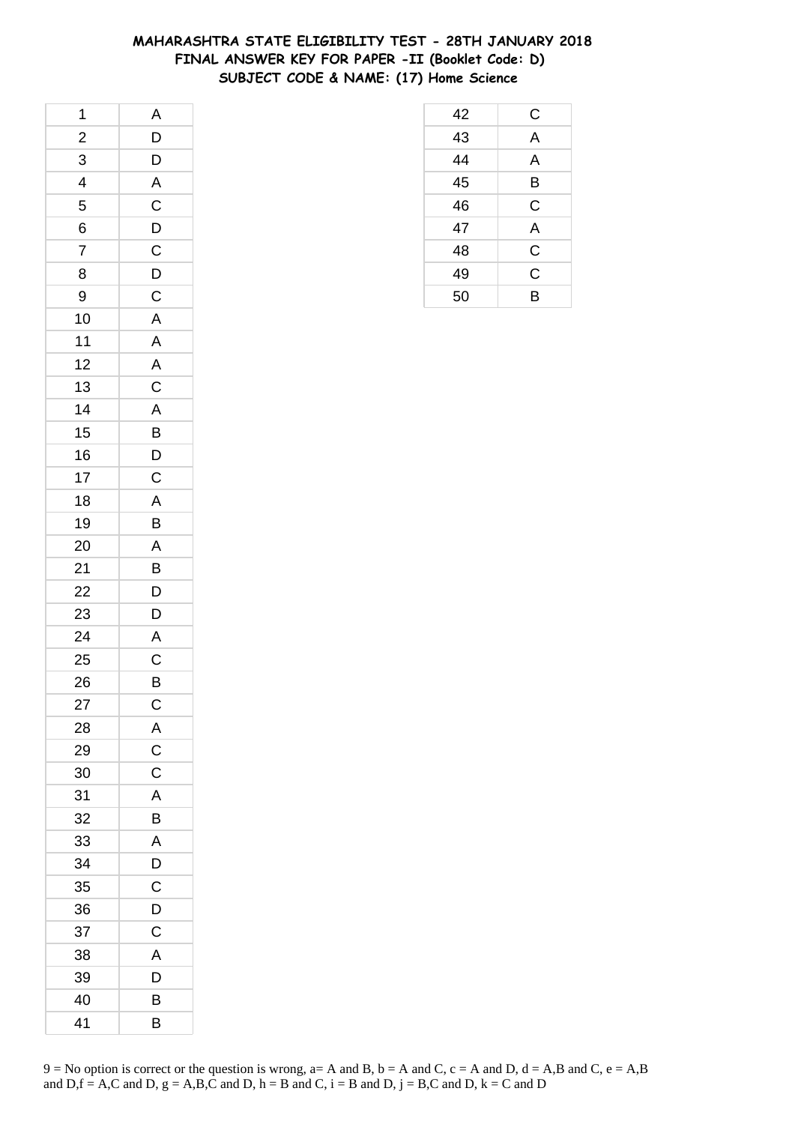### **MAHARASHTRA STATE ELIGIBILITY TEST - 28TH JANUARY 2018 FINAL ANSWER KEY FOR PAPER -II (Booklet Code: D) SUBJECT CODE & NAME: (17) Home Science**

| 1              | A                       |
|----------------|-------------------------|
| $\overline{c}$ | D                       |
| 3              | D                       |
| 4              | $\overline{\mathsf{A}}$ |
| 5              | $\mathsf{C}$            |
| 6              |                         |
| $\overline{7}$ | $\frac{D}{C}$           |
| 8              | $\overline{D}$          |
| 9              | $\overline{C}$          |
| 10             | $\overline{A}$          |
| 11             | $\mathsf{A}$            |
| 12             | $\overline{A}$          |
| 13             | $\overline{C}$          |
| 14             | $\overline{A}$          |
| 15             | $\overline{B}$          |
| 16             | $\overline{D}$          |
| 17             | $\mathsf C$             |
| 18             | A                       |
| 19             | B                       |
| 20             | $\mathsf{A}$            |
| 21             | B                       |
| 22             | D                       |
| 23             | D                       |
| 24             | $\overline{A}$          |
| 25             |                         |
| 26             | $\frac{C}{B}$           |
| 27             | $\mathsf{C}$            |
| 28             | Α                       |
| 29             | $\mathsf C$             |
| 30             | $\mathsf C$             |
| 31             | A                       |
| 32             | Β                       |
| 33             | A                       |
| 34             | D                       |
| 35             | C                       |
| 36             | D                       |
| 37             | C                       |
| 38             | Α                       |
| 39             | D                       |
| 40             | B                       |
| 41             | В                       |

| 42 | С           |
|----|-------------|
| 43 | A           |
| 44 | A           |
| 45 | B           |
| 46 | $\mathsf C$ |
| 47 | A           |
| 48 | C           |
| 49 | C           |
| 50 | B           |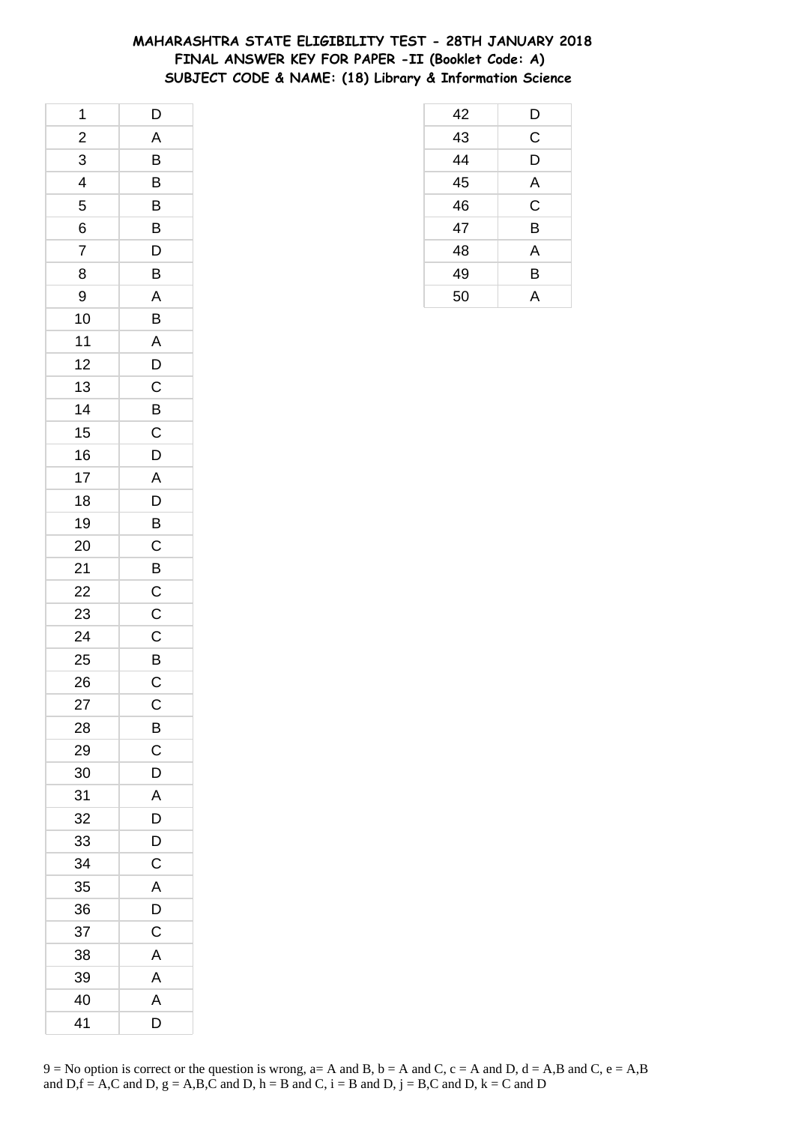### **MAHARASHTRA STATE ELIGIBILITY TEST - 28TH JANUARY 2018 FINAL ANSWER KEY FOR PAPER -II (Booklet Code: A) SUBJECT CODE & NAME: (18) Library & Information Science**

| 1              | D                     |
|----------------|-----------------------|
| $\overline{c}$ | A                     |
| 3              | B                     |
| 4              | B                     |
| 5              | B                     |
| 6              | B                     |
| $\overline{7}$ | D                     |
| 8              | B                     |
| 9              | A                     |
| 10             | B                     |
| 11             | A                     |
| 12             | D                     |
| 13             | $\overline{C}$        |
| 14             | B                     |
| 15             | C                     |
| 16             | D                     |
| 17             | A                     |
| 18             | D                     |
| 19             | B                     |
| 20             | $\mathsf C$           |
| 21             | B                     |
| 22             | $\mathsf C$           |
| 23             | $\mathsf C$           |
| 24             | $\mathsf C$           |
| 25             | $\overline{B}$        |
| 26             | $\overline{\text{c}}$ |
| 27             | $\mathsf C$           |
| 28             | В                     |
| 29             | C                     |
| 30             | D                     |
| 31             | A                     |
| 32             | D                     |
| 33             | D                     |
| 34             | C                     |
| 35             | Α                     |
| 36             | D                     |
| 37             | C                     |
| 38             | Α                     |
| 39             | A                     |
| 40             | A                     |
| 41             | D                     |

| 42 | D |
|----|---|
| 43 | C |
| 44 | D |
| 45 | A |
| 46 | C |
| 47 | B |
| 48 | Α |
| 49 | B |
| 50 |   |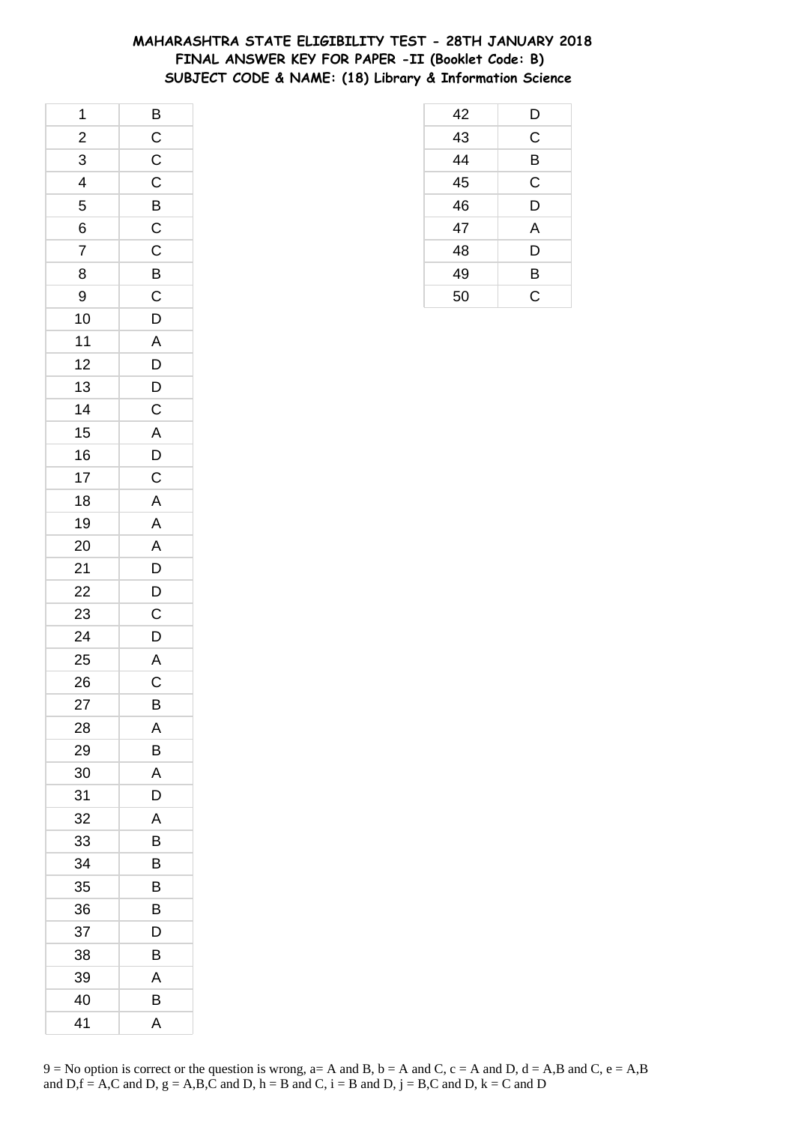### **MAHARASHTRA STATE ELIGIBILITY TEST - 28TH JANUARY 2018 FINAL ANSWER KEY FOR PAPER -II (Booklet Code: B) SUBJECT CODE & NAME: (18) Library & Information Science**

| 1                        |                         |
|--------------------------|-------------------------|
| $\frac{1}{2}$            | $rac{B}{C}$             |
| 3                        | $\frac{C}{C}$           |
| $\overline{\mathcal{L}}$ |                         |
| 5                        | $\overline{B}$          |
| 6                        |                         |
| $\overline{7}$           | $\frac{C}{C}$           |
| 8                        | $\overline{B}$          |
| 9                        | $\overline{C}$          |
| 10                       | $\overline{D}$          |
| 11                       | $\mathsf{A}$            |
| 12                       | D                       |
| 13                       | $\overline{D}$          |
| 14                       | $\overline{C}$          |
| 15                       | $\overline{A}$          |
| 16                       |                         |
| 17                       | $\frac{D}{C}$           |
| 18                       | $\mathsf{A}$            |
| 19                       | A                       |
| 20                       | $\overline{A}$          |
| 21                       | $\frac{1}{D}$           |
| 22                       | $\mathsf{D}$            |
| 23                       | $\mathsf C$             |
| 24                       | $\overline{D}$          |
| 25                       | $\overline{A}$          |
| 26                       | $\overline{\mathbf{C}}$ |
| 27                       | B                       |
| 28                       | Α                       |
| 29                       | В                       |
| 30                       | Α                       |
| 31                       | D                       |
| 32                       | A                       |
| 33                       | В                       |
| 34                       | B                       |
| 35                       | В                       |
| 36                       | B                       |
| 37                       | D                       |
| 38                       | В                       |
| 39                       | A                       |
| 40                       | B                       |
| 41                       | Α                       |

| 42              | D              |
|-----------------|----------------|
| $\overline{43}$ | $\overline{C}$ |
| $\overline{44}$ | B              |
| $\overline{45}$ | C              |
| 46              | D              |
| 47              | A              |
| 48              | D              |
| 49              | B              |
| 50              | $\overline{C}$ |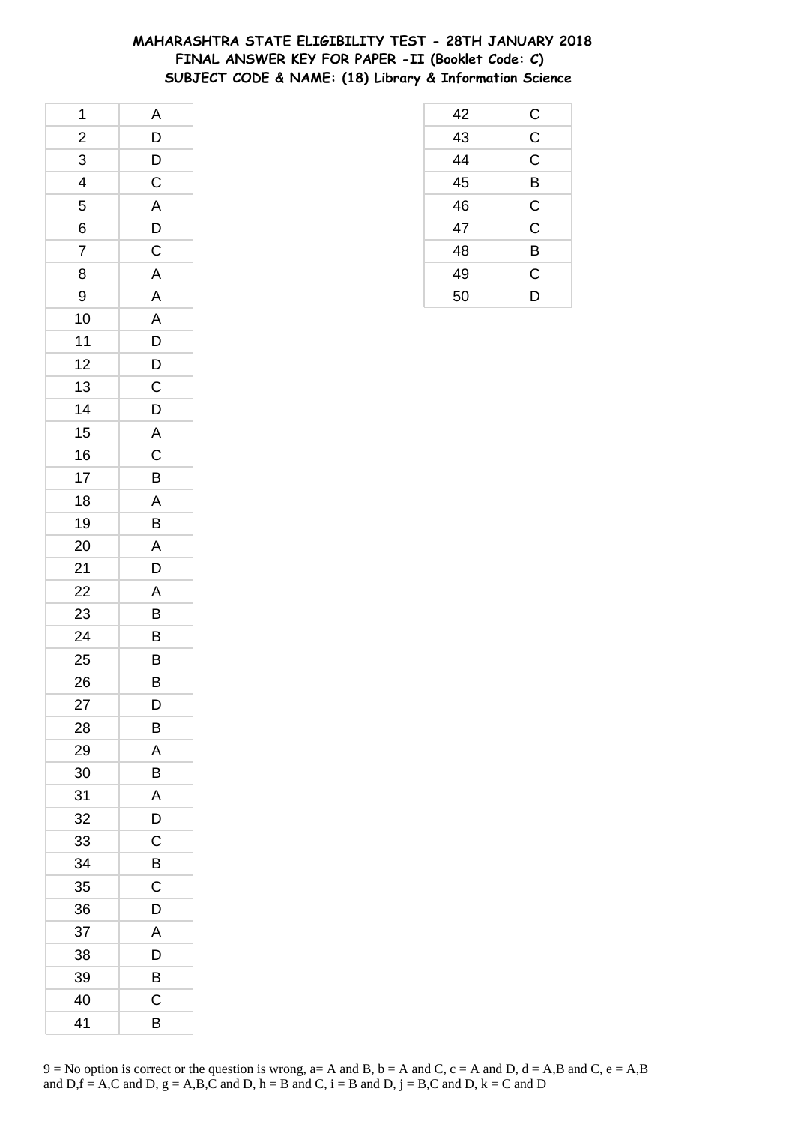### **MAHARASHTRA STATE ELIGIBILITY TEST - 28TH JANUARY 2018 FINAL ANSWER KEY FOR PAPER -II (Booklet Code: C) SUBJECT CODE & NAME: (18) Library & Information Science**

| 1                       | A                       |
|-------------------------|-------------------------|
| $\frac{2}{1}$           | $\overline{D}$          |
| 3                       | $\overline{D}$          |
| $\overline{\mathbf{r}}$ | $\overline{C}$          |
| 5                       | $\overline{\mathsf{A}}$ |
| 6                       | $\mathsf{D}$            |
| $\overline{7}$          | $\overline{C}$          |
| 8                       | $\overline{A}$          |
| 9                       | $\overline{A}$          |
| 10                      | $\overline{A}$          |
| 11                      | D                       |
| 12                      | $\mathsf{D}$            |
| 13                      | $\mathsf{C}$            |
| 14                      | $\overline{D}$          |
| 15                      | $\overline{A}$          |
| 16                      | $\overline{C}$          |
| 17                      | B                       |
| 18                      | $\overline{A}$          |
| 19                      | $\overline{B}$          |
| 20                      |                         |
| 21                      | $\frac{A}{D}$           |
| 22                      | A                       |
| 23                      | B                       |
| 24                      | B                       |
| 25                      | $\overline{B}$          |
| 26                      | $\overline{B}$          |
| 27                      | D                       |
| 28                      | В                       |
| 29                      | Α                       |
| 30                      | В                       |
| 31                      | A                       |
| 32                      | D                       |
| 33                      | C                       |
| 34                      | B                       |
| 35                      | C                       |
| 36                      | D                       |
| 37                      | A                       |
| 38                      | D                       |
| 39                      | B                       |
| 40                      | C                       |
| 41                      | В                       |

| 42              |                         |
|-----------------|-------------------------|
| $\overline{43}$ | $\frac{C}{C}$           |
| $\frac{18}{44}$ | $\overline{\mathsf{C}}$ |
|                 | B                       |
| $\overline{46}$ | $\mathsf{C}$            |
| $\overline{47}$ | $\overline{\mathsf{C}}$ |
| 48              | Β                       |
| 49              | C                       |
| 50              | D                       |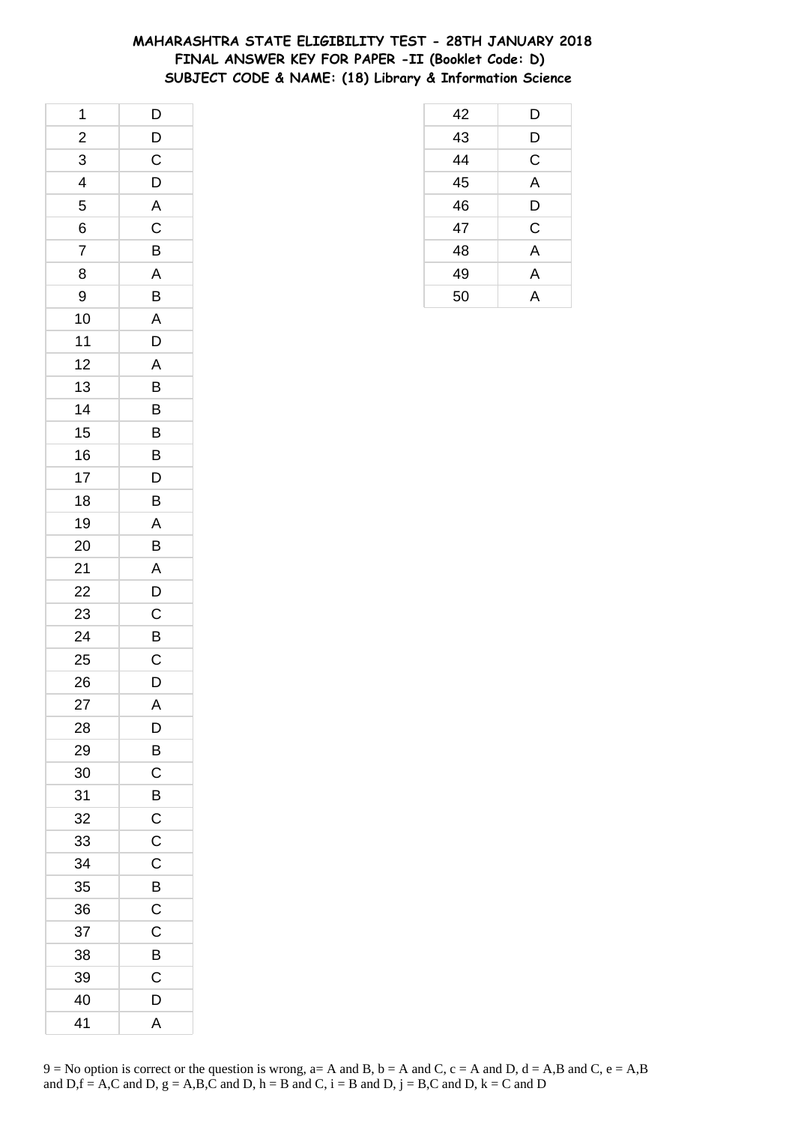### **MAHARASHTRA STATE ELIGIBILITY TEST - 28TH JANUARY 2018 FINAL ANSWER KEY FOR PAPER -II (Booklet Code: D) SUBJECT CODE & NAME: (18) Library & Information Science**

| 1              | $\overline{D}$          |
|----------------|-------------------------|
| $\frac{2}{1}$  |                         |
| 3              | $\frac{D}{C}$           |
| 4              | D                       |
| 5              | A                       |
| 6              | $\mathsf C$             |
| $\overline{7}$ | B                       |
| 8              | $\overline{A}$          |
| 9              | $\overline{B}$          |
| 10             | $\overline{\mathsf{A}}$ |
| 11             | D                       |
| 12             | A                       |
| 13             | B                       |
| 14             | B                       |
| 15             | B                       |
| 16             | B                       |
| 17             | D                       |
| 18             | B                       |
| 19             | A                       |
| 20             | B                       |
| 21             | A                       |
| 22             | D                       |
| 23             | $\mathsf C$             |
| 24             | B                       |
| 25             | $\mathsf C$             |
| 26             | $\overline{\mathsf{D}}$ |
| 27             | A                       |
| 28             | D                       |
| 29             | B                       |
| 30             | C                       |
| 31             | B                       |
| 32             | $\overline{C}$          |
| 33             | $\mathsf C$             |
| 34             | $\mathsf C$             |
| 35             | B                       |
| 36             | C                       |
| 37             | C                       |
| 38             | B                       |
| 39             | $\mathsf C$             |
| 40             | D                       |
| 41             | A                       |

| 42 | D           |
|----|-------------|
| 43 | D           |
| 44 | $\mathsf C$ |
| 45 | A           |
| 46 | D           |
| 47 | C           |
| 48 | A           |
| 49 | A           |
| 50 | Δ           |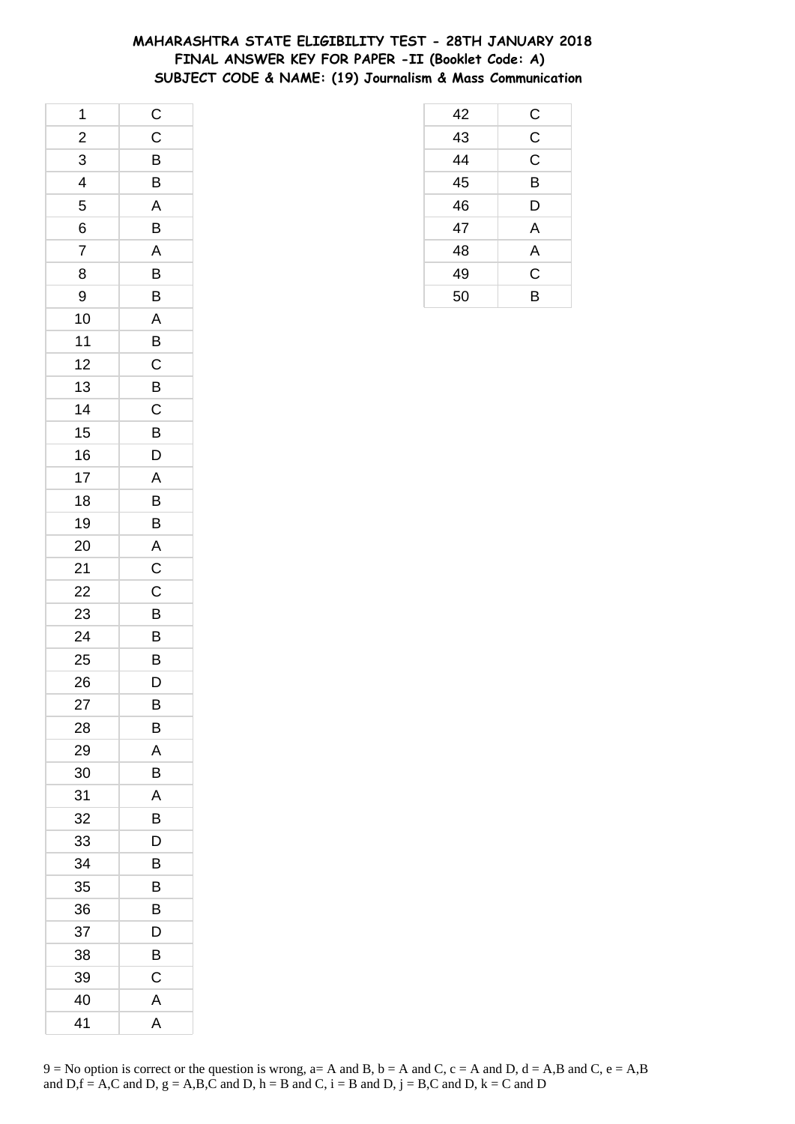### **MAHARASHTRA STATE ELIGIBILITY TEST - 28TH JANUARY 2018 FINAL ANSWER KEY FOR PAPER -II (Booklet Code: A) SUBJECT CODE & NAME: (19) Journalism & Mass Communication**

| 1              | $\overline{C}$          |
|----------------|-------------------------|
| $\overline{c}$ | $\mathsf C$             |
| 3              | B                       |
| 4              | B                       |
| 5              | $\overline{\mathsf{A}}$ |
| 6              | B                       |
| $\overline{7}$ | A                       |
| 8              | B                       |
| 9              | B                       |
| 10             | $\overline{\mathsf{A}}$ |
| 11             | B                       |
| 12             | $\mathsf C$             |
| 13             | $\overline{B}$          |
| 14             | $\overline{\mathrm{c}}$ |
| 15             | B                       |
| 16             | D                       |
| 17             | A                       |
| 18             | B                       |
| 19             | B                       |
| 20             | $\overline{A}$          |
| 21             | $\mathsf C$             |
| 22             | C                       |
| 23             | B                       |
| 24             | B                       |
| 25             | $\overline{B}$          |
| 26             | $\bar{D}$               |
| 27             | B                       |
| 28             | В                       |
| 29             | Α                       |
| 30             | B                       |
| 31             | A                       |
| 32             | B                       |
| 33             | D                       |
| 34             | В                       |
| 35             | B                       |
| 36             | В                       |
| 37             | D                       |
| 38             | B                       |
| 39             | C                       |
| 40             | A                       |
| 41             | A                       |

| 42 | $\overline{C}$          |
|----|-------------------------|
| 43 | $\overline{\mathsf{C}}$ |
| 44 | $\overline{C}$          |
| 45 | B                       |
| 46 | D                       |
| 47 | A                       |
| 48 | A                       |
| 49 | C                       |
| 50 | B                       |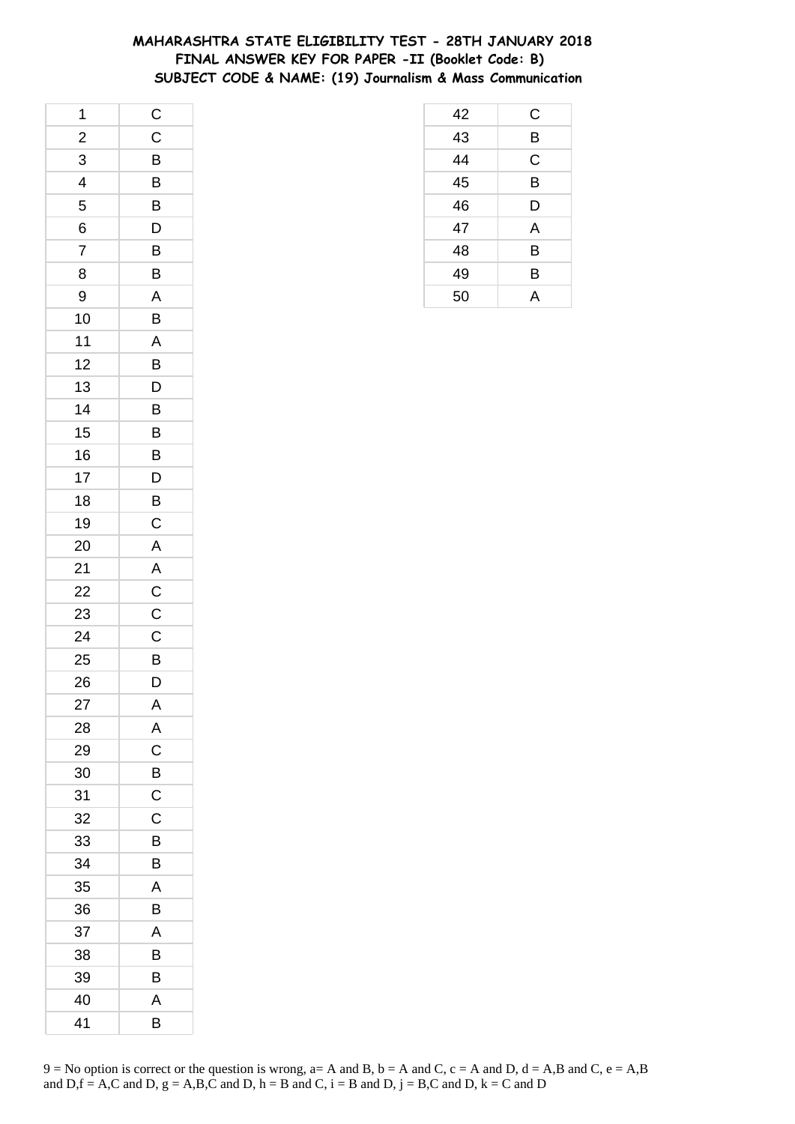### **MAHARASHTRA STATE ELIGIBILITY TEST - 28TH JANUARY 2018 FINAL ANSWER KEY FOR PAPER -II (Booklet Code: B) SUBJECT CODE & NAME: (19) Journalism & Mass Communication**

| 1              | $\mathsf{C}$            |
|----------------|-------------------------|
| $\frac{1}{2}$  | $\mathsf{C}$            |
| 3              | B                       |
| 4              | B                       |
| 5              | B                       |
| 6              | D                       |
| $\overline{7}$ | B                       |
| 8              | B                       |
| 9              | A                       |
| 10             | B                       |
| 11             | A                       |
| 12             | B                       |
| 13             | $\mathsf{D}$            |
| 14             | B                       |
| 15             | B                       |
| 16             | B                       |
| 17             | D                       |
| 18             | B                       |
| 19             | $\mathsf C$             |
| 20             | $\overline{A}$          |
| 21             | $\overline{A}$          |
| 22             | $\mathsf{C}$            |
| 23             | $\mathsf C$             |
| 24             | $\mathsf C$             |
| 25             | $\overline{B}$          |
| 26             | $\overline{\mathsf{D}}$ |
| 27             | A                       |
| 28             | A                       |
| 29             | C                       |
| 30             | B                       |
| 31             | $\mathsf{C}$            |
| 32             | $\mathsf C$             |
| 33             | B                       |
| 34             | B                       |
| 35             | A                       |
| 36             | B                       |
| 37             | A                       |
| 38             | B                       |
| 39             | B                       |
| 40             | A                       |
| 41             | В                       |

| 42 | C           |
|----|-------------|
| 43 | B           |
| 44 | $\mathsf C$ |
| 45 | B           |
| 46 | D           |
| 47 | A           |
| 48 | B           |
| 49 | B           |
| 50 | А           |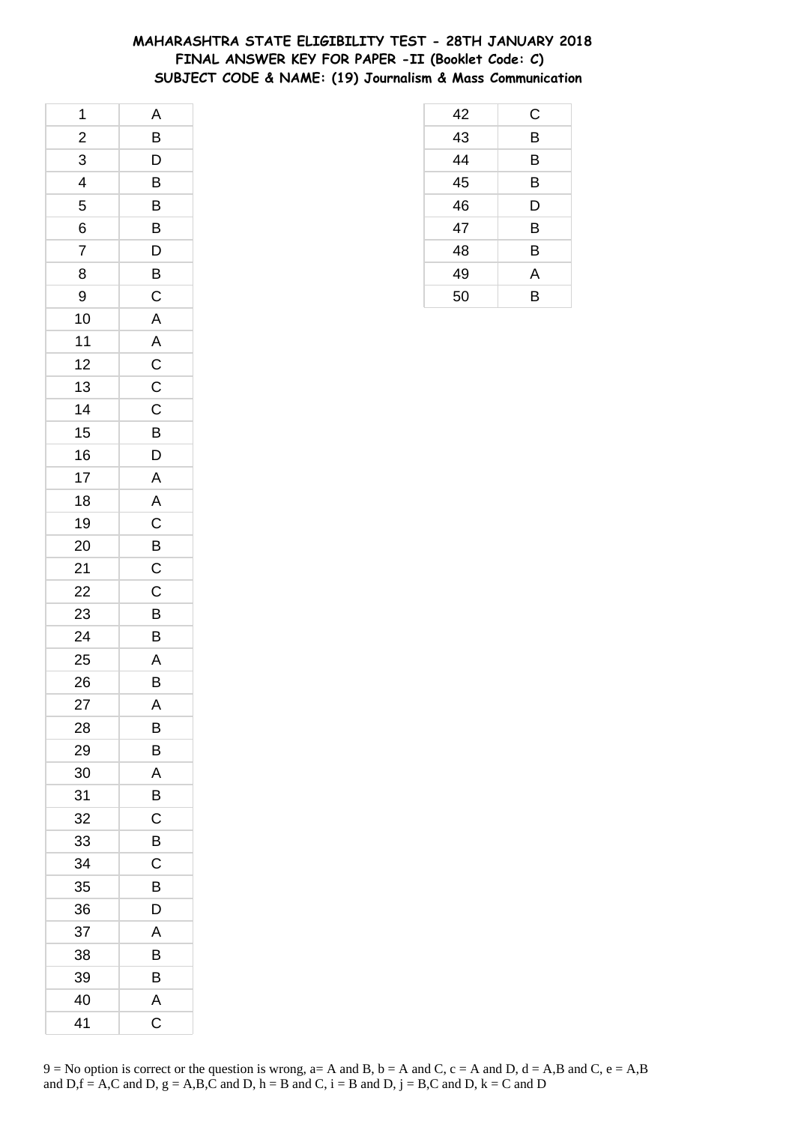### **MAHARASHTRA STATE ELIGIBILITY TEST - 28TH JANUARY 2018 FINAL ANSWER KEY FOR PAPER -II (Booklet Code: C) SUBJECT CODE & NAME: (19) Journalism & Mass Communication**

| 1              | A              |
|----------------|----------------|
| $\frac{1}{2}$  | $\overline{B}$ |
| 3              | $\overline{D}$ |
| 4              | B              |
| 5              | B              |
| 6              | B              |
| $\overline{7}$ | $\mathsf{D}$   |
| 8              | $\overline{B}$ |
| 9              | $\overline{C}$ |
| 10             | $\overline{A}$ |
| 11             |                |
| 12             | $rac{A}{C}$    |
| 13             | $\overline{C}$ |
| 14             | $\overline{C}$ |
| 15             | $\overline{B}$ |
| 16             | D              |
| 17             | $\overline{A}$ |
| 18             | $\overline{A}$ |
| 19             | $\overline{C}$ |
| 20             |                |
| 21             | $rac{B}{C}$    |
| 22             | $\mathsf{C}$   |
| 23             | B              |
| 24             | $\overline{B}$ |
| 25             | $\overline{A}$ |
| 26             | $\bar{B}$      |
| 27             | A              |
| 28             | В              |
| 29             | B              |
| 30             | Α              |
| 31             | B              |
| 32             | C              |
| 33             | B              |
| 34             | C              |
| 35             | B              |
| 36             | D              |
| 37             | A              |
| 38             | B              |
| 39             | B              |
| 40             | A              |
| 41             | C              |

| 42 | C |
|----|---|
| 43 | B |
| 44 | B |
| 45 | B |
| 46 | D |
| 47 | B |
| 48 | B |
| 49 | Α |
| 50 | B |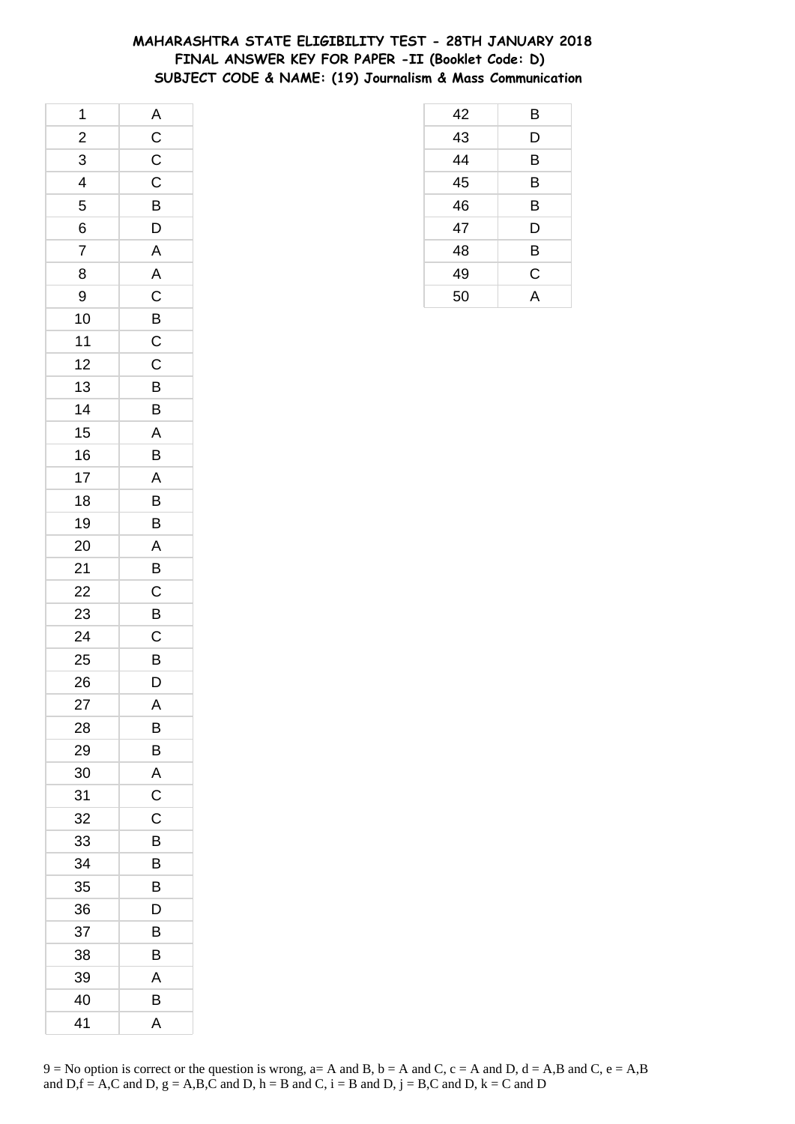### **MAHARASHTRA STATE ELIGIBILITY TEST - 28TH JANUARY 2018 FINAL ANSWER KEY FOR PAPER -II (Booklet Code: D) SUBJECT CODE & NAME: (19) Journalism & Mass Communication**

| 1              |                         |
|----------------|-------------------------|
| $\frac{1}{2}$  |                         |
| 3              | $A$ $C$ $C$ $C$         |
| 4              |                         |
| 5              | B                       |
| 6              | $\overline{D}$          |
| $\overline{7}$ | $\overline{A}$          |
| 8              | $\overline{A}$          |
| 9              | $\overline{C}$          |
| 10             | $\overline{B}$          |
| 11             | $\mathsf{C}$            |
| 12             | $\mathsf C$             |
| 13             | $\overline{B}$          |
| 14             | B                       |
| 15             | $\overline{A}$          |
| 16             | B                       |
| 17             | $\overline{A}$          |
| 18             | B                       |
| 19             | B                       |
| 20             | $\overline{A}$          |
| 21             | $\overline{B}$          |
| 22             | $\mathsf C$             |
| 23             | $\overline{B}$          |
| 24             | $\mathsf{C}$            |
| 25             | $\overline{B}$          |
| 26             | $\overline{\mathsf{D}}$ |
| 27             | A                       |
| 28             | В                       |
| 29             | B                       |
| 30             | Α                       |
| 31             | $\mathsf C$             |
| 32             | C                       |
| 33             | B                       |
| 34             | B                       |
| 35             | B                       |
| 36             | D                       |
| 37             | B                       |
| 38             | В                       |
| 39             | A                       |
| 40             | B                       |
| 41             | A                       |

| 42 | Β           |
|----|-------------|
| 43 | D           |
| 44 | B           |
| 45 | B           |
| 46 | B           |
| 47 | D           |
| 48 | B           |
| 49 | $\mathsf C$ |
| 50 | A           |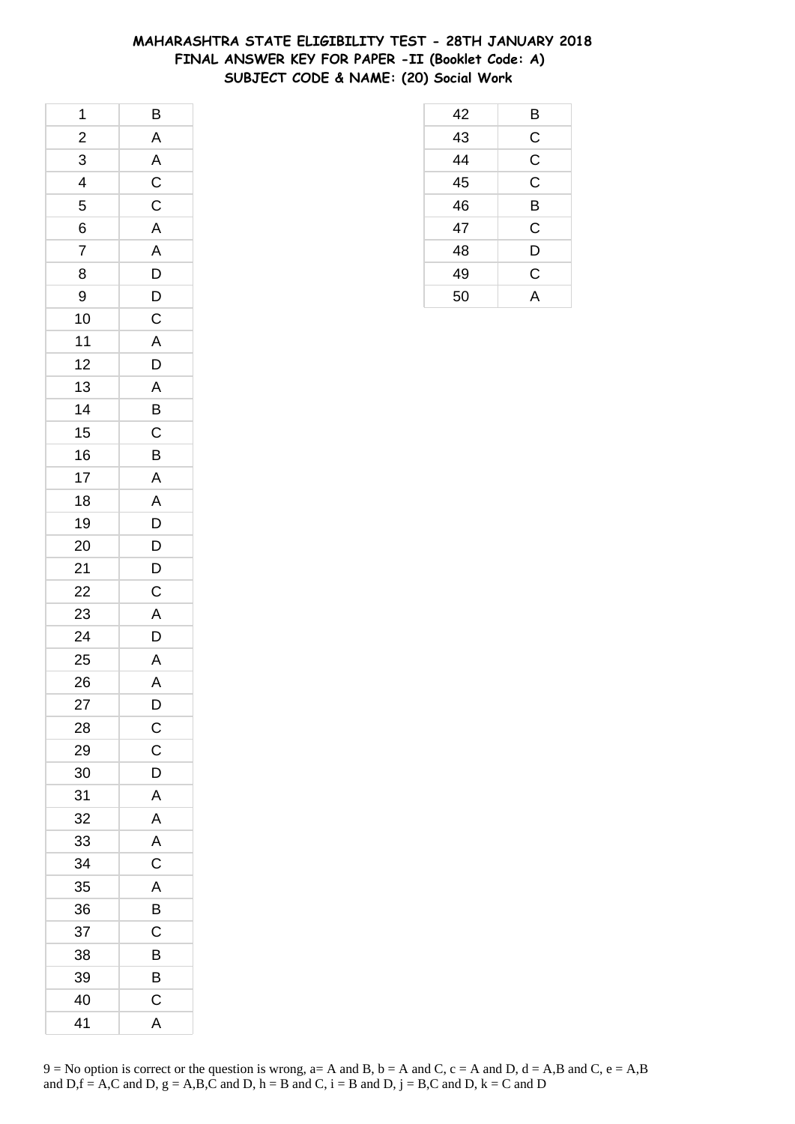### **MAHARASHTRA STATE ELIGIBILITY TEST - 28TH JANUARY 2018 FINAL ANSWER KEY FOR PAPER -II (Booklet Code: A) SUBJECT CODE & NAME: (20) Social Work**

| 1                       | $\overline{B}$          |
|-------------------------|-------------------------|
| $\frac{2}{1}$           | A                       |
| 3                       | $\overline{A}$          |
| $\overline{\mathbf{r}}$ |                         |
| 5                       | $\frac{C}{C}$           |
| 6                       | $\mathsf{A}$            |
| $\overline{7}$          | A                       |
| 8                       |                         |
| 9                       | $\frac{D}{D}$           |
| 10                      | $\overline{C}$          |
| 11                      | $\overline{\mathsf{A}}$ |
| 12                      | D                       |
| 13                      |                         |
| 14                      | $rac{A}{B}$             |
| 15                      | $\overline{C}$          |
| 16                      | B                       |
| 17                      | A                       |
| 18                      | A                       |
| 19                      | D                       |
| 20                      |                         |
| 21                      | $\frac{D}{D}$           |
| 22                      | $\overline{C}$          |
| 23                      | $\overline{\mathsf{A}}$ |
| 24                      | D                       |
| 25                      | $\frac{A}{A}$           |
| 26                      |                         |
| 27                      | D                       |
| 28                      | $\mathsf{C}$            |
| 29                      | C                       |
| 30                      | D                       |
| 31                      | A                       |
| 32                      | A                       |
| 33                      | A                       |
| 34                      | $\overline{C}$          |
| 35                      | A                       |
| 36                      | B                       |
| 37                      | C                       |
| 38                      | B                       |
| 39                      | B                       |
| 40                      | C                       |
| 41                      | A                       |

|                 | В              |
|-----------------|----------------|
| $\frac{42}{43}$ | $\overline{C}$ |
| $\overline{44}$ | $\overline{C}$ |
| $\overline{45}$ | $\mathsf C$    |
| $\overline{46}$ | B              |
| 47              | C              |
| 48              | D              |
| 49              | $\mathsf C$    |
| 50              | $\overline{A}$ |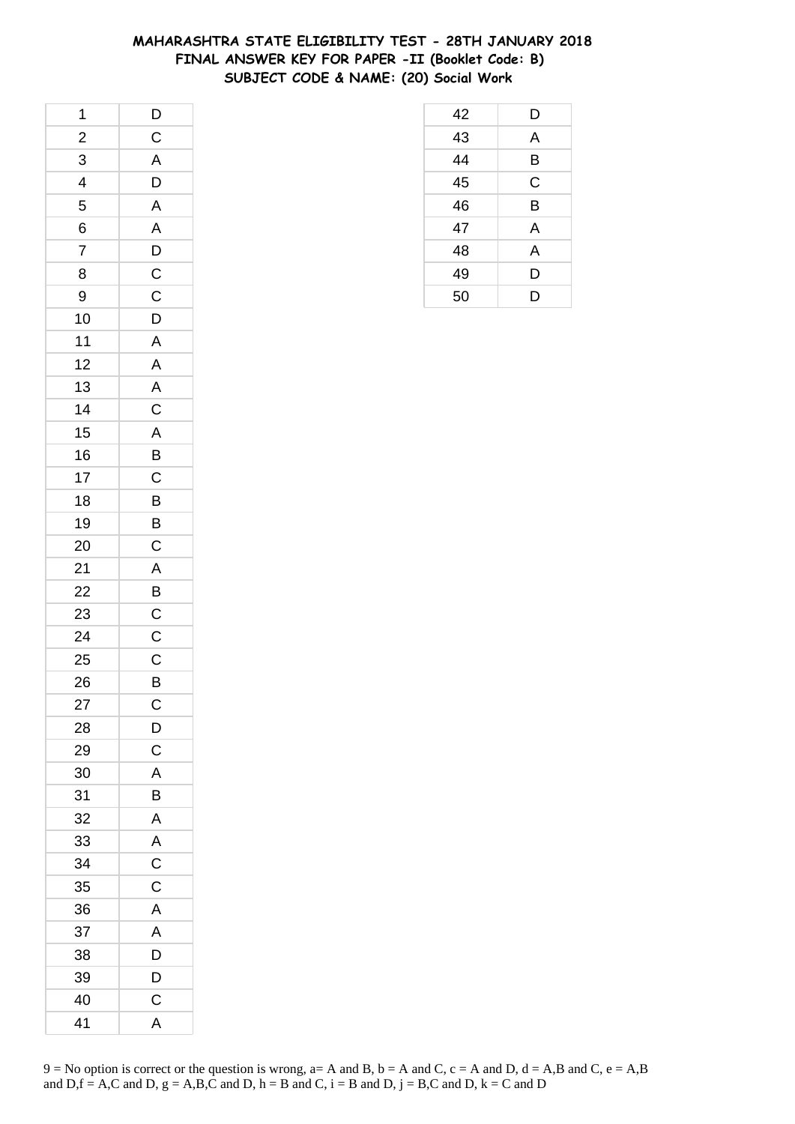# **MAHARASHTRA STATE ELIGIBILITY TEST - 28TH JANUARY 2018 FINAL ANSWER KEY FOR PAPER -II (Booklet Code: B) SUBJECT CODE & NAME: (20) Social Work**

| 1                    |                         |
|----------------------|-------------------------|
| $\frac{2}{\sqrt{2}}$ | $\frac{D}{C}$           |
| $\overline{3}$       | $\overline{A}$          |
| $\frac{1}{4}$        |                         |
| 5                    | $\frac{D}{A}$           |
| 6                    | $\overline{A}$          |
| $\overline{7}$       |                         |
| 8                    |                         |
| 9                    | $\frac{D}{C}$           |
| 10                   | $\overline{D}$          |
| 11                   | $\mathsf{A}$            |
| 12                   | $\overline{\mathsf{A}}$ |
| 13                   |                         |
| 14                   |                         |
| 15                   |                         |
| 16                   |                         |
| 17                   | $A$ $C$ $A$ $B$ $C$     |
| 18                   | B                       |
| 19                   | $\overline{\mathsf{B}}$ |
| 20                   | $\mathsf{C}$            |
| 21                   |                         |
| 22                   | A B C C                 |
| 23                   |                         |
| 24                   |                         |
| 25                   |                         |
| 26                   | $rac{C}{B}$             |
| 27                   | $\mathsf C$             |
| 28                   | D                       |
| 29                   | $\mathsf C$             |
| 30                   | A                       |
| 31                   | B                       |
| 32                   | $\mathsf{A}$            |
| 33                   | A                       |
| 34                   | $\overline{C}$          |
| 35                   | C                       |
| 36                   | A                       |
| 37                   | Α                       |
| 38                   | D                       |
| 39                   | D                       |
| 40                   | C                       |
| 41                   | A                       |

| $\frac{43}{44}$ | A           |
|-----------------|-------------|
|                 |             |
|                 | Β           |
| $\overline{45}$ | $\mathsf C$ |
| $\overline{46}$ | B           |
| 47              | A           |
| $\overline{48}$ | A           |
| 49              | D           |
| 50              | D           |

D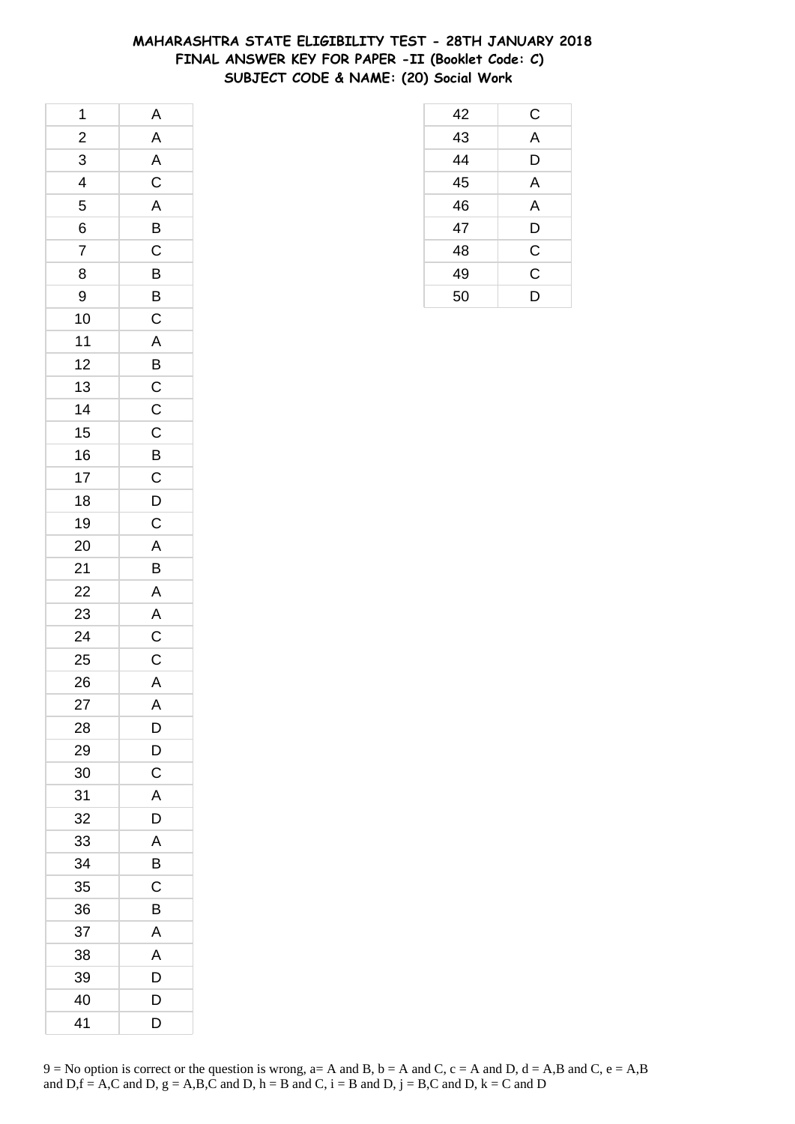### **MAHARASHTRA STATE ELIGIBILITY TEST - 28TH JANUARY 2018 FINAL ANSWER KEY FOR PAPER -II (Booklet Code: C) SUBJECT CODE & NAME: (20) Social Work**

| 1              | A                           |
|----------------|-----------------------------|
| $\frac{2}{1}$  |                             |
| $\overline{3}$ | $\frac{A}{A}$ $\frac{C}{A}$ |
| $\overline{4}$ |                             |
| 5              |                             |
| 6              | $\overline{B}$              |
| $\overline{7}$ | $\overline{C}$              |
| 8              |                             |
| 9              | $\frac{B}{B}$               |
| 10             |                             |
| $11$           | $\frac{C}{A}$               |
| 12             | $\overline{B}$              |
| 13             |                             |
| 14             | $\frac{C}{C}$               |
| 15             |                             |
| 16             |                             |
| 17             | $\frac{B}{C}$               |
| 18             |                             |
| 19             | $\frac{D}{C}$               |
| 20             |                             |
| 21             | $\frac{A}{B}$               |
| 22             |                             |
| 23             | $\frac{A}{A}$               |
| 24             |                             |
| 25             | $\frac{C}{A}$               |
| 26             |                             |
| 27             | A                           |
| 28             | D                           |
| 29             | D                           |
| 30             | C                           |
| 31             | Α                           |
| 32             | D                           |
| 33             | Α                           |
| 34             | B                           |
| 35             | C                           |
| 36             | B                           |
| 37             | Α                           |
| 38             | A                           |
| 39             | D                           |
| 40             | D                           |
| 41             | D                           |

| 42 | C              |
|----|----------------|
| 43 | A              |
| 44 | D              |
| 45 | A              |
| 46 | A              |
| 47 | D              |
| 48 | C              |
| 49 | $\overline{C}$ |
| 50 | D              |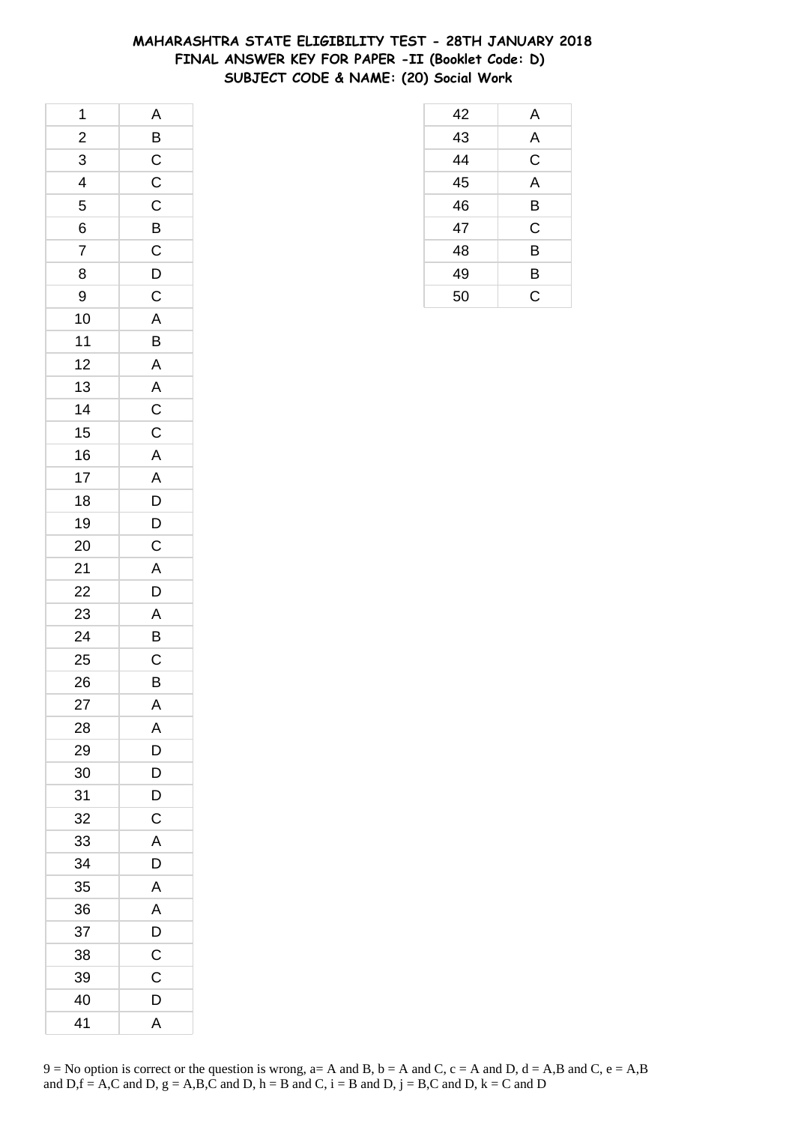### **MAHARASHTRA STATE ELIGIBILITY TEST - 28TH JANUARY 2018 FINAL ANSWER KEY FOR PAPER -II (Booklet Code: D) SUBJECT CODE & NAME: (20) Social Work**

| 1              | $\mathsf{A}$            |
|----------------|-------------------------|
| $\frac{2}{1}$  | B                       |
| $\overline{3}$ | $\frac{C}{C}$           |
| $\overline{4}$ |                         |
| 5              |                         |
| 6              | $\overline{B}$          |
| $\overline{7}$ | $\overline{C}$          |
| 8              |                         |
| 9              | $\frac{D}{C}$           |
| 10             | $\overline{A}$          |
| $11$           | B                       |
| 12             | $\mathsf{A}$            |
| 13             |                         |
| 14             | $rac{A}{C}$             |
| 15             |                         |
| 16             | $\overline{A}$          |
| 17             | $\overline{A}$          |
| 18             | D                       |
| 19             | $\bar{D}$               |
| 20             | $\mathsf{C}$            |
| 21             | $\overline{A}$          |
| 22             | $\overline{D}$          |
| 23             | $\overline{A}$          |
| 24             | $\overline{\mathsf{B}}$ |
| 25             | $\mathsf{C}$            |
| 26             | $\overline{B}$          |
| 27             | A                       |
| 28             | Α                       |
| 29             | D                       |
| 30             | D                       |
| 31             | D                       |
| 32             | $\mathsf C$             |
| 33             | A                       |
| 34             | D                       |
| 35             | Α                       |
| 36             | Α                       |
| 37             | D                       |
| 38             | C                       |
| 39             | C                       |
| 40             | D                       |
| 41             | A                       |

| 42 | A |
|----|---|
| 43 | A |
| 44 | C |
| 45 | A |
| 46 | B |
| 47 | C |
| 48 | B |
| 49 | B |
| 50 | C |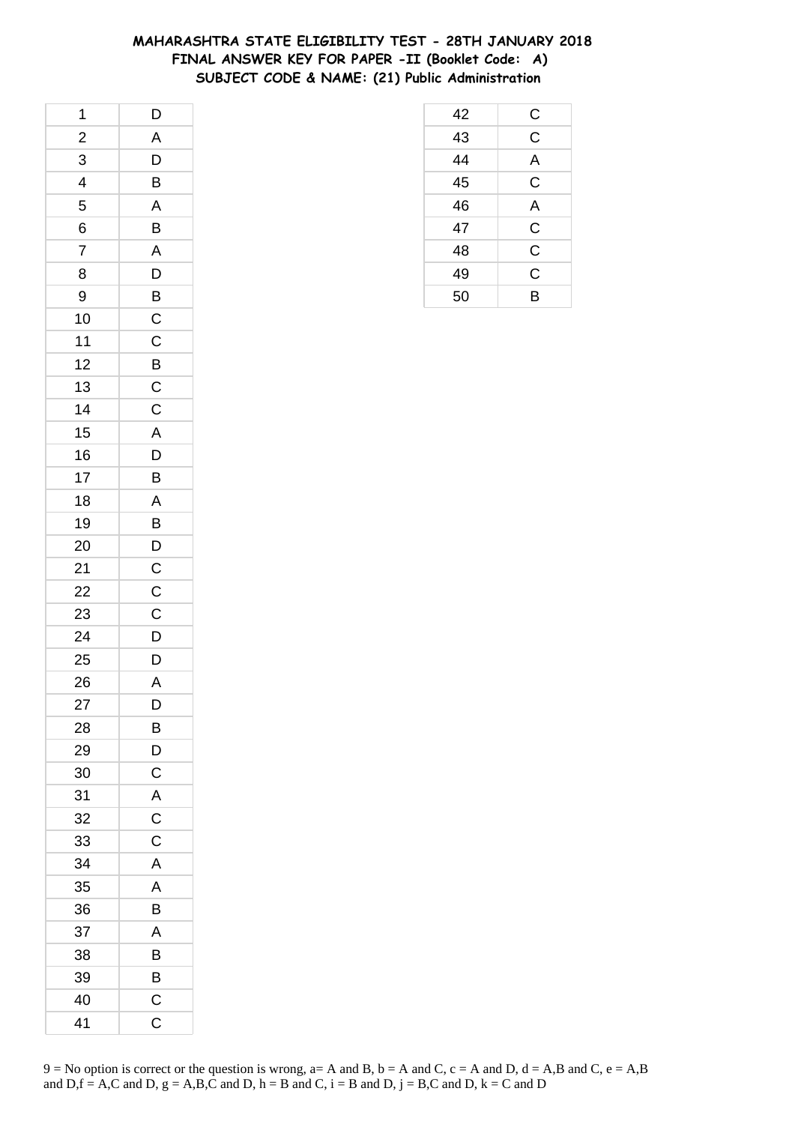### **MAHARASHTRA STATE ELIGIBILITY TEST - 28TH JANUARY 2018 FINAL ANSWER KEY FOR PAPER -II (Booklet Code: A) SUBJECT CODE & NAME: (21) Public Administration**

| 1                        | D              |
|--------------------------|----------------|
| $\overline{2}$           | A              |
| 3                        | D              |
| $\overline{\mathcal{A}}$ | B              |
| 5                        | A              |
| 6                        | B              |
| $\overline{7}$           | A              |
| 8                        | $\overline{D}$ |
| 9                        | $\bar{B}$      |
| 10                       | $\mathsf C$    |
| 11                       | $\mathsf{C}$   |
| 12                       | B              |
| 13                       | $\mathsf{C}$   |
| 14                       | $\overline{C}$ |
| 15                       | A              |
| 16                       | D              |
| 17                       | B              |
| 18                       | A              |
| 19                       | B              |
| 20                       | $\overline{D}$ |
| 21                       | $\overline{C}$ |
| 22                       | $\overline{C}$ |
| 23                       | $\mathsf C$    |
| 24                       | D              |
| 25                       | $\mathsf{D}$   |
| 26                       | $\mathsf{A}$   |
| 27                       | D              |
| 28                       | В              |
| 29                       | D              |
| 30                       | $\mathsf C$    |
| 31                       | A              |
| 32                       | $\overline{C}$ |
| 33                       | C              |
| 34                       | A              |
| 35                       | A              |
| 36                       | B              |
| 37                       | A              |
| 38                       | В              |
| 39                       | B              |
| 40                       | C              |
| 41                       | C              |

| 42              |                         |
|-----------------|-------------------------|
| $\overline{43}$ | $\frac{C}{C}$           |
| 44              | A                       |
| $\overline{45}$ | $\overline{\mathsf{C}}$ |
| 46              | $\overline{A}$          |
| 47              | $\overline{\mathrm{C}}$ |
| 48              | $\overline{\mathsf{C}}$ |
| 49              | $\overline{\text{c}}$   |
| 50              | B                       |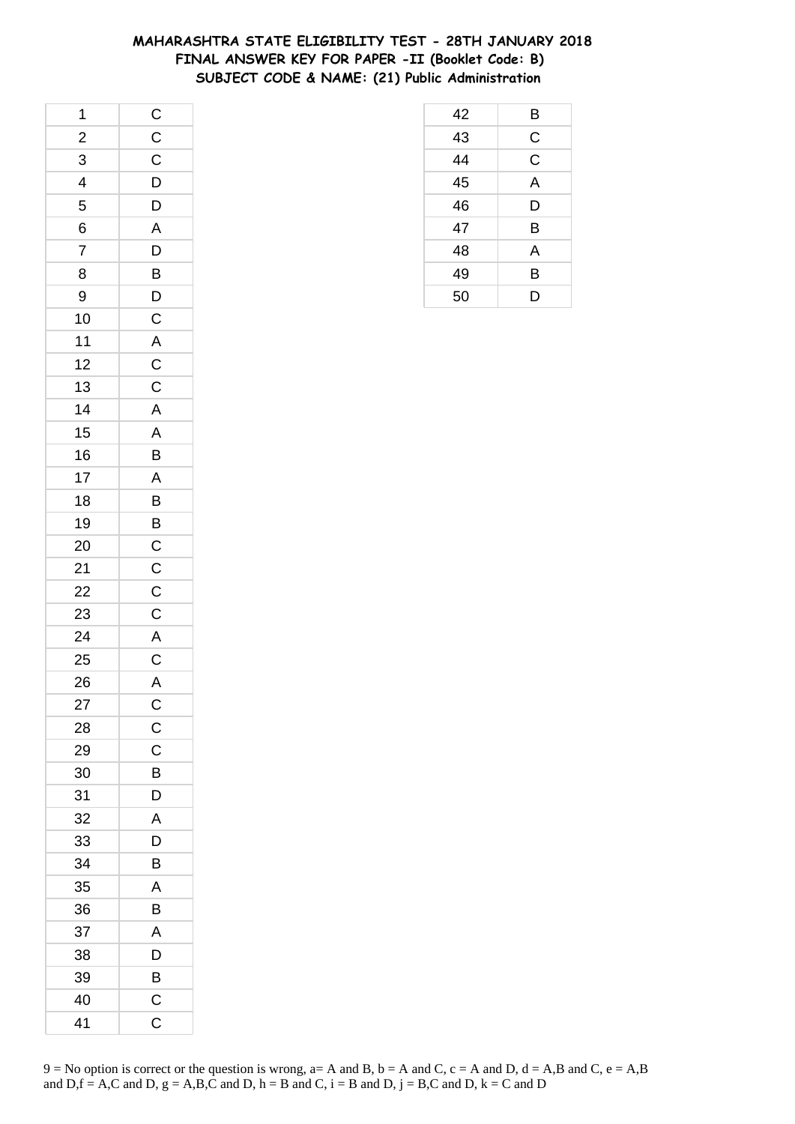### **MAHARASHTRA STATE ELIGIBILITY TEST - 28TH JANUARY 2018 FINAL ANSWER KEY FOR PAPER -II (Booklet Code: B) SUBJECT CODE & NAME: (21) Public Administration**

| 1              |                                     |
|----------------|-------------------------------------|
| $\frac{1}{2}$  | $\frac{C}{C}$                       |
| $\overline{3}$ |                                     |
| $\frac{1}{4}$  |                                     |
| 5              | $\frac{D}{D}$                       |
| 6              |                                     |
| $\overline{7}$ |                                     |
| 8              |                                     |
| 9              |                                     |
| 10             |                                     |
| $11$           |                                     |
| 12             |                                     |
| 13             |                                     |
| 14             | ADBDCACCAABA                        |
| 15             |                                     |
| 16             |                                     |
| 17             |                                     |
| 18             | $\overline{B}$                      |
| 19             |                                     |
| 20             | $\overline{C}$<br>$\overline{C}$    |
| 21             |                                     |
| 22             | $\frac{\overline{C}}{\overline{C}}$ |
| 23             |                                     |
| 24             | $\overline{A}$                      |
| 25             | $\frac{C}{A}$                       |
| 26             |                                     |
| 27             | $\mathsf{C}$                        |
| 28             | $\overline{C}$                      |
| 29             | $\mathsf C$                         |
| 30             | B                                   |
| 31             | D                                   |
| 32             | $\overline{A}$                      |
| 33             | D                                   |
| 34             | B                                   |
| 35             | A                                   |
| 36             | B                                   |
| 37             | A                                   |
| 38             | $\mathsf{D}$                        |
| 39             | $\overline{B}$                      |
| 40             | $\overline{\mathrm{C}}$             |
| 41             | C                                   |

| 42 | B |
|----|---|
| 43 | C |
| 44 | C |
| 45 | A |
| 46 | D |
| 47 | B |
| 48 | A |
| 49 | B |
| 50 | D |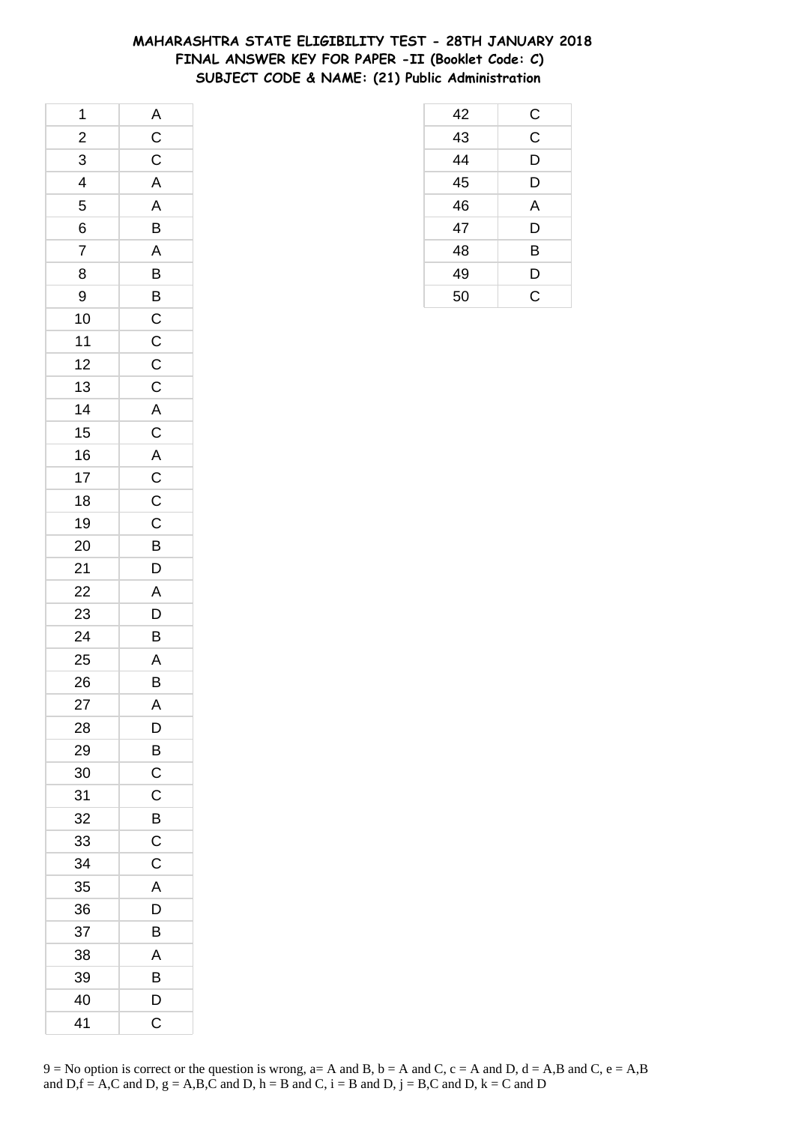### **MAHARASHTRA STATE ELIGIBILITY TEST - 28TH JANUARY 2018 FINAL ANSWER KEY FOR PAPER -II (Booklet Code: C) SUBJECT CODE & NAME: (21) Public Administration**

| 1                       |                         |
|-------------------------|-------------------------|
| $\overline{\mathbf{c}}$ |                         |
| $\overline{3}$          | $\frac{A}{C}$           |
| $\overline{4}$          | $\overline{\mathsf{A}}$ |
| 5                       | $\overline{\mathsf{A}}$ |
| 6                       | B                       |
| $\overline{7}$          | $\mathsf{A}$            |
| 8                       |                         |
| 9                       |                         |
| 10                      |                         |
| 11                      |                         |
| 12                      |                         |
| 13                      |                         |
| 14                      |                         |
| 15                      | BBCCCCACACCC            |
| 16                      |                         |
| 17                      |                         |
| 18                      |                         |
| 19                      |                         |
| 20                      | $\overline{B}$          |
| 21                      | $\overline{D}$          |
| 22                      | A                       |
| 23                      | $\overline{D}$          |
| 24                      | B                       |
| 25                      | A                       |
| 26                      | $\overline{B}$          |
| 27                      | A                       |
| 28                      | D                       |
| 29                      | B                       |
| 30                      | C                       |
| 31                      | C                       |
| 32                      | Β                       |
| 33                      | $\mathsf{C}$            |
| 34                      | C                       |
| 35                      | A                       |
| 36                      | D                       |
| 37                      | B                       |
| 38                      | Α                       |
| 39                      | B                       |
| 40                      | D                       |
| 41                      | C                       |

| 42 | $\mathsf{C}$ |
|----|--------------|
| 43 | $\mathsf C$  |
| 44 | D            |
| 45 | D            |
| 46 | A            |
| 47 | D            |
| 48 | B            |
| 49 | D            |
| 50 | C            |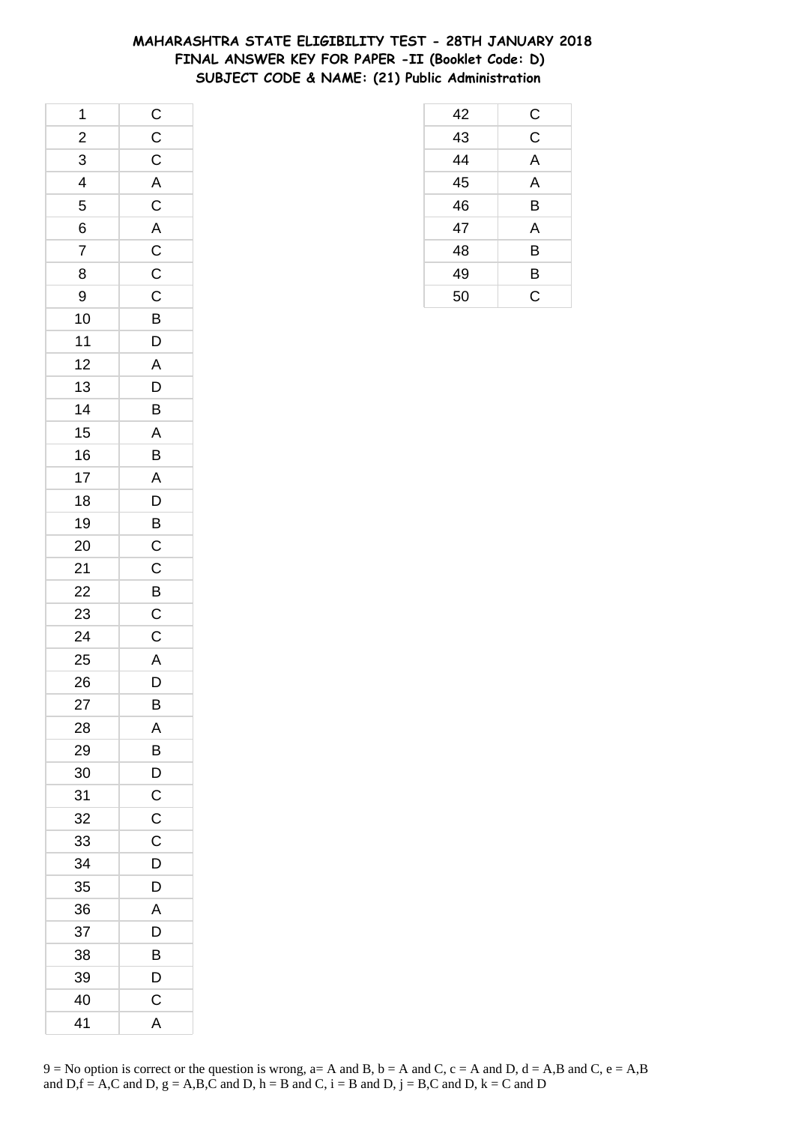### **MAHARASHTRA STATE ELIGIBILITY TEST - 28TH JANUARY 2018 FINAL ANSWER KEY FOR PAPER -II (Booklet Code: D) SUBJECT CODE & NAME: (21) Public Administration**

| 1                       |                         |
|-------------------------|-------------------------|
| $\overline{\mathbf{c}}$ |                         |
| $\overline{3}$          | $rac{C}{C}$             |
| $\overline{4}$          |                         |
| 5                       |                         |
| 6                       | A<br>C<br>A<br>C<br>C   |
| $\overline{7}$          |                         |
| 8                       |                         |
| 9                       | $\overline{C}$          |
| 10                      | $\overline{B}$          |
| $11$                    | $\overline{D}$          |
| 12                      | $\overline{\mathsf{A}}$ |
| 13                      | $\overline{D}$          |
| 14                      | $\overline{B}$          |
| 15                      | $\overline{A}$          |
| 16                      | $\frac{1}{B}$           |
| 17                      | $\overline{A}$          |
| 18                      | $\overline{D}$          |
| 19                      | $\overline{B}$          |
| 20                      | $\mathsf{C}$            |
| 21                      | $\overline{c}$          |
| 22                      | $\overline{B}$          |
| 23                      | $\mathsf C$             |
| 24                      | $\overline{C}$          |
| 25                      |                         |
| 26                      | $\frac{A}{D}$           |
| 27                      | B                       |
| 28                      | Α                       |
| 29                      | B                       |
| 30                      | D                       |
| 31                      | $\mathsf C$             |
| 32                      | $\mathsf C$             |
| 33                      | $\mathsf C$             |
| 34                      | D                       |
| 35                      | D                       |
| 36                      | A                       |
| 37                      | D                       |
| 38                      | Β                       |
| 39                      | D                       |
| 40                      | C                       |
| 41                      | A                       |

| 9 = No option is correct or the question is wrong, a= A and B, b = A and C, c = A and D, d = A,B and C, e = A,B |
|-----------------------------------------------------------------------------------------------------------------|
| and D, $f = A$ , C and D, $g = A$ , B, C and D, $h = B$ and C, $i = B$ and D, $j = B$ , C and D, $k = C$ and D  |

| 42 | С |
|----|---|
| 43 | Ć |
| 44 | A |
| 45 | A |
| 46 | B |
| 47 | A |
| 48 | B |
| 49 | B |
| 50 | C |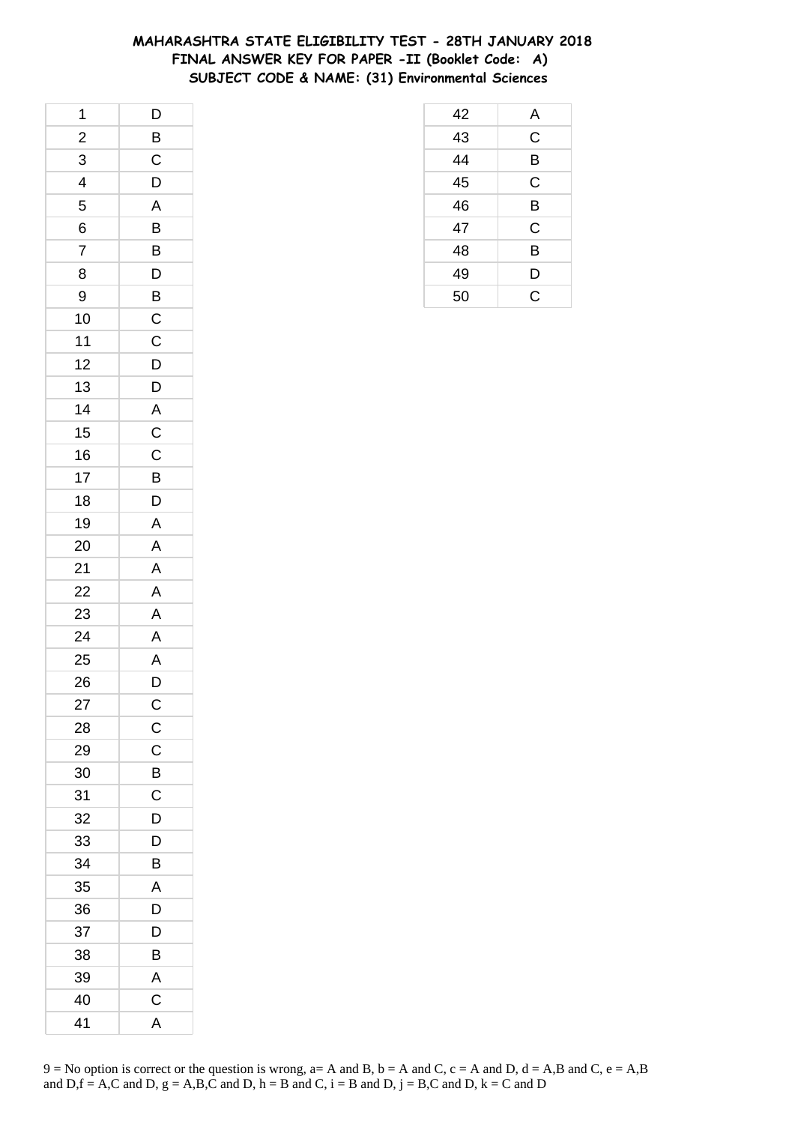### **MAHARASHTRA STATE ELIGIBILITY TEST - 28TH JANUARY 2018 FINAL ANSWER KEY FOR PAPER -II (Booklet Code: A) SUBJECT CODE & NAME: (31) Environmental Sciences**

| 1              | $\mathsf{D}$   |
|----------------|----------------|
| $\frac{1}{2}$  | $\overline{B}$ |
| 3              | $\overline{C}$ |
| 4              | D              |
| 5              | A              |
| 6              | B              |
| $\overline{7}$ | B              |
| 8              | $\overline{D}$ |
| 9              | $\overline{B}$ |
| 10             | $\mathsf C$    |
| 11             | $\mathsf{C}$   |
| 12             | D              |
| 13             | $\mathsf{D}$   |
| 14             | $\overline{A}$ |
| 15             | $\overline{C}$ |
| 16             | $\mathsf C$    |
| 17             | B              |
| 18             | $\mathsf{D}$   |
| 19             | $\mathsf{A}$   |
| 20             | $\mathsf{A}$   |
| 21             | A              |
| 22             | A              |
| 23             | $\overline{A}$ |
| 24             | $\overline{A}$ |
| 25             |                |
| 26             | A<br>D         |
| 27             | $\mathsf C$    |
| 28             | $\mathsf C$    |
| 29             | C              |
| 30             | B              |
| 31             | $\mathsf{C}$   |
| 32             | D              |
| 33             | D              |
| 34             | B              |
| 35             | A              |
| 36             | D              |
| 37             | D              |
| 38             | В              |
| 39             | A              |
| 40             | $\mathsf C$    |
| 41             | A              |

| 42 | A           |
|----|-------------|
| 43 | $\mathsf C$ |
| 44 | B           |
| 45 | $\mathsf C$ |
| 46 | B           |
| 47 | C           |
| 48 | B           |
| 49 | D           |
| 50 | Ć           |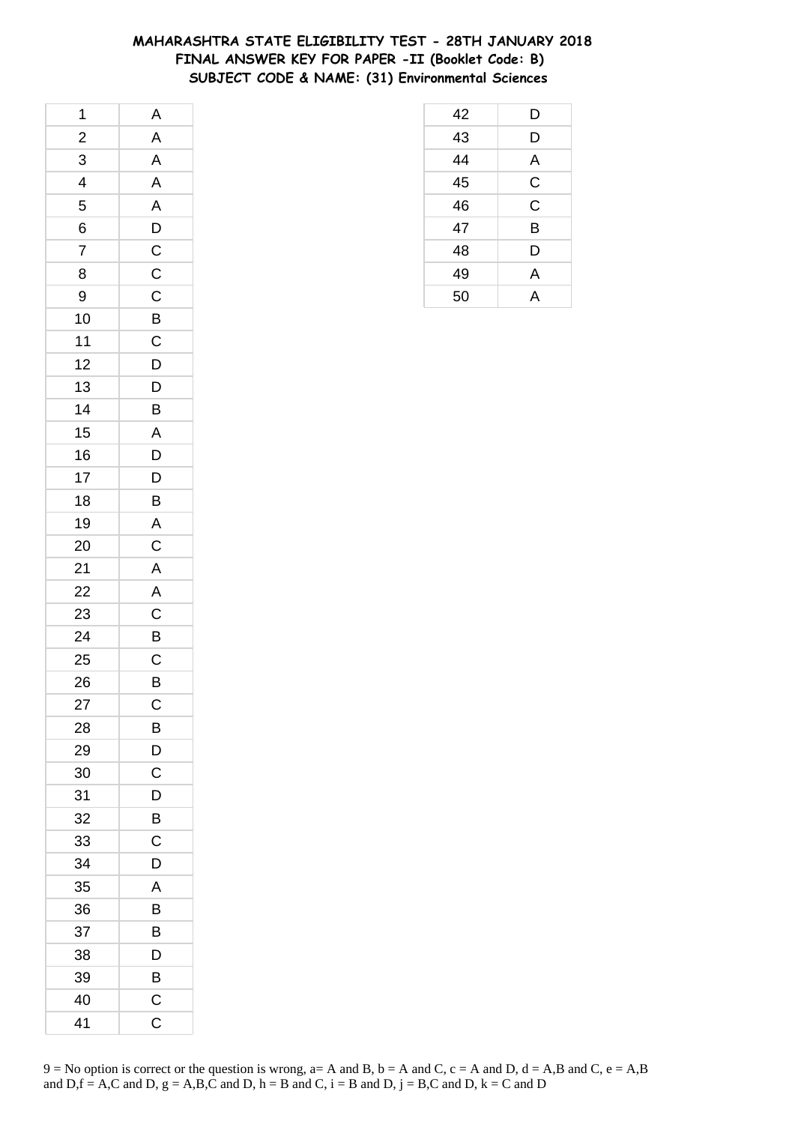### **MAHARASHTRA STATE ELIGIBILITY TEST - 28TH JANUARY 2018 FINAL ANSWER KEY FOR PAPER -II (Booklet Code: B) SUBJECT CODE & NAME: (31) Environmental Sciences**

| 1                       | A                       |
|-------------------------|-------------------------|
| $\overline{\mathbf{c}}$ | $\mathsf{A}$            |
| $\overline{3}$          | $\mathsf{A}$            |
| $\overline{4}$          | $\overline{\mathsf{A}}$ |
| 5                       | $\overline{A}$          |
| 6                       |                         |
| $\overline{7}$          | $\frac{D}{C}$           |
| 8                       | $\mathsf{C}$            |
| 9                       | $\overline{C}$          |
| 10                      | $\overline{B}$          |
| 11                      | $\overline{C}$          |
| 12                      | D                       |
| 13                      | $\mathsf{D}$            |
| 14                      | B                       |
| 15                      | $\mathsf{A}$            |
| 16                      | $\overline{D}$          |
| 17                      | $\overline{D}$          |
| 18                      | B                       |
| 19                      | $\overline{A}$          |
| 20                      | $\mathsf C$             |
| 21                      | $\overline{A}$          |
| 22                      | $\overline{A}$          |
| 23                      | $\overline{C}$          |
| 24                      | B                       |
| 25                      | $\mathsf{C}$            |
| 26                      | $\overline{B}$          |
| 27                      | $\mathsf C$             |
| 28                      | B                       |
| 29                      | D                       |
| 30                      | C                       |
| 31                      | D                       |
| 32                      | B                       |
| 33                      | $\mathsf C$             |
| 34                      | D                       |
| 35                      | A                       |
| 36                      | B                       |
| 37                      | В                       |
| 38                      | D                       |
| 39                      | B                       |
| 40                      | C                       |
| 41                      | C                       |

| 42 | D           |
|----|-------------|
| 43 | D           |
| 44 | Α           |
| 45 | $\mathsf C$ |
| 46 | $\mathsf C$ |
| 47 | B           |
| 48 | D           |
| 49 | A           |
| 50 | А           |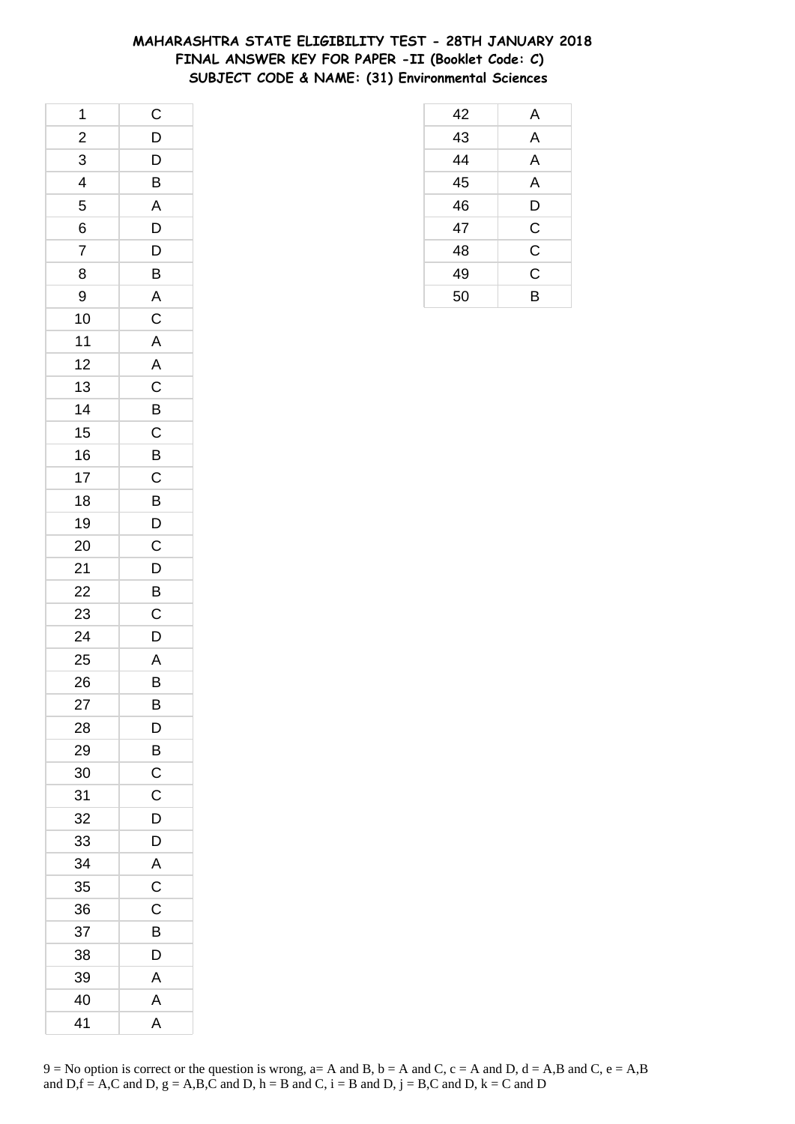### **MAHARASHTRA STATE ELIGIBILITY TEST - 28TH JANUARY 2018 FINAL ANSWER KEY FOR PAPER -II (Booklet Code: C) SUBJECT CODE & NAME: (31) Environmental Sciences**

| 1                       | $\mathsf{C}$            |
|-------------------------|-------------------------|
| $\overline{c}$          | $\overline{D}$          |
| $\overline{3}$          | $\overline{D}$          |
| $\overline{\mathbf{r}}$ | $\overline{B}$          |
| 5                       | $\overline{\mathsf{A}}$ |
| 6                       | D                       |
| $\overline{7}$          | D                       |
| 8                       | B                       |
| 9                       |                         |
| 10                      | $rac{A}{C}$             |
| 11                      | $\overline{\mathsf{A}}$ |
| 12                      | $\overline{\mathsf{A}}$ |
| 13                      | $\mathsf C$             |
| 14                      | B                       |
| 15                      | $\overline{C}$          |
| 16                      | $\overline{B}$          |
| 17                      | $\mathsf C$             |
| 18                      | B                       |
| 19                      | $\overline{D}$          |
| 20                      | $\mathsf{C}$            |
| 21                      | $\overline{D}$          |
| 22                      | $\overline{B}$          |
| 23                      | $\mathsf C$             |
| 24                      | D                       |
| 25                      | A                       |
| 26                      | B                       |
| 27                      | B                       |
| 28                      | D                       |
| 29                      | B                       |
| 30                      | $\mathsf C$             |
| 31                      | $\mathsf C$             |
| 32                      | D                       |
| 33                      | D                       |
| 34                      | $\mathsf{A}$            |
| 35                      | $\mathsf C$             |
| 36                      | $\mathsf C$             |
| 37                      | B                       |
| 38                      | D                       |
| 39                      | A                       |
| 40                      | A                       |
| 41                      | A                       |

| 42 | A              |
|----|----------------|
| 43 | A              |
| 44 | A              |
| 45 | A              |
| 46 | D              |
| 47 | $\mathsf C$    |
| 48 | $\mathsf C$    |
| 49 | $\overline{C}$ |
| 50 | B              |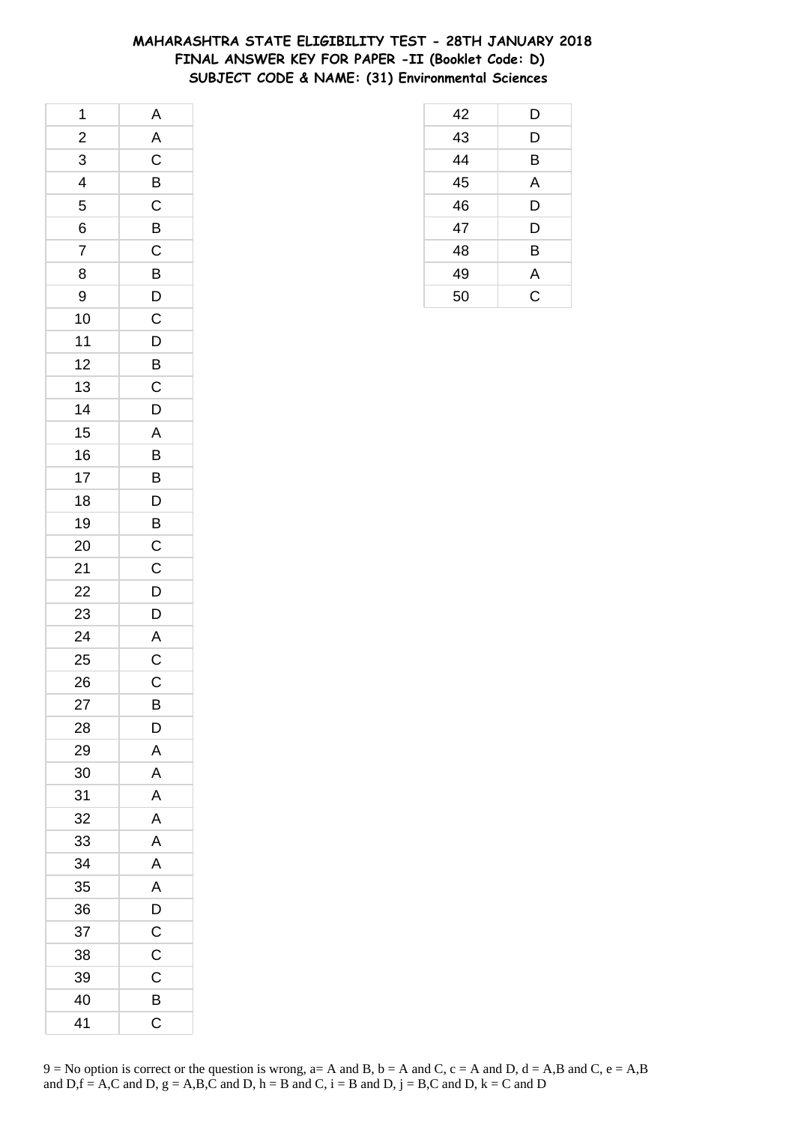# **MAHARASHTRA STATE ELIGIBILITY TEST - 28TH JANUARY 2018 FINAL ANSWER KEY FOR PAPER -II (Booklet Code: D) SUBJECT CODE & NAME: (31) Environmental Sciences**

| 1                       | A                       |
|-------------------------|-------------------------|
| $\overline{\mathbf{c}}$ | A                       |
| $\overline{3}$          | $\frac{1}{C}$           |
| 4                       | $\overline{B}$          |
| 5                       | $\mathsf C$             |
| 6                       | $\overline{B}$          |
| $\overline{7}$          | $\overline{C}$          |
| 8                       | $\overline{B}$          |
| 9                       | $\overline{D}$          |
| 10                      | $\overline{C}$          |
| 11                      | $\overline{D}$          |
| 12                      | $\overline{B}$          |
| 13                      | $\mathsf{C}$            |
| 14                      | $\overline{D}$          |
| 15                      | $\mathsf{A}$            |
| 16                      | B                       |
| 17                      | B                       |
| 18                      | D                       |
| 19                      | B                       |
| 20                      | $\mathsf{C}$            |
| 21                      | $\overline{C}$          |
| 22                      | $\overline{D}$          |
| 23                      | D                       |
| 24                      | $\overline{\mathsf{A}}$ |
| 25                      | $\mathsf{C}$            |
| 26                      | $\mathsf C$             |
| 27                      | B                       |
| 28                      | D                       |
| 29                      | A                       |
| 30                      | A                       |
| 31                      | A                       |
| 32                      | A                       |
| 33                      | A                       |
| 34                      | A                       |
| 35                      | A                       |
| 36                      | D                       |
| 37                      | C                       |
| 38                      | C                       |
| 39                      | $\mathsf C$             |
| 40                      | B                       |
| 41                      | C                       |

| 9 = No option is correct or the question is wrong, a= A and B, b = A and C, c = A and D, d = A,B and C, e = A,B |
|-----------------------------------------------------------------------------------------------------------------|
| and D,f = A,C and D, g = A,B,C and D, h = B and C, i = B and D, j = B,C and D, k = C and D                      |

| 42 | D |
|----|---|
| 43 | D |
| 44 | B |
| 45 | A |
| 46 | D |
| 47 | D |
| 48 | B |
| 49 | A |
| 50 | Ć |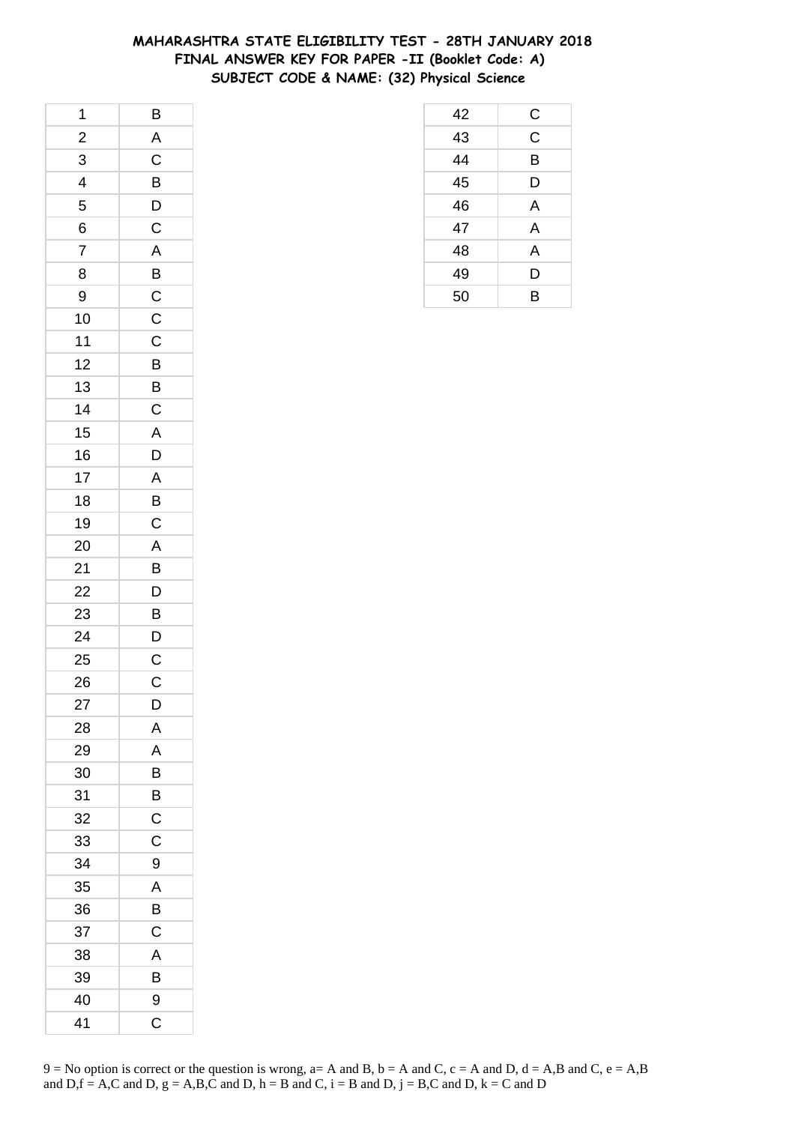# **MAHARASHTRA STATE ELIGIBILITY TEST - 28TH JANUARY 2018 FINAL ANSWER KEY FOR PAPER -II (Booklet Code: A) SUBJECT CODE & NAME: (32) Physical Science**

| 1                       | $\overline{B}$ |
|-------------------------|----------------|
| $\overline{\mathbf{c}}$ | A              |
| $\overline{3}$          | $\frac{1}{C}$  |
| $\overline{\mathbf{r}}$ | $\overline{B}$ |
| 5                       | D              |
| 6                       | $\mathsf C$    |
| $\overline{7}$          | A              |
| 8                       |                |
| 9                       | $rac{B}{C}$    |
| 10                      | $\overline{C}$ |
| 11                      | $\mathsf C$    |
| 12                      | B              |
| 13                      | $\overline{B}$ |
| 14                      | $\mathsf C$    |
| 15                      | $\overline{A}$ |
| 16                      | D              |
| 17                      | A              |
| 18                      | B              |
| 19                      | $\overline{C}$ |
| 20                      | A              |
| 21                      | B              |
| 22                      | $\mathsf{D}$   |
| 23                      | B              |
| 24                      | D              |
| 25                      | $\mathsf{C}$   |
| 26                      | C              |
| 27                      | D              |
| 28                      | Α              |
| 29                      | A              |
| 30                      | B              |
| 31                      | B              |
| 32                      | C              |
| 33                      | $\mathsf C$    |
| 34                      | 9              |
| 35                      | A              |
| 36                      | В              |
| 37                      | C              |
| 38                      | A              |
| 39                      | B              |
| 40                      | 9              |
| 41                      | C              |

| 9 = No option is correct or the question is wrong, a= A and B, b = A and C, c = A and D, d = A,B and C, e = A,B |
|-----------------------------------------------------------------------------------------------------------------|
| and D, $f = A$ , C and D, $g = A$ , B, C and D, $h = B$ and C, $i = B$ and D, $j = B$ , C and D, $k = C$ and D  |

| 42 | С |
|----|---|
| 43 | Ć |
| 44 | B |
| 45 | D |
| 46 | A |
| 47 | A |
| 48 | A |
| 49 | D |
| 50 | B |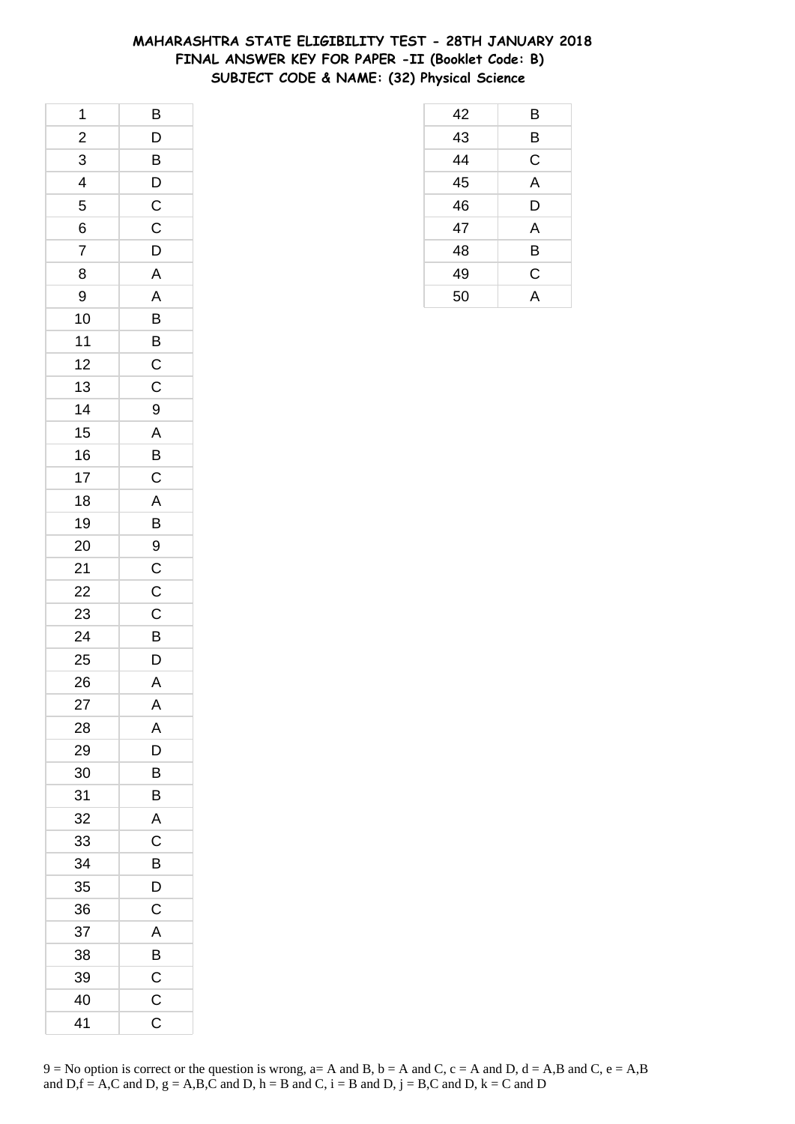## **MAHARASHTRA STATE ELIGIBILITY TEST - 28TH JANUARY 2018 FINAL ANSWER KEY FOR PAPER -II (Booklet Code: B) SUBJECT CODE & NAME: (32) Physical Science**

| 1                       | B                       |
|-------------------------|-------------------------|
| $\overline{\mathbf{c}}$ | $\mathsf{D}$            |
| $\overline{3}$          | $\overline{B}$          |
| $\overline{4}$          | $\overline{D}$          |
| 5                       | $\overline{C}$          |
| 6                       | $\mathsf C$             |
| $\overline{7}$          | D                       |
| 8                       | A                       |
| 9                       | $\overline{\mathsf{A}}$ |
| 10                      | $\overline{B}$          |
| 11                      |                         |
| 12                      | $rac{B}{C}$             |
| 13                      | $\mathsf{C}$            |
| 14                      | 9                       |
| 15                      | $\overline{A}$          |
| 16                      | $\overline{B}$          |
| 17                      | $\mathsf{C}$            |
| 18                      | $\overline{A}$          |
| 19                      | $\overline{B}$          |
| 20                      |                         |
| 21                      | $\frac{9}{C}$           |
| 22                      |                         |
| 23                      | $\overline{C}$          |
| 24                      | $\overline{B}$          |
| 25                      | $\mathsf{D}$            |
| 26                      | A                       |
| 27                      | A                       |
| 28                      | A                       |
| 29                      | D                       |
| 30                      | В                       |
| 31                      | B                       |
| 32                      | A                       |
| 33                      | $\mathsf C$             |
| 34                      | B                       |
| 35                      | D                       |
| 36                      | C                       |
| 37                      | A                       |
| 38                      | B                       |
| 39                      | C                       |
| 40                      | C                       |
| 41                      | C                       |

| 42              | Β              |
|-----------------|----------------|
| 43              | Β              |
| $\frac{1}{44}$  | C              |
| $\overline{45}$ | A              |
| 46              | D              |
| $\overline{47}$ | A              |
| 48              | B              |
| 49              | C              |
| 50              | $\overline{A}$ |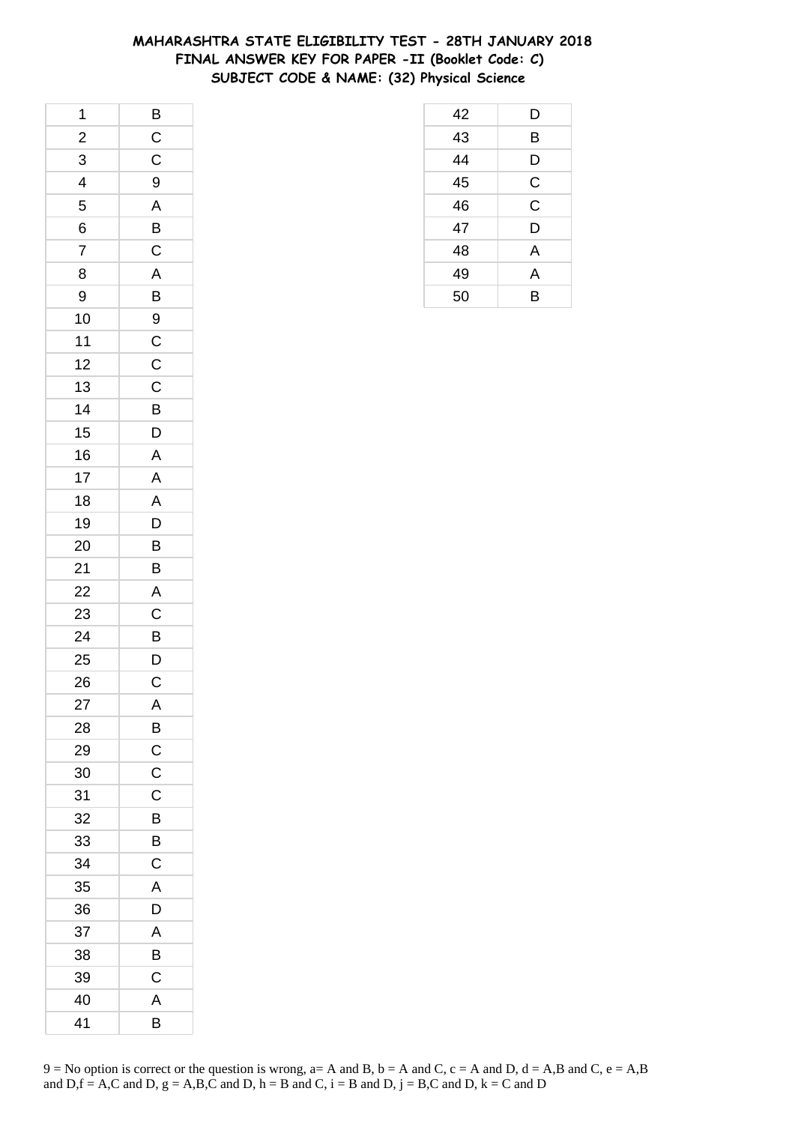## **MAHARASHTRA STATE ELIGIBILITY TEST - 28TH JANUARY 2018 FINAL ANSWER KEY FOR PAPER -II (Booklet Code: C) SUBJECT CODE & NAME: (32) Physical Science**

| 1                       | $\overline{B}$          |
|-------------------------|-------------------------|
| $\overline{\mathbf{c}}$ | $\mathsf C$             |
| $\overline{3}$          | $\mathsf{C}$            |
| $\overline{4}$          | 9                       |
| 5                       | A                       |
| 6                       | $\overline{B}$          |
| $\overline{7}$          | $\mathsf C$             |
| 8                       | A                       |
| 9                       | $\overline{B}$          |
| 10                      | $\overline{9}$          |
| 11                      | $\overline{C}$          |
| 12                      | $\mathsf{C}$            |
| 13                      | $\mathsf{C}$            |
| 14                      | B                       |
| 15                      | $\mathsf{D}$            |
| 16                      | $\mathsf{A}$            |
| 17                      | A                       |
| 18                      | A                       |
| 19                      | D                       |
| 20                      | $\overline{B}$          |
| 21                      | $\overline{\mathsf{B}}$ |
| 22                      | $\overline{A}$          |
| 23                      | $\overline{C}$          |
| 24                      | B                       |
| 25                      | $\mathsf{D}$            |
| 26                      | C                       |
| 27                      | A                       |
| 28                      | B                       |
| 29                      | $\mathsf{C}$            |
| 30                      | C                       |
| 31                      | C                       |
| 32                      | B                       |
| 33                      | B                       |
| 34                      | C                       |
| 35                      | A                       |
| 36                      | D                       |
| 37                      | Α                       |
| 38                      | B                       |
| 39                      | C                       |
| 40                      | Α                       |
| 41                      | B                       |

| 42 | D              |
|----|----------------|
| 43 | B              |
| 44 | D              |
| 45 | $\mathsf{C}$   |
| 46 | $\overline{C}$ |
| 47 | D              |
| 48 | A              |
| 49 | A              |
| 50 | B              |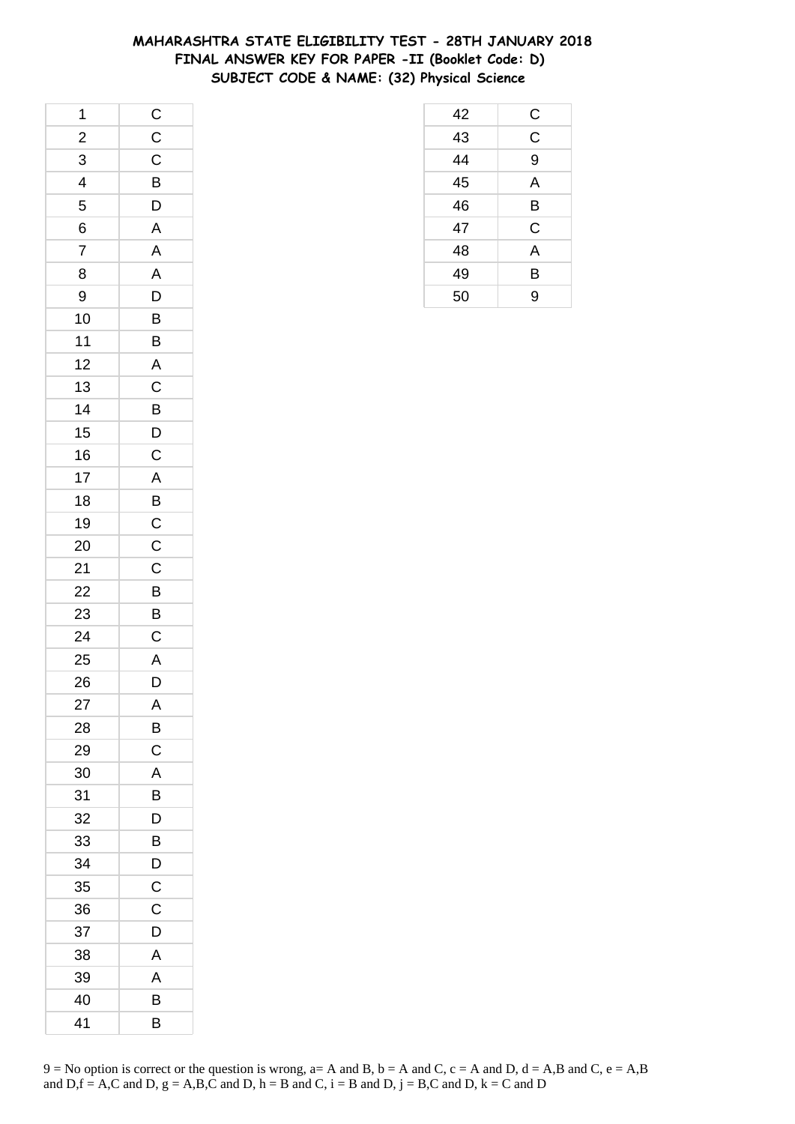## **MAHARASHTRA STATE ELIGIBILITY TEST - 28TH JANUARY 2018 FINAL ANSWER KEY FOR PAPER -II (Booklet Code: D) SUBJECT CODE & NAME: (32) Physical Science**

| 42              | $\overline{C}$          |
|-----------------|-------------------------|
| $rac{1}{43}$    | $\overline{\mathsf{C}}$ |
| $\frac{44}{45}$ | 9                       |
|                 | A                       |
| 46              | B                       |
| 47              | C                       |
| 48              | $\overline{A}$          |
| 49              | B                       |
| 50              | 9                       |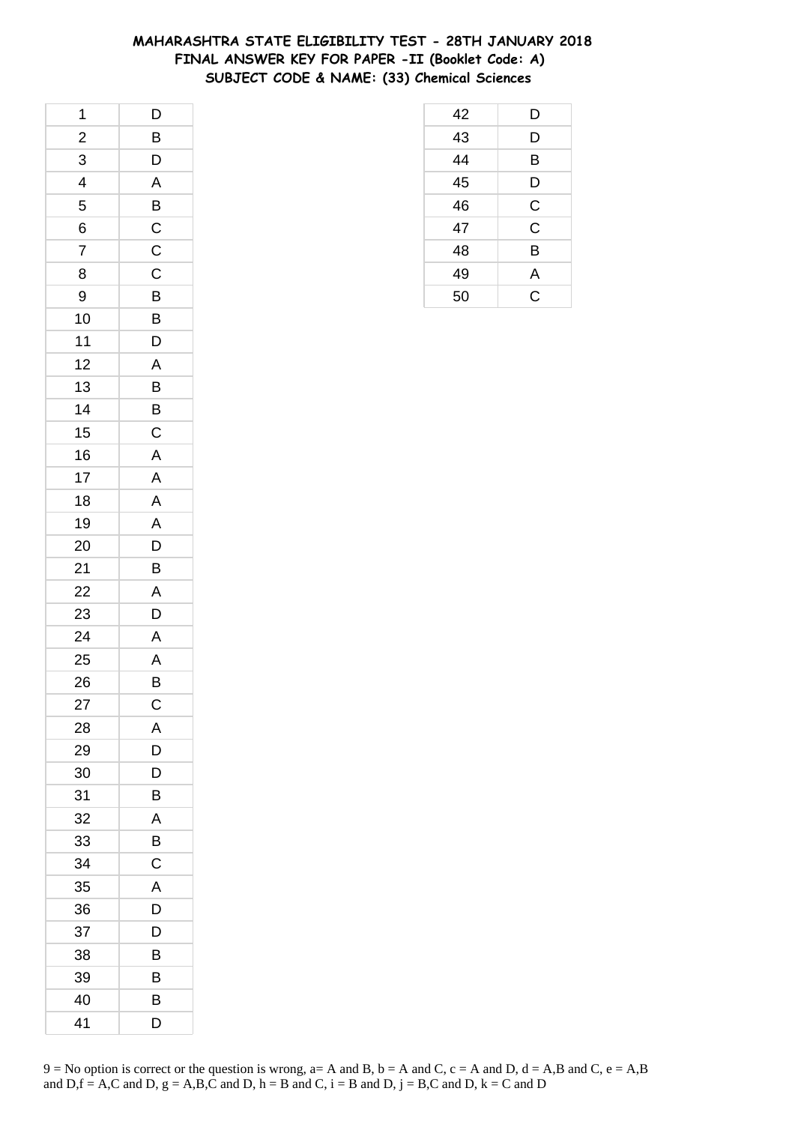## **MAHARASHTRA STATE ELIGIBILITY TEST - 28TH JANUARY 2018 FINAL ANSWER KEY FOR PAPER -II (Booklet Code: A) SUBJECT CODE & NAME: (33) Chemical Sciences**

| 1                       | D              |
|-------------------------|----------------|
| $\overline{\mathbf{c}}$ | B              |
| 3                       | D              |
| 4                       | A              |
| 5                       | B              |
| 6                       | $\mathsf{C}$   |
| $\overline{7}$          | $\mathsf C$    |
| 8                       | $\mathsf{C}$   |
| 9                       | $\overline{B}$ |
| 10                      | $\overline{B}$ |
| 11                      | D              |
| 12                      | A              |
| 13                      | B              |
| 14                      | B              |
| 15                      | $\mathsf C$    |
| 16                      | A              |
| 17                      | A              |
| 18                      | A              |
| 19                      | A              |
| 20                      | D              |
| 21                      | B              |
| 22                      | A              |
| 23                      | D              |
| 24                      | A              |
| 25                      | A              |
| 26                      | B              |
| 27                      | $\mathsf{C}$   |
| 28                      | Α              |
| 29                      | D              |
| 30                      | D              |
| 31                      | B              |
| 32                      | A              |
| 33                      | В              |
| 34                      | $\mathsf C$    |
| 35                      | A              |
| 36                      | D              |
| 37                      | D              |
| 38                      | В              |
| 39                      | B              |
| 40                      | В              |
| 41                      | D              |

| 42 | D              |
|----|----------------|
| 43 | D              |
| 44 | Β              |
| 45 | D              |
| 46 | C              |
| 47 | $\overline{C}$ |
| 48 | B              |
| 49 | A              |
| 50 | C              |
|    |                |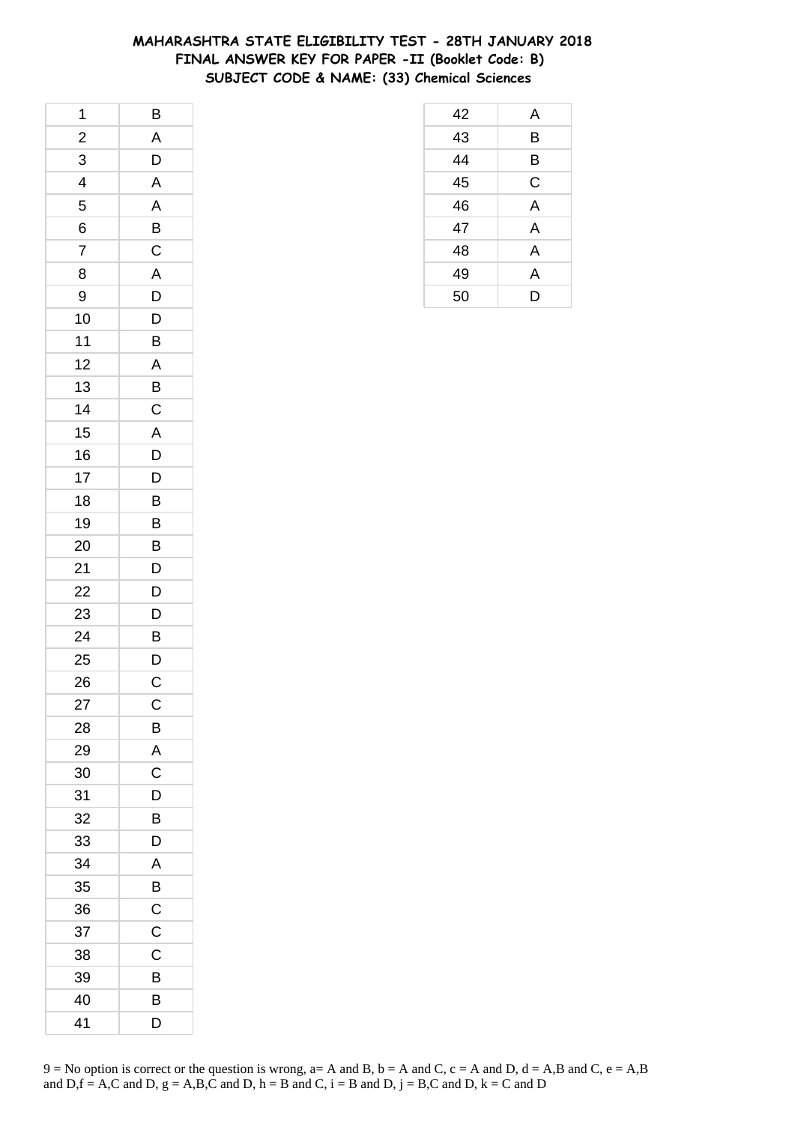## **MAHARASHTRA STATE ELIGIBILITY TEST - 28TH JANUARY 2018 FINAL ANSWER KEY FOR PAPER -II (Booklet Code: B) SUBJECT CODE & NAME: (33) Chemical Sciences**

| 1              | B                       |
|----------------|-------------------------|
| $\frac{1}{2}$  | A                       |
| 3              | D                       |
| 4              | A                       |
| 5              | $\overline{\mathsf{A}}$ |
| 6              | B                       |
| $\overline{7}$ | $\overline{c}$          |
| 8              | A                       |
| 9              | D                       |
| 10             | D                       |
| $11$           | B                       |
| 12             | A                       |
| 13             | $\overline{B}$          |
| 14             | $\overline{C}$          |
| 15             | $\overline{A}$          |
| 16             | D                       |
| 17             | D                       |
| 18             | B                       |
| 19             | B                       |
| 20             | B                       |
| 21             | $\overline{D}$          |
| 22             | $\overline{D}$          |
| 23             | D                       |
| 24             | B                       |
| 25             | $\mathsf{D}$            |
| 26             | $\overline{C}$          |
| 27             | C                       |
| 28             | В                       |
| 29             | A                       |
| 30             | C                       |
| 31             | D                       |
| 32             | B                       |
| 33             | D                       |
| 34             | A                       |
| 35             | B                       |
| 36             | С                       |
| 37             | C                       |
| 38             | C                       |
| 39             | B                       |
| 40             | B                       |
| 41             | D                       |

| 42              | A |
|-----------------|---|
| $\overline{43}$ | B |
| $\overline{44}$ | В |
| $\overline{45}$ | C |
| 46              | A |
| 47              | A |
| 48              | A |
| 49              | A |
| 50              | D |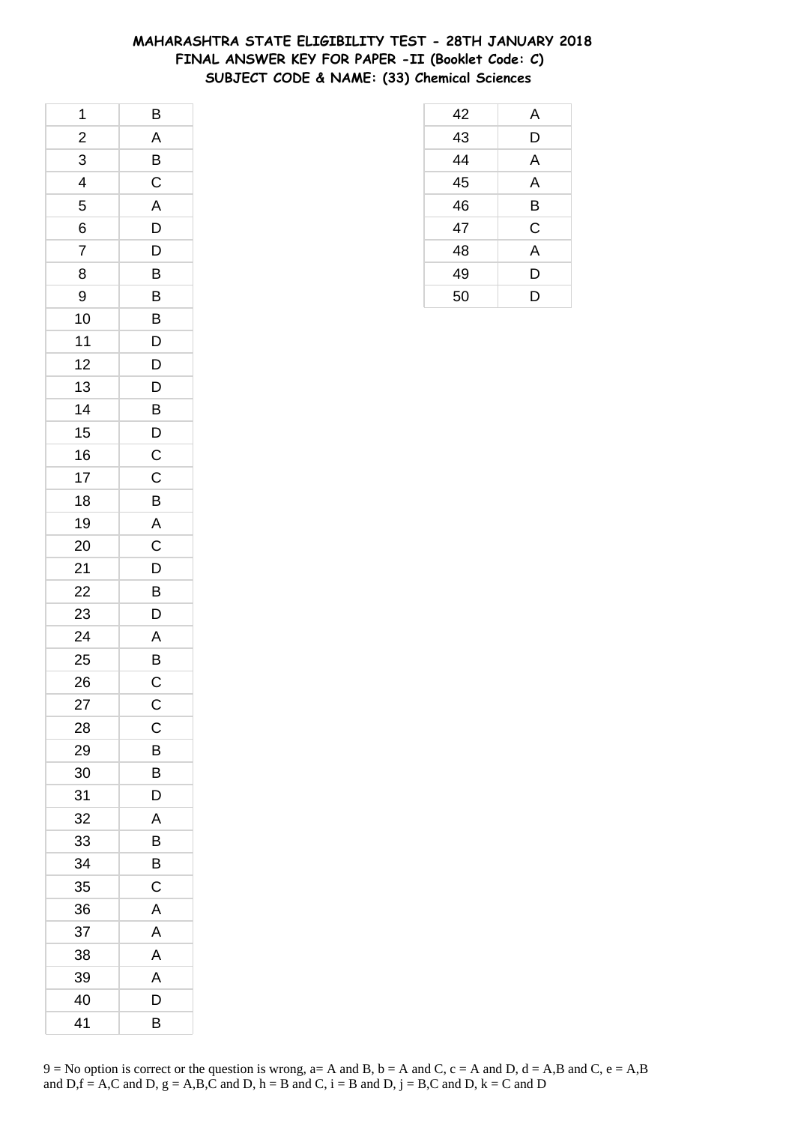## **MAHARASHTRA STATE ELIGIBILITY TEST - 28TH JANUARY 2018 FINAL ANSWER KEY FOR PAPER -II (Booklet Code: C) SUBJECT CODE & NAME: (33) Chemical Sciences**

| 1                       | B                         |
|-------------------------|---------------------------|
| $\frac{1}{2}$           | A                         |
| 3                       | B                         |
| $\overline{\mathbf{r}}$ | $\overline{C}$            |
| 5                       | A                         |
| 6                       | D                         |
| $\overline{7}$          | D                         |
| 8                       | B                         |
| 9                       | B                         |
| 10                      | $\overline{B}$            |
| 11                      | D                         |
| 12                      | D                         |
| 13                      | D                         |
| 14                      | B                         |
| 15                      | $\mathsf{D}$              |
| 16                      | $\overline{C}$            |
| 17                      | C                         |
| 18                      | B                         |
| 19                      | $\overline{A}$            |
| 20                      | $\mathsf C$               |
| 21                      | $\overline{\overline{D}}$ |
| 22                      | $\overline{B}$            |
| 23                      | D                         |
| 24                      | A                         |
| 25                      | B                         |
| 26                      | $\mathsf C$               |
| 27                      | $\mathsf{C}$              |
| 28                      | C                         |
| 29                      | B                         |
| 30                      | B                         |
| 31                      | D                         |
| 32                      | A                         |
| 33                      | В                         |
| 34                      | B                         |
| 35                      | C                         |
| 36                      | Α                         |
| 37                      | A                         |
| 38                      | A                         |
| 39                      | A                         |
| 40                      | D                         |
| 41                      | В                         |

| 42 | A |
|----|---|
| 43 | D |
| 44 | A |
| 45 | A |
| 46 | B |
| 47 | C |
| 48 | A |
| 49 | D |
| 50 | D |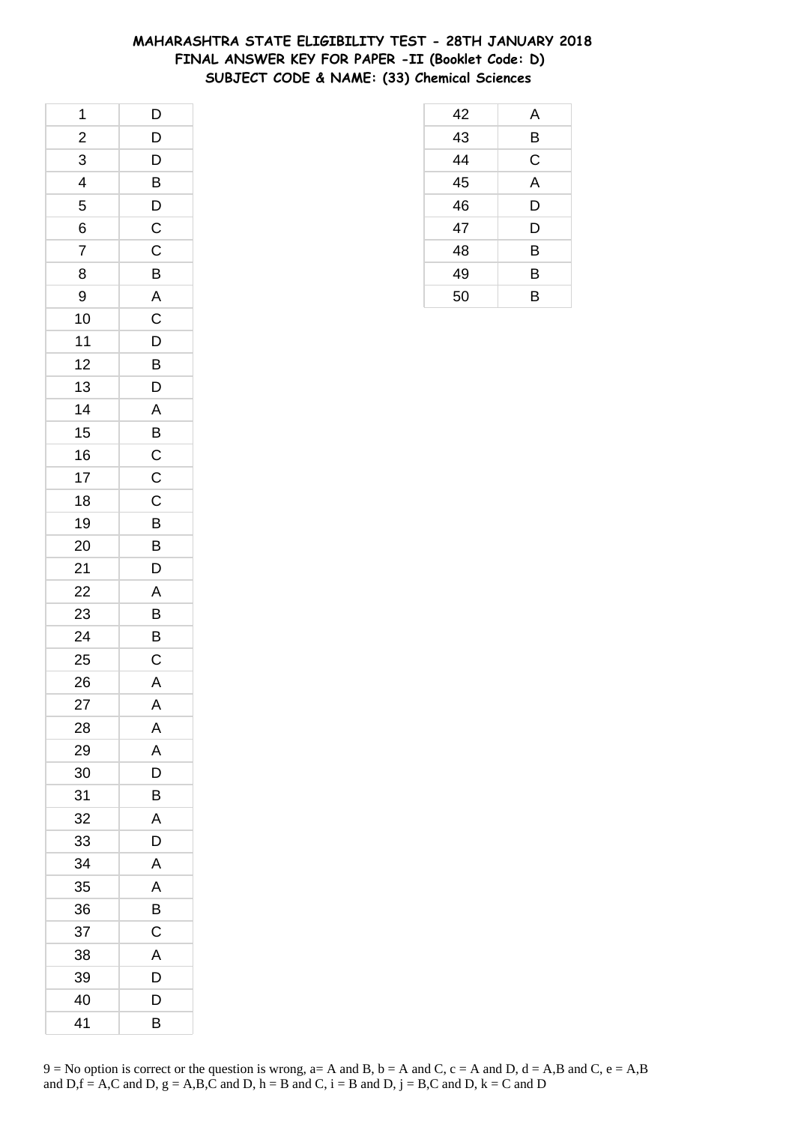## **MAHARASHTRA STATE ELIGIBILITY TEST - 28TH JANUARY 2018 FINAL ANSWER KEY FOR PAPER -II (Booklet Code: D) SUBJECT CODE & NAME: (33) Chemical Sciences**

| 1              | D                       |
|----------------|-------------------------|
| $\frac{2}{1}$  | D                       |
| 3              | D                       |
| 4              | B                       |
| 5              | D                       |
| 6              | $\mathsf{C}$            |
| $\overline{7}$ | C                       |
| 8              | B                       |
| 9              | $\overline{\mathsf{A}}$ |
| 10             | $\overline{C}$          |
| $11$           | D                       |
| 12             | B                       |
| 13             | D                       |
| 14             | $\mathsf{A}$            |
| 15             | $\overline{B}$          |
| 16             |                         |
| 17             | $\frac{C}{C}$           |
| 18             | $\mathsf C$             |
| 19             | B                       |
| 20             | $\overline{B}$          |
| 21             | $\overline{D}$          |
| 22             | A                       |
| 23             | B                       |
| 24             | B                       |
| 25             | $\mathsf{C}$            |
| 26             | $\mathsf{A}$            |
| 27             | Α                       |
| 28             | Α                       |
| 29             | A                       |
| 30             | D                       |
| 31             | B                       |
| 32             | A                       |
| 33             | D                       |
| 34             | A                       |
| 35             | A                       |
| 36             | B                       |
| 37             | C                       |
| 38             | A                       |
| 39             | D                       |
| 40             | D                       |
| 41             | В                       |

| 42 | A |
|----|---|
| 43 | B |
| 44 | C |
| 45 | A |
| 46 | D |
| 47 | D |
| 48 | B |
| 49 | B |
| 50 | В |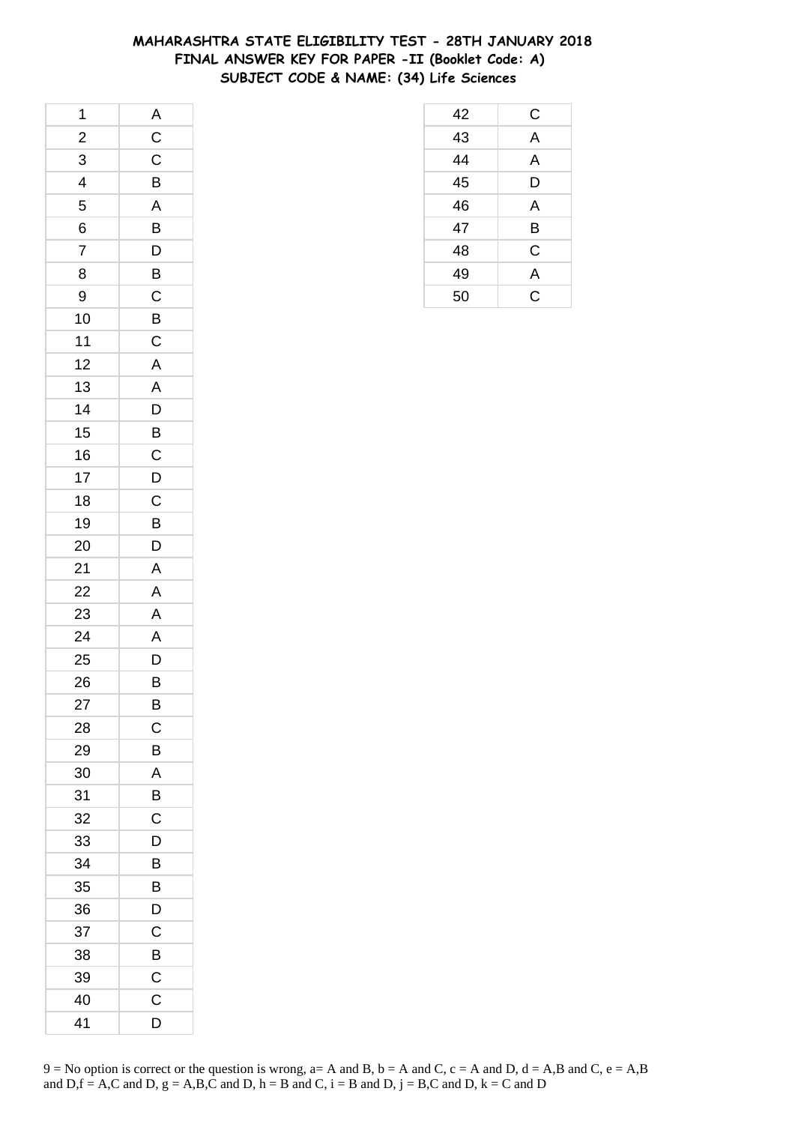## **MAHARASHTRA STATE ELIGIBILITY TEST - 28TH JANUARY 2018 FINAL ANSWER KEY FOR PAPER -II (Booklet Code: A) SUBJECT CODE & NAME: (34) Life Sciences**

| 1                        | $\overline{A}$          |
|--------------------------|-------------------------|
| $\overline{c}$           | $\overline{C}$          |
| 3                        | $\mathsf C$             |
| $\overline{\mathcal{A}}$ | B                       |
| 5                        | $\overline{\mathsf{A}}$ |
| 6                        | B                       |
| $\overline{7}$           | D                       |
| 8                        | $\overline{B}$          |
| 9                        | $\mathsf C$             |
| 10                       | B                       |
| 11                       | $\mathsf C$             |
| 12                       | $\overline{A}$          |
| 13                       | A                       |
| 14                       | $\overline{D}$          |
| 15                       | $\overline{B}$          |
| 16                       | $\mathsf C$             |
| 17                       | D                       |
| 18                       | $\mathsf C$             |
| 19                       | B                       |
| 20                       | D                       |
| 21                       | $\overline{\mathsf{A}}$ |
| 22                       | A                       |
| 23                       | A                       |
| 24                       | $\overline{A}$          |
| 25                       |                         |
| 26                       | $\frac{D}{B}$           |
| 27                       | B                       |
| 28                       | С                       |
| 29                       | B                       |
| 30                       | A                       |
| 31                       | B                       |
| 32                       | C                       |
| 33                       | D                       |
| 34                       | B                       |
| 35                       | B                       |
| 36                       | D                       |
| 37                       | C                       |
| 38                       | B                       |
| 39                       | C                       |
| 40                       | C                       |
| 41                       | D                       |

| 42              | $\mathsf{C}$            |
|-----------------|-------------------------|
| 43              | $\overline{\mathsf{A}}$ |
| $\overline{44}$ | A                       |
| $\overline{45}$ | D                       |
| 46              | A                       |
| 47              | Β                       |
| 48              | C                       |
| 49              | $\overline{A}$          |
| 50              | $\overline{\text{c}}$   |
|                 |                         |
|                 |                         |
|                 |                         |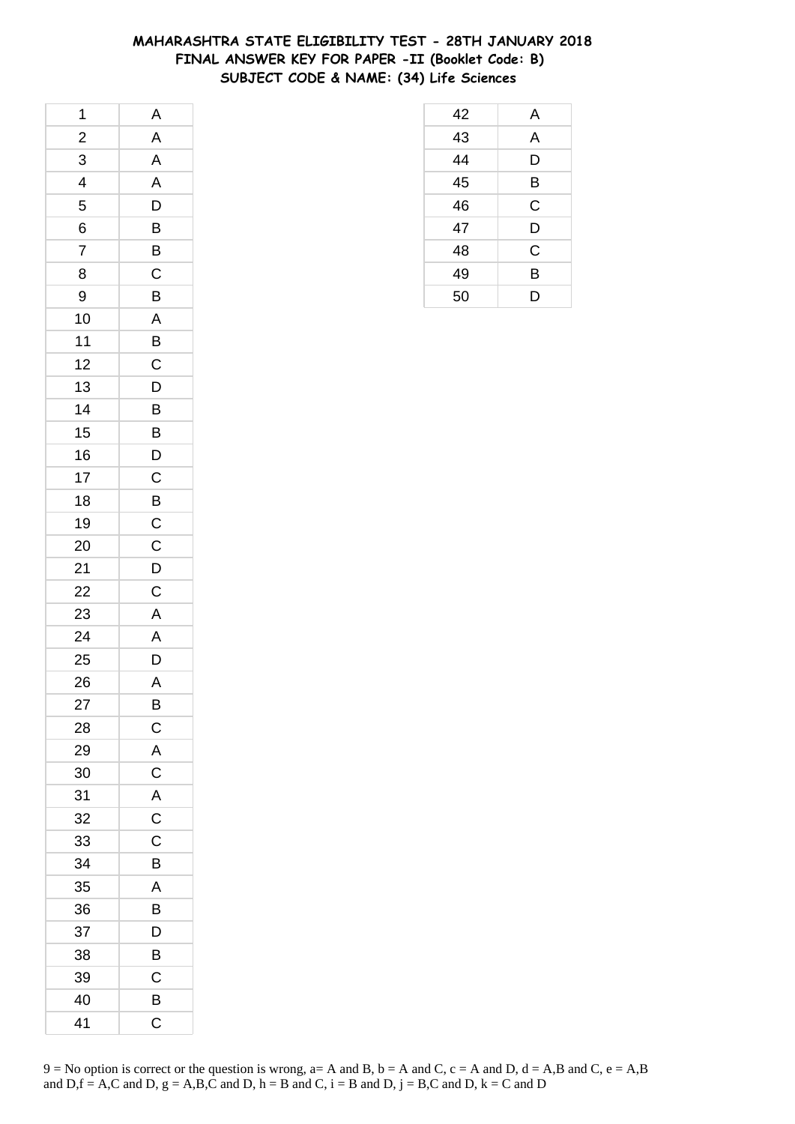## **MAHARASHTRA STATE ELIGIBILITY TEST - 28TH JANUARY 2018 FINAL ANSWER KEY FOR PAPER -II (Booklet Code: B) SUBJECT CODE & NAME: (34) Life Sciences**

| 1              | A              |
|----------------|----------------|
| $\overline{c}$ | A              |
| 3              | A              |
| 4              | A              |
| 5              | D              |
| 6              | $\overline{B}$ |
| $\overline{7}$ | $\bar{B}$      |
| 8              | $\mathsf C$    |
| 9              | B              |
| 10             | A              |
| 11             | B              |
| 12             | $\mathsf C$    |
| 13             | $\overline{D}$ |
| 14             | B              |
| 15             | B              |
| 16             | D              |
| 17             | $\overline{C}$ |
| 18             | $\overline{B}$ |
| 19             | $\overline{C}$ |
| 20             | $\mathsf{C}$   |
| 21             | D              |
| 22             | $\mathsf C$    |
| 23             | $\overline{A}$ |
| 24             | A              |
| 25             | D              |
| 26             | $\mathsf{A}$   |
| 27             | B              |
| 28             | С              |
| 29             | A              |
| 30             | $\mathsf C$    |
| 31             | A              |
| 32             | $\mathsf C$    |
| 33             | C              |
| 34             | B              |
| 35             | A              |
| 36             | B              |
| 37             | D              |
| 38             | B              |
| 39             | C              |
| 40             | B              |
| 41             | С              |

| 42              | A              |
|-----------------|----------------|
| $\overline{43}$ | A              |
| 44              | D              |
| $\overline{45}$ | B              |
| 46              | C              |
| 47              | D              |
| 48              | $\overline{C}$ |
| 49              | B              |
| 50              | D              |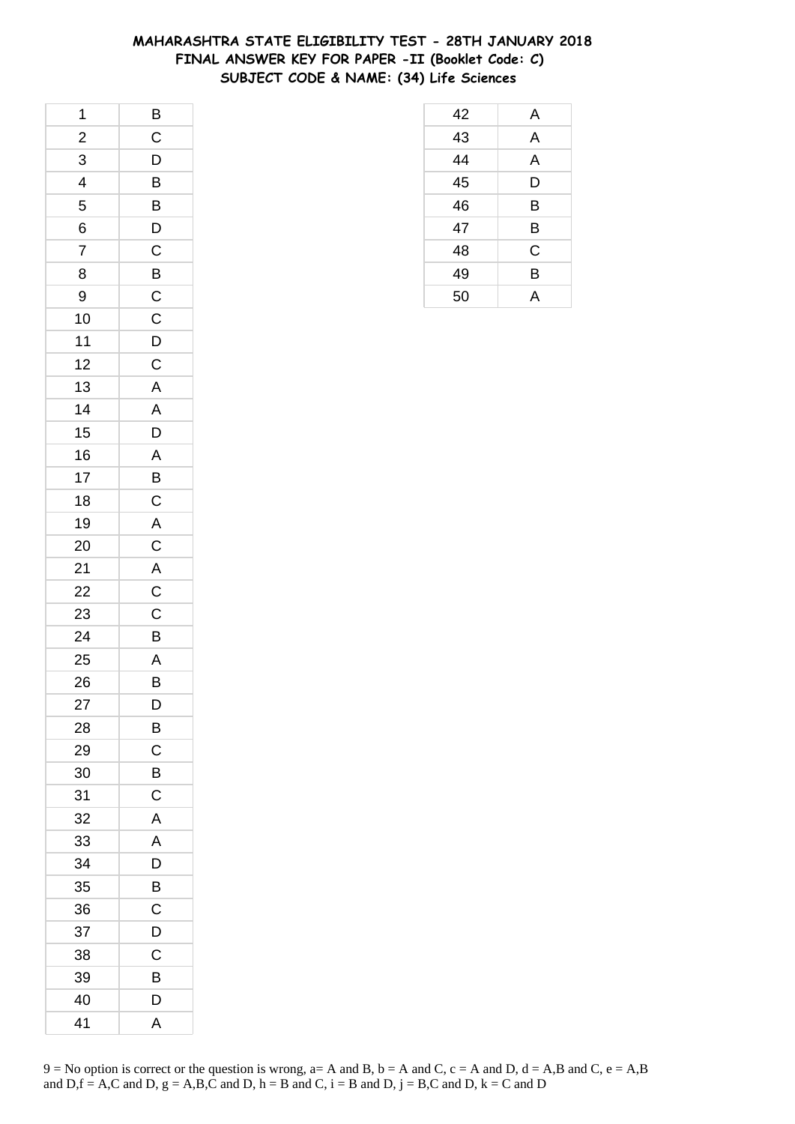## **MAHARASHTRA STATE ELIGIBILITY TEST - 28TH JANUARY 2018 FINAL ANSWER KEY FOR PAPER -II (Booklet Code: C) SUBJECT CODE & NAME: (34) Life Sciences**

| 1                       | $\overline{B}$                |
|-------------------------|-------------------------------|
| $\overline{\mathbf{c}}$ | $\mathsf{C}$                  |
| $\overline{3}$          | $\overline{D}$                |
| $\overline{4}$          | $\overline{B}$                |
| 5                       | B                             |
| 6                       | $\overline{D}$                |
| $\overline{7}$          | $\overline{c}$                |
| 8                       |                               |
| 9                       | $rac{B}{C}$                   |
| 10                      | $\overline{c}$                |
| 11                      |                               |
| 12                      | $\frac{D}{C}$                 |
| 13                      | $\overline{\mathsf{A}}$       |
| 14                      | $A$ <sup><math>-</math></sup> |
| 15                      | $\overline{D}$                |
| 16                      | A                             |
| 17                      | B                             |
| 18                      | $\mathsf C$                   |
| 19                      | $\overline{A}$                |
| 20                      |                               |
| 21                      | $rac{C}{AC}$                  |
| 22                      |                               |
| 23                      | $\overline{C}$                |
| 24                      | B                             |
| 25                      | $\overline{A}$                |
| 26                      | B                             |
| 27                      | D                             |
| 28                      | B                             |
| 29                      | C                             |
| 30                      | B                             |
| 31                      | С                             |
| 32                      | A                             |
| 33                      | A                             |
| 34                      | D                             |
| 35                      | B                             |
| 36                      | C                             |
| 37                      | D                             |
| 38                      | С                             |
| 39                      | B                             |
| 40                      | D                             |
| 41                      | A                             |

| 42 | A |
|----|---|
| 43 | A |
| 44 | A |
| 45 | D |
| 46 | B |
| 47 | B |
| 48 | C |
| 49 | B |
| 50 | А |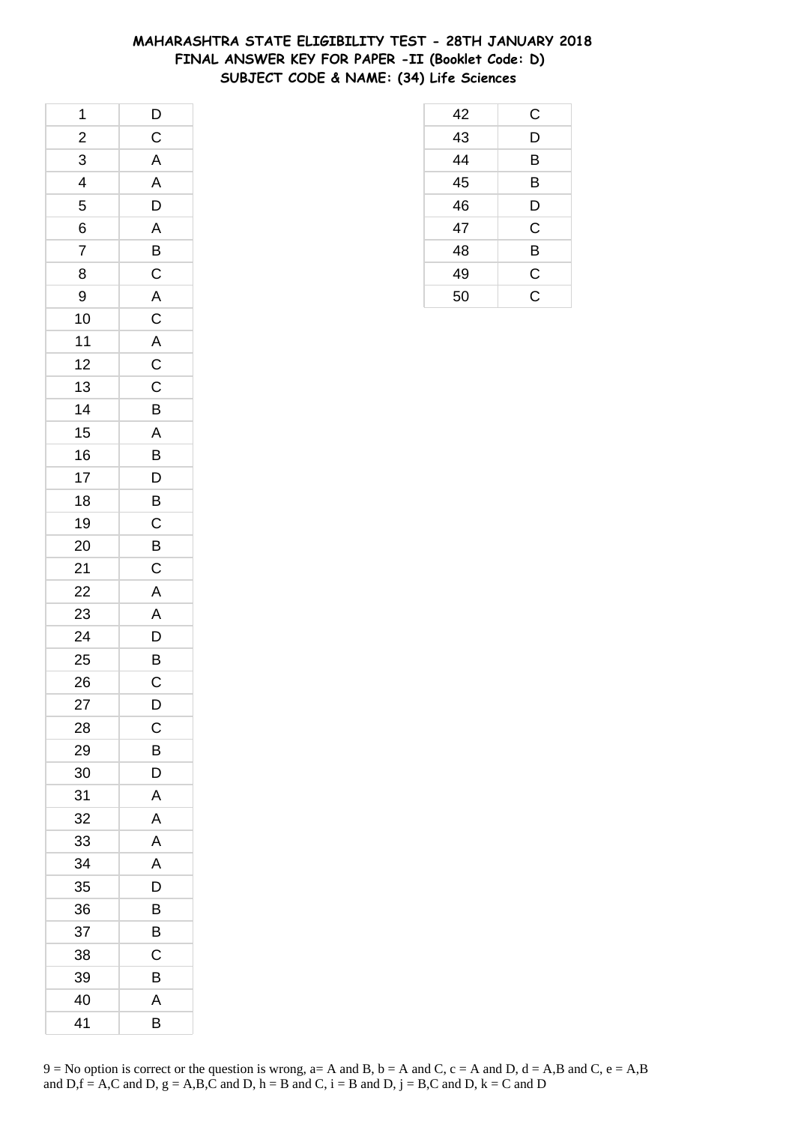## **MAHARASHTRA STATE ELIGIBILITY TEST - 28TH JANUARY 2018 FINAL ANSWER KEY FOR PAPER -II (Booklet Code: D) SUBJECT CODE & NAME: (34) Life Sciences**

| 1                        | $\overline{D}$          |
|--------------------------|-------------------------|
| $\frac{2}{1}$            | $\overline{C}$          |
| 3                        | $\overline{A}$          |
| $\overline{\mathcal{L}}$ | $\overline{\mathsf{A}}$ |
| 5                        | D                       |
| 6                        | $\mathsf{A}$            |
| $\overline{7}$           | B                       |
| 8                        | $\overline{C}$          |
| 9                        | $\overline{A}$          |
| 10                       | $\overline{c}$          |
| $11$                     | $\overline{\mathsf{A}}$ |
| 12                       | $\overline{\mathbf{C}}$ |
| 13                       | $\mathsf{C}$            |
| 14                       | $\overline{B}$          |
| 15                       | $\overline{A}$          |
| 16                       | B                       |
| 17                       | D                       |
| 18                       | B                       |
| 19                       | $\mathsf C$             |
| 20                       | $\overline{B}$          |
| 21                       | $\overline{C}$          |
| 22                       | A                       |
| 23                       | A                       |
| 24                       | D                       |
| 25                       | $\overline{B}$          |
| 26                       | $\overline{\mathbf{C}}$ |
| 27                       | D                       |
| 28                       | C                       |
| 29                       | B                       |
| 30                       | D                       |
| 31                       | A                       |
| 32                       | A                       |
| 33                       | A                       |
| 34                       | A                       |
| 35                       | D                       |
| 36                       | B                       |
| 37                       | B                       |
| 38                       | С                       |
| 39                       | B                       |
| 40                       | A                       |
| 41                       | В                       |

|                                    | $\mathsf C$   |  |
|------------------------------------|---------------|--|
| $\frac{42}{43}$<br>$\frac{44}{44}$ | D             |  |
|                                    | B             |  |
| $\frac{45}{46}$                    | B             |  |
|                                    | D             |  |
| 47                                 | C             |  |
| $\frac{48}{49}$                    | B             |  |
|                                    | $\frac{C}{C}$ |  |
| 50                                 |               |  |
|                                    |               |  |
|                                    |               |  |
|                                    |               |  |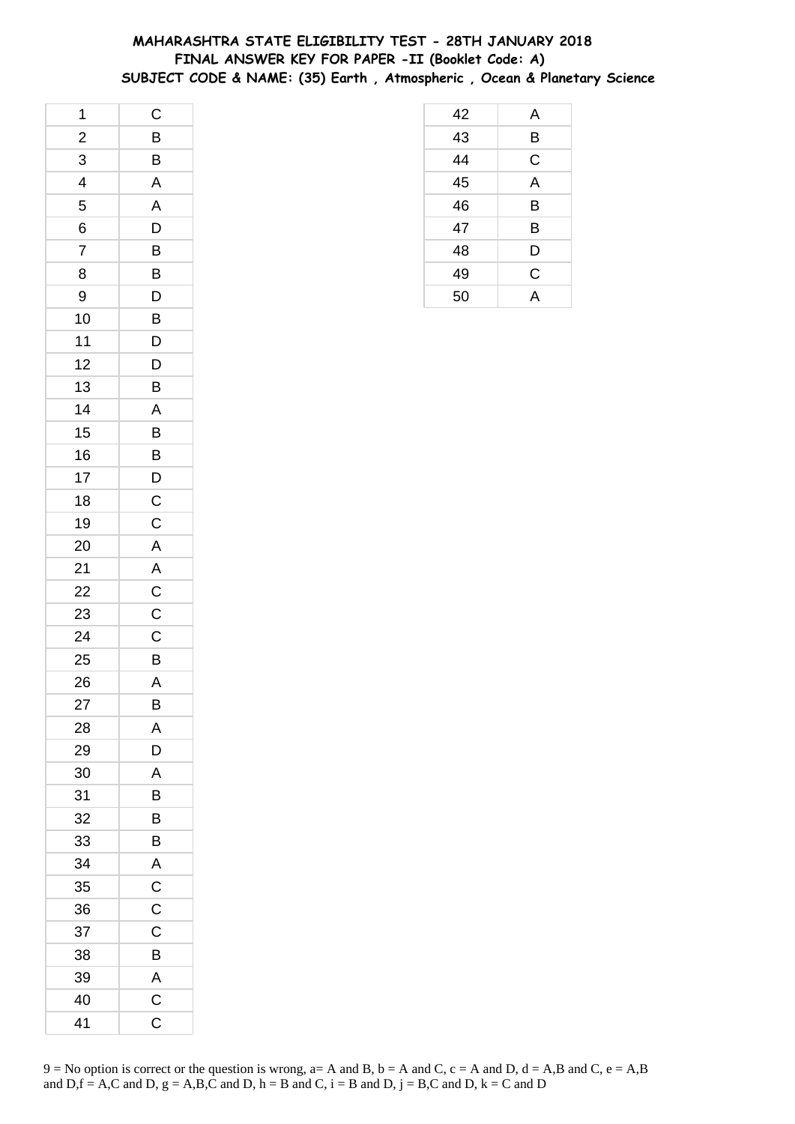# **MAHARASHTRA STATE ELIGIBILITY TEST - 28TH JANUARY 2018 FINAL ANSWER KEY FOR PAPER -II (Booklet Code: A) SUBJECT CODE & NAME: (35) Earth , Atmospheric , Ocean & Planetary Science**

| 1                       | $\mathsf C$             |
|-------------------------|-------------------------|
| $\frac{2}{1}$           | B                       |
| 3                       | B                       |
| $\overline{\mathbf{r}}$ | $\overline{\mathsf{A}}$ |
| 5                       | A                       |
| 6                       | D                       |
| $\overline{7}$          | B                       |
| 8                       | B                       |
| 9                       | D                       |
| 10                      | B                       |
| 11                      | D                       |
| 12                      | D                       |
| 13                      | B                       |
| 14                      | $\mathsf{A}$            |
| 15                      | B                       |
| 16                      | B                       |
| 17                      | D                       |
| 18                      | $\mathsf{C}$            |
| 19                      | $\mathsf C$             |
| 20                      | $\mathsf{A}$            |
| 21                      | $\overline{A}$          |
| 22                      | $\overline{C}$          |
| 23                      | $\mathsf C$             |
| 24                      | C                       |
| 25                      | B                       |
| 26                      | $\mathsf{A}$            |
| 27                      | B                       |
| 28                      | A                       |
| 29                      | D                       |
| 30                      | A                       |
| 31                      | B                       |
| 32                      | B                       |
| 33                      | B                       |
| 34                      | A                       |
| 35                      | $\overline{C}$          |
| 36                      | $\mathsf C$             |
| 37                      | C                       |
| 38                      | B                       |
| 39                      | $\overline{\mathsf{A}}$ |
| 40                      | C                       |
| 41                      | $\mathsf C$             |

|  | 9 = No option is correct or the question is wrong, a= A and B, b = A and C, c = A and D, d = A,B and C, e = A,B |  |
|--|-----------------------------------------------------------------------------------------------------------------|--|
|  | and D, f = A,C and D, g = A,B,C and D, h = B and C, i = B and D, j = B,C and D, k = C and D                     |  |

| 42 | A           |
|----|-------------|
| 43 | B           |
| 44 | $\mathsf C$ |
| 45 | A           |
| 46 | B           |
| 47 | B           |
| 48 | D           |
| 49 | $\mathsf C$ |
| 50 | A           |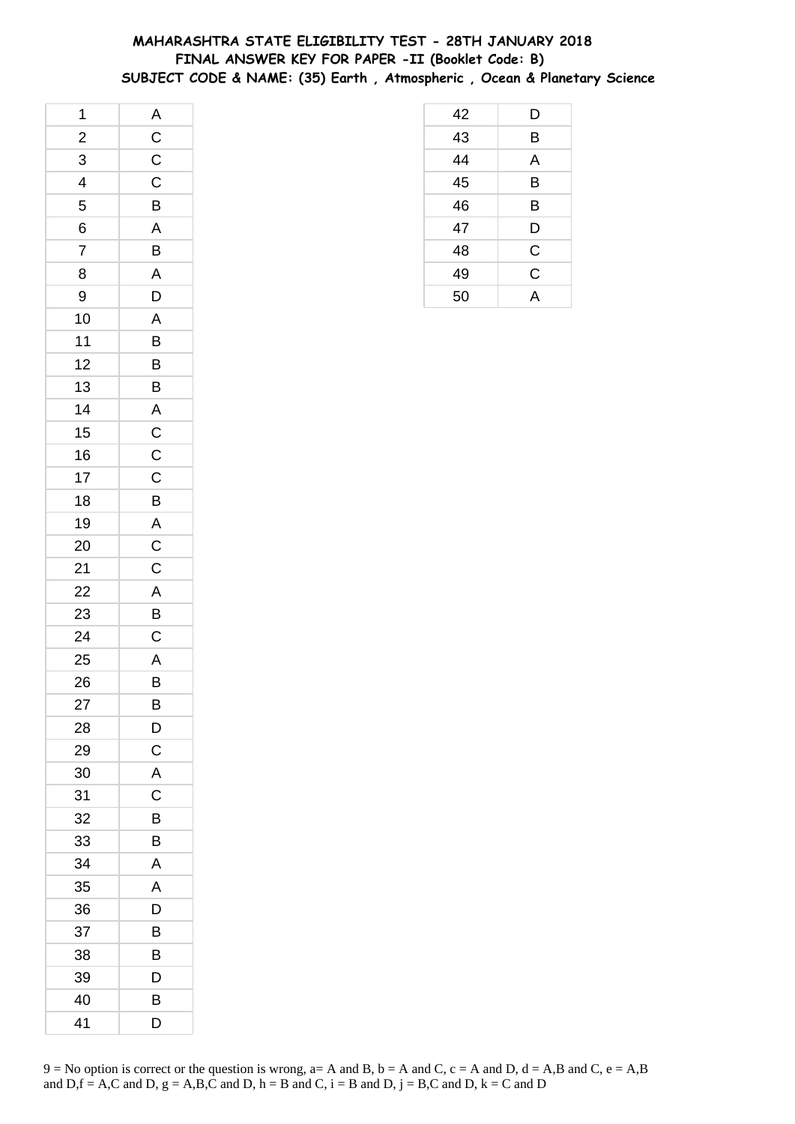## **MAHARASHTRA STATE ELIGIBILITY TEST - 28TH JANUARY 2018 FINAL ANSWER KEY FOR PAPER -II (Booklet Code: B) SUBJECT CODE & NAME: (35) Earth , Atmospheric , Ocean & Planetary Science**

| 1                       |                                     |
|-------------------------|-------------------------------------|
| $\overline{2}$          |                                     |
| $\overline{3}$          | $A$ $C$ $C$ $C$                     |
| $\overline{\mathbf{r}}$ |                                     |
| 5                       | B                                   |
|                         |                                     |
| $\frac{6}{7}$           | $rac{A}{B}$                         |
| 8                       | $\overline{A}$                      |
| 9                       | $\overline{D}$                      |
| 10                      | $\overline{A}$                      |
| 11                      | B                                   |
| 12                      | B                                   |
| 13                      | $\overline{B}$                      |
| 14                      | $\overline{A}$                      |
| 15                      |                                     |
| 16                      |                                     |
| 17                      | $\frac{\overline{C}}{\overline{C}}$ |
| 18                      | $\overline{B}$                      |
| 19                      |                                     |
| <b>20</b>               |                                     |
| 21                      | $\frac{A}{C}$                       |
| 22                      |                                     |
| 23                      | $\frac{A}{B}$                       |
| 24                      |                                     |
| 25                      |                                     |
| 26                      | $\frac{A}{B}$                       |
| 27                      | B                                   |
| 28                      | D                                   |
| 29                      | C                                   |
| 30                      | A                                   |
| 31                      | С                                   |
| 32                      | B                                   |
| 33                      | B                                   |
| 34                      | A                                   |
| 35                      | A                                   |
| 36                      | D                                   |
| 37                      | В                                   |
| 38                      | В                                   |
| 39                      | D                                   |
| 40                      | B                                   |
| 41                      | D                                   |

| 42 | D            |
|----|--------------|
| 43 | B            |
| 44 | A            |
| 45 | B            |
| 46 | B            |
| 47 | D            |
| 48 | $\mathsf{C}$ |
| 49 | C            |
| 50 | Δ            |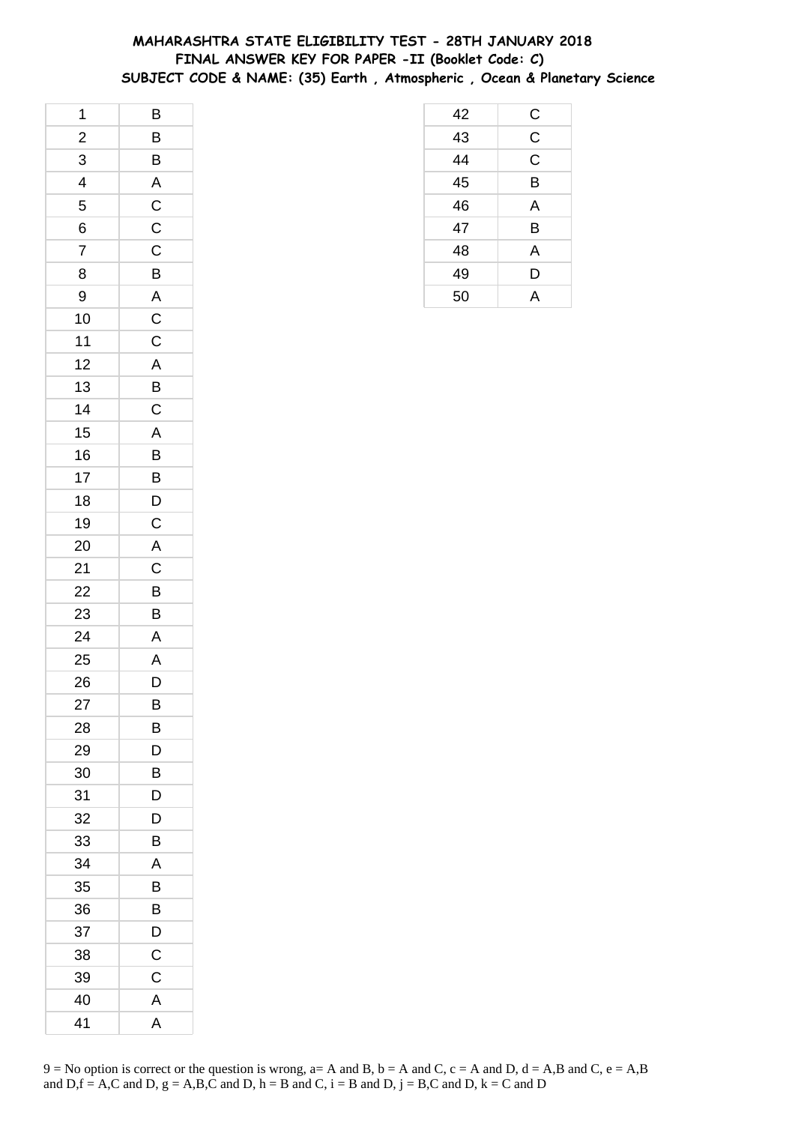# **MAHARASHTRA STATE ELIGIBILITY TEST - 28TH JANUARY 2018 FINAL ANSWER KEY FOR PAPER -II (Booklet Code: C) SUBJECT CODE & NAME: (35) Earth , Atmospheric , Ocean & Planetary Science**

| $\mathbf 1$             | B              |
|-------------------------|----------------|
| $\frac{1}{2}$           | $\overline{B}$ |
| $\overline{3}$          | $\overline{B}$ |
| $\overline{\mathbf{4}}$ |                |
| 5                       |                |
| $\overline{6}$          | $rac{A}{C}$    |
| $\overline{7}$          | $\overline{C}$ |
| 8                       | $\overline{B}$ |
| 9                       |                |
| 10                      | $rac{A}{C}$    |
| $11$                    | $\overline{C}$ |
| 12                      | $\mathsf{A}$   |
| 13                      |                |
| 14                      | $rac{B}{C}$    |
| 15                      | $\overline{A}$ |
| 16                      | $\overline{B}$ |
| 17                      | $\overline{B}$ |
| 18                      | $\overline{D}$ |
| 19                      | $\mathsf{C}$   |
| 20                      | A              |
| 21                      | $\overline{C}$ |
| 22                      | $\overline{B}$ |
| 23                      | B              |
| 24                      | A              |
| 25                      | A              |
| 26                      | $\overline{D}$ |
| 27                      | B              |
| 28                      | В              |
| 29                      | D              |
| 30                      | В              |
| 31                      | D              |
| 32                      | D              |
| 33                      | B              |
| 34                      | A              |
| 35                      | В              |
| 36                      | Β              |
| 37                      | D              |
| 38                      | $\mathsf C$    |
| 39                      | C              |
| 40                      | A              |
| 41                      | A              |

| 9 = No option is correct or the question is wrong, a= A and B, b = A and C, c = A and D, d = A,B and C, e = A,B |
|-----------------------------------------------------------------------------------------------------------------|
| and D, f = A,C and D, g = A,B,C and D, h = B and C, i = B and D, j = B,C and D, k = C and D                     |

| 42 | С              |
|----|----------------|
| 43 | $\overline{C}$ |
| 44 | $\mathsf C$    |
| 45 | B              |
| 46 | A              |
| 47 | B              |
| 48 | A              |
| 49 | D              |
| 50 | Α              |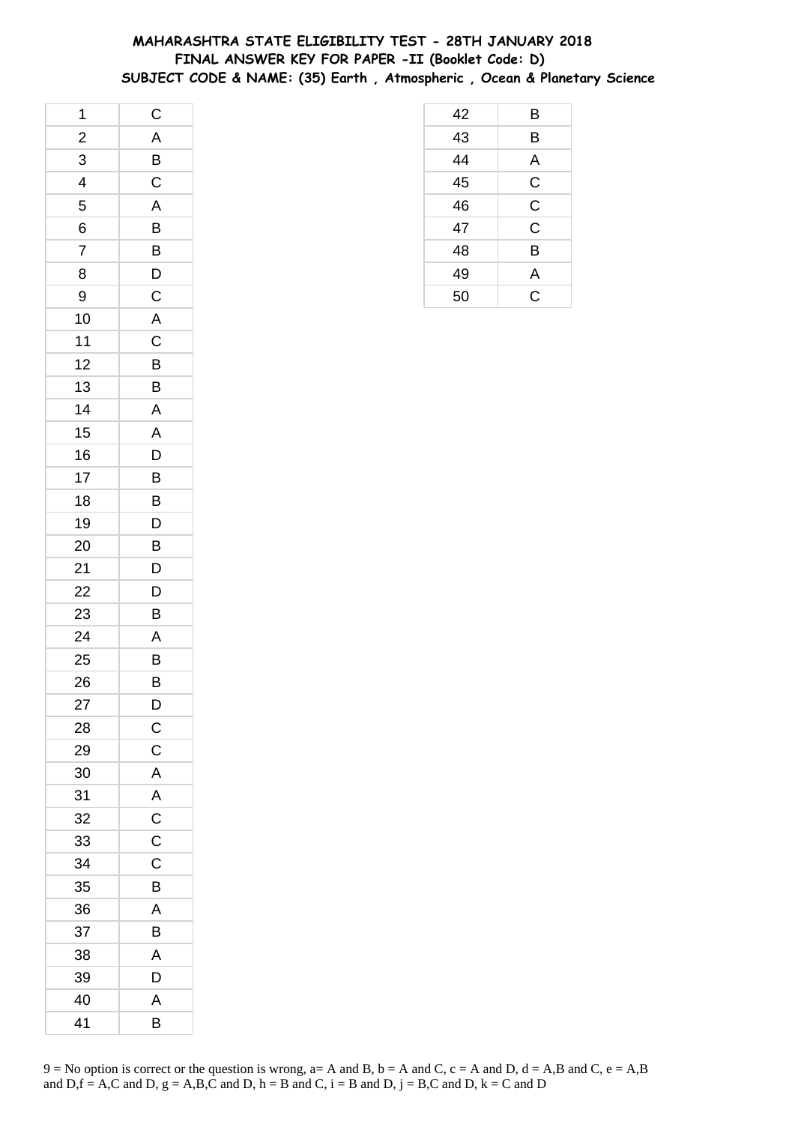# **MAHARASHTRA STATE ELIGIBILITY TEST - 28TH JANUARY 2018 FINAL ANSWER KEY FOR PAPER -II (Booklet Code: D) SUBJECT CODE & NAME: (35) Earth , Atmospheric , Ocean & Planetary Science**

| 1                       | $\mathsf C$    |
|-------------------------|----------------|
| $\frac{2}{1}$           | A              |
| $\overline{3}$          | $\overline{B}$ |
| $\overline{\mathbf{4}}$ | $\mathsf C$    |
| 5                       | A              |
| 6                       | B              |
| $\overline{7}$          | B              |
| 8                       | D              |
| 9                       | $\mathsf C$    |
| 10                      | $\overline{A}$ |
| 11                      | $\mathsf{C}$   |
| 12                      | B              |
| 13                      | B              |
| 14                      | $\overline{A}$ |
| 15                      | A              |
| 16                      | D              |
| 17                      | B              |
| 18                      | B              |
| 19                      | D              |
| 20                      | B              |
| 21                      | D              |
| 22                      | D              |
| 23                      | B              |
| 24                      | A              |
| 25                      | B              |
| 26                      | B              |
| 27                      | D              |
| 28                      | C              |
| 29                      | $\mathsf C$    |
| 30                      | $\mathsf{A}$   |
| 31                      | $\mathsf{A}$   |
| 32                      | $\overline{C}$ |
| 33                      | $\mathsf C$    |
| 34                      | C              |
| 35                      | B              |
| 36                      | A              |
| 37                      | В              |
| 38                      | Α              |
| 39                      | D              |
| 40                      | A              |
| 41                      | B              |

| 9 = No option is correct or the question is wrong, a= A and B, b = A and C, c = A and D, d = A,B and C, e = A,B |
|-----------------------------------------------------------------------------------------------------------------|
| and D, $f = A$ , C and D, $g = A$ , B, C and D, $h = B$ and C, $i = B$ and D, $j = B$ , C and D, $k = C$ and D  |

| 42 | B           |
|----|-------------|
| 43 | B           |
| 44 | A           |
| 45 | C           |
| 46 | $\mathsf C$ |
| 47 | $\mathsf C$ |
| 48 | B           |
| 49 | Α           |
| 50 | C           |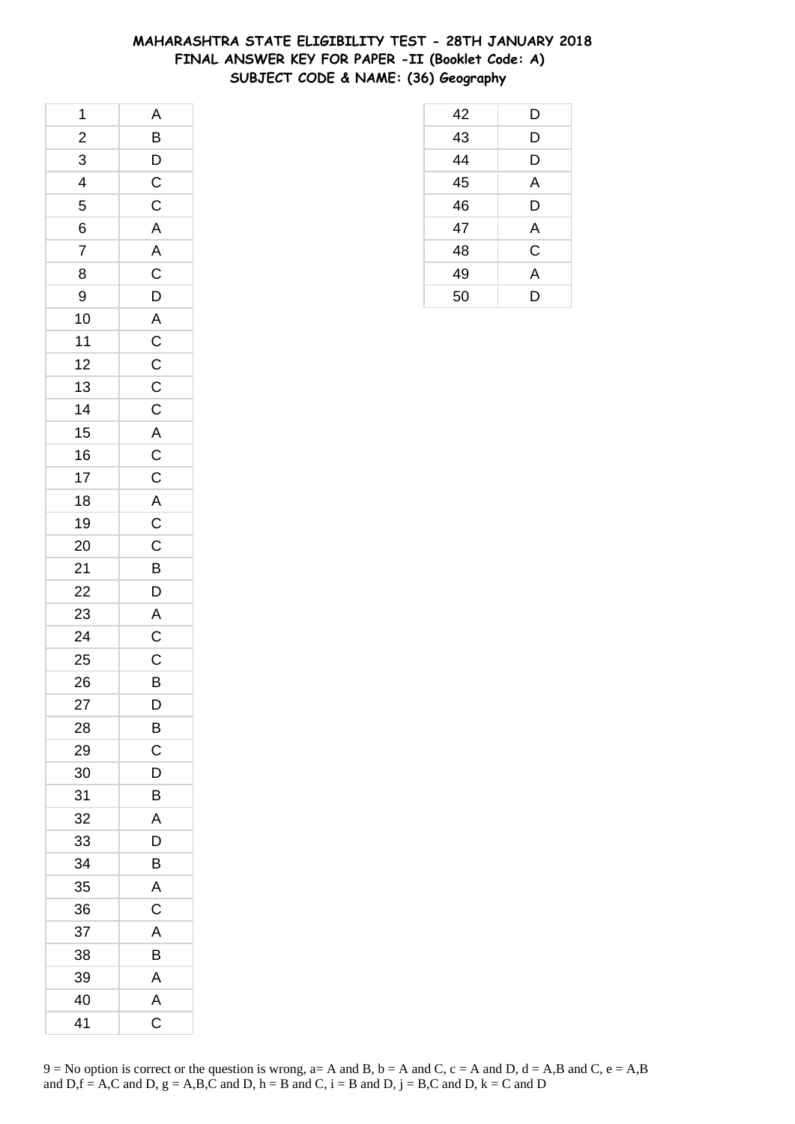## **MAHARASHTRA STATE ELIGIBILITY TEST - 28TH JANUARY 2018 FINAL ANSWER KEY FOR PAPER -II (Booklet Code: A) SUBJECT CODE & NAME: (36) Geography**

| 1              | $\mathsf{A}$          |
|----------------|-----------------------|
| $\frac{2}{1}$  |                       |
| $\overline{3}$ | $\overline{B}$<br>$D$ |
| $\overline{4}$ |                       |
| 5              |                       |
| 6              | $rac{C}{AC}$          |
| $\overline{7}$ |                       |
| 8              |                       |
| 9              |                       |
| 10             |                       |
| $11$           | ACDACCCCACCA          |
| 12             |                       |
| 13             |                       |
| 14             |                       |
| 15             |                       |
| 16             |                       |
| 17             |                       |
| 18             |                       |
| 19             |                       |
| 20             |                       |
| 21             | $C$<br>$B$<br>$D$     |
| 22             |                       |
| 23             |                       |
| 24             | $rac{A}{C}$           |
| 25             |                       |
| 26             | $\frac{C}{B}$         |
| 27             | D                     |
| 28             | B                     |
| 29             | C                     |
| 30             | D                     |
| 31             | B                     |
| 32             | A                     |
| 33             | D                     |
| 34             | B                     |
| 35             | A                     |
| 36             | С                     |
| 37             | A                     |
| 38             | B                     |
| 39             | A                     |
| 40             | A                     |
| 41             | C                     |

| 42 | D              |
|----|----------------|
| 43 | D              |
| 44 | D              |
| 45 | A              |
| 46 | D              |
| 47 | A              |
| 48 | $\mathsf C$    |
| 49 | $\overline{A}$ |
| 50 | D              |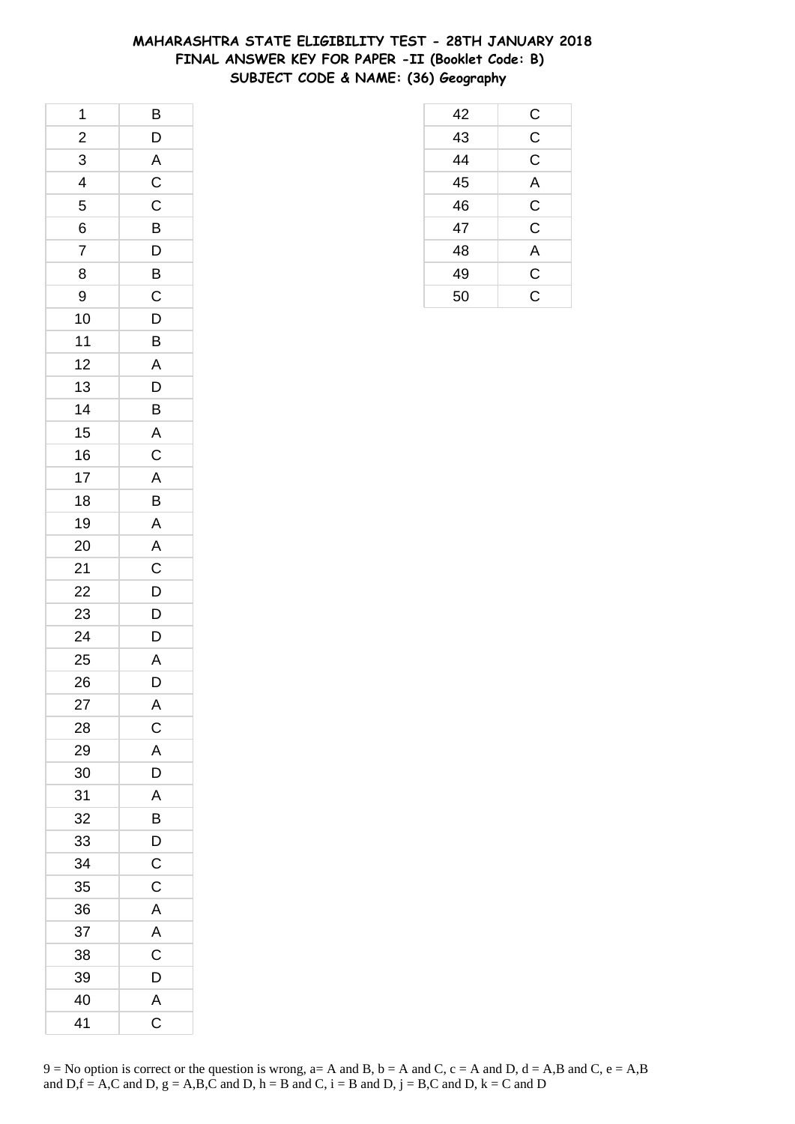## **MAHARASHTRA STATE ELIGIBILITY TEST - 28TH JANUARY 2018 FINAL ANSWER KEY FOR PAPER -II (Booklet Code: B) SUBJECT CODE & NAME: (36) Geography**

| 1                       | $\overline{B}$ |
|-------------------------|----------------|
| $\overline{\mathbf{c}}$ | $\mathsf{D}$   |
| $\overline{3}$          | $\overline{A}$ |
| $\overline{4}$          | $\overline{C}$ |
| 5                       | $\mathsf C$    |
| 6                       | B              |
| $\overline{7}$          | D              |
| 8                       | $\overline{B}$ |
| 9                       | $\overline{C}$ |
| 10                      | $\mathsf{D}$   |
| 11                      | B              |
| 12                      | $\overline{A}$ |
| 13                      | $\mathsf{D}$   |
| 14                      | B              |
| 15                      | $\overline{A}$ |
| 16                      | $\overline{C}$ |
| 17                      | A              |
| 18                      | B              |
| 19                      | $\overline{A}$ |
| 20                      | A              |
| 21                      | $\overline{c}$ |
| 22                      | $\overline{D}$ |
| 23                      | $\overline{D}$ |
| 24                      | D              |
| 25                      | A              |
| 26                      | D              |
| 27                      | A              |
| 28                      | C              |
| 29                      | A              |
| 30                      | D              |
| 31                      | A              |
| 32                      | B              |
| 33                      | D              |
| 34                      | $\mathsf C$    |
| 35                      | C              |
| 36                      | $\mathsf{A}$   |
| 37                      | A              |
| 38                      | C              |
| 39                      | D              |
| 40                      | A              |
| 41                      | C              |

| 42 | C              |
|----|----------------|
| 43 | $\overline{C}$ |
| 44 | $\mathsf C$    |
| 45 | A              |
| 46 | $\mathsf C$    |
| 47 | C              |
| 48 | A              |
| 49 | $\mathsf C$    |
| 50 | $\overline{C}$ |
|    |                |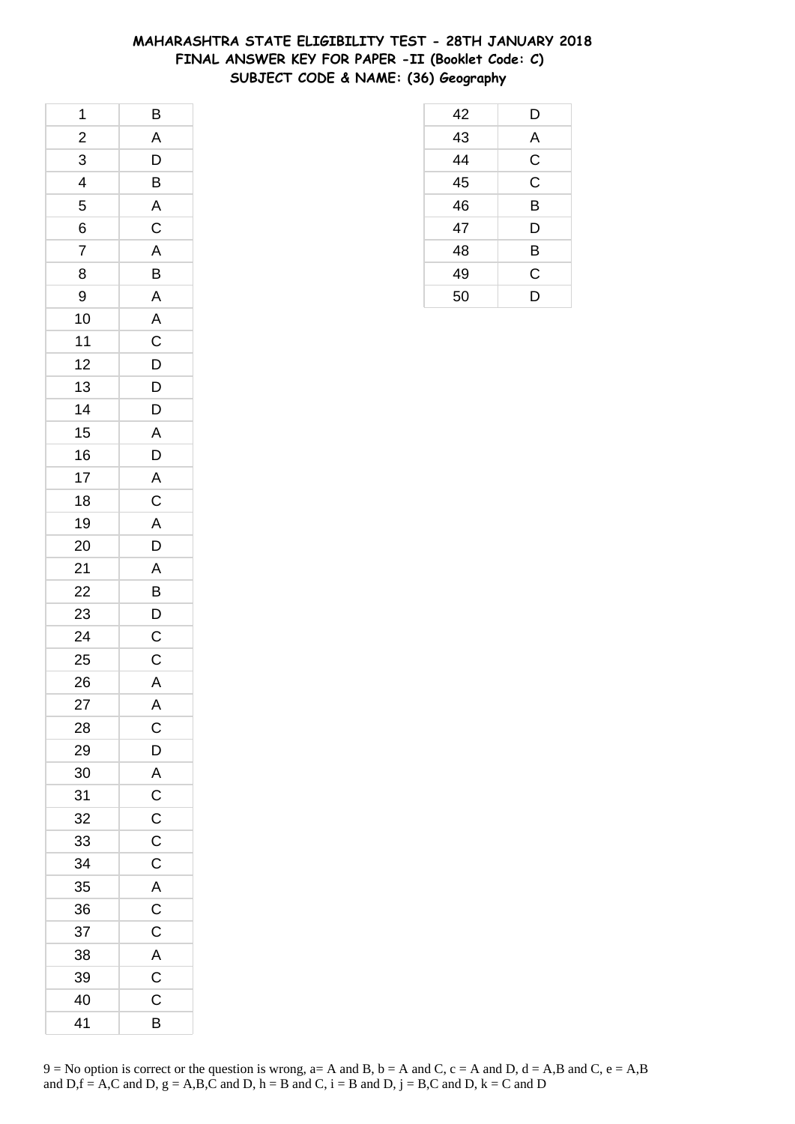## **MAHARASHTRA STATE ELIGIBILITY TEST - 28TH JANUARY 2018 FINAL ANSWER KEY FOR PAPER -II (Booklet Code: C) SUBJECT CODE & NAME: (36) Geography**

| 1                       | B                       |
|-------------------------|-------------------------|
| $\overline{\mathbf{c}}$ | A                       |
| $\overline{3}$          | D                       |
| 4                       | $\overline{B}$          |
| 5                       | $\overline{\mathsf{A}}$ |
| 6                       | $\overline{C}$          |
| $\overline{7}$          | $\overline{A}$          |
| 8                       | B                       |
| 9                       | $\overline{\mathsf{A}}$ |
| 10                      | $\overline{A}$          |
| 11                      | $\overline{C}$          |
| 12                      | D                       |
| 13                      | $\mathsf{D}$            |
| 14                      | D                       |
| 15                      | $\mathsf{A}$            |
| 16                      | $\overline{D}$          |
| 17                      |                         |
| 18                      | $rac{A}{C}$             |
| 19                      | $\mathsf{A}$            |
| 20                      | D                       |
| 21                      | A                       |
| 22                      | B                       |
| 23                      | $\overline{D}$          |
| 24                      | $\overline{c}$          |
| 25                      | $\mathsf C$             |
| 26                      | $\mathsf{A}$            |
| 27                      | Α                       |
| 28                      | $\mathsf{C}$            |
| 29                      | D                       |
| 30                      | A                       |
| 31                      | $\mathsf C$             |
| 32                      | $\mathsf C$             |
| 33                      | $\overline{C}$          |
| 34                      | $\overline{C}$          |
| 35                      | $\overline{A}$          |
| 36                      | $\overline{\mathsf{C}}$ |
| 37                      | $\mathsf C$             |
| 38                      | $\mathsf{A}$            |
| 39                      | $\overline{C}$          |
| 40                      | C                       |
| 41                      | B                       |

| 42 | D           |
|----|-------------|
| 43 | A           |
| 44 | $\mathsf C$ |
| 45 | $\mathsf C$ |
| 46 | B           |
| 47 | D           |
| 48 | B           |
| 49 | C           |
| 50 | D           |
|    |             |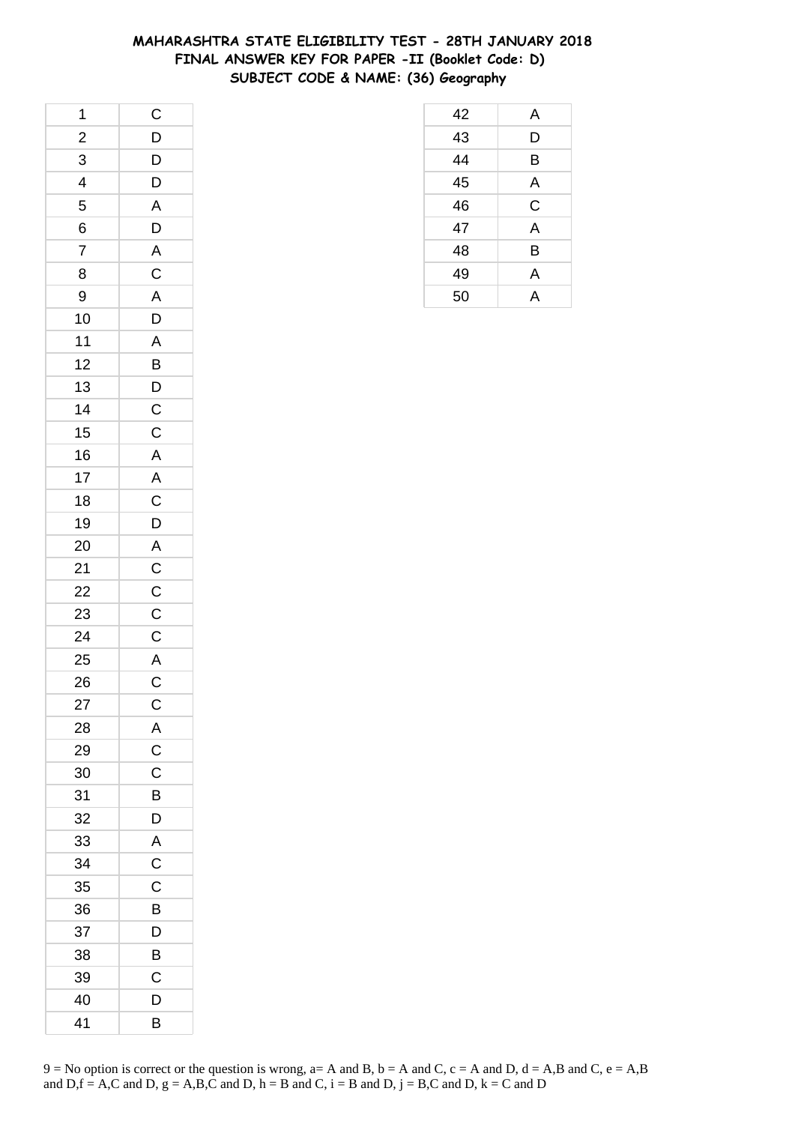## **MAHARASHTRA STATE ELIGIBILITY TEST - 28TH JANUARY 2018 FINAL ANSWER KEY FOR PAPER -II (Booklet Code: D) SUBJECT CODE & NAME: (36) Geography**

| 1                       | $\overline{C}$                                    |
|-------------------------|---------------------------------------------------|
| $\overline{\mathbf{c}}$ |                                                   |
| $\overline{3}$          | $\begin{array}{c}\nD \\ D \\ D \\ A\n\end{array}$ |
| $\frac{1}{4}$           |                                                   |
| 5                       |                                                   |
| 6                       | D                                                 |
| $\overline{7}$          | $\overline{A}$                                    |
| 8                       | $\frac{1}{C}$                                     |
| 9                       |                                                   |
| 10                      | $\frac{A}{D}$                                     |
| 11                      |                                                   |
| 12                      | $rac{A}{B}$                                       |
| 13                      |                                                   |
| 14                      | $\frac{D}{C}$                                     |
| 15                      |                                                   |
| 16                      |                                                   |
| 17                      | A<br>A<br>C<br>D                                  |
| 18                      |                                                   |
| 19                      |                                                   |
| 20                      |                                                   |
| 21                      | $A$ $C$ $C$ $C$                                   |
| 22                      |                                                   |
| 23                      |                                                   |
| 24                      | $\overline{C}$                                    |
| 25                      | $rac{A}{C}$                                       |
| 26                      |                                                   |
| 27                      | $\mathsf{C}$                                      |
| 28                      | $\overline{A}$                                    |
| 29                      | $\overline{C}$                                    |
| 30                      | C                                                 |
| 31                      | B                                                 |
| 32                      | D                                                 |
| 33                      | $\overline{A}$                                    |
| 34                      | $\overline{C}$                                    |
| 35                      | C                                                 |
| 36                      | B                                                 |
| 37                      | D                                                 |
| 38                      | B                                                 |
| 39                      | C                                                 |
| 40                      | D                                                 |
| 41                      | B                                                 |

| 42 | A           |
|----|-------------|
| 43 | D           |
| 44 | B           |
| 45 | A           |
| 46 | $\mathsf C$ |
| 47 | A           |
| 48 | B           |
| 49 | A           |
| 50 | А           |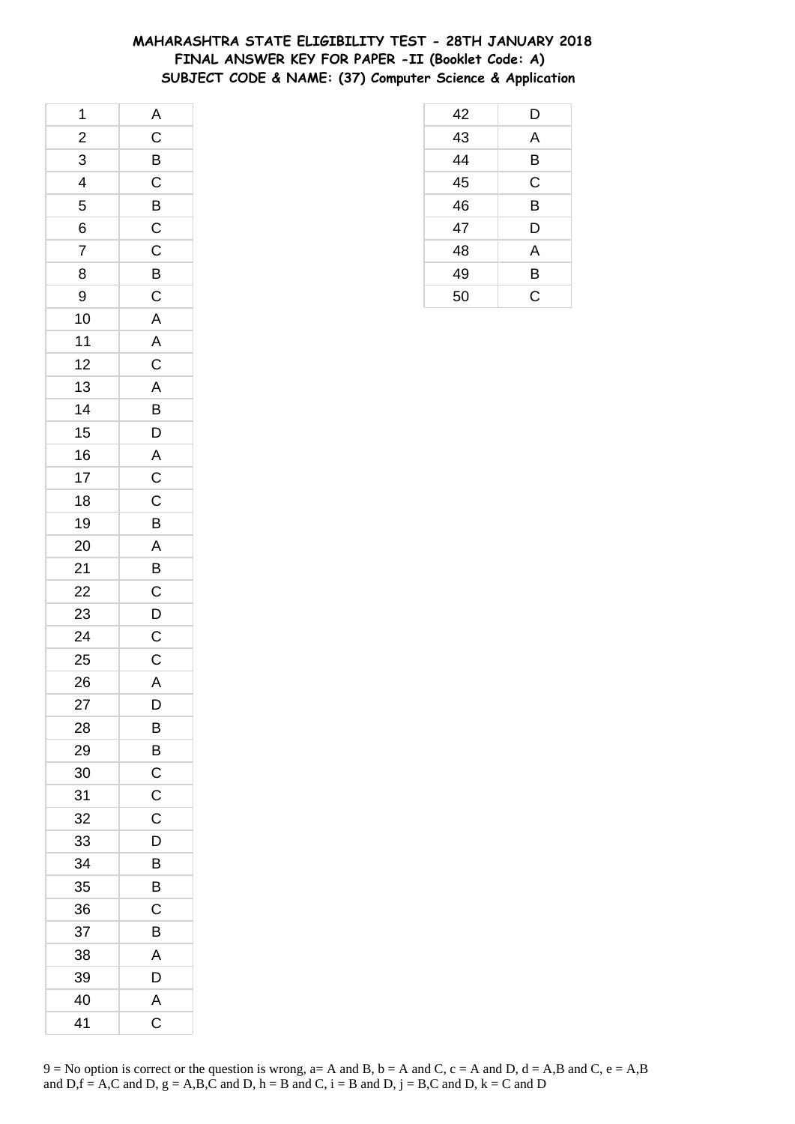## **MAHARASHTRA STATE ELIGIBILITY TEST - 28TH JANUARY 2018 FINAL ANSWER KEY FOR PAPER -II (Booklet Code: A) SUBJECT CODE & NAME: (37) Computer Science & Application**

| 1                        | A                       |
|--------------------------|-------------------------|
| $\overline{c}$           | $\overline{C}$          |
| 3                        | B                       |
| $\overline{\mathcal{A}}$ | $\mathsf C$             |
| 5                        | B                       |
| 6                        | $\mathsf{C}$            |
| $\overline{7}$           | $\overline{C}$          |
| 8                        | $\overline{B}$          |
| 9                        | $\overline{C}$          |
| 10                       | $\overline{A}$          |
| 11                       | $\overline{A}$          |
| 12                       | $\mathsf{C}$            |
| 13                       |                         |
| 14                       | $\frac{A}{B}$           |
| 15                       | $\overline{D}$          |
| 16                       | $\overline{\mathsf{A}}$ |
| 17                       | $\overline{C}$          |
| 18                       | $\overline{C}$          |
| 19                       | $\overline{\mathsf{B}}$ |
| 20                       | $\overline{A}$          |
| 21                       | $\overline{B}$          |
| 22                       | $\mathsf{C}$            |
| 23                       | $\overline{D}$          |
| 24                       | $\overline{C}$          |
| 25                       | $\mathsf{C}$            |
| 26                       | $\overline{\mathsf{A}}$ |
| 27                       | D                       |
| 28                       | B                       |
| 29                       | B                       |
| 30                       | $\mathsf C$             |
| 31                       | $\mathsf C$             |
| 32                       | $\mathsf C$             |
| 33                       | D                       |
| 34                       | B                       |
| 35                       | Β                       |
| 36                       | С                       |
| 37                       | B                       |
| 38                       | A                       |
| 39                       | D                       |
| 40                       | A                       |
| 41                       | C                       |

| 42              | D            |
|-----------------|--------------|
| $\frac{43}{44}$ | A            |
|                 | B            |
| 45              | $\mathsf C$  |
| 46              | B            |
| $\overline{47}$ | D            |
| 48              | A            |
| 49              | B            |
| 50              | $\mathsf{C}$ |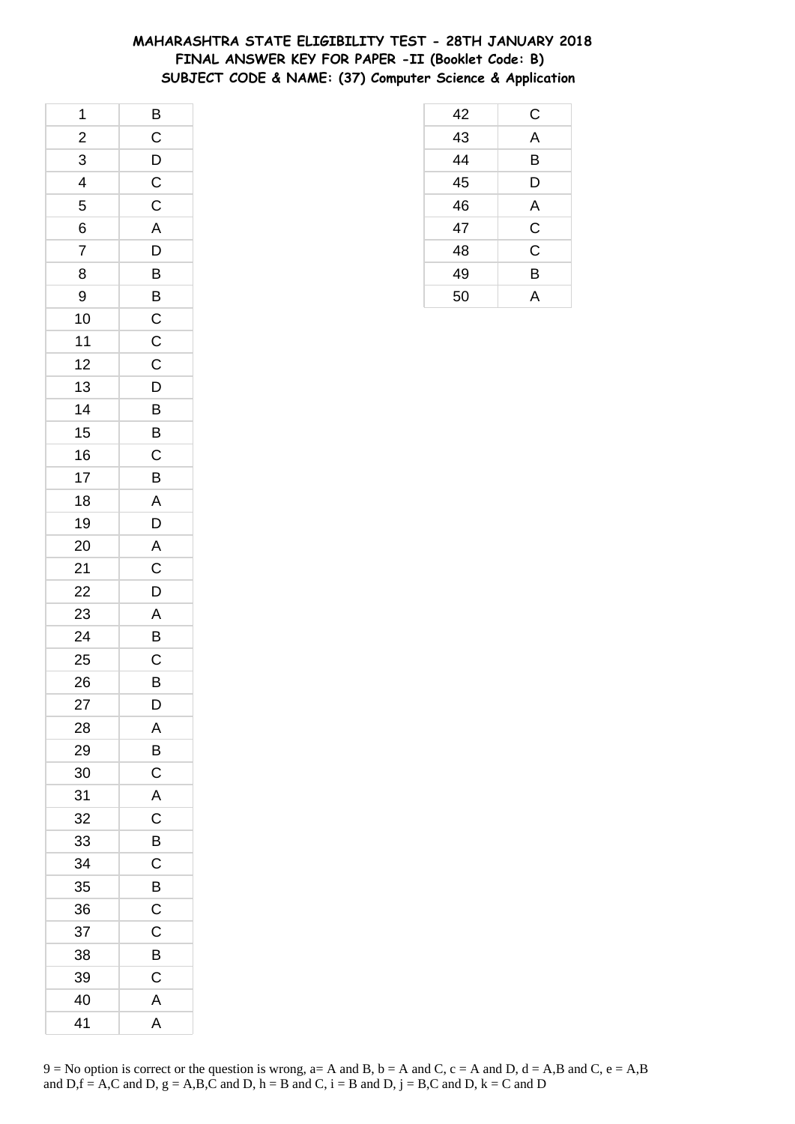# **MAHARASHTRA STATE ELIGIBILITY TEST - 28TH JANUARY 2018 FINAL ANSWER KEY FOR PAPER -II (Booklet Code: B) SUBJECT CODE & NAME: (37) Computer Science & Application**

 C A B D A C C B A

| 1              |                |
|----------------|----------------|
| $\overline{c}$ | $rac{B}{C}$    |
| 3              | $\overline{D}$ |
| 4              | $\frac{C}{C}$  |
| 5              |                |
| 6              | A              |
| $\overline{7}$ | $\overline{D}$ |
| 8              | $\overline{B}$ |
| 9              | $\overline{B}$ |
| 10             |                |
| 11             | $\frac{C}{C}$  |
| 12             | $\mathsf{C}$   |
| 13             | $\overline{D}$ |
| 14             | $\overline{B}$ |
| 15             | B              |
| 16             | $\mathsf C$    |
| 17             | B              |
| 18             | $\overline{A}$ |
| 19             |                |
| 20             | $\frac{D}{A}$  |
| 21             | $\overline{C}$ |
| 22             | D              |
| 23             | $\mathsf{A}$   |
| 24             | B              |
| 25             | $\mathsf{C}$   |
| 26             | $\overline{B}$ |
| 27             | D              |
| 28             | Α              |
| 29             | B              |
| 30             | $\mathsf C$    |
| 31             | A              |
| 32             | C              |
| 33             | B              |
| 34             | C              |
| 35             | B              |
| 36             | C              |
| 37             | C              |
| 38             | B              |
| 39             | C              |
| 40             | A              |
| 41             | A              |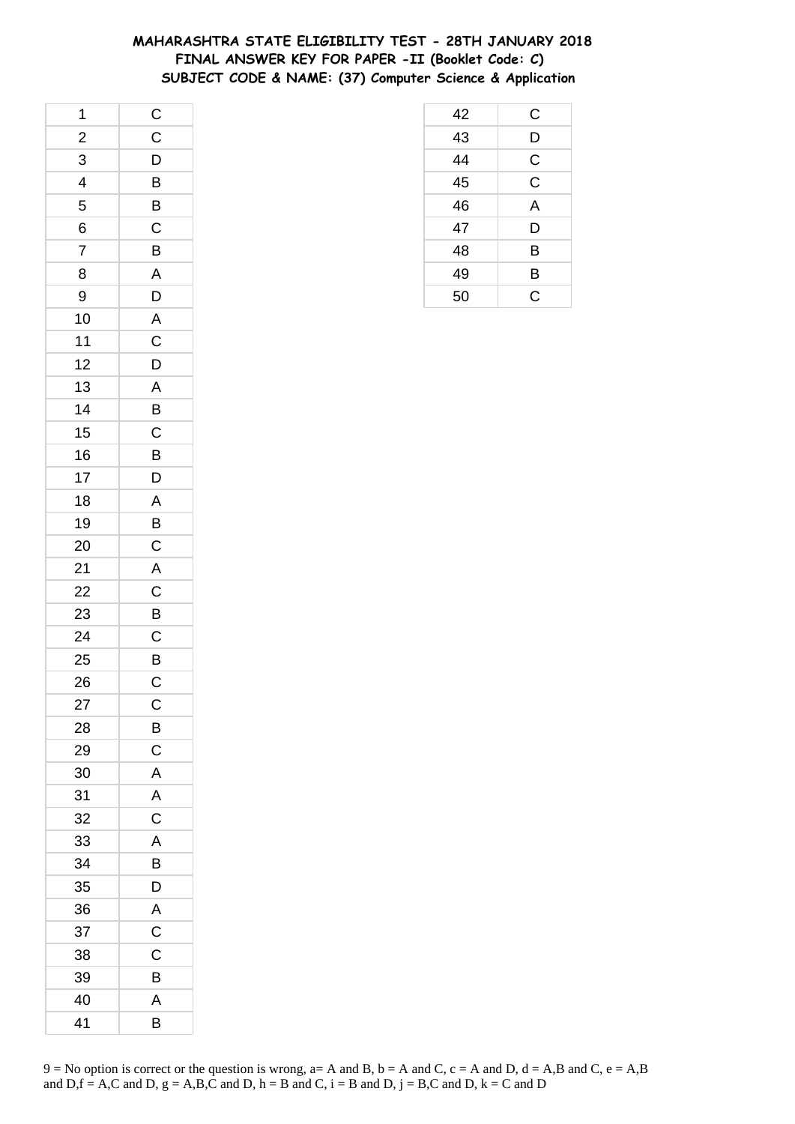## **MAHARASHTRA STATE ELIGIBILITY TEST - 28TH JANUARY 2018 FINAL ANSWER KEY FOR PAPER -II (Booklet Code: C) SUBJECT CODE & NAME: (37) Computer Science & Application**

| 1              | $\mathsf{C}$   |
|----------------|----------------|
| $\overline{c}$ | $\overline{C}$ |
| 3              | $\overline{D}$ |
| 4              | $\overline{B}$ |
| 5              | B              |
| 6              | $\mathsf{C}$   |
| $\overline{7}$ | $\overline{B}$ |
| 8              | A              |
| 9              | D              |
| 10             | $\mathsf{A}$   |
| 11             | $\mathsf C$    |
| 12             | D              |
| 13             | A              |
| 14             | $\overline{B}$ |
| 15             | $\mathsf{C}$   |
| 16             | B              |
| 17             | D              |
| 18             | A              |
| 19             | $\overline{B}$ |
| 20             | $\overline{C}$ |
| 21             | $\overline{A}$ |
| 22             | $\overline{C}$ |
| 23             | B              |
| 24             | $\mathsf C$    |
| 25             | $rac{B}{C}$    |
| 26             |                |
| 27             | $\mathsf C$    |
| 28             | В              |
| 29             | C              |
| 30             | A              |
| 31             | A              |
| 32             | $\mathsf C$    |
| 33             | A              |
| 34             | В              |
| 35             | D              |
| 36             | A              |
| 37             | $\mathsf C$    |
| 38             | C              |
| 39             | B              |
| 40             | A              |
| 41             | В              |

| 42 | С           |
|----|-------------|
| 43 | D           |
| 44 | $\mathsf C$ |
| 45 | $\mathsf C$ |
| 46 | A           |
| 47 | D           |
| 48 | B           |
| 49 | Β           |
| 50 | C           |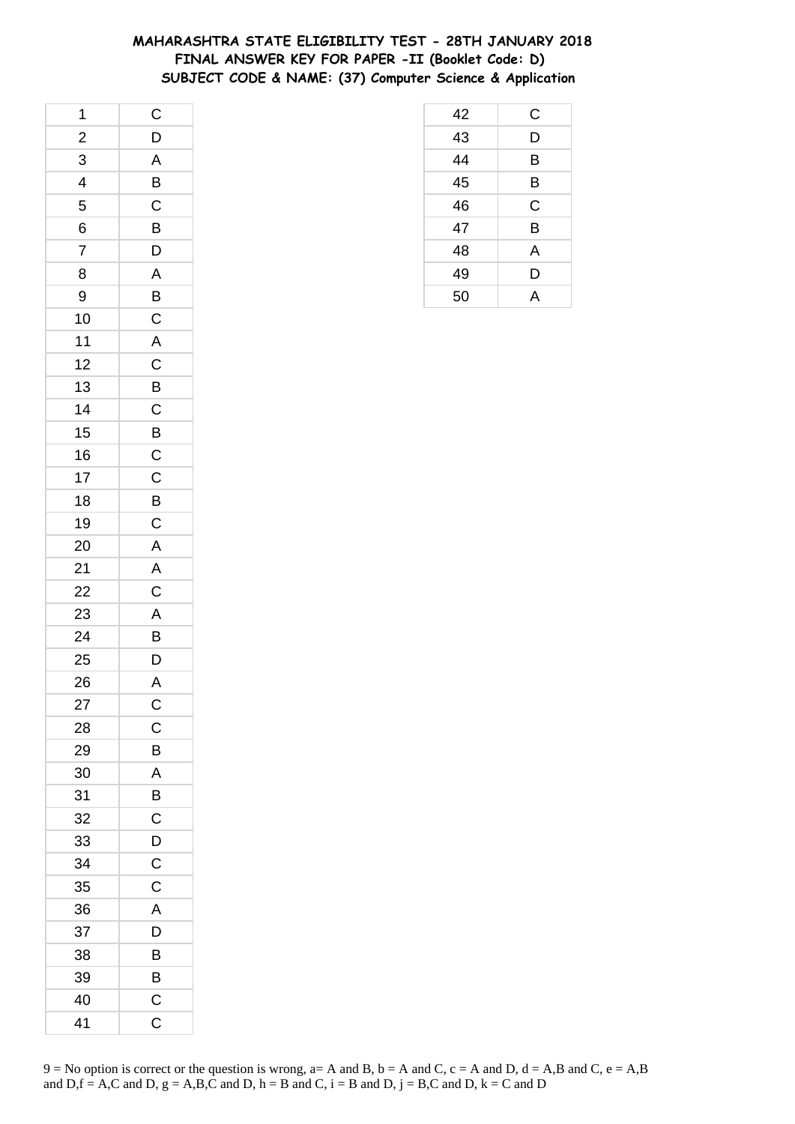## **MAHARASHTRA STATE ELIGIBILITY TEST - 28TH JANUARY 2018 FINAL ANSWER KEY FOR PAPER -II (Booklet Code: D) SUBJECT CODE & NAME: (37) Computer Science & Application**

| 1              | $\mathsf{C}$   |
|----------------|----------------|
| $\overline{c}$ | D              |
| 3              | A              |
| 4              | B              |
| 5              | $\mathsf C$    |
| 6              | $\overline{B}$ |
| $\overline{7}$ | D              |
| 8              | $\overline{A}$ |
| 9              | B              |
| 10             | $\mathsf{C}$   |
| 11             | $\overline{A}$ |
| 12             | $\mathsf C$    |
| 13             | $\overline{B}$ |
| 14             | $\overline{C}$ |
| 15             | $\overline{B}$ |
| 16             | $\overline{C}$ |
| 17             | $\overline{C}$ |
| 18             | $\overline{B}$ |
| 19             | $\overline{C}$ |
| 20             | $\overline{A}$ |
| 21             | $\mathsf{A}$   |
| 22             | $\overline{C}$ |
| 23             | $\mathsf{A}$   |
| 24             | B              |
| 25             | $\overline{D}$ |
| 26             | A              |
| 27             | $\mathsf{C}$   |
| 28             | С              |
| 29             | B              |
| 30             | A              |
| 31             | B              |
| 32             | C              |
| 33             | D              |
| 34             | $\mathsf C$    |
| 35             | C              |
| 36             | A              |
| 37             | D              |
| 38             | B              |
| 39             | B              |
| 40             | C              |
| 41             | C              |

| 42 | С |
|----|---|
| 43 | D |
| 44 | B |
| 45 | Β |
| 46 | C |
| 47 | B |
| 48 | A |
| 49 | D |
| 50 | A |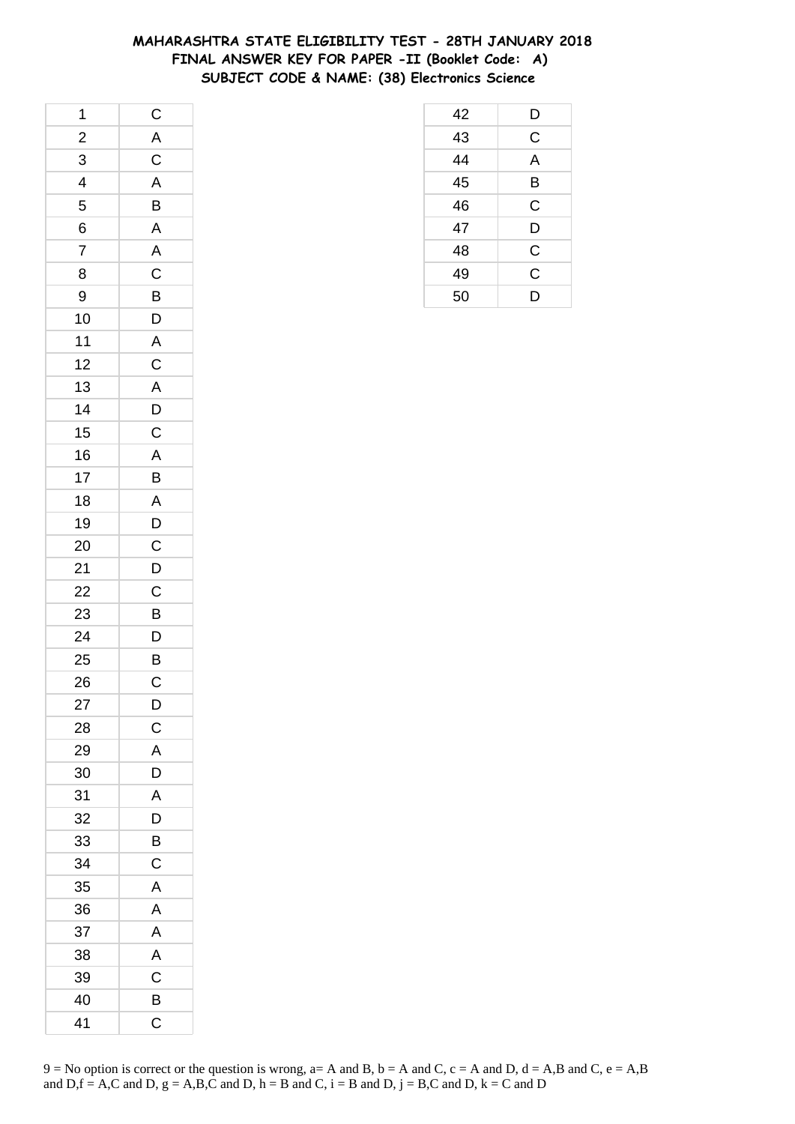## **MAHARASHTRA STATE ELIGIBILITY TEST - 28TH JANUARY 2018 FINAL ANSWER KEY FOR PAPER -II (Booklet Code: A) SUBJECT CODE & NAME: (38) Electronics Science**

| 1                        | $\mathsf{C}$                                       |
|--------------------------|----------------------------------------------------|
| $\frac{2}{1}$            |                                                    |
| 3                        | $rac{A}{A}$                                        |
| $\overline{\mathcal{L}}$ |                                                    |
| 5                        | $\overline{B}$                                     |
| 6                        |                                                    |
| $\overline{7}$           | $\frac{A}{A}$                                      |
| 8                        |                                                    |
| 9                        |                                                    |
| 10                       | $\overline{C}$<br>$\overline{B}$<br>$\overline{D}$ |
| $11$                     | $\mathsf{A}$                                       |
| 12                       | $\overline{\mathbf{C}}$                            |
| 13                       |                                                    |
| 14                       | $\frac{A}{D}$                                      |
| 15                       |                                                    |
| 16                       |                                                    |
| 17                       | $\frac{A}{B}$                                      |
| 18                       |                                                    |
| 19                       | $rac{A}{D}$                                        |
| 20                       |                                                    |
| 21                       | $\overline{C}$<br>$D$                              |
| 22                       | $\overline{C}$                                     |
| 23                       | $\overline{B}$                                     |
| 24                       | D                                                  |
| 25                       | $\overline{B}$                                     |
| 26                       | $\overline{\text{c}}$                              |
| 27                       | D                                                  |
| 28                       | $\mathsf C$                                        |
| 29                       | A                                                  |
| 30                       | D                                                  |
| 31                       | A                                                  |
| 32                       | D                                                  |
| 33                       | B                                                  |
| 34                       | $\mathsf C$                                        |
| 35                       | A                                                  |
| 36                       | A                                                  |
| 37                       | A                                                  |
| 38                       | A                                                  |
| 39                       | $\mathsf C$                                        |
| 40                       | B                                                  |
| 41                       | C                                                  |

| 42 | D              |
|----|----------------|
| 43 | C              |
| 44 | A              |
| 45 | B              |
| 46 | C              |
| 47 | D              |
| 48 | $\overline{C}$ |
| 49 | $\overline{C}$ |
| 50 | D              |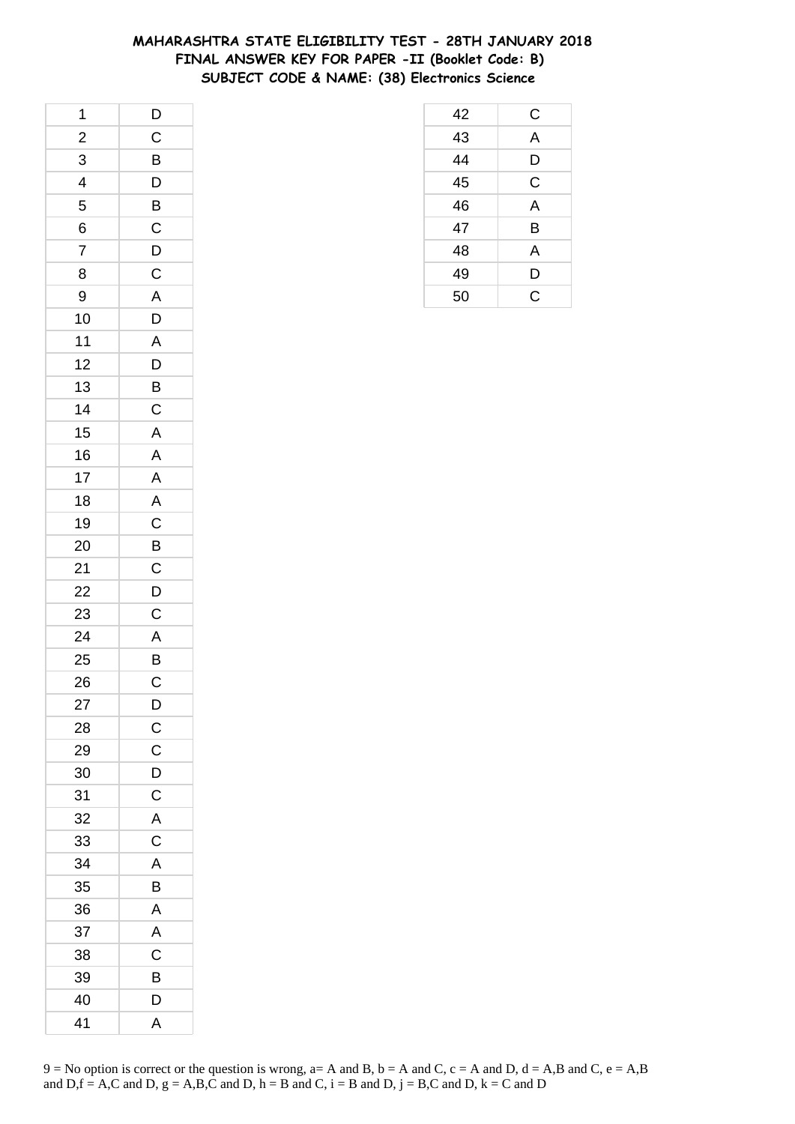## **MAHARASHTRA STATE ELIGIBILITY TEST - 28TH JANUARY 2018 FINAL ANSWER KEY FOR PAPER -II (Booklet Code: B) SUBJECT CODE & NAME: (38) Electronics Science**

| 1                       | $\overline{D}$          |
|-------------------------|-------------------------|
| $\frac{2}{1}$           | $\overline{C}$          |
| 3                       | $\overline{B}$          |
| $\overline{\mathbf{r}}$ | D                       |
| 5                       | $\overline{B}$          |
| 6                       | $\mathsf{C}$            |
| $\overline{7}$          | D                       |
| 8                       | $\mathsf{C}$            |
| 9                       | A                       |
| 10                      | D                       |
| 11                      | A                       |
| 12                      | D                       |
| 13                      |                         |
| 14                      | $rac{B}{C}$             |
| 15                      | $\mathsf{A}$            |
| 16                      | $\overline{\mathsf{A}}$ |
| 17                      | $\mathsf{A}$            |
| 18                      | A                       |
| 19                      | $\mathsf{C}$            |
| 20                      |                         |
| 21                      | $rac{B}{C}$             |
| 22                      | $\overline{D}$          |
| 23                      | $\mathsf C$             |
| 24                      | $\overline{A}$          |
| 25                      |                         |
| 26                      | $rac{B}{C}$             |
| 27                      | D                       |
| 28                      | $\overline{C}$          |
| 29                      | C                       |
| 30                      | D                       |
| 31                      | $\mathsf C$             |
| 32                      | $\overline{A}$          |
| 33                      | C                       |
| 34                      | A                       |
| 35                      | B                       |
| 36                      | Α                       |
| 37                      | A                       |
| 38                      | $\mathsf C$             |
| 39                      | B                       |
| 40                      | D                       |
| 41                      | A                       |

| 42 | С              |
|----|----------------|
| 43 | A              |
| 44 | D              |
| 45 | $\mathsf C$    |
| 46 | $\overline{A}$ |
| 47 | B              |
| 48 | A              |
| 49 | D              |
| 50 | $\overline{C}$ |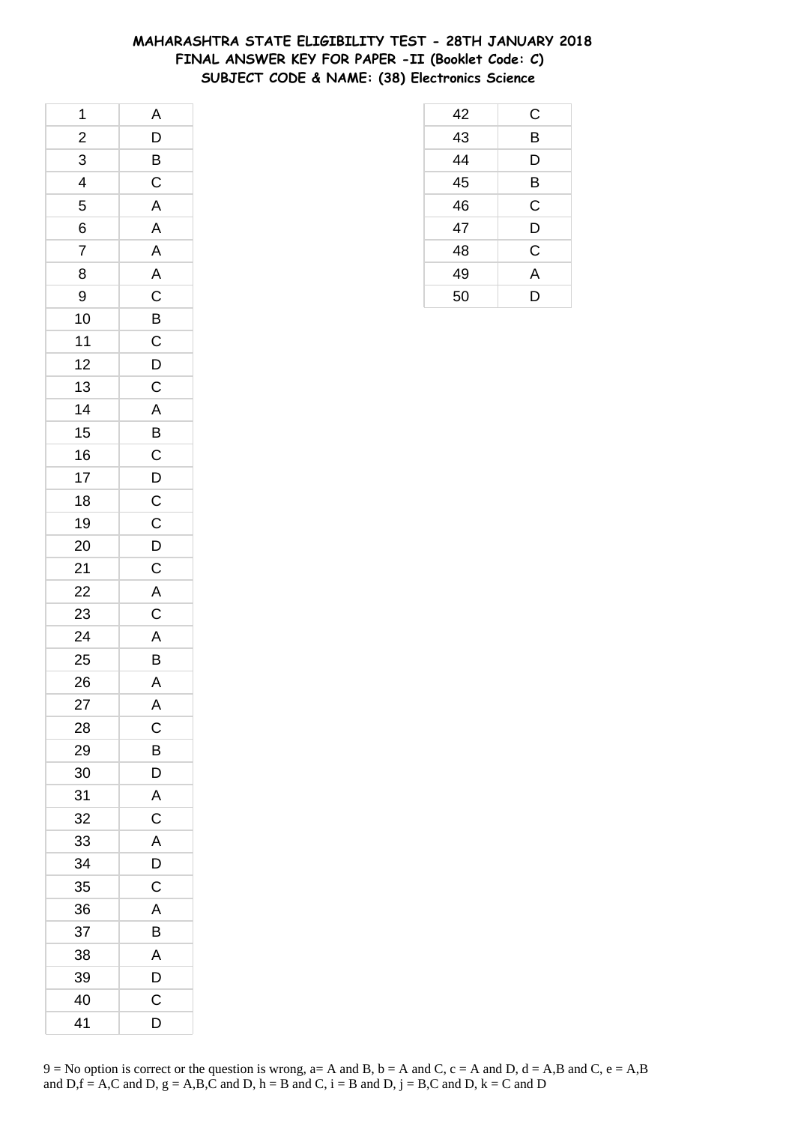## **MAHARASHTRA STATE ELIGIBILITY TEST - 28TH JANUARY 2018 FINAL ANSWER KEY FOR PAPER -II (Booklet Code: C) SUBJECT CODE & NAME: (38) Electronics Science**

| 1              | A                       |
|----------------|-------------------------|
| $\frac{2}{1}$  |                         |
| $\overline{3}$ | $\frac{D}{B}$           |
| $\frac{1}{4}$  | $\mathsf{C}$            |
| 5              | $\overline{\mathsf{A}}$ |
| 6              | $\mathsf{A}$            |
| $\overline{7}$ | A                       |
| 8              |                         |
| 9              | $rac{A}{C}$             |
| 10             |                         |
| $11$           | $rac{B}{C}$             |
| 12             | $\overline{D}$          |
| 13             | $\mathsf C$             |
| 14             | $\overline{A}$          |
| 15             | $\overline{B}$          |
| 16             |                         |
| 17             | $\frac{C}{D}$           |
| 18             | $\overline{c}$          |
| 19             | $\mathsf{C}$            |
| 20             |                         |
| 21             | $\frac{D}{C}$           |
| 22             | $rac{A}{C}$             |
| 23             |                         |
| 24             | $\overline{A}$          |
| 25             | $\bar{\mathbf{B}}$      |
| 26             | $\overline{A}$          |
| 27             | A                       |
| 28             | C                       |
| 29             | B                       |
| 30             | D                       |
| 31             | A                       |
| 32             | $\mathsf C$             |
| 33             | A                       |
| 34             | D                       |
| 35             | C                       |
| 36             | Α                       |
| 37             | B                       |
| 38             | A                       |
| 39             | D                       |
| 40             | C                       |
| 41             | D                       |

| 42              | С              |
|-----------------|----------------|
| 43              | B              |
| $\overline{44}$ | D              |
| 45              | В              |
| 46              | C              |
| 47              | D              |
| 48              | C              |
| 49              | $\overline{A}$ |
| 50              | D              |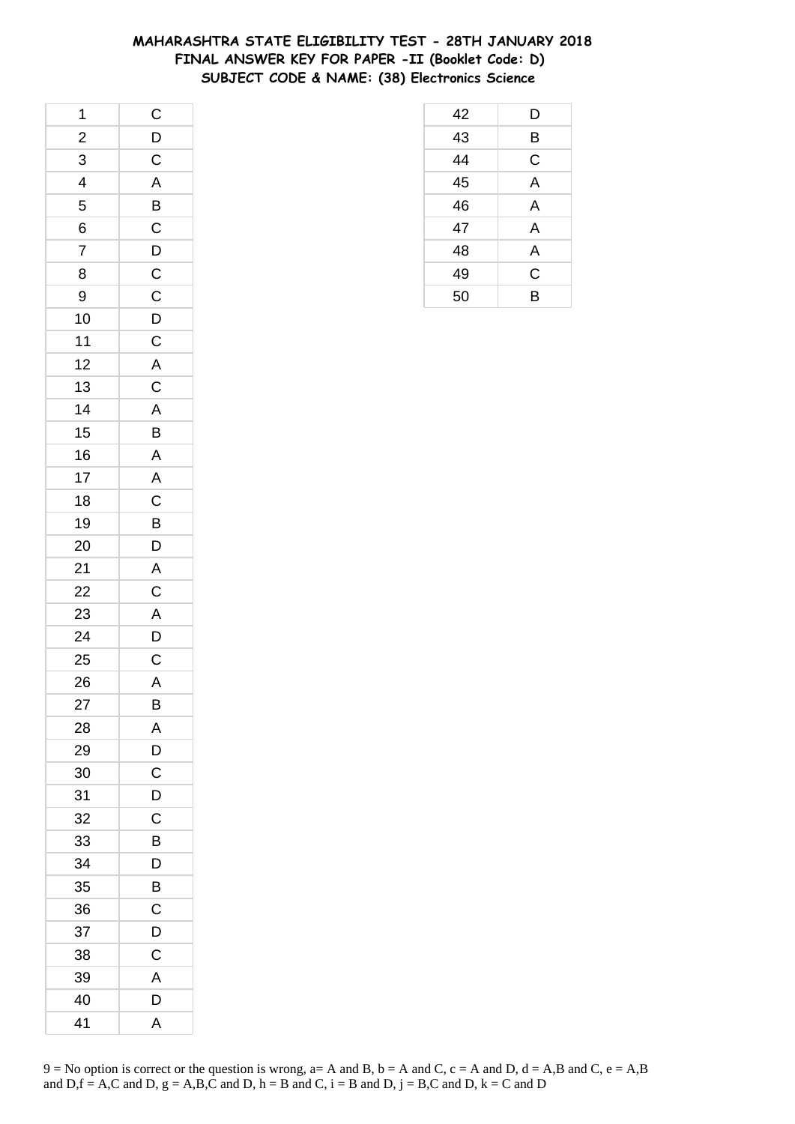# **MAHARASHTRA STATE ELIGIBILITY TEST - 28TH JANUARY 2018 FINAL ANSWER KEY FOR PAPER -II (Booklet Code: D) SUBJECT CODE & NAME: (38) Electronics Science**

| 1                       | $\overline{C}$                               |
|-------------------------|----------------------------------------------|
| $\overline{\mathbf{c}}$ | $\overline{D}$                               |
| $\overline{3}$          | $\overline{C}$                               |
| $\frac{1}{4}$           | $\overline{A}$                               |
| 5                       | $\overline{B}$                               |
| 6                       | $\mathsf{C}$                                 |
| $\overline{7}$          |                                              |
| 8                       |                                              |
| 9                       | $\frac{\overline{D}}{C}$                     |
| 10                      |                                              |
| 11                      |                                              |
| 12                      | $\overline{D}$ $\overline{C}$ $\overline{A}$ |
| 13                      | $\overline{C}$                               |
| 14                      | $\overline{A}$                               |
| 15                      | $\overline{B}$                               |
| 16                      |                                              |
| 17                      | $\frac{\overline{A}}{\overline{A}}$          |
| 18                      |                                              |
| 19                      | $\overline{B}$                               |
| 20                      | $\overline{D}$                               |
| 21                      |                                              |
| 22                      | $\frac{A}{C}$ $\frac{A}{D}$                  |
| 23                      |                                              |
| 24                      |                                              |
| 25                      | $\mathsf{C}$                                 |
| 26                      | $\overline{\mathsf{A}}$                      |
| 27                      | B                                            |
| 28                      | Α                                            |
| 29                      | D                                            |
| 30                      | C                                            |
| 31                      | D                                            |
| 32                      | C                                            |
| 33                      | B                                            |
| 34                      | D                                            |
| 35                      | B                                            |
| 36                      | C                                            |
| 37                      | D                                            |
| 38                      | C                                            |
| 39                      | A                                            |
| 40                      | D                                            |
| 41                      | A                                            |

| 9 = No option is correct or the question is wrong, a= A and B, b = A and C, c = A and D, d = A,B and C, e = A,B |
|-----------------------------------------------------------------------------------------------------------------|
| and D, $f = A,C$ and D, $g = A,B,C$ and D, $h = B$ and C, $i = B$ and D, $j = B,C$ and D, $k = C$ and D         |

| 42 | D |
|----|---|
| 43 | B |
| 44 | C |
| 45 | A |
| 46 | A |
| 47 | A |
| 48 | A |
| 49 | C |
| 50 | B |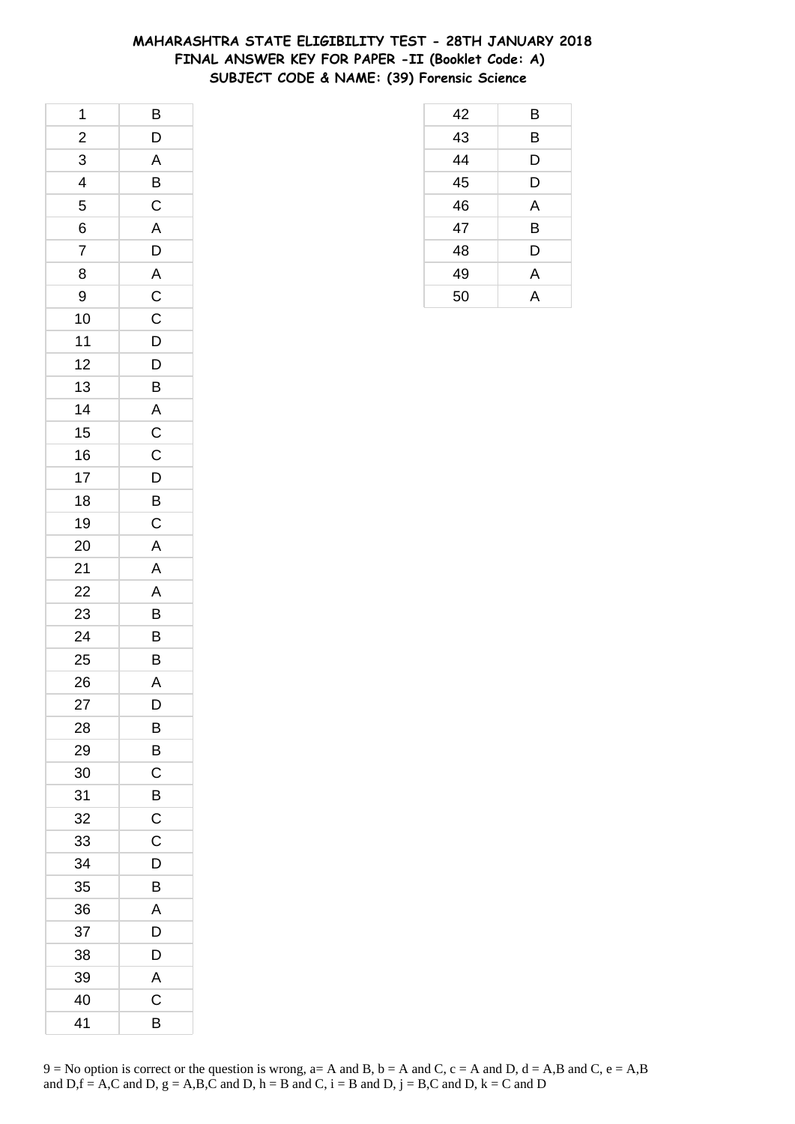## **MAHARASHTRA STATE ELIGIBILITY TEST - 28TH JANUARY 2018 FINAL ANSWER KEY FOR PAPER -II (Booklet Code: A) SUBJECT CODE & NAME: (39) Forensic Science**

| 1                       | B                                            |
|-------------------------|----------------------------------------------|
| $\overline{\mathbf{c}}$ | $\mathsf{D}$                                 |
| $\overline{3}$          | $\overline{A}$                               |
| $\overline{4}$          | $\overline{B}$                               |
| 5                       | $\mathsf{C}$                                 |
| 6                       | $\overline{A}$                               |
| $\overline{7}$          | $\overline{D}$                               |
| 8                       |                                              |
| 9                       |                                              |
| 10                      | $rac{A}{C}$                                  |
| 11                      | $\overline{D}$                               |
| 12                      | D                                            |
| 13                      |                                              |
| 14                      |                                              |
| 15                      | $\overline{A}$ $\overline{C}$ $\overline{C}$ |
| 16                      |                                              |
| 17                      | $\mathsf{D}$                                 |
| 18                      |                                              |
| 19                      | $rac{B}{C}$                                  |
| 20                      | A                                            |
| 21                      | $\overline{\mathsf{A}}$                      |
| 22                      | $\overline{A}$                               |
| 23                      | B                                            |
| 24                      | B                                            |
| 25                      | B                                            |
| 26                      | $\overline{\mathsf{A}}$                      |
| 27                      | D                                            |
| 28                      | В                                            |
| 29                      | B                                            |
| 30                      | C                                            |
| 31                      | B                                            |
| 32                      | C                                            |
| 33                      | C                                            |
| 34                      | D                                            |
| 35                      | В                                            |
| 36                      | Α                                            |
| 37                      | D                                            |
| 38                      | D                                            |
| 39                      | A                                            |
| 40                      | C                                            |
| 41                      | B                                            |

| 42              | B              |
|-----------------|----------------|
| 43              | B              |
| $\overline{44}$ | D              |
| 45              | D              |
| 46              | A              |
| 47              | B              |
| 48              | D              |
| 49              | A              |
| 50              | $\overline{A}$ |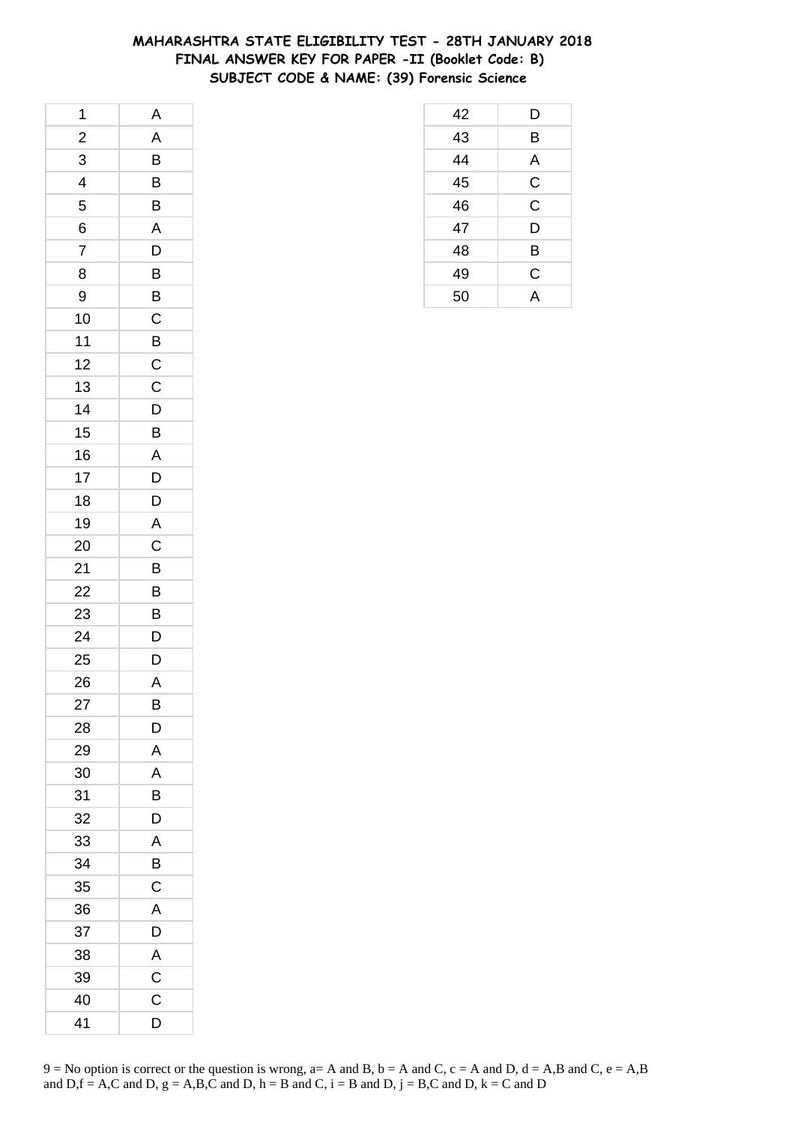## **MAHARASHTRA STATE ELIGIBILITY TEST - 28TH JANUARY 2018 FINAL ANSWER KEY FOR PAPER -II (Booklet Code: B) SUBJECT CODE & NAME: (39) Forensic Science**

| 1              | A              |
|----------------|----------------|
| $\frac{2}{1}$  | A              |
| 3              | $\overline{B}$ |
| 4              | B              |
| 5              | B              |
| 6              | $\mathsf{A}$   |
| $\overline{7}$ | D              |
| 8              | $\overline{B}$ |
| 9              | B              |
| 10             | $\mathsf{C}$   |
| $11$           | $\overline{B}$ |
| 12             | $\mathsf C$    |
| 13             | $\overline{C}$ |
| 14             | $\overline{D}$ |
| 15             | $\mathsf{B}$   |
| 16             | A              |
| 17             | D              |
| 18             | D              |
| 19             | $\overline{A}$ |
| 20             | $\mathsf{C}$   |
| 21             | $\overline{B}$ |
| 22             | $\overline{B}$ |
| 23             | B              |
| 24             | D              |
| 25             | D              |
| 26             | $\mathsf{A}$   |
| 27             | B              |
| 28             | D              |
| 29             | A              |
| 30             | Α              |
| 31             | B              |
| 32             | D              |
| 33             | A              |
| 34             | B              |
| 35             | C              |
| 36             | A              |
| 37             | D              |
| 38             | A              |
| 39             | $\mathsf{C}$   |
| 40             | C              |
| 41             | D              |

| 42 | D            |
|----|--------------|
| 43 | B            |
| 44 | A            |
| 45 | $\mathsf{C}$ |
| 46 | $\mathsf C$  |
| 47 | D            |
| 48 | B            |
| 49 | C            |
| 50 | Д            |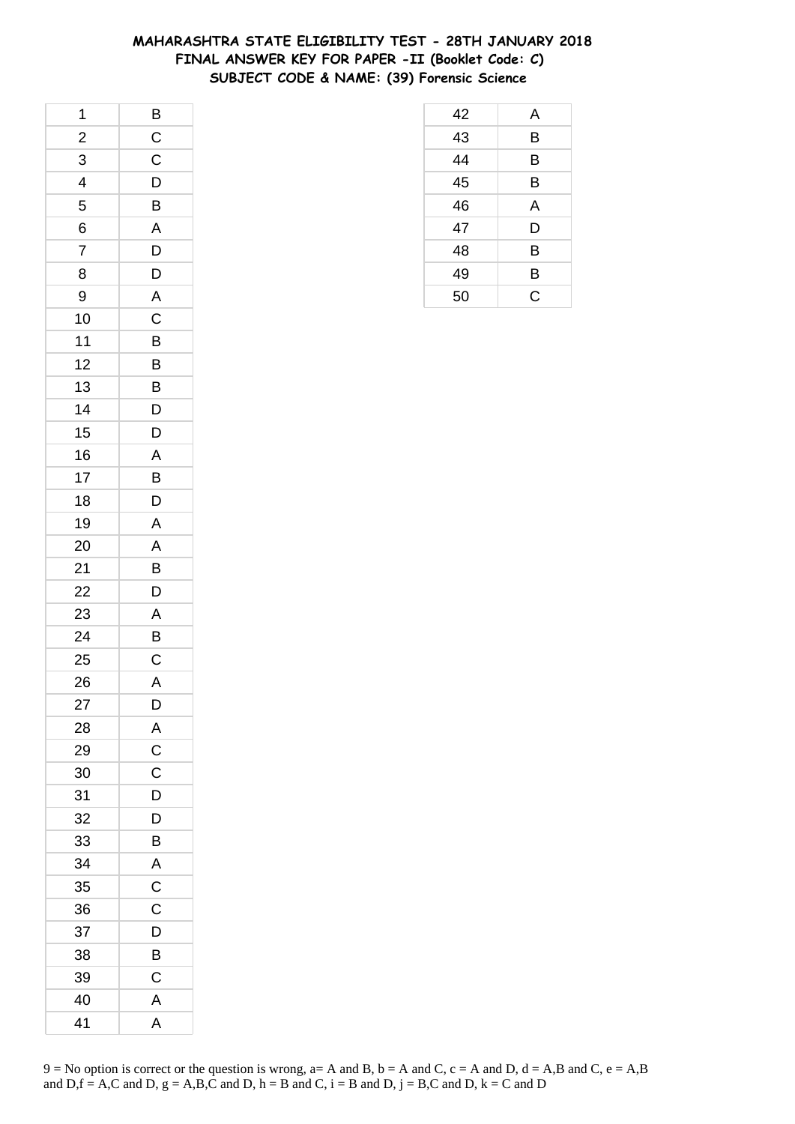## **MAHARASHTRA STATE ELIGIBILITY TEST - 28TH JANUARY 2018 FINAL ANSWER KEY FOR PAPER -II (Booklet Code: C) SUBJECT CODE & NAME: (39) Forensic Science**

| 1                       |                         |
|-------------------------|-------------------------|
| $\frac{2}{1}$           | $rac{B}{C}$             |
| 3                       | $\overline{C}$          |
| $\overline{\mathbf{r}}$ | $\overline{D}$          |
| 5                       | B                       |
| 6                       | $\overline{A}$          |
| $\overline{7}$          | $\overline{D}$          |
| 8                       | $\overline{D}$          |
| 9                       | A                       |
| 10                      | $\overline{C}$          |
| 11                      | B                       |
| 12                      | B                       |
| 13                      | $\overline{B}$          |
| 14                      | $\overline{D}$          |
| 15                      | $\overline{D}$          |
| 16                      | A                       |
| 17                      | B                       |
| 18                      | D                       |
| 19                      | A                       |
| 20                      | $\overline{A}$          |
| 21                      | $\overline{B}$          |
| 22                      | $\overline{D}$          |
| 23                      | $\overline{A}$          |
| 24                      | B                       |
| 25                      | $\mathsf{C}$            |
| 26                      | $\overline{\mathsf{A}}$ |
| 27                      | D                       |
| 28                      | A                       |
| 29                      | $\mathsf{C}$            |
| 30                      | C                       |
| 31                      | D                       |
| 32                      | D                       |
| 33                      | В                       |
| 34                      | A                       |
| 35                      | $\mathsf{C}$            |
| 36                      | $\mathsf C$             |
| 37                      | D                       |
| 38                      | B                       |
| 39                      | C                       |
| 40                      | A                       |
| 41                      | A                       |

| 42 | A |
|----|---|
| 43 | B |
| 44 | B |
| 45 | B |
| 46 | A |
| 47 | D |
| 48 | B |
| 49 | B |
| 50 | C |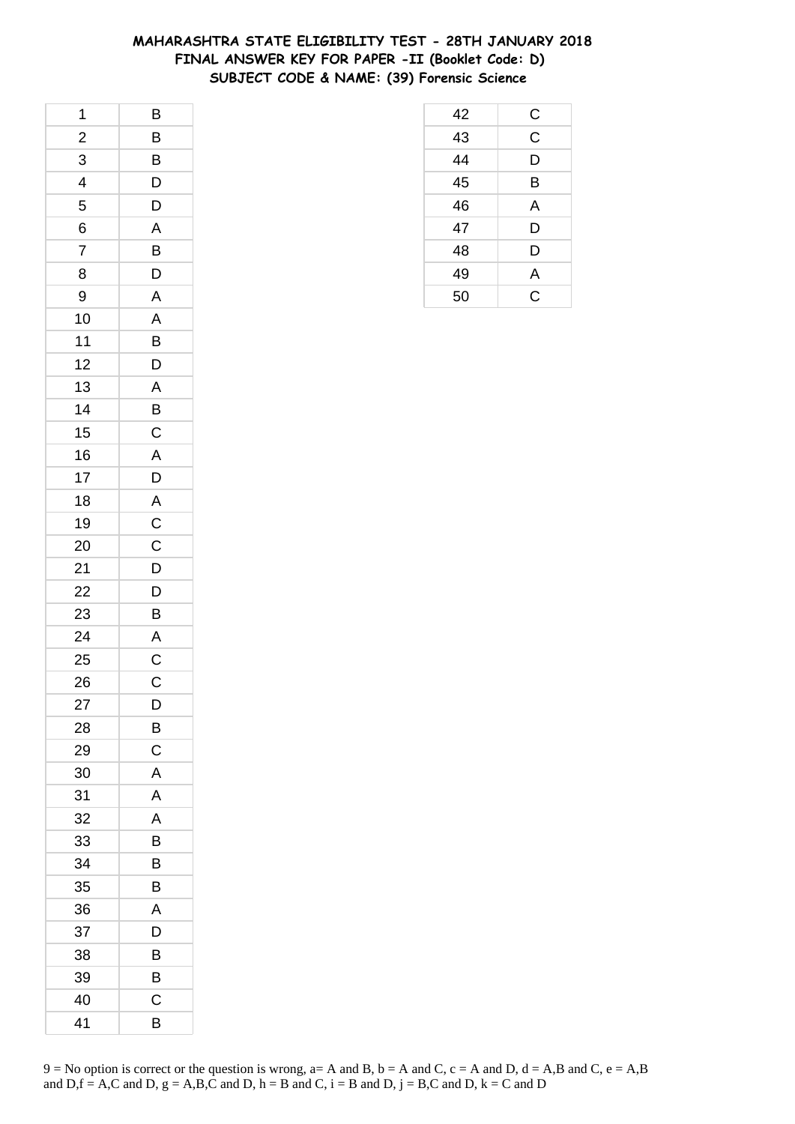## **MAHARASHTRA STATE ELIGIBILITY TEST - 28TH JANUARY 2018 FINAL ANSWER KEY FOR PAPER -II (Booklet Code: D) SUBJECT CODE & NAME: (39) Forensic Science**

| 1              | B              |
|----------------|----------------|
| $\overline{c}$ | B              |
| $\overline{3}$ | B              |
| 4              | D              |
| 5              | D              |
| 6              | A              |
| $\overline{7}$ | B              |
| 8              | D              |
| 9              | A              |
| 10             | A              |
| 11             | B              |
| 12             | D              |
| 13             | A              |
| 14             | B              |
| 15             | $\mathsf C$    |
| 16             | A              |
| 17             | D              |
| 18             | A              |
| 19             | $\overline{C}$ |
| 20             | $\mathsf C$    |
| 21             | $\overline{D}$ |
| 22             | $\mathsf{D}$   |
| 23             | B              |
| 24             | $\overline{A}$ |
| 25             | $\mathsf{C}$   |
| 26             | $\mathsf{C}$   |
| 27             | D              |
| 28             | B              |
| 29             | C              |
| 30             | A              |
| 31             | Α              |
| 32             | A              |
| 33             | B              |
| 34             | B              |
| 35             | B              |
| 36             | Α              |
| 37             | D              |
| 38             | В              |
| 39             | B              |
| 40             | Ć              |
| 41             | B              |

| 42 | C           |
|----|-------------|
| 43 | $\mathsf C$ |
| 44 | D           |
| 45 | B           |
| 46 | A           |
| 47 | D           |
| 48 | D           |
| 49 | A           |
| 50 | Ć           |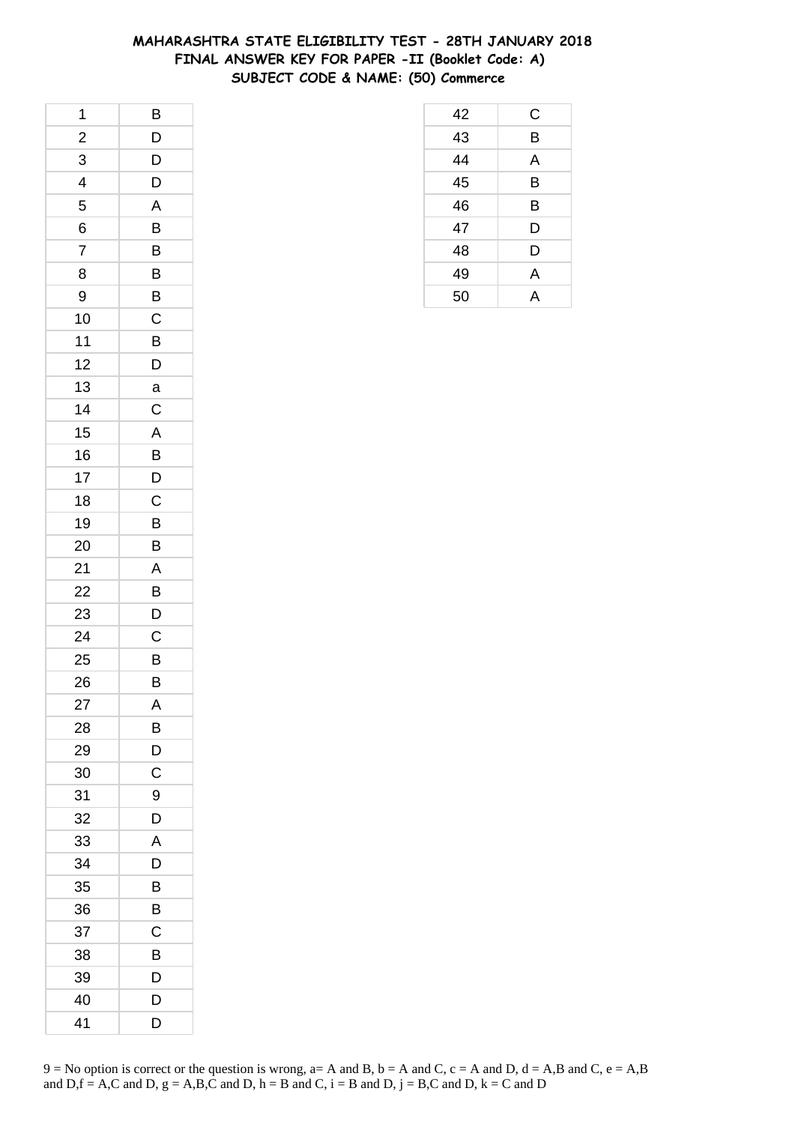## **MAHARASHTRA STATE ELIGIBILITY TEST - 28TH JANUARY 2018 FINAL ANSWER KEY FOR PAPER -II (Booklet Code: A) SUBJECT CODE & NAME: (50) Commerce**

| 1                       | B              |
|-------------------------|----------------|
| $\overline{\mathbf{c}}$ | D              |
| 3                       | D              |
| 4                       | D              |
| 5                       | A              |
| 6                       | B              |
| 7                       | B              |
| 8                       | B              |
| 9                       | B              |
| 10                      | C              |
| 11                      | B              |
| 12                      | D              |
| 13                      | a              |
| 14                      | $\mathsf C$    |
| 15                      | A              |
| 16                      | B              |
| 17                      | D              |
| 18                      | C              |
| 19                      | B              |
| 20                      | B              |
| 21                      | A              |
| 22                      | $\overline{B}$ |
| 23                      | D              |
| 24                      | C              |
| 25                      | B              |
| 26                      | B              |
| 27                      | A              |
| 28                      | В              |
| 29                      | D              |
| 30                      | C              |
| 31                      | 9              |
| 32                      | D              |
| 33                      | A              |
| 34                      | D              |
| 35                      | B              |
| 36                      | В              |
| 37                      | C              |
| 38                      | B              |
| 39                      | D              |
| 40                      | D              |
| 41                      | D              |

| 42 | С |
|----|---|
| 43 | B |
| 44 | A |
| 45 | B |
| 46 | B |
| 47 | D |
| 48 | D |
| 49 | A |
| 50 | А |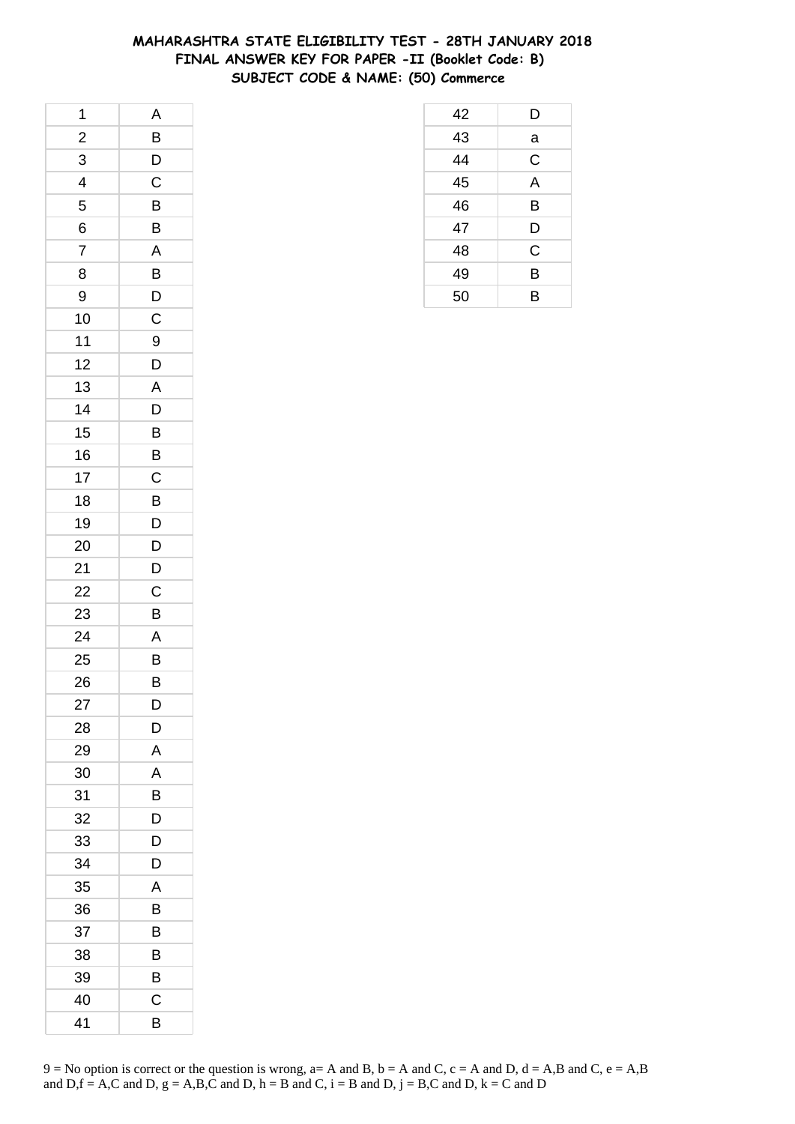## **MAHARASHTRA STATE ELIGIBILITY TEST - 28TH JANUARY 2018 FINAL ANSWER KEY FOR PAPER -II (Booklet Code: B) SUBJECT CODE & NAME: (50) Commerce**

| 1                       | A              |
|-------------------------|----------------|
| $\overline{\mathbf{c}}$ | B              |
| 3                       | $\mathsf{D}$   |
| 4                       | $\overline{C}$ |
| 5                       | B              |
| 6                       | B              |
| $\overline{7}$          | A              |
| 8                       | B              |
| 9                       | $\overline{D}$ |
| 10                      | $\mathsf C$    |
| 11                      | 9              |
| 12                      | D              |
| 13                      | $\mathsf{A}$   |
| 14                      | D              |
| 15                      | B              |
| 16                      | B              |
| 17                      | C              |
| 18                      | B              |
| 19                      | D              |
| 20                      | D              |
| 21                      | D              |
| 22                      | C              |
| 23                      | B              |
| 24                      | A              |
| 25                      | B              |
| 26                      | B              |
| 27                      | D              |
| 28                      | D              |
| 29                      | A              |
| 30                      | A              |
| 31                      | B              |
| 32                      | D              |
| 33                      | D              |
| 34                      | D              |
| 35                      | A              |
| 36                      | В              |
| 37                      | В              |
| 38                      | В              |
| 39                      | B              |
| 40                      | Ċ              |
| 41                      | B              |

| 42 | D           |
|----|-------------|
| 43 | a           |
| 44 | C           |
| 45 | A           |
| 46 | B           |
| 47 | D           |
| 48 | $\mathsf C$ |
| 49 | B           |
| 50 | B           |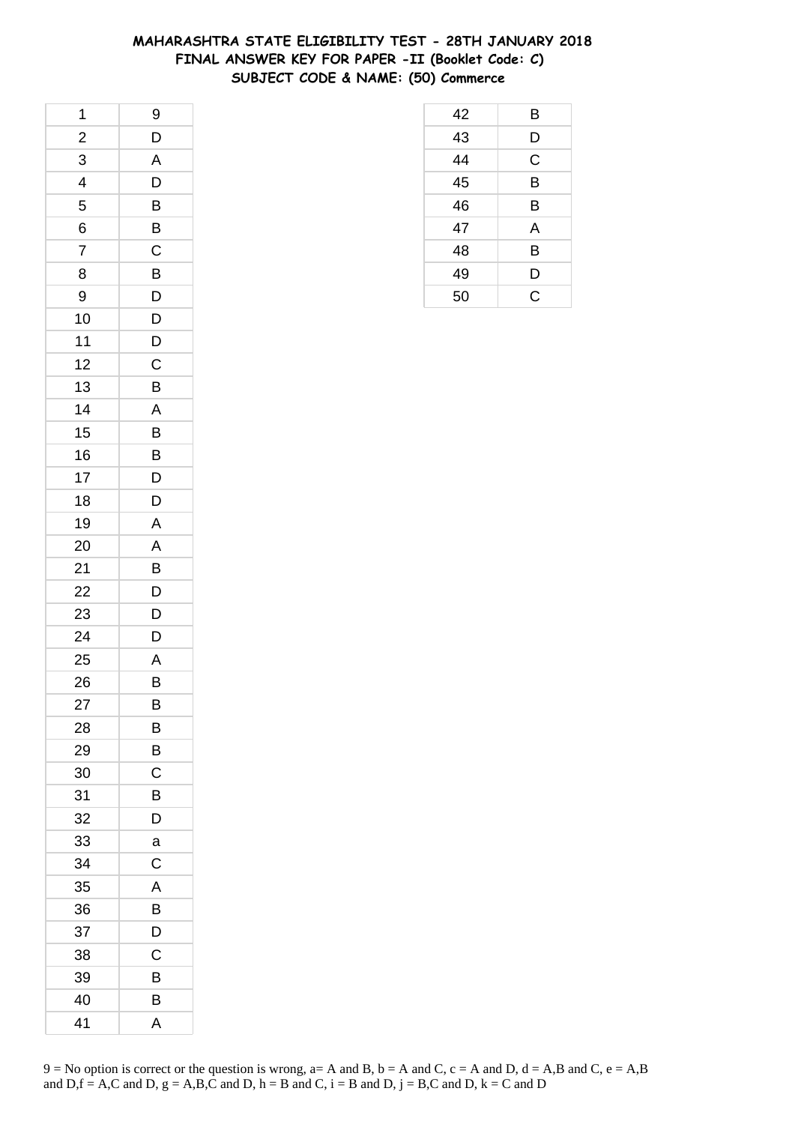## **MAHARASHTRA STATE ELIGIBILITY TEST - 28TH JANUARY 2018 FINAL ANSWER KEY FOR PAPER -II (Booklet Code: C) SUBJECT CODE & NAME: (50) Commerce**

| 1                       | 9              |
|-------------------------|----------------|
| $\overline{\mathbf{c}}$ | D              |
| 3                       | A              |
| 4                       | D              |
| 5                       | B              |
| 6                       | B              |
| 7                       | $\mathsf C$    |
| 8                       | B              |
| 9                       | D              |
| 10                      | D              |
| 11                      | D              |
| 12                      | C              |
| 13                      | B              |
| 14                      | A              |
| 15                      | B              |
| 16                      | B              |
| 17                      | D              |
| 18                      | D              |
| 19                      | $\mathsf{A}$   |
| 20                      | A              |
| 21                      | B              |
| 22                      | $\overline{D}$ |
| 23                      | D              |
| 24                      | D              |
| 25                      | $\mathsf{A}$   |
| 26                      | B              |
| 27                      | B              |
| 28                      | В              |
| 29                      | B              |
| 30                      | $\mathsf C$    |
| 31                      | В              |
| 32                      | D              |
| 33                      | a              |
| 34                      | C              |
| 35                      | A              |
| 36                      | В              |
| 37                      | D              |
| 38                      | С              |
| 39                      | B              |
| 40                      | В              |
| 41                      | A              |

| 42 | Β |
|----|---|
| 43 | D |
| 44 | C |
| 45 | B |
| 46 | B |
| 47 | A |
| 48 | B |
| 49 | D |
| 50 | Ć |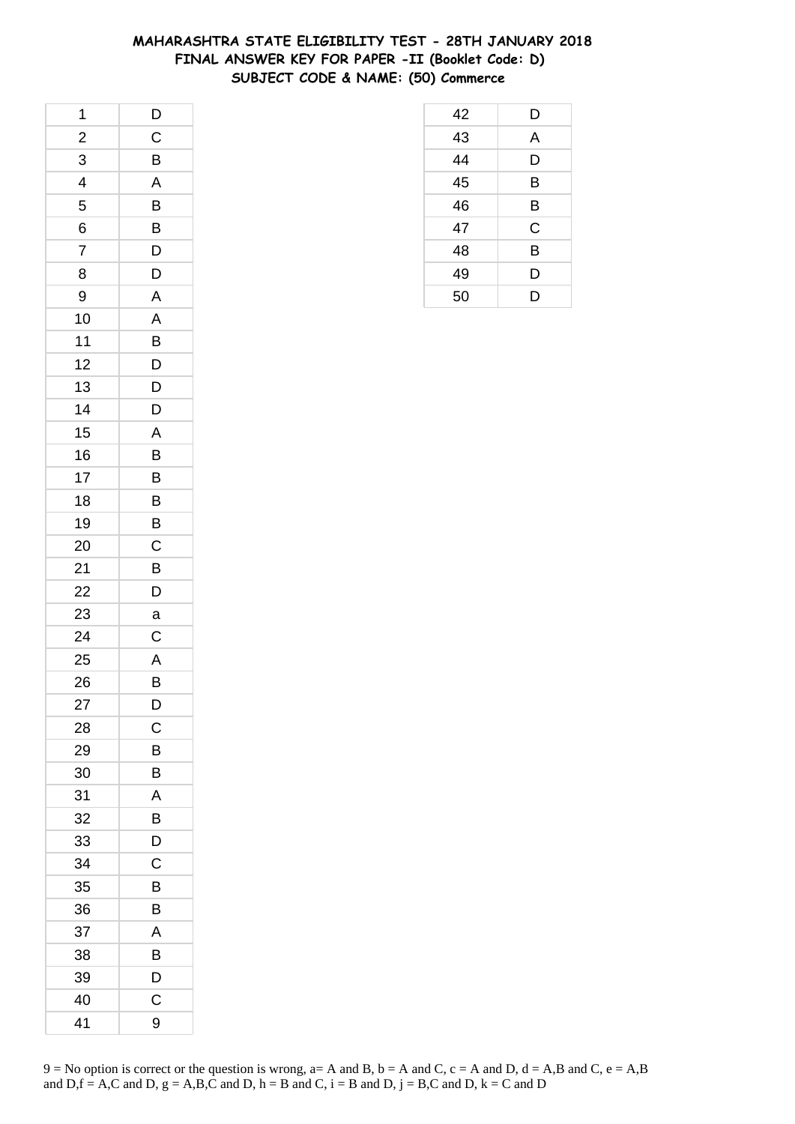## **MAHARASHTRA STATE ELIGIBILITY TEST - 28TH JANUARY 2018 FINAL ANSWER KEY FOR PAPER -II (Booklet Code: D) SUBJECT CODE & NAME: (50) Commerce**

| 1                       | $\mathsf{D}$            |
|-------------------------|-------------------------|
| $\overline{\mathbf{c}}$ | C                       |
| 3                       | B                       |
| 4                       | $\overline{\mathsf{A}}$ |
| 5                       | B                       |
| 6                       | $\overline{B}$          |
| $\overline{7}$          | D                       |
| 8                       | D                       |
| 9                       | A                       |
| 10                      | A                       |
| 11                      | B                       |
| 12                      | D                       |
| 13                      | $\mathsf{D}$            |
| 14                      | D                       |
| 15                      | A                       |
| 16                      | B                       |
| 17                      | B                       |
| 18                      | B                       |
| 19                      | B                       |
| 20                      | $\mathsf{C}$            |
| 21                      | B                       |
| 22                      | $\overline{D}$          |
| 23                      | a                       |
| 24                      | C                       |
| 25                      | $\mathsf{A}$            |
| 26                      | B                       |
| 27                      | D                       |
| 28                      | C                       |
| 29                      | B                       |
| 30                      | B                       |
| 31                      | Α                       |
| 32                      | B                       |
| 33                      | D                       |
| 34                      | C                       |
| 35                      | B                       |
| 36                      | В                       |
| 37                      | Α                       |
| 38                      | B                       |
| 39                      | D                       |
| 40                      | Ċ                       |
| 41                      | 9                       |

| 42 | D |
|----|---|
| 43 | A |
| 44 | D |
| 45 | B |
| 46 | B |
| 47 | C |
| 48 | B |
| 49 | D |
| 50 | D |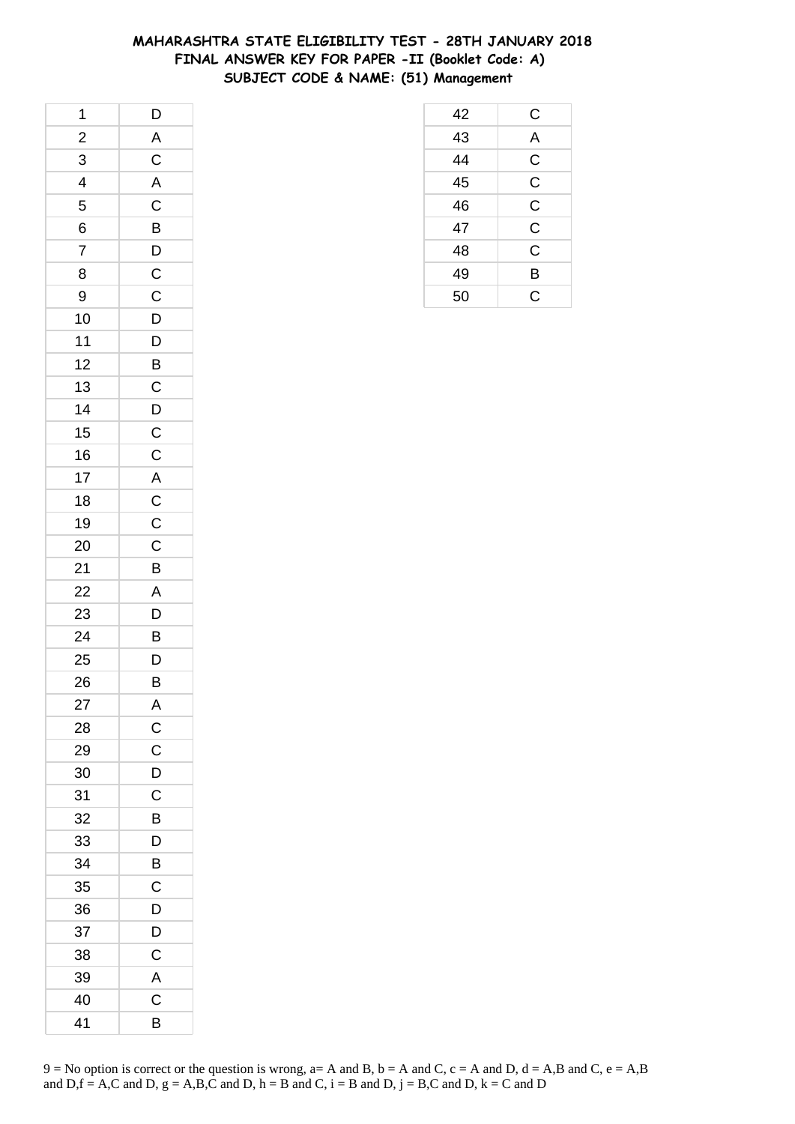# **MAHARASHTRA STATE ELIGIBILITY TEST - 28TH JANUARY 2018 FINAL ANSWER KEY FOR PAPER -II (Booklet Code: A) SUBJECT CODE & NAME: (51) Management**

 C A C C C C C B C

| 1              | $\mathsf{D}$                     |
|----------------|----------------------------------|
| $\frac{2}{3}$  | $\overline{A}$                   |
| $\overline{3}$ | $\frac{1}{C}$                    |
| $\overline{4}$ | $rac{A}{C}$                      |
| 5              |                                  |
| 6              | $\overline{B}$                   |
| $\overline{7}$ |                                  |
| 8              | $\overline{C}$<br>$\overline{C}$ |
| 9              |                                  |
| 10             | $\overline{D}$                   |
| $11$           | $\overline{D}$                   |
| 12             | $\overline{B}$                   |
| 13             |                                  |
| 14             | $\frac{C}{D}$                    |
| 15             | $\overline{c}$                   |
| 16             |                                  |
| 17             | $\frac{C}{A}$                    |
| 18             | $rac{1}{C}$                      |
| 19             | $\mathsf{C}$                     |
| 20             | $\frac{1}{C}$                    |
| 21             | $\overline{B}$                   |
| 22             | $\overline{A}$                   |
| 23             | $\overline{D}$                   |
| 24             | B                                |
| 25             | $\overline{D}$                   |
| 26             | $\overline{B}$                   |
| 27             | A                                |
| 28             | $\mathsf{C}$                     |
| 29             | C                                |
| 30             | D                                |
| 31             | C                                |
| 32             | B                                |
| 33             | D                                |
| 34             | $\overline{B}$                   |
| 35             | C                                |
| 36             | D                                |
| 37             | D                                |
| 38             | C                                |
| 39             | $\overline{\mathsf{A}}$          |
| 40             | $\overline{\mathrm{C}}$          |
| 41             | B                                |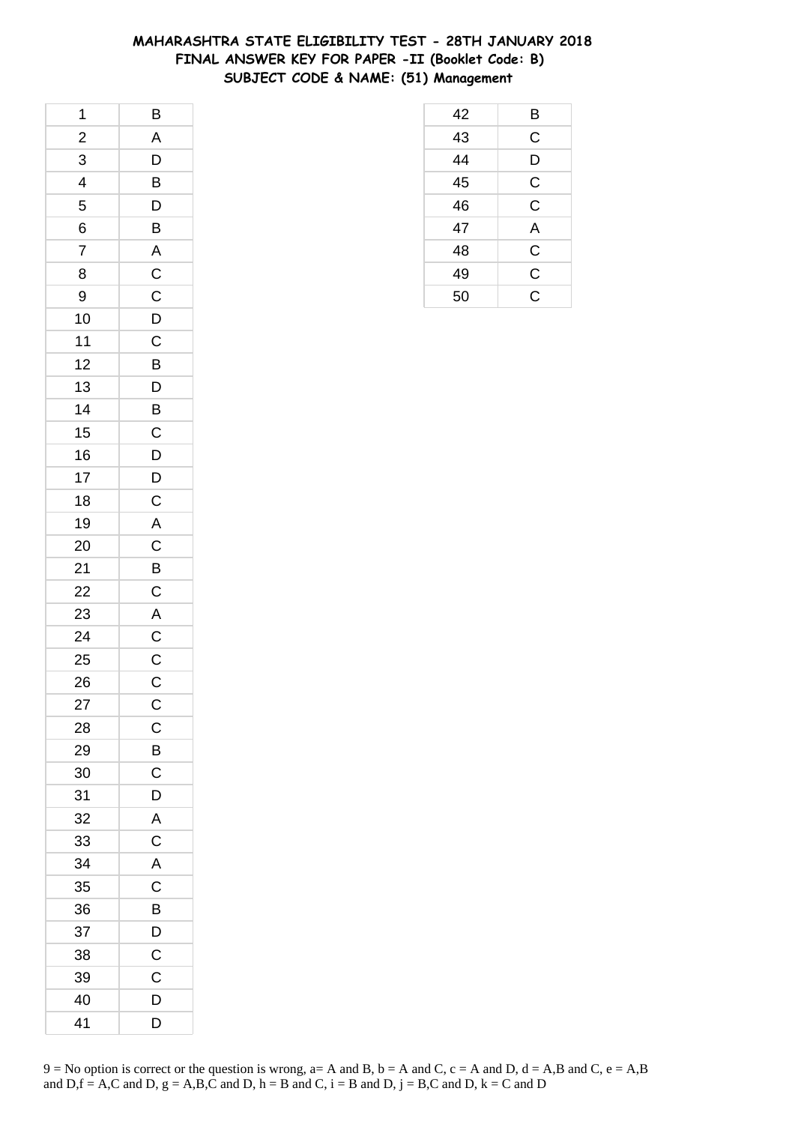# **MAHARASHTRA STATE ELIGIBILITY TEST - 28TH JANUARY 2018 FINAL ANSWER KEY FOR PAPER -II (Booklet Code: B) SUBJECT CODE & NAME: (51) Management**

 B C D C C A C C C

| 1                       | $\overline{B}$ |
|-------------------------|----------------|
| $\overline{\mathbf{c}}$ | $\mathsf{A}$   |
| $\overline{3}$          | $\overline{D}$ |
| 4                       | $\overline{B}$ |
| 5                       | D              |
| 6                       | B              |
| $\overline{7}$          | $\overline{A}$ |
| 8                       | $\mathsf{C}$   |
| 9                       | $\overline{C}$ |
| 10                      | $\overline{D}$ |
| 11                      | $\overline{c}$ |
| 12                      | B              |
| 13                      | $\overline{D}$ |
| 14                      | B              |
| 15                      | $\overline{C}$ |
| 16                      | $\overline{D}$ |
| 17                      | $\overline{D}$ |
| 18                      | $\mathsf C$    |
| 19                      | $\overline{A}$ |
| 20                      | $\mathsf{C}$   |
| 21                      | $\overline{B}$ |
| 22                      | $\frac{1}{C}$  |
| 23                      |                |
| 24                      | $rac{A}{C}$    |
| 25                      | $\overline{C}$ |
| 26                      | $\mathsf{C}$   |
| 27                      | $\mathsf{C}$   |
| 28                      | $\mathsf{C}$   |
| 29                      | B              |
| 30                      | $\mathsf C$    |
| 31                      | D              |
| 32                      | A              |
| 33                      | $\mathsf{C}$   |
| 34                      | A              |
| 35                      | $\mathsf C$    |
| 36                      | B              |
| 37                      | D              |
| 38                      | $\mathsf{C}$   |
| 39                      | $\mathsf{C}$   |
| 40                      | D              |
| 41                      | D              |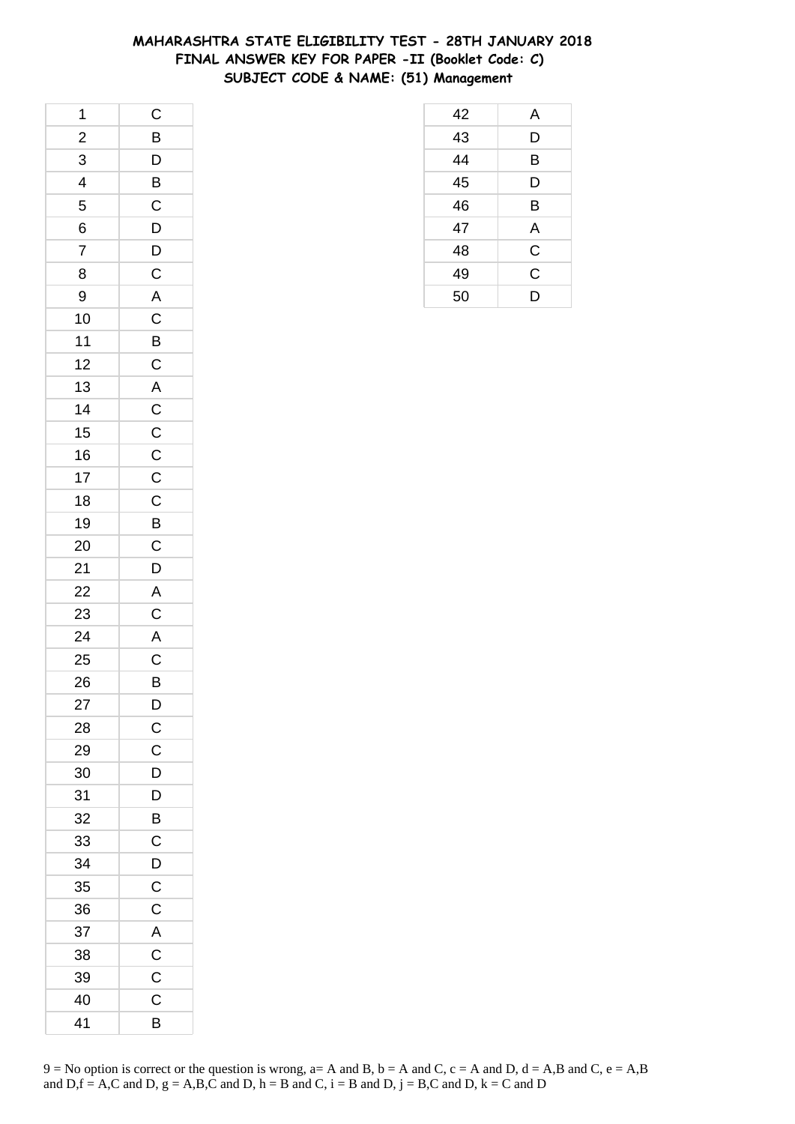## **MAHARASHTRA STATE ELIGIBILITY TEST - 28TH JANUARY 2018 FINAL ANSWER KEY FOR PAPER -II (Booklet Code: C) SUBJECT CODE & NAME: (51) Management**

| $\mathbf 1$             | $\mathsf{C}$                                           |
|-------------------------|--------------------------------------------------------|
| $\overline{\mathbf{c}}$ |                                                        |
| $\overline{3}$          | $\frac{B}{D}$ $\frac{B}{C}$                            |
| $\frac{1}{4}$           |                                                        |
| 5                       |                                                        |
| 6                       | D                                                      |
| $\overline{7}$          | $\mathsf{D}$                                           |
| 8                       | $\mathsf{C}$                                           |
| 9                       |                                                        |
| 10                      | $rac{A}{C}$                                            |
| 11                      |                                                        |
| 12                      | $rac{B}{C}$                                            |
| 13                      |                                                        |
| 14                      |                                                        |
| 15                      |                                                        |
| 16                      |                                                        |
| 17                      | $\begin{array}{c}\nA \\ C \\ C \\ C \\ D\n\end{array}$ |
| 18                      |                                                        |
| 19                      |                                                        |
| 20                      |                                                        |
| 21                      |                                                        |
| 22                      | $C$<br>$D$<br>$A$<br>$C$<br>$A$                        |
| 23                      |                                                        |
| 24                      |                                                        |
| 25                      | $\overline{C}$                                         |
| 26                      | B                                                      |
| 27                      | D                                                      |
| 28                      | $\mathsf{C}$                                           |
| 29                      | $\mathsf C$                                            |
| 30                      | D                                                      |
| 31                      | D                                                      |
| 32                      | B                                                      |
| 33                      | $\mathsf C$                                            |
| 34                      | D                                                      |
| 35                      | $\mathsf C$                                            |
| 36                      | $\mathsf C$                                            |
| 37                      | A                                                      |
| 38                      | $\mathsf C$                                            |
| 39                      | $\mathsf C$                                            |
| 40                      | C                                                      |
| 41                      | B                                                      |

| 42 | Α |
|----|---|
| 43 | D |
| 44 | B |
| 45 | D |
| 46 | B |
| 47 | Α |
| 48 | С |
| 49 | C |
| 50 | D |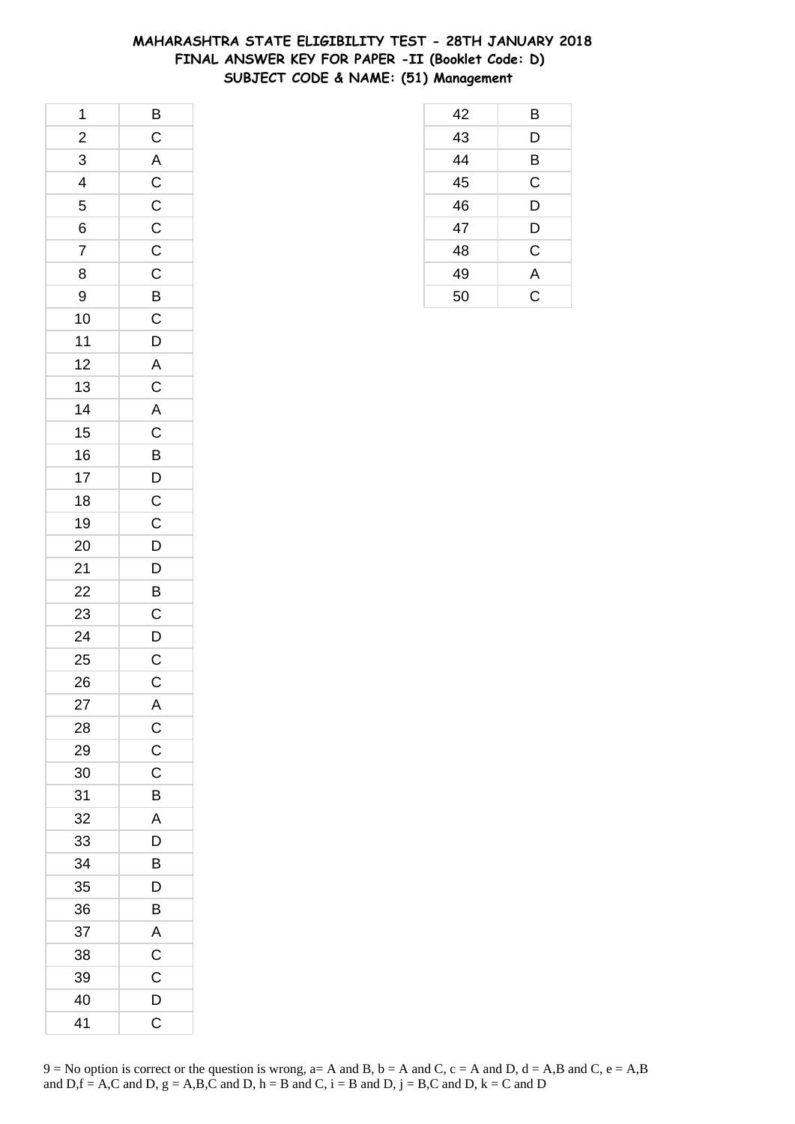## **MAHARASHTRA STATE ELIGIBILITY TEST - 28TH JANUARY 2018 FINAL ANSWER KEY FOR PAPER -II (Booklet Code: D) SUBJECT CODE & NAME: (51) Management**

| $\overline{\phantom{a}}$ |                                              |
|--------------------------|----------------------------------------------|
| $\overline{\mathbf{c}}$  |                                              |
| $\overline{3}$           |                                              |
| $\frac{1}{4}$            |                                              |
| 5                        |                                              |
| 6                        | B C A C C C C                                |
| $\overline{7}$           |                                              |
| 8                        |                                              |
| 9                        |                                              |
| 10                       |                                              |
| 11                       | C B C D A                                    |
| 12                       |                                              |
| 13                       |                                              |
| 14                       | $C$ $A$ $C$ $B$ $D$ $C$ $C$                  |
| 15                       |                                              |
| 16                       |                                              |
| 17                       |                                              |
| 18                       |                                              |
| 19                       |                                              |
| 20                       |                                              |
| 21                       | $\begin{array}{c}\nD \\ D \\ B\n\end{array}$ |
| 22                       |                                              |
| 23                       |                                              |
| 24                       | $rac{C}{C}$                                  |
| 25                       |                                              |
| 26                       | $\overline{\mathrm{c}}$                      |
| 27                       | A                                            |
| 28                       | $\mathsf{C}$                                 |
| 29                       | $\mathsf C$                                  |
| 30                       | C                                            |
| 31                       | B                                            |
| 32                       | A                                            |
| 33                       | D                                            |
| 34                       | B                                            |
| 35                       | D                                            |
| 36                       | B                                            |
| 37                       | A                                            |
| 38                       | $\mathsf C$                                  |
| 39                       | $\mathsf C$                                  |
| 40                       | D                                            |
| 41                       | C                                            |

| 42 | B |
|----|---|
| 43 | D |
| 44 | B |
| 45 | C |
| 46 | D |
| 47 | D |
| 48 | C |
| 49 | A |
| 50 | Ć |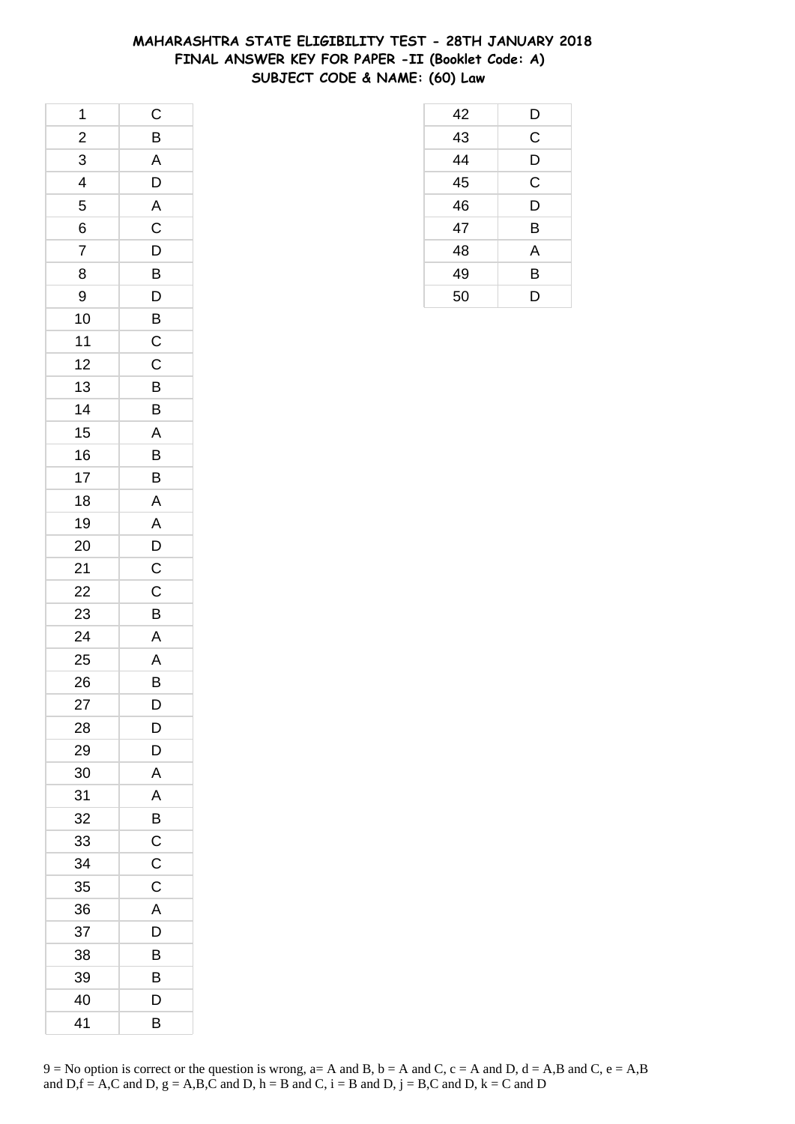## **MAHARASHTRA STATE ELIGIBILITY TEST - 28TH JANUARY 2018 FINAL ANSWER KEY FOR PAPER -II (Booklet Code: A) SUBJECT CODE & NAME: (60) Law**

| 1              | $\mathsf{C}$            |
|----------------|-------------------------|
| $\frac{1}{2}$  | B                       |
| 3              | $\overline{\mathsf{A}}$ |
| 4              | D                       |
| 5              | $\overline{A}$          |
| 6              | $\mathsf C$             |
| $\overline{7}$ | D                       |
| 8              | $\overline{B}$          |
| 9              | $\mathsf{D}$            |
| 10             | B                       |
| 11             | $\mathsf{C}$            |
| 12             | $\mathsf C$             |
| 13             | $\overline{B}$          |
| 14             | B                       |
| 15             | A                       |
| 16             | B                       |
| 17             | B                       |
| 18             | A                       |
| 19             | $\overline{A}$          |
| 20             | $\overline{D}$          |
| 21             | $\overline{C}$          |
| 22             | $\mathsf C$             |
| 23             | B                       |
| 24             | $\overline{\mathsf{A}}$ |
| 25             | A                       |
| 26             | B                       |
| 27             | D                       |
| 28             | D                       |
| 29             | D                       |
| 30             | Α                       |
| 31             | A                       |
| 32             | B                       |
| 33             | $\mathsf{C}$            |
| 34             | $\mathsf C$             |
| 35             | C                       |
| 36             | A                       |
| 37             | D                       |
| 38             | В                       |
| 39             | B                       |
| 40             | D                       |
| 41             | В                       |

| 42 | D |
|----|---|
| 43 | C |
| 44 | D |
| 45 | C |
| 46 | D |
| 47 | B |
| 48 | A |
| 49 | B |
| 50 | D |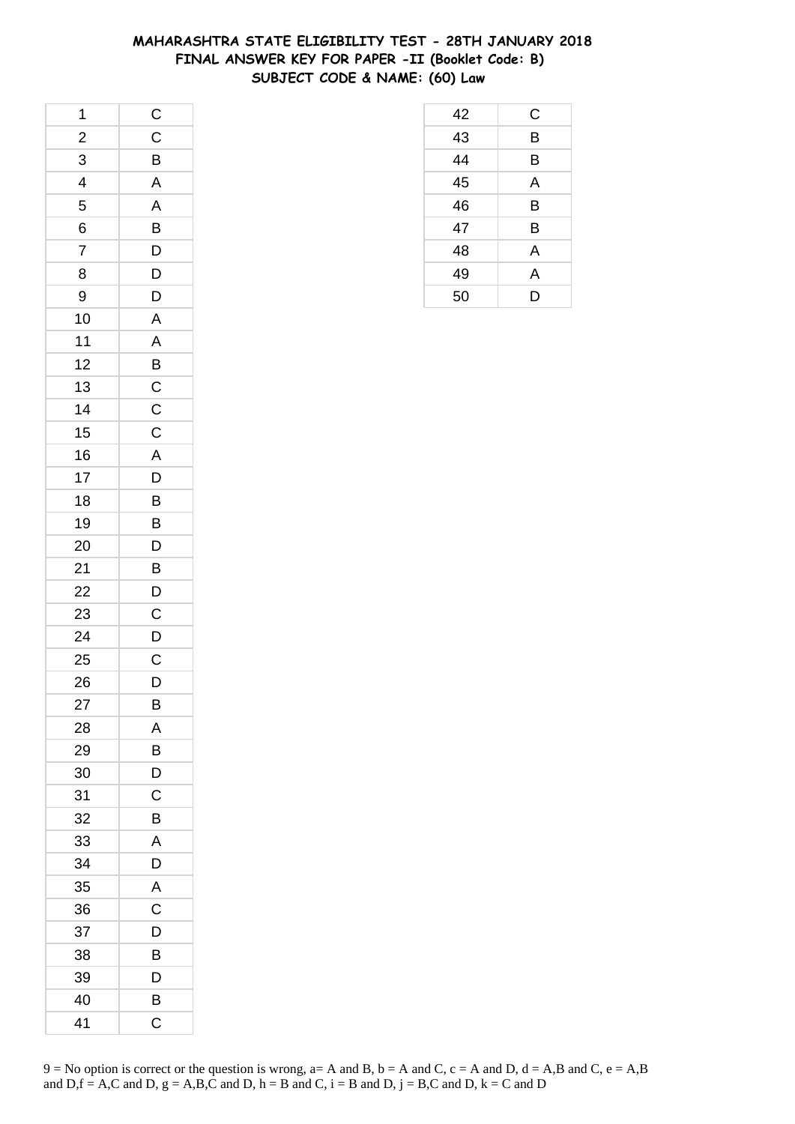## **MAHARASHTRA STATE ELIGIBILITY TEST - 28TH JANUARY 2018 FINAL ANSWER KEY FOR PAPER -II (Booklet Code: B) SUBJECT CODE & NAME: (60) Law**

| 1              | $\mathsf{C}$            |
|----------------|-------------------------|
| $\overline{2}$ | $\mathsf C$             |
| 3              | B                       |
| 4              | A                       |
| 5              | A                       |
| 6              | B                       |
| $\overline{7}$ | D                       |
| 8              | $\overline{D}$          |
| 9              | D                       |
| 10             | $\overline{A}$          |
| 11             | A                       |
| 12             | B                       |
| 13             | $\overline{C}$          |
| 14             | $\overline{C}$          |
| 15             | $\mathsf C$             |
| 16             | $\overline{\mathsf{A}}$ |
| 17             | D                       |
| 18             | B                       |
| 19             | B                       |
| 20             | $\overline{D}$          |
| 21             | B                       |
| 22             | D                       |
| 23             | $\mathsf C$             |
| 24             | D                       |
| 25             | $\mathsf C$             |
| 26             | D                       |
| 27             | B                       |
| 28             | Α                       |
| 29             | B                       |
| 30             | D                       |
| 31             | C                       |
| 32             | B                       |
| 33             | A                       |
| 34             | D                       |
| 35             | A                       |
| 36             | C                       |
| 37             | D                       |
| 38             | B                       |
| 39             | D                       |
| 40             | В                       |
| 41             | С                       |

| 42 | C |
|----|---|
| 43 | B |
| 44 | B |
| 45 | A |
| 46 | B |
| 47 | B |
| 48 | A |
| 49 | A |
| 50 | D |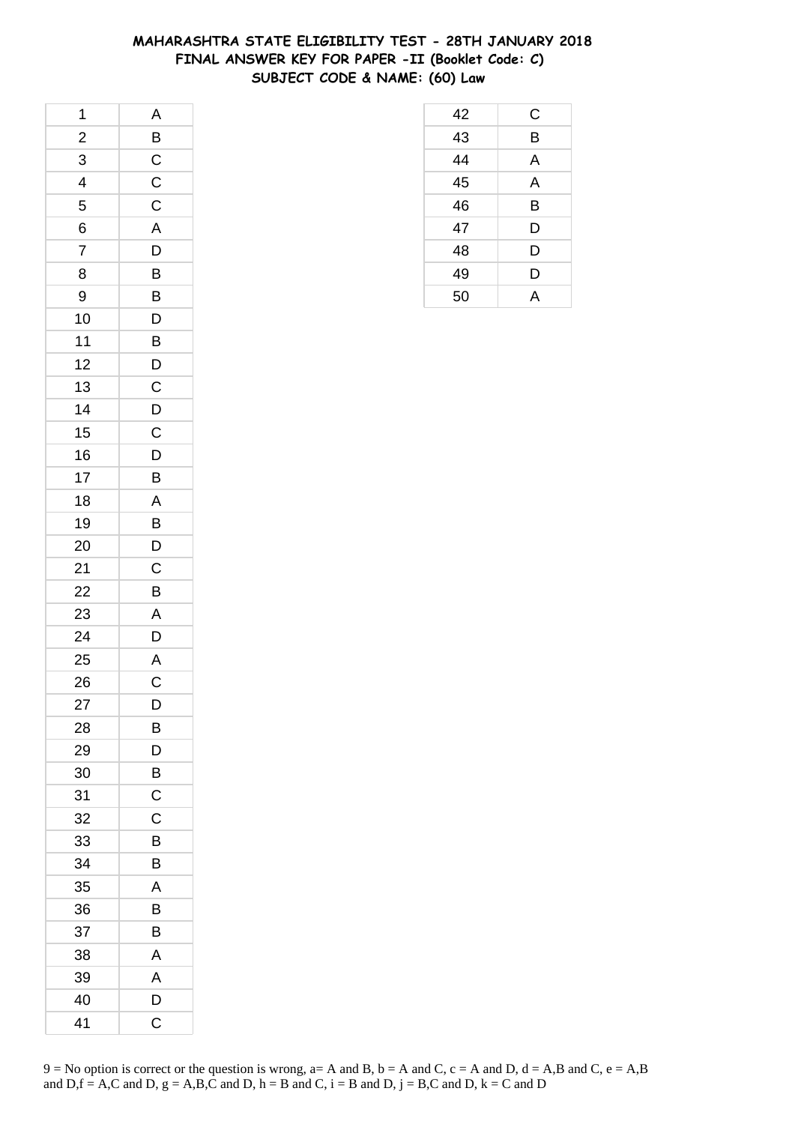## **MAHARASHTRA STATE ELIGIBILITY TEST - 28TH JANUARY 2018 FINAL ANSWER KEY FOR PAPER -II (Booklet Code: C) SUBJECT CODE & NAME: (60) Law**

 C B A A B D D D A

| 1              | A              |
|----------------|----------------|
| $\frac{2}{1}$  | $\overline{B}$ |
| 3              | $\overline{C}$ |
| $\overline{4}$ | $\frac{C}{C}$  |
| 5              |                |
| 6              | $\overline{A}$ |
| $\overline{7}$ | D              |
| 8              |                |
| 9              | $\frac{B}{B}$  |
| 10             | $\overline{D}$ |
| $11$           | B              |
| 12             | $\overline{D}$ |
| 13             |                |
| 14             | $\frac{C}{D}$  |
| 15             | $\overline{C}$ |
| 16             | $\overline{D}$ |
| 17             | B              |
| 18             | A              |
| 19             | $\overline{B}$ |
| 20             | $\mathsf{D}$   |
| 21             | $\overline{C}$ |
| 22             | B              |
| 23             | A              |
| 24             | D              |
| 25             | $rac{A}{C}$    |
| 26             |                |
| 27             | D              |
| 28             | В              |
| 29             | D              |
| 30             | B              |
| 31             | C              |
| 32             | C              |
| 33             | В              |
| 34             | B              |
| 35             | A              |
| 36             | B              |
| 37             | B              |
| 38             | Α              |
| 39             | A              |
| 40             | D              |
| 41             | C              |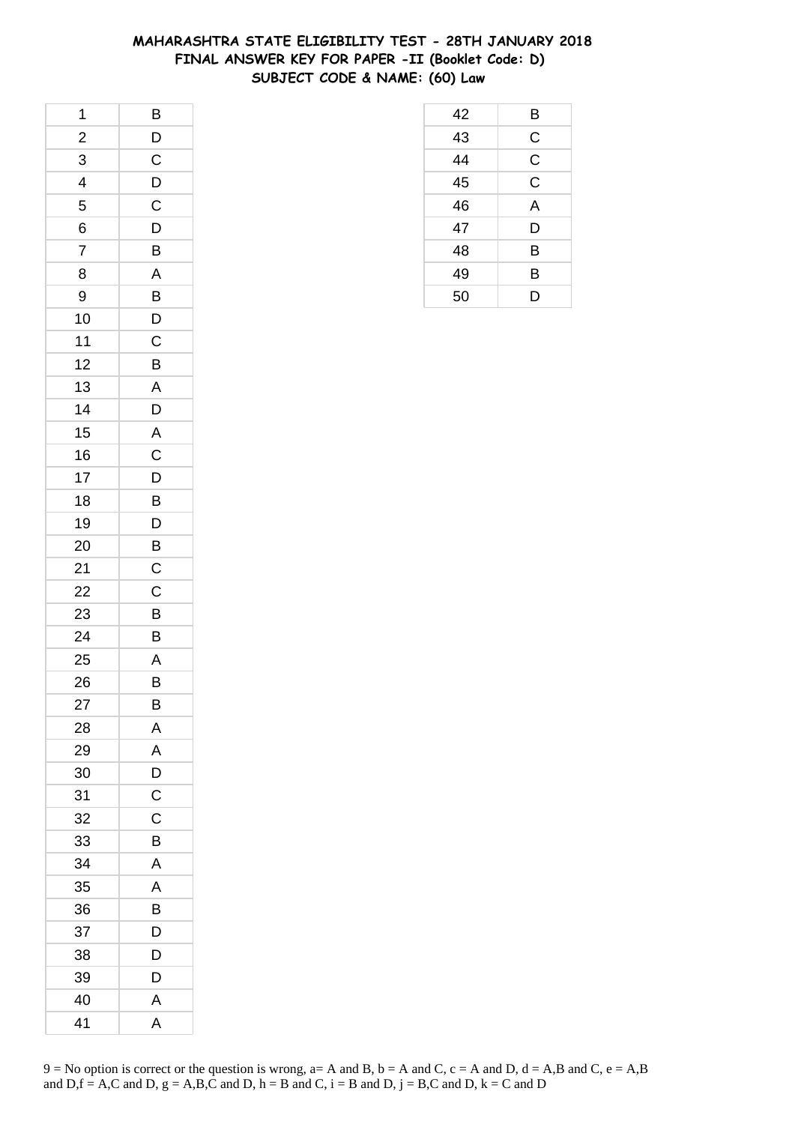## **MAHARASHTRA STATE ELIGIBILITY TEST - 28TH JANUARY 2018 FINAL ANSWER KEY FOR PAPER -II (Booklet Code: D) SUBJECT CODE & NAME: (60) Law**

| 1              | $\mathsf{B}$            |
|----------------|-------------------------|
| $\overline{c}$ | D                       |
| 3              | $\mathsf C$             |
| 4              | D                       |
| 5              | $\mathsf C$             |
| 6              | D                       |
| $\overline{7}$ | B                       |
| 8              | A                       |
| 9              | B                       |
| 10             | D                       |
| 11             | $\mathsf C$             |
| 12             | B                       |
| 13             | $\mathsf{A}$            |
| 14             | D                       |
| 15             | $\overline{\mathsf{A}}$ |
| 16             | $\mathsf C$             |
| 17             | D                       |
| 18             | B                       |
| 19             | D                       |
| 20             | $\overline{B}$          |
| 21             | $\mathsf C$             |
| 22             | C                       |
| 23             | B                       |
| 24             | B                       |
| 25             | A                       |
| 26             | $\overline{B}$          |
| 27             | B                       |
| 28             | Α                       |
| 29             | A                       |
| 30             | D                       |
| 31             | $\mathsf C$             |
| 32             | C                       |
| 33             | B                       |
| 34             | A                       |
| 35             | A                       |
| 36             | B                       |
| 37             | D                       |
| 38             | D                       |
| 39             | D                       |
| 40             | A                       |
| 41             | Α                       |

| 42 | B              |
|----|----------------|
| 43 | C              |
| 44 | $\overline{C}$ |
| 45 | $\overline{C}$ |
| 46 | A              |
| 47 | D              |
| 48 | B              |
| 49 | B              |
| 50 | D              |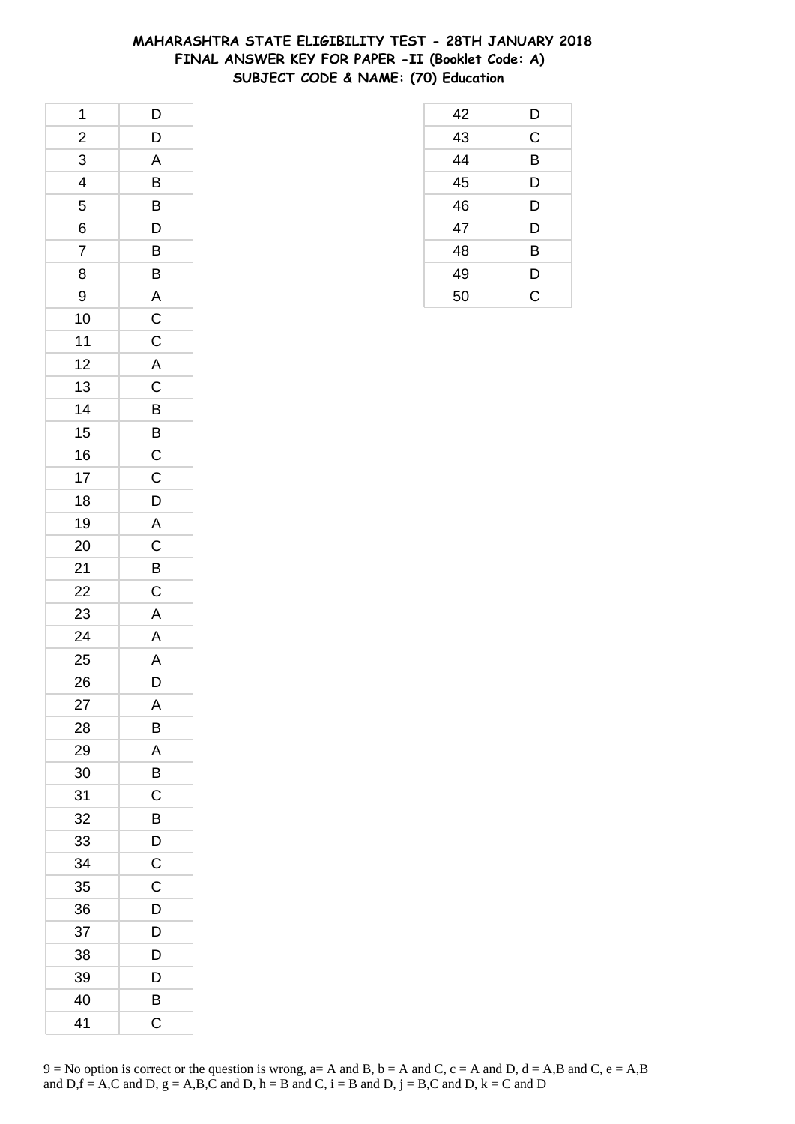## **MAHARASHTRA STATE ELIGIBILITY TEST - 28TH JANUARY 2018 FINAL ANSWER KEY FOR PAPER -II (Booklet Code: A) SUBJECT CODE & NAME: (70) Education**

 D C B D D D B D C

| 1                       | D                                   |
|-------------------------|-------------------------------------|
| $\frac{2}{1}$           | D                                   |
| 3                       | A                                   |
| $\overline{\mathbf{r}}$ | B                                   |
| 5                       | B                                   |
| 6                       | $\mathsf{D}$                        |
| $\overline{7}$          | B                                   |
| 8                       | $\overline{B}$                      |
| 9                       | $\overline{A}$                      |
| 10                      | $\frac{C}{C}$                       |
| $11$                    |                                     |
| 12                      | $\overline{A}$                      |
| 13                      | $\overline{C}$                      |
| 14                      | $\overline{B}$                      |
| 15                      | $\overline{B}$                      |
| 16                      |                                     |
| 17                      | $\frac{\overline{C}}{\overline{C}}$ |
| 18                      | D                                   |
| 19                      | $\overline{A}$                      |
| 20                      | $\overline{C}$                      |
| 21                      | $\overline{B}$                      |
| 22                      | $\overline{C}$                      |
| 23                      | $\overline{\mathsf{A}}$             |
| 24                      | A                                   |
| 25                      | A                                   |
| 26                      | $\overline{D}$                      |
| 27                      | A                                   |
| 28                      | В                                   |
| 29                      | A                                   |
| 30                      | B                                   |
| 31                      | С                                   |
| 32                      | B                                   |
| 33                      | D                                   |
| 34                      | $\mathsf C$                         |
| 35                      | C                                   |
| 36                      | D                                   |
| 37                      | D                                   |
| 38                      | D                                   |
| 39                      | D                                   |
| 40                      | B                                   |
| 41                      | C                                   |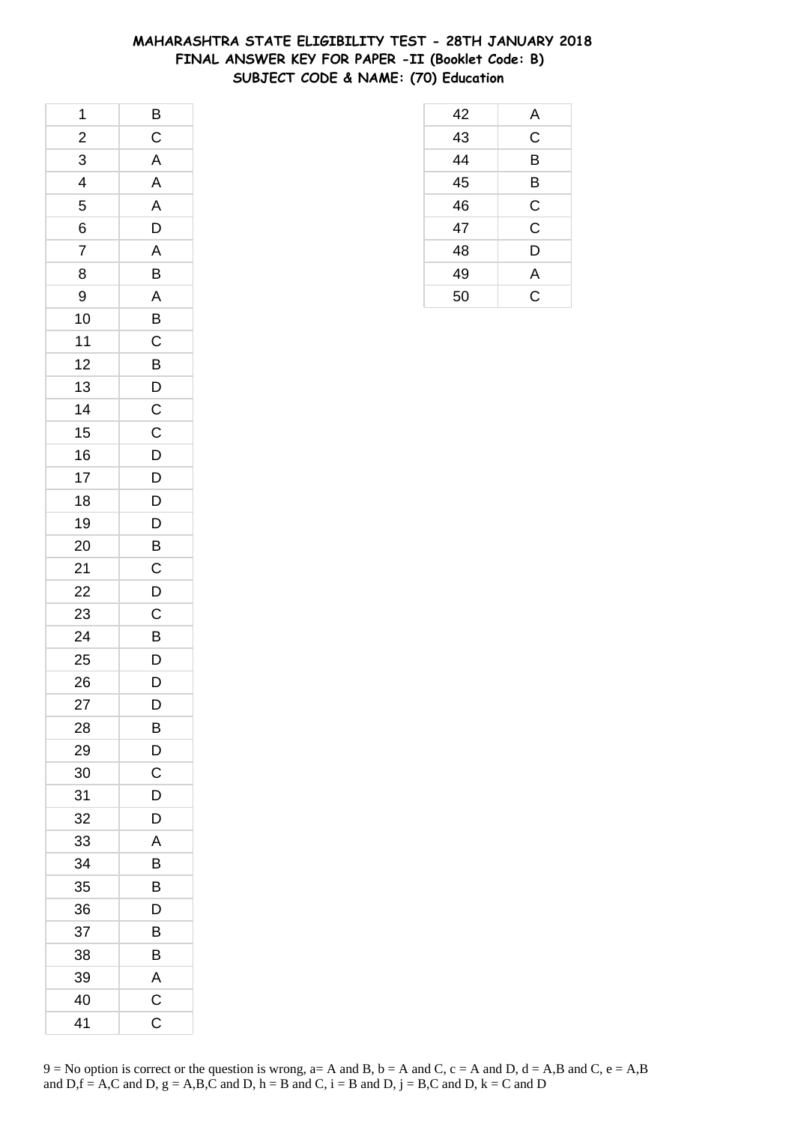## **MAHARASHTRA STATE ELIGIBILITY TEST - 28TH JANUARY 2018 FINAL ANSWER KEY FOR PAPER -II (Booklet Code: B) SUBJECT CODE & NAME: (70) Education**

 A C B B C C D A C

| 1                       | $\overline{B}$          |
|-------------------------|-------------------------|
| $\frac{2}{1}$           | $\overline{C}$          |
| 3                       | $\overline{A}$          |
| $\overline{\mathbf{r}}$ | A                       |
| 5                       | A                       |
| 6                       | D                       |
| $\overline{7}$          | A                       |
| 8                       | B                       |
| 9                       | A                       |
| 10                      | $\overline{B}$          |
| 11                      | $\mathsf{C}$            |
| 12                      | B                       |
| 13                      |                         |
| 14                      | $\frac{D}{C}$           |
| 15                      | $\overline{C}$          |
| 16                      | $\overline{D}$          |
| 17                      | $\overline{D}$          |
| 18                      | D                       |
| 19                      | D                       |
| 20                      | $\overline{B}$          |
| 21                      | $\overline{C}$          |
| 22                      | $\overline{D}$          |
| 23                      | $\mathsf{C}$            |
| 24                      | B                       |
| 25                      | $\overline{D}$          |
| 26                      | $\overline{\mathsf{D}}$ |
| 27                      | D                       |
| 28                      | В                       |
| 29                      | D                       |
| 30                      | C                       |
| 31                      | D                       |
| 32                      | D                       |
| 33                      | Α                       |
| 34                      | В                       |
| 35                      | B                       |
| 36                      | D                       |
| 37                      | В                       |
| 38                      | В                       |
| 39                      | A                       |
| 40                      | $\overline{\mathrm{C}}$ |
| 41                      | C                       |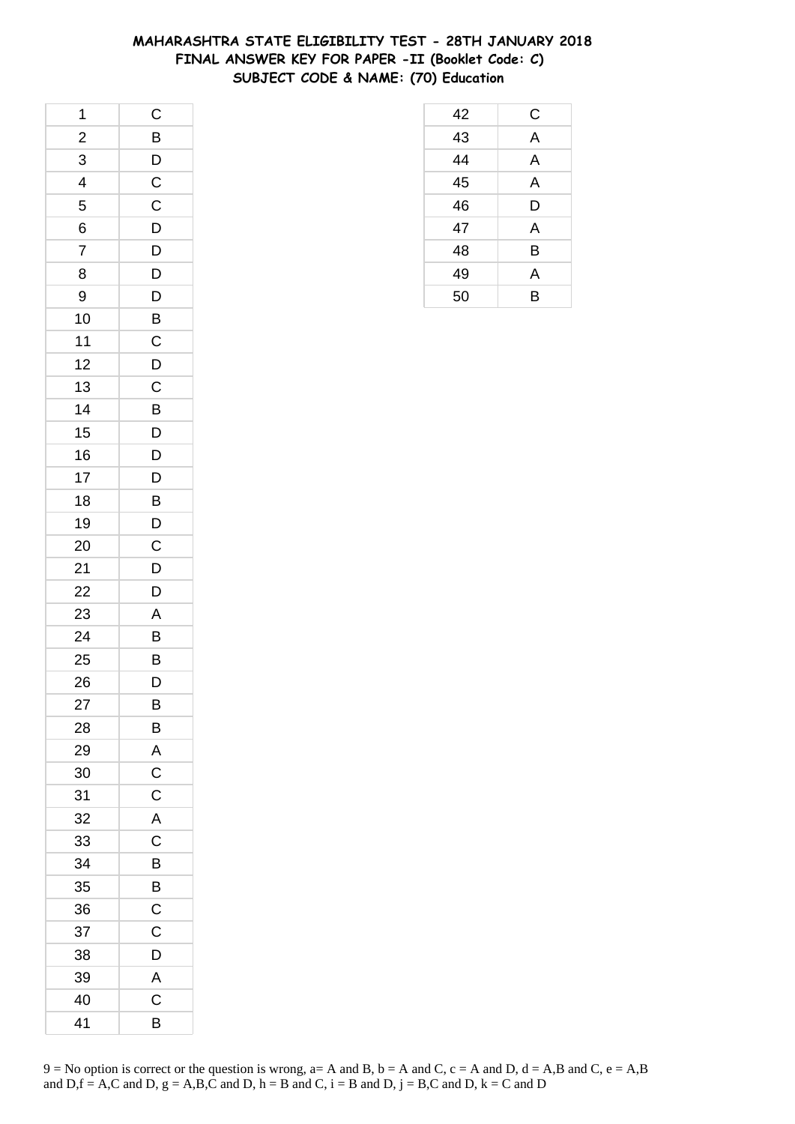## **MAHARASHTRA STATE ELIGIBILITY TEST - 28TH JANUARY 2018 FINAL ANSWER KEY FOR PAPER -II (Booklet Code: C) SUBJECT CODE & NAME: (70) Education**

| 1                       | $\mathsf C$    |
|-------------------------|----------------|
| $\overline{\mathbf{c}}$ | $\overline{B}$ |
| 3                       | $\overline{D}$ |
| $\overline{\mathbf{r}}$ | $\overline{C}$ |
| 5                       | $\mathsf C$    |
| 6                       | D              |
| $\overline{7}$          | D              |
| 8                       | D              |
| 9                       | $\overline{D}$ |
| 10                      | $\overline{B}$ |
| 11                      | $\mathsf C$    |
| 12                      | D              |
| 13                      | $\mathsf{C}$   |
| 14                      | B              |
| 15                      | $\overline{D}$ |
| 16                      | $\overline{D}$ |
| 17                      | D              |
| 18                      | B              |
| 19                      | D              |
| 20                      | $\mathsf C$    |
| 21                      | $\overline{D}$ |
| 22                      | D              |
| 23                      | A              |
| 24                      | B              |
| 25                      | B              |
| 26                      | D              |
| 27                      | B              |
| 28                      | B              |
| 29                      | A              |
| 30                      | $\mathsf C$    |
| 31                      | $\mathsf C$    |
| 32                      | A              |
| 33                      | $\mathsf C$    |
| 34                      | B              |
| 35                      | B              |
| 36                      | $\mathsf C$    |
| 37                      | Ċ              |
| 38                      | D              |
| 39                      | A              |
| 40                      | C              |
| 41                      | B              |

| 42 | C |
|----|---|
| 43 | A |
| 44 | A |
| 45 | A |
| 46 | D |
| 47 | A |
| 48 | B |
| 49 | A |
| 50 | B |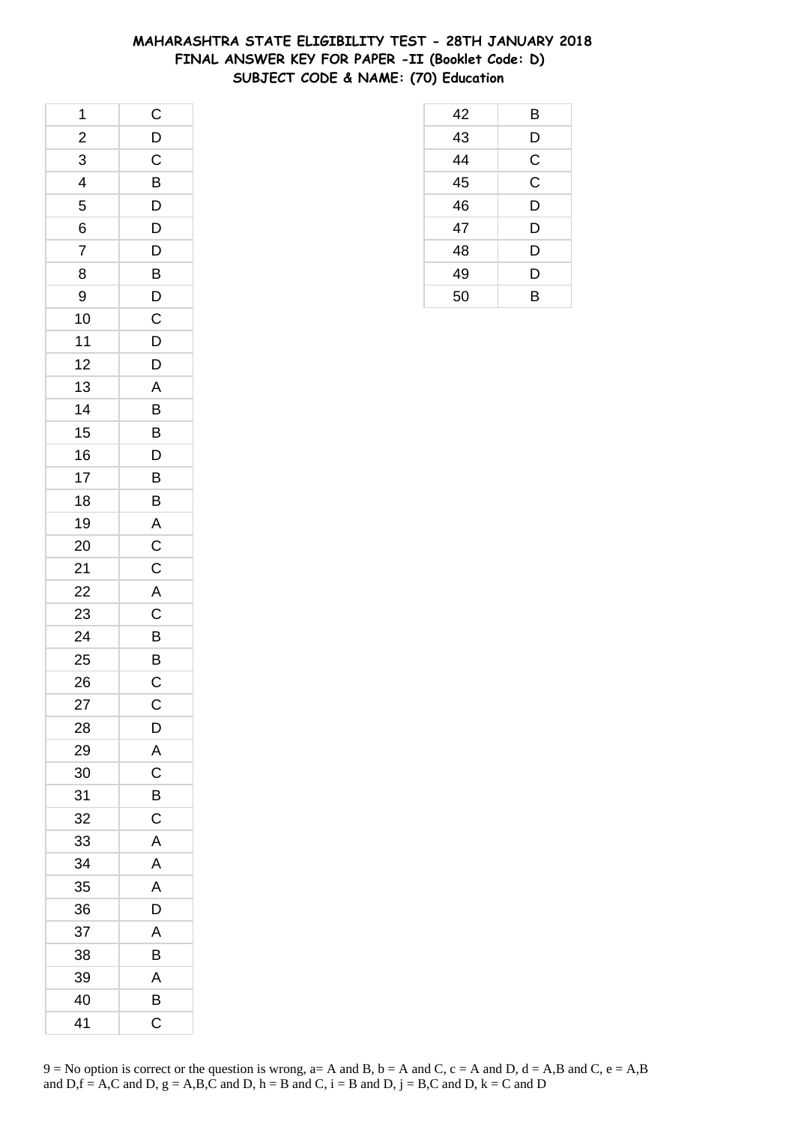## **MAHARASHTRA STATE ELIGIBILITY TEST - 28TH JANUARY 2018 FINAL ANSWER KEY FOR PAPER -II (Booklet Code: D) SUBJECT CODE & NAME: (70) Education**

 B D C C D D D D B

| 1              | $\mathsf{C}$              |
|----------------|---------------------------|
| $\frac{2}{1}$  | $\mathsf{D}$              |
| 3              | $\overline{\overline{C}}$ |
| 4              | B                         |
| 5              | D                         |
| 6              | $\mathsf{D}$              |
| $\overline{7}$ | D                         |
| 8              | $\overline{B}$            |
| 9              | $\overline{D}$            |
| 10             | $\mathsf{C}$              |
| 11             | D                         |
| 12             | D                         |
| 13             | A                         |
| 14             | B                         |
| 15             | $\overline{B}$            |
| 16             | D                         |
| 17             | B                         |
| 18             | B                         |
| 19             | $\overline{A}$            |
| 20             |                           |
| 21             | $rac{C}{C}$               |
| 22             |                           |
| 23             | $rac{A}{C}$               |
| 24             | B                         |
| 25             |                           |
| 26             | $rac{B}{C}$               |
| 27             | $\mathsf C$               |
| 28             | D                         |
| 29             | A                         |
| 30             | C                         |
| 31             | B                         |
| 32             | $\mathsf C$               |
| 33             | Α                         |
| 34             | A                         |
| 35             | A                         |
| 36             | D                         |
| 37             | A                         |
| 38             | B                         |
| 39             | A                         |
| 40             | B                         |
| 41             | C                         |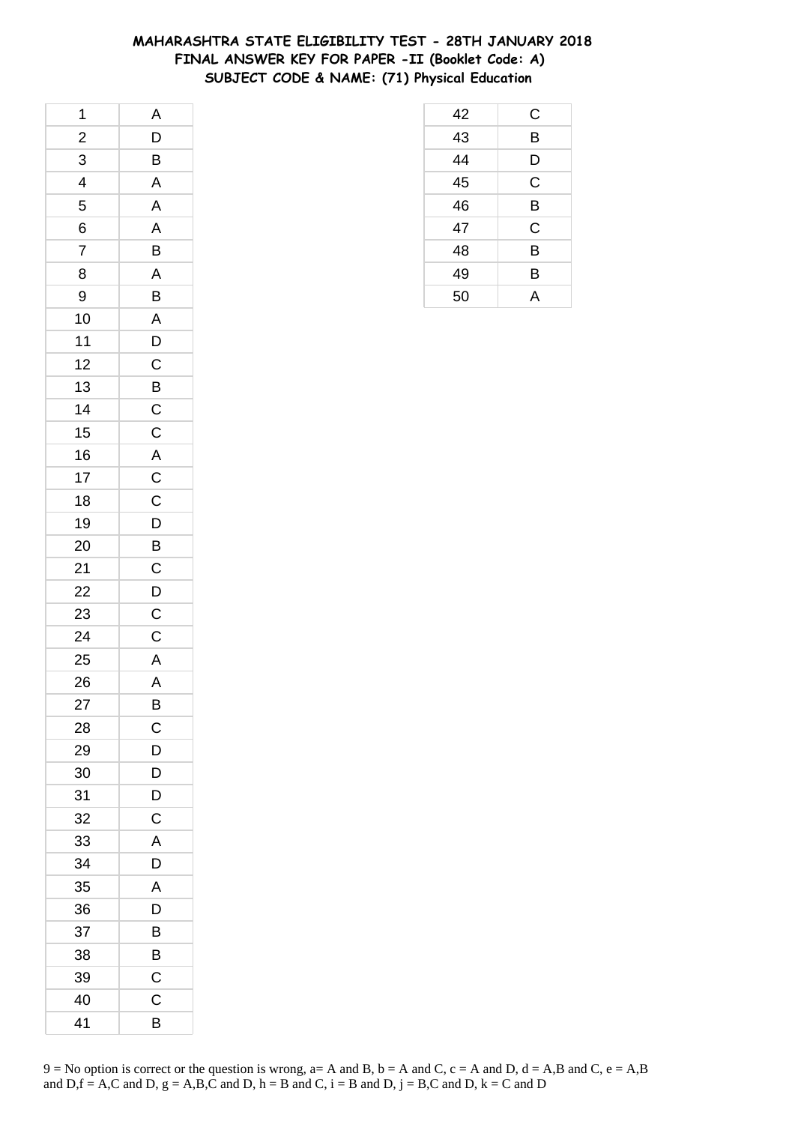## **MAHARASHTRA STATE ELIGIBILITY TEST - 28TH JANUARY 2018 FINAL ANSWER KEY FOR PAPER -II (Booklet Code: A) SUBJECT CODE & NAME: (71) Physical Education**

| 1              | A                       |
|----------------|-------------------------|
| $\overline{2}$ | D                       |
| 3              | B                       |
| 4              | A                       |
| 5              | A                       |
| 6              | A                       |
| $\overline{7}$ | $\overline{B}$          |
| 8              | A                       |
| 9              | B                       |
| 10             | $\overline{A}$          |
| 11             | D                       |
| 12             | $\mathsf C$             |
| 13             | $\overline{B}$          |
| 14             | $\overline{C}$          |
| 15             | $\mathsf{C}$            |
| 16             | $\overline{\mathsf{A}}$ |
| 17             | $\mathbf{C}$            |
| 18             | $\mathsf C$             |
| 19             | D                       |
| 20             | $\overline{B}$          |
| 21             | $\mathsf C$             |
| 22             | D                       |
| 23             | $\mathsf C$             |
| 24             | $\mathsf C$             |
| 25             | A                       |
| 26             | $\overline{A}$          |
| 27             | B                       |
| 28             | С                       |
| 29             | D                       |
| 30             | D                       |
| 31             | D                       |
| 32             | $\mathsf C$             |
| 33             | A                       |
| 34             | D                       |
| 35             | A                       |
| 36             | D                       |
| 37             | B                       |
| 38             | В                       |
| 39             | C                       |
| 40             | C                       |
| 41             | В                       |

| 42              | С |
|-----------------|---|
| $\overline{43}$ | B |
| 44              | D |
| 45              | C |
| 46              | B |
| 47              | C |
| 48              | B |
| 49              | B |
| 50              | A |

 $9 = No$  option is correct or the question is wrong,  $a = A$  and B,  $b = A$  and C,  $c = A$  and D,  $d = A$ ,B and C,  $e = A$ ,B and  $D,f = A,C$  and  $D, g = A,B,C$  and  $D, h = B$  and  $C, i = B$  and  $D, j = B,C$  and  $D, k = C$  and  $D$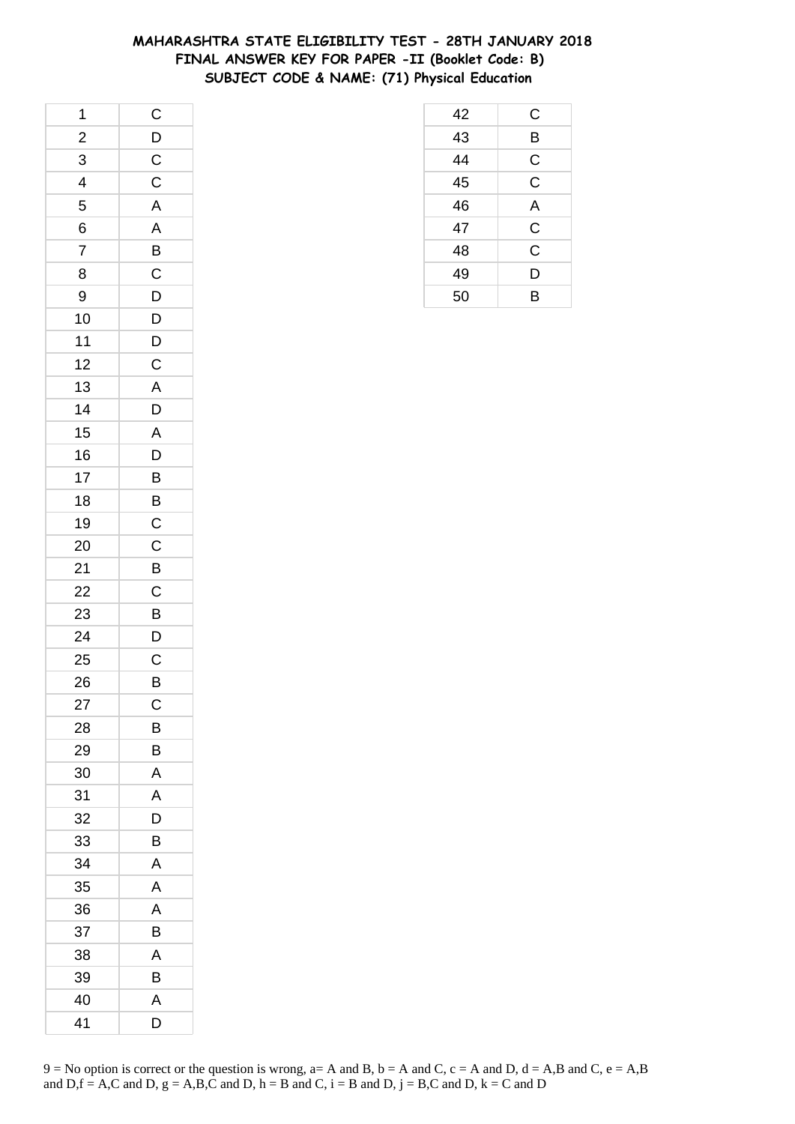## **MAHARASHTRA STATE ELIGIBILITY TEST - 28TH JANUARY 2018 FINAL ANSWER KEY FOR PAPER -II (Booklet Code: B) SUBJECT CODE & NAME: (71) Physical Education**

| 1              | $\overline{C}$          |
|----------------|-------------------------|
| $\frac{2}{3}$  | $\frac{D}{C}$           |
| $\overline{3}$ |                         |
| $\overline{4}$ | $\overline{C}$          |
| 5              | $\overline{\mathsf{A}}$ |
| 6              | A                       |
| $\overline{7}$ |                         |
| 8              | $\frac{B}{D}$           |
| 9              |                         |
| 10             | $\overline{D}$          |
| 11             |                         |
| 12             | $\frac{D}{C}$           |
| 13             |                         |
| 14             | $rac{A}{D}$             |
| 15             | $\overline{A}$          |
| 16             | $\overline{D}$          |
| 17             | $\overline{B}$          |
| 18             | $\overline{B}$          |
| 19             | $\overline{C}$          |
| 20             | $\frac{1}{C}$           |
| 21             | $\overline{B}$          |
| 22             | $\overline{C}$          |
| 23             | B                       |
| 24             | D                       |
| 25             | $\mathsf{C}$            |
| 26             | $\overline{B}$          |
| 27             | $\mathsf{C}$            |
| 28             | В                       |
| 29             | B                       |
| 30             | A                       |
| 31             | Α                       |
| 32             | D                       |
| 33             | В                       |
| 34             | A                       |
| 35             | A                       |
| 36             | Α                       |
| 37             | В                       |
| 38             | Α                       |
| 39             | B                       |
| 40             | A                       |
| 41             | D                       |

| 42 | C                       |
|----|-------------------------|
| 43 | B                       |
| 44 | $\mathsf{C}$            |
| 45 | $\overline{\mathsf{C}}$ |
| 46 | A                       |
| 47 | $\frac{C}{C}$           |
| 48 |                         |
| 49 | D                       |
| 50 | в                       |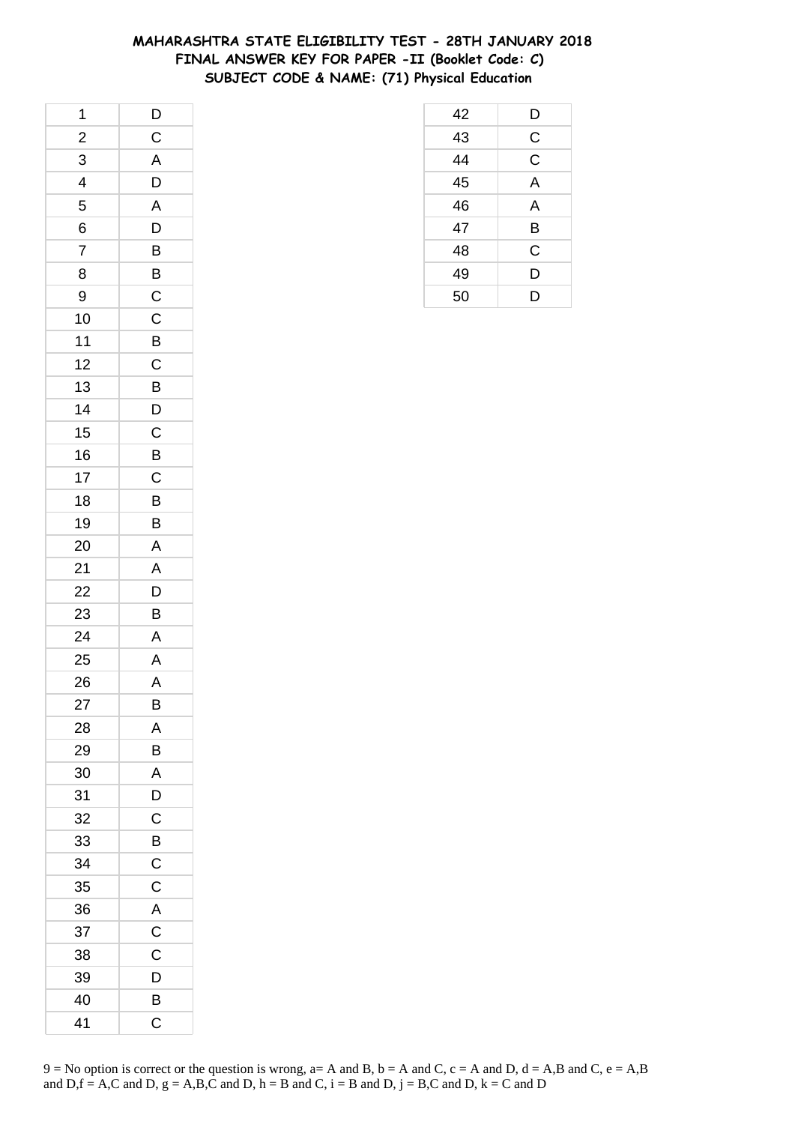## **MAHARASHTRA STATE ELIGIBILITY TEST - 28TH JANUARY 2018 FINAL ANSWER KEY FOR PAPER -II (Booklet Code: C) SUBJECT CODE & NAME: (71) Physical Education**

| 1                       | $\overline{D}$ |
|-------------------------|----------------|
| $\overline{\mathbf{c}}$ | $\mathsf{C}$   |
| $\overline{3}$          | $\overline{A}$ |
| $\overline{\mathbf{r}}$ | $\overline{D}$ |
| 5                       | A              |
| 6                       | D              |
| $\overline{7}$          | B              |
| 8                       |                |
| 9                       | $\frac{B}{C}$  |
| 10                      | $\overline{C}$ |
| 11                      | B              |
| 12                      | $\overline{c}$ |
| 13                      | $\overline{B}$ |
| 14                      | $\mathsf{D}$   |
| 15                      | $\overline{C}$ |
| 16                      | $\overline{B}$ |
| 17                      | $\mathsf{C}$   |
| 18                      | B              |
| 19                      | B              |
| 20                      | $\mathsf{A}$   |
| 21                      | $\overline{A}$ |
| 22                      | $\overline{D}$ |
| 23                      | B              |
| 24                      | A              |
| 25                      | A              |
| 26                      | A              |
| 27                      | B              |
| 28                      | A              |
| 29                      | B              |
| 30                      | A              |
| 31                      | D              |
| 32                      | C              |
| 33                      | B              |
| 34                      | $\mathsf C$    |
| 35                      | C              |
| 36                      | A              |
| 37                      | C              |
| 38                      | C              |
| 39                      | D              |
| 40                      | B              |
| 41                      | C              |

| 42 | D           |
|----|-------------|
| 43 | C           |
| 44 | $\mathsf C$ |
| 45 | A           |
| 46 | A           |
| 47 | B           |
| 48 | $\mathsf C$ |
| 49 | D           |
| 50 | D           |